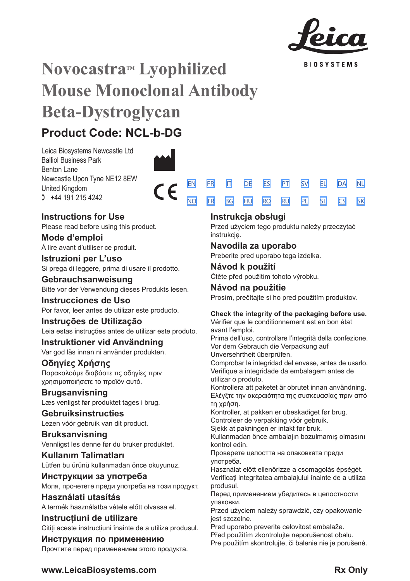

**BIOSYSTEMS** 

# **Novocastra™ Lyophilized Mouse Monoclonal Antibody Beta-Dystroglycan**

## **Product Code: NCL-b-DG**

Leica Biosystems Newcastle Ltd Balliol Business Park Benton Lane Newcastle Upon Tyne NE12 8EW United Kingdom  $1 +44 191 215 4242$ 



 $\epsilon$ 

## **Instructions for Use**

Please read before using this product.

## **Mode d'emploi**

Á lire avant d'utiliser ce produit.

**Istruzioni per L'uso** Si prega di leggere, prima di usare il prodotto.

## **Gebrauchsanweisung** Bitte vor der Verwendung dieses Produkts lesen.

**Instrucciones de Uso** Por favor, leer antes de utilizar este producto.

## **Instruções de Utilização** Leia estas instruções antes de utilizar este produto.

**Instruktioner vid Användning** Var god läs innan ni använder produkten.

## **Οδηγίες Χρήσης**

Παρακαλούμε διαβάστε τις οδηγίες πριν χρησιμοποιήσετε το προϊόν αυτό.

## **Brugsanvisning** Læs venligst før produktet tages i brug.

**Gebruiksinstructies** Lezen vóór gebruik van dit product.

## **Bruksanvisning** Vennligst les denne før du bruker produktet.

**Kullanım Talimatları**

Lütfen bu ürünü kullanmadan önce okuyunuz.

**Инструкции за употреба** Моля, прочетете преди употреба на този продукт.

## **Használati utasítás** A termék használatba vétele előtt olvassa el.

**Instrucțiuni de utilizare** Citiți aceste instrucțiuni înainte de a utiliza produsul.

## **Инструкция по применению** Прочтите перед применением этого продукта.

|  |  | <u>EN FRITI DE ES PT SV EL DA NL</u>    |  |  |
|--|--|-----------------------------------------|--|--|
|  |  | <u>NO TRI BG HU RO RU PLI SLI CS SK</u> |  |  |

## **Instrukcja obsługi**

Przed użyciem tego produktu należy przeczytać instrukcję.

## **Navodila za uporabo**

Preberite pred uporabo tega izdelka.

## **Návod k použití**

Čtěte před použitím tohoto výrobku.

## **Návod na použitie**

Prosím, prečítajte si ho pred použitím produktov.

## **Check the integrity of the packaging before use.**

Vérifier que le conditionnement est en bon état avant l'emploi.

Prima dell'uso, controllare l'integrità della confezione. Vor dem Gebrauch die Verpackung auf Unversehrtheit überprüfen.

Comprobar la integridad del envase, antes de usarlo. Verifique a integridade da embalagem antes de utilizar o produto.

Kontrollera att paketet är obrutet innan användning. Ελέγξτε την ακεραιότητα της συσκευασίας πριν από τη χρήση.

Kontroller, at pakken er ubeskadiget før brug. Controleer de verpakking vóór gebruik.

Sjekk at pakningen er intakt før bruk.

Kullanmadan önce ambalajın bozulmamış olmasını kontrol edin.

Проверете целостта на опаковката преди употреба.

Használat előtt ellenőrizze a csomagolás épségét. Verificați integritatea ambalajului înainte de a utiliza produsul.

.<br>Перед применением убедитесь в целостности упаковки.

Przed użyciem należy sprawdzić, czy opakowanie jest szczelne.

Pred uporabo preverite celovitost embalaže.

Před použitím zkontrolujte neporušenost obalu. Pre použitím skontrolujte, či balenie nie je porušené.

**www.LeicaBiosystems.com Rx Only**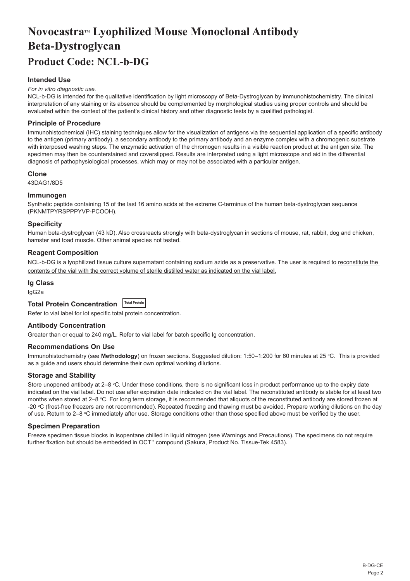## <span id="page-2-0"></span>**NovocastraM Lyophilized Mouse Monoclonal Antibody Beta-Dystroglycan Product Code: NCL-b-DG**

## **Intended Use**

#### *For in vitro diagnostic use.*

NCL-b-DG is intended for the qualitative identification by light microscopy of Beta-Dystroglycan by immunohistochemistry. The clinical interpretation of any staining or its absence should be complemented by morphological studies using proper controls and should be evaluated within the context of the patient's clinical history and other diagnostic tests by a qualified pathologist.

### **Principle of Procedure**

Immunohistochemical (IHC) staining techniques allow for the visualization of antigens via the sequential application of a specific antibody to the antigen (primary antibody), a secondary antibody to the primary antibody and an enzyme complex with a chromogenic substrate with interposed washing steps. The enzymatic activation of the chromogen results in a visible reaction product at the antigen site. The specimen may then be counterstained and coverslipped. Results are interpreted using a light microscope and aid in the differential diagnosis of pathophysiological processes, which may or may not be associated with a particular antigen.

#### **Clone**

43DAG1/8D5

#### **Immunogen**

Synthetic peptide containing 15 of the last 16 amino acids at the extreme C-terminus of the human beta-dystroglycan sequence (PKNMTPYRSPPPYVP-PCOOH).

#### **Specificity**

Human beta-dystroglycan (43 kD). Also crossreacts strongly with beta-dystroglycan in sections of mouse, rat, rabbit, dog and chicken, hamster and toad muscle. Other animal species not tested.

## **Reagent Composition**

NCL-b-DG is a lyophilized tissue culture supernatant containing sodium azide as a preservative. The user is required to reconstitute the contents of the vial with the correct volume of sterile distilled water as indicated on the vial label.

#### **Ig Class**

IgG2a

**Total Protein Concentration Total Protein**

Refer to vial label for lot specific total protein concentration.

## **Antibody Concentration**

Greater than or equal to 240 mg/L. Refer to vial label for batch specific Ig concentration.

## **Recommendations On Use**

Immunohistochemistry (see Methodology) on frozen sections. Suggested dilution: 1:50–1:200 for 60 minutes at 25 °C. This is provided as a guide and users should determine their own optimal working dilutions.

#### **Storage and Stability**

Store unopened antibody at 2–8 °C. Under these conditions, there is no significant loss in product performance up to the expiry date indicated on the vial label. Do not use after expiration date indicated on the vial label. The reconstituted antibody is stable for at least two months when stored at 2–8 °C. For long term storage, it is recommended that aliquots of the reconstituted antibody are stored frozen at -20 °C (frost-free freezers are not recommended). Repeated freezing and thawing must be avoided. Prepare working dilutions on the day of use. Return to 2–8 °C immediately after use. Storage conditions other than those specified above must be verified by the user.

## **Specimen Preparation**

Freeze specimen tissue blocks in isopentane chilled in liquid nitrogen (see Warnings and Precautions). The specimens do not require further fixation but should be embedded in OCT™ compound (Sakura, Product No. Tissue-Tek 4583).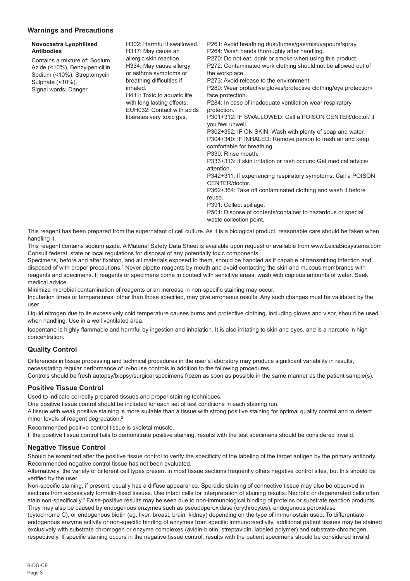### **Warnings and Precautions**

#### **Novocastra Lyophilised Antibodies**

Contains a mixture of: Sodium Azide (<10%), Benzylpenicillin Sodium (<10%), Streptomycin Sulphate  $( < 10\%)$ Signal words: Danger.

H302: Harmful if swallowed. H317: May cause an allergic skin reaction. H334: May cause allergy or asthma symptoms or breathing difficulties if inhaled. H411: Toxic to aquatic life with long lasting effects.

EUH032: Contact with acids liberates very toxic gas.

P261: Avoid breathing dust/fumes/gas/mist/vapours/spray. P264: Wash hands thoroughly after handling. P270: Do not eat, drink or smoke when using this product. P272: Contaminated work clothing should not be allowed out of the workplace. P273: Avoid release to the environment. P280: Wear protective gloves/protective clothing/eye protection/ face protection. P284: In case of inadequate ventilation wear respiratory protection. P301+312: IF SWALLOWED: Call a POISON CENTER/doctor/ if you feel unwell. P302+352: IF ON SKIN: Wash with plenty of soap and water. P304+340: IF INHALED: Remove person to fresh air and keep comfortable for breathing. P330: Rinse mouth. P333+313: If skin irritation or rash occurs: Get medical advice/ attention. P342+311: If experiencing respiratory symptoms: Call a POISON CENTER/doctor. P362+364: Take off contaminated clothing and wash it before reuse.

P391: Collect spillage.

P501: Dispose of contents/container to hazardous or special waste collection point.

This reagent has been prepared from the supernatant of cell culture. As it is a biological product, reasonable care should be taken when handling it.

This reagent contains sodium azide. A Material Safety Data Sheet is available upon request or available from www.LeicaBiosystems.com Consult federal, state or local regulations for disposal of any potentially toxic components.

Specimens, before and after fixation, and all materials exposed to them, should be handled as if capable of transmitting infection and disposed of with proper precautions.<sup>1</sup> Never pipette reagents by mouth and avoid contacting the skin and mucous membranes with reagents and specimens. If reagents or specimens come in contact with sensitive areas, wash with copious amounts of water. Seek medical advice.

Minimize microbial contamination of reagents or an increase in non-specific staining may occur.

Incubation times or temperatures, other than those specified, may give erroneous results. Any such changes must be validated by the user.

Liquid nitrogen due to its excessively cold temperature causes burns and protective clothing, including gloves and visor, should be used when handling. Use in a well ventilated area.

Isopentane is highly flammable and harmful by ingestion and inhalation. It is also irritating to skin and eyes, and is a narcotic in high concentration.

## **Quality Control**

Differences in tissue processing and technical procedures in the user's laboratory may produce significant variability in results, necessitating regular performance of in-house controls in addition to the following procedures.

Controls should be fresh autopsy/biopsy/surgical specimens frozen as soon as possible in the same manner as the patient sample(s).

## **Positive Tissue Control**

Used to indicate correctly prepared tissues and proper staining techniques.

One positive tissue control should be included for each set of test conditions in each staining run.

A tissue with weak positive staining is more suitable than a tissue with strong positive staining for optimal quality control and to detect minor levels of reagent degradation.<sup>2</sup>

Recommended positive control tissue is skeletal muscle.

If the positive tissue control fails to demonstrate positive staining, results with the test specimens should be considered invalid.

## **Negative Tissue Control**

Should be examined after the positive tissue control to verify the specificity of the labeling of the target antigen by the primary antibody. Recommended negative control tissue has not been evaluated.

Alternatively, the variety of different cell types present in most tissue sections frequently offers negative control sites, but this should be verified by the user.

Non-specific staining, if present, usually has a diffuse appearance. Sporadic staining of connective tissue may also be observed in sections from excessively formalin-fixed tissues. Use intact cells for interpretation of staining results. Necrotic or degenerated cells often stain non-specifically.<sup>3</sup> False-positive results may be seen due to non-immunological binding of proteins or substrate reaction products. They may also be caused by endogenous enzymes such as pseudoperoxidase (erythrocytes), endogenous peroxidase

(cytochrome C), or endogenous biotin (eg. liver, breast, brain, kidney) depending on the type of immunostain used. To differentiate endogenous enzyme activity or non-specific binding of enzymes from specific immunoreactivity, additional patient tissues may be stained exclusively with substrate chromogen or enzyme complexes (avidin-biotin, streptavidin, labeled polymer) and substrate-chromogen, respectively. If specific staining occurs in the negative tissue control, results with the patient specimens should be considered invalid.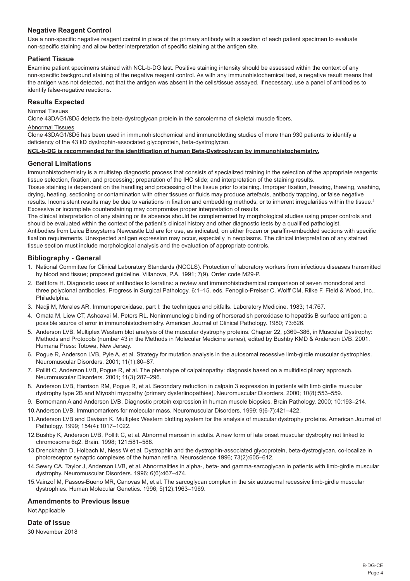## **Negative Reagent Control**

Use a non-specific negative reagent control in place of the primary antibody with a section of each patient specimen to evaluate non-specific staining and allow better interpretation of specific staining at the antigen site.

## **Patient Tissue**

Examine patient specimens stained with NCL-b-DG last. Positive staining intensity should be assessed within the context of any non-specific background staining of the negative reagent control. As with any immunohistochemical test, a negative result means that the antigen was not detected, not that the antigen was absent in the cells/tissue assayed. If necessary, use a panel of antibodies to identify false-negative reactions.

## **Results Expected**

#### Normal Tissues

Clone 43DAG1/8D5 detects the beta-dystroglycan protein in the sarcolemma of skeletal muscle fibers.

#### Abnormal Tissues

Clone 43DAG1/8D5 has been used in immunohistochemical and immunoblotting studies of more than 930 patients to identify a deficiency of the 43 kD dystrophin-associated glycoprotein, beta-dystroglycan.

#### **NCL-b-DG is recommended for the identification of human Beta-Dystroglycan by immunohistochemistry.**

## **General Limitations**

Immunohistochemistry is a multistep diagnostic process that consists of specialized training in the selection of the appropriate reagents; tissue selection, fixation, and processing; preparation of the IHC slide; and interpretation of the staining results.

Tissue staining is dependent on the handling and processing of the tissue prior to staining. Improper fixation, freezing, thawing, washing, drying, heating, sectioning or contamination with other tissues or fluids may produce artefacts, antibody trapping, or false negative results. Inconsistent results may be due to variations in fixation and embedding methods, or to inherent irregularities within the tissue.<sup>4</sup> Excessive or incomplete counterstaining may compromise proper interpretation of results.

The clinical interpretation of any staining or its absence should be complemented by morphological studies using proper controls and should be evaluated within the context of the patient's clinical history and other diagnostic tests by a qualified pathologist. Antibodies from Leica Biosystems Newcastle Ltd are for use, as indicated, on either frozen or paraffin-embedded sections with specific

fixation requirements. Unexpected antigen expression may occur, especially in neoplasms. The clinical interpretation of any stained tissue section must include morphological analysis and the evaluation of appropriate controls.

## **Bibliography - General**

- 1. National Committee for Clinical Laboratory Standards (NCCLS). Protection of laboratory workers from infectious diseases transmitted by blood and tissue; proposed guideline. Villanova, P.A. 1991; 7(9). Order code M29-P.
- 2. Battifora H. Diagnostic uses of antibodies to keratins: a review and immunohistochemical comparison of seven monoclonal and three polyclonal antibodies. Progress in Surgical Pathology. 6:1–15. eds. Fenoglio-Preiser C, Wolff CM, Rilke F. Field & Wood, Inc., Philadelphia.
- 3. Nadji M, Morales AR. Immunoperoxidase, part I: the techniques and pitfalls. Laboratory Medicine. 1983; 14:767.
- 4. Omata M, Liew CT, Ashcavai M, Peters RL. Nonimmunologic binding of horseradish peroxidase to hepatitis B surface antigen: a possible source of error in immunohistochemistry. American Journal of Clinical Pathology. 1980; 73:626.
- 5. Anderson LVB. Multiplex Western blot analysis of the muscular dystrophy proteins. Chapter 22, p369–386, in Muscular Dystrophy: Methods and Protocols (number 43 in the Methods in Molecular Medicine series), edited by Bushby KMD & Anderson LVB. 2001. Humana Press: Totowa, New Jersey.
- 6. Pogue R, Anderson LVB, Pyle A, et al. Strategy for mutation analysis in the autosomal recessive limb-girdle muscular dystrophies. Neuromuscular Disorders. 2001; 11(1):80–87.
- 7. Pollitt C, Anderson LVB, Pogue R, et al. The phenotype of calpainopathy: diagnosis based on a multidisciplinary approach. Neuromuscular Disorders. 2001; 11(3):287–296.
- 8. Anderson LVB, Harrison RM, Pogue R, et al. Secondary reduction in calpain 3 expression in patients with limb girdle muscular dystrophy type 2B and Miyoshi myopathy (primary dysferlinopathies). Neuromuscular Disorders. 2000; 10(8):553–559.
- 9. Bornemann A and Anderson LVB. Diagnostic protein expression in human muscle biopsies. Brain Pathology. 2000; 10:193–214.
- 10.Anderson LVB. Immunomarkers for molecular mass. Neuromuscular Disorders. 1999; 9(6-7):421–422.
- 11.Anderson LVB and Davison K. Multiplex Western blotting system for the analysis of muscular dystrophy proteins. American Journal of Pathology. 1999; 154(4):1017–1022.
- 12.Bushby K, Anderson LVB, Pollitt C, et al. Abnormal merosin in adults. A new form of late onset muscular dystrophy not linked to chromosome 6q2. Brain. 1998; 121:581–588.
- 13.Drenckhahn D, Holbach M, Ness W et al. Dystrophin and the dystrophin-associated glycoprotein, beta-dystroglycan, co-localize in photoreceptor synaptic complexes of the human retina. Neuroscience 1996; 73(2):605–612.
- 14.Sewry CA, Taylor J, Anderson LVB, et al. Abnormalities in alpha-, beta- and gamma-sarcoglycan in patients with limb-girdle muscular dystrophy. Neuromuscular Disorders. 1996; 6(6):467–474.
- 15.Vainzof M, Passos-Bueno MR, Canovas M, et al. The sarcoglycan complex in the six autosomal recessive limb-girdle muscular dystrophies. Human Molecular Genetics. 1996; 5(12):1963–1969.

## **Amendments to Previous Issue**

Not Applicable

**Date of Issue**

30 November 2018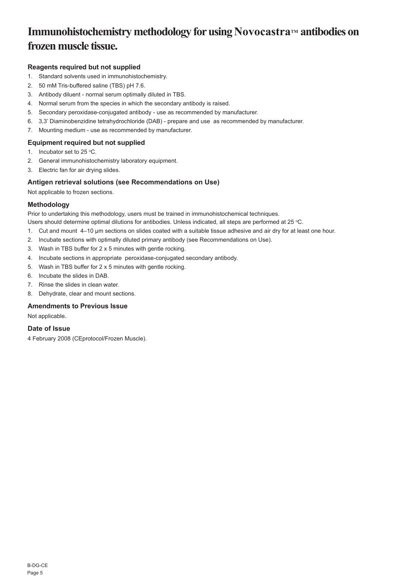## **Immunohistochemistry methodology for using Novocastra™ antibodies on frozen muscle tissue.**

## **Reagents required but not supplied**

- 1. Standard solvents used in immunohistochemistry.
- 2. 50 mM Tris-buffered saline (TBS) pH 7.6.
- 3. Antibody diluent normal serum optimally diluted in TBS.
- 4. Normal serum from the species in which the secondary antibody is raised.
- 5. Secondary peroxidase-conjugated antibody use as recommended by manufacturer.
- 6. 3,3' Diaminobenzidine tetrahydrochloride (DAB) prepare and use as recommended by manufacturer.
- 7. Mounting medium use as recommended by manufacturer.

## **Equipment required but not supplied**

- 1. Incubator set to  $25^{\circ}$ C.
- 2. General immunohistochemistry laboratory equipment.
- 3. Electric fan for air drying slides.

## **Antigen retrieval solutions (see Recommendations on Use)**

Not applicable to frozen sections.

## **Methodology**

Prior to undertaking this methodology, users must be trained in immunohistochemical techniques.

Users should determine optimal dilutions for antibodies. Unless indicated, all steps are performed at 25 °C.

- 1. Cut and mount 4–10 µm sections on slides coated with a suitable tissue adhesive and air dry for at least one hour.
- 2. Incubate sections with optimally diluted primary antibody (see Recommendations on Use).
- 3. Wash in TBS buffer for 2 x 5 minutes with gentle rocking.
- 4. Incubate sections in appropriate peroxidase-conjugated secondary antibody.
- 5. Wash in TBS buffer for 2 x 5 minutes with gentle rocking.
- 6. Incubate the slides in DAB.
- 7. Rinse the slides in clean water.
- 8. Dehydrate, clear and mount sections.

## **Amendments to Previous Issue**

Not applicable.

## **Date of Issue**

4 February 2008 (CEprotocol/Frozen Muscle).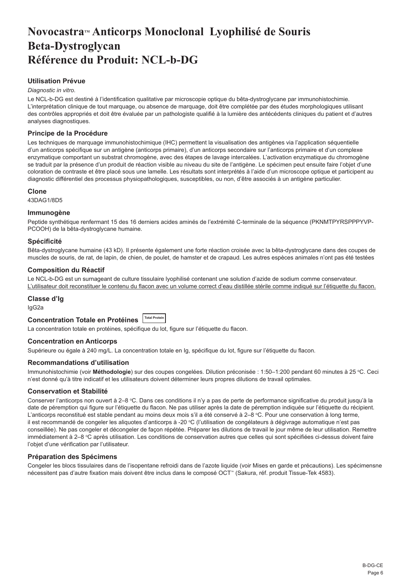## <span id="page-6-0"></span>**NovocastraTM Anticorps Monoclonal Lyophilisé de Souris Beta-Dystroglycan Référence du Produit: NCL-b-DG**

## **Utilisation Prévue**

#### *Diagnostic in vitro*.

Le NCL-b-DG est destiné à l'identification qualitative par microscopie optique du bêta-dystroglycane par immunohistochimie. L'interprétation clinique de tout marquage, ou absence de marquage, doit être complétée par des études morphologiques utilisant des contrôles appropriés et doit être évaluée par un pathologiste qualifié à la lumière des antécédents cliniques du patient et d'autres analyses diagnostiques.

## **Principe de la Procédure**

Les techniques de marquage immunohistochimique (IHC) permettent la visualisation des antigènes via l'application séquentielle d'un anticorps spécifique sur un antigène (anticorps primaire), d'un anticorps secondaire sur l'anticorps primaire et d'un complexe enzymatique comportant un substrat chromogène, avec des étapes de lavage intercalées. L'activation enzymatique du chromogène se traduit par la présence d'un produit de réaction visible au niveau du site de l'antigène. Le spécimen peut ensuite faire l'objet d'une coloration de contraste et être placé sous une lamelle. Les résultats sont interprétés à l'aide d'un microscope optique et participent au diagnostic différentiel des processus physiopathologiques, susceptibles, ou non, d'être associés à un antigène particulier.

#### **Clone**

43DAG1/8D5

### **Immunogène**

Peptide synthétique renfermant 15 des 16 derniers acides aminés de l'extrémité C-terminale de la séquence (PKNMTPYRSPPPYVP-PCOOH) de la bêta-dystroglycane humaine.

#### **Spécificité**

Bêta-dystroglycane humaine (43 kD). Il présente également une forte réaction croisée avec la bêta-dystroglycane dans des coupes de muscles de souris, de rat, de lapin, de chien, de poulet, de hamster et de crapaud. Les autres espèces animales n'ont pas été testées

## **Composition du Réactif**

Le NCL-b-DG est un surnageant de culture tissulaire lyophilisé contenant une solution d'azide de sodium comme conservateur. L'utilisateur doit reconstituer le contenu du flacon avec un volume correct d'eau distillée stérile comme indiqué sur l'étiquette du flacon.

### **Classe d'Ig**

IgG2a

## **Concentration Totale en Protéines Total Protein**

La concentration totale en protéines, spécifique du lot, figure sur l'étiquette du flacon.

## **Concentration en Anticorps**

Supérieure ou égale à 240 mg/L. La concentration totale en Ig, spécifique du lot, figure sur l'étiquette du flacon.

## **Recommandations d'utilisation**

Immunohistochimie (voir **Méthodologie**) sur des coupes congelées. Dilution préconisée : 1:50–1:200 pendant 60 minutes à 25 °C. Ceci n'est donné qu'à titre indicatif et les utilisateurs doivent déterminer leurs propres dilutions de travail optimales.

## **Conservation et Stabilité**

Conserver l'anticorps non ouvert à 2–8 °C. Dans ces conditions il n'y a pas de perte de performance significative du produit jusqu'à la date de péremption qui figure sur l'étiquette du flacon. Ne pas utiliser après la date de péremption indiquée sur l'étiquette du récipient. L'anticorps reconstitué est stable pendant au moins deux mois s'il a été conservé à 2–8 °C. Pour une conservation à long terme, il est recommandé de congeler les aliquotes d'anticorps à -20 °C (l'utilisation de congélateurs à dégivrage automatique n'est pas conseillée). Ne pas congeler et décongeler de façon répétée. Préparer les dilutions de travail le jour même de leur utilisation. Remettre immédiatement à 2–8 °C après utilisation. Les conditions de conservation autres que celles qui sont spécifiées ci-dessus doivent faire l'objet d'une vérification par l'utilisateur.

## **Préparation des Spécimens**

Congeler les blocs tissulaires dans de l'isopentane refroidi dans de l'azote liquide (voir Mises en garde et précautions). Les spécimensne nécessitent pas d'autre fixation mais doivent être inclus dans le composé OCT™ (Sakura, réf. produit Tissue-Tek 4583).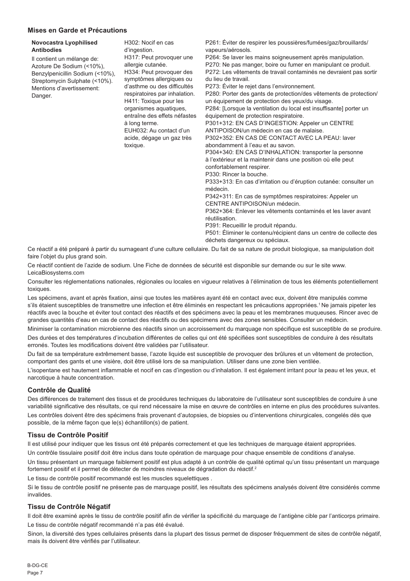### **Mises en Garde et Précautions**

#### **Novocastra Lyophilised Antibodies**

Il contient un mélange de: Azoture De Sodium (<10%), Benzylpenicillin Sodium (<10%), Streptomycin Sulphate (<10%). Mentions d'avertissement: Danger

H302: Nocif en cas d'ingestion. H317: Peut provoquer une allergie cutanée. H334: Peut provoquer des symptômes allergiques ou d'asthme ou des difficultés respiratoires par inhalation. H411: Toxique pour les organismes aquatiques, entraîne des effets néfastes à long terme. EUH032: Au contact d'un acide, dégage un gaz très toxique.

P261: Éviter de respirer les poussières/fumées/gaz/brouillards/ vapeurs/aérosols.

P264: Se laver les mains soigneusement après manipulation.

P270: Ne pas manger, boire ou fumer en manipulant ce produit.

P272: Les vêtements de travail contaminés ne devraient pas sortir du lieu de travail.

P273: Éviter le rejet dans l'environnement.

P280: Porter des gants de protection/des vêtements de protection/ un équipement de protection des yeux/du visage.

P284: [Lorsque la ventilation du local est insuffisante] porter un équipement de protection respiratoire.

P301+312: EN CAS D'INGESTION: Appeler un CENTRE ANTIPOISON/un médecin en cas de malaise.

P302+352: EN CAS DE CONTACT AVEC LA PEAU: laver abondamment à l'eau et au savon.

P304+340: EN CAS D'INHALATION: transporter la personne à l'extérieur et la maintenir dans une position où elle peut confortablement respirer.

P330: Rincer la bouche.

P333+313: En cas d'irritation ou d'éruption cutanée: consulter un médecin.

P342+311: En cas de symptômes respiratoires: Appeler un CENTRE ANTIPOISON/un médecin.

P362+364: Enlever les vêtements contaminés et les laver avant réutilisation.

P391: Recueillir le produit répandu.

P501: Éliminer le contenu/récipient dans un centre de collecte des déchets dangereux ou spéciaux.

Ce réactif a été préparé à partir du surnageant d'une culture cellulaire. Du fait de sa nature de produit biologique, sa manipulation doit faire l'objet du plus grand soin.

Ce réactif contient de l'azide de sodium. Une Fiche de données de sécurité est disponible sur demande ou sur le site www. LeicaBiosystems.com

Consulter les réglementations nationales, régionales ou locales en vigueur relatives à l'élimination de tous les éléments potentiellement toxiques.

Les spécimens, avant et après fixation, ainsi que toutes les matières ayant été en contact avec eux, doivent être manipulés comme s'ils étaient susceptibles de transmettre une infection et être éliminés en respectant les précautions appropriées.<sup>1</sup>Ne jamais pipeter les réactifs avec la bouche et éviter tout contact des réactifs et des spécimens avec la peau et les membranes muqueuses. Rincer avec de grandes quantités d'eau en cas de contact des réactifs ou des spécimens avec des zones sensibles. Consulter un médecin.

Minimiser la contamination microbienne des réactifs sinon un accroissement du marquage non spécifique est susceptible de se produire. Des durées et des températures d'incubation différentes de celles qui ont été spécifiées sont susceptibles de conduire à des résultats erronés. Toutes les modifications doivent être validées par l'utilisateur.

Du fait de sa température extrêmement basse, l'azote liquide est susceptible de provoquer des brûlures et un vêtement de protection, comportant des gants et une visière, doit être utilisé lors de sa manipulation. Utiliser dans une zone bien ventilée.

L'isopentane est hautement inflammable et nocif en cas d'ingestion ou d'inhalation. Il est également irritant pour la peau et les yeux, et narcotique à haute concentration.

## **Contrôle de Qualité**

Des différences de traitement des tissus et de procédures techniques du laboratoire de l'utilisateur sont susceptibles de conduire à une variabilité significative des résultats, ce qui rend nécessaire la mise en œuvre de contrôles en interne en plus des procédures suivantes. Les contrôles doivent être des spécimens frais provenant d'autopsies, de biopsies ou d'interventions chirurgicales, congelés dès que possible, de la même façon que le(s) échantillon(s) de patient.

#### **Tissu de Contrôle Positif**

Il est utilisé pour indiquer que les tissus ont été préparés correctement et que les techniques de marquage étaient appropriées.

Un contrôle tissulaire positif doit être inclus dans toute opération de marquage pour chaque ensemble de conditions d'analyse.

Un tissu présentant un marquage faiblement positif est plus adapté à un contrôle de qualité optimal qu'un tissu présentant un marquage fortement positif et il permet de détecter de moindres niveaux de dégradation du réactif.<sup>2</sup>

Le tissu de contrôle positif recommandé est les muscles squelettiques .

Si le tissu de contrôle positif ne présente pas de marquage positif, les résultats des spécimens analysés doivent être considérés comme invalides.

## **Tissu de Contrôle Négatif**

Il doit être examiné après le tissu de contrôle positif afin de vérifier la spécificité du marquage de l'antigène cible par l'anticorps primaire. Le tissu de contrôle négatif recommandé n'a pas été évalué.

Sinon, la diversité des types cellulaires présents dans la plupart des tissus permet de disposer fréquemment de sites de contrôle négatif, mais ils doivent être vérifiés par l'utilisateur.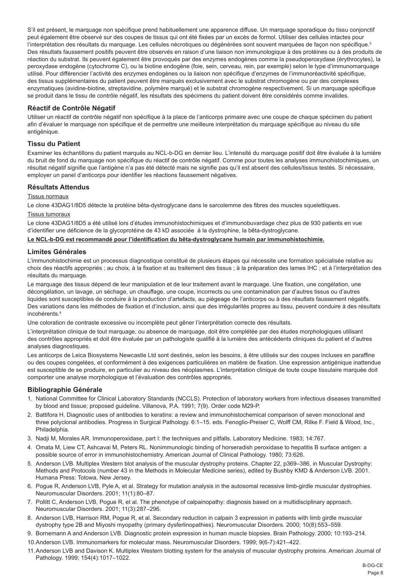S'il est présent, le marquage non spécifique prend habituellement une apparence diffuse. Un marquage sporadique du tissu conjonctif peut également être observé sur des coupes de tissus qui ont été fixées par un excès de formol. Utiliser des cellules intactes pour l'interprétation des résultats du marquage. Les cellules nécrotiques ou dégénérées sont souvent marquées de façon non spécifique.3 Des résultats faussement positifs peuvent être observés en raison d'une liaison non immunologique à des protéines ou à des produits de réaction du substrat. Ils peuvent également être provoqués par des enzymes endogènes comme la pseudoperoxydase (érythrocytes), la peroxydase endogène (cytochrome C), ou la biotine endogène (foie, sein, cerveau, rein, par exemple) selon le type d'immunomarquage utilisé. Pour différencier l'activité des enzymes endogènes ou la liaison non spécifique d'enzymes de l'immunoréactivité spécifique, des tissus supplémentaires du patient peuvent être marqués exclusivement avec le substrat chromogène ou par des complexes enzymatiques (avidine-biotine, streptavidine, polymère marqué) et le substrat chromogène respectivement. Si un marquage spécifique se produit dans le tissu de contrôle négatif, les résultats des spécimens du patient doivent être considérés comme invalides.

### **Réactif de Contrôle Négatif**

Utiliser un réactif de contrôle négatif non spécifique à la place de l'anticorps primaire avec une coupe de chaque spécimen du patient afin d'évaluer le marquage non spécifique et de permettre une meilleure interprétation du marquage spécifique au niveau du site antigénique.

## **Tissu du Patient**

Examiner les échantillons du patient marqués au NCL-b-DG en dernier lieu. L'intensité du marquage positif doit être évaluée à la lumière du bruit de fond du marquage non spécifique du réactif de contrôle négatif. Comme pour toutes les analyses immunohistochimiques, un résultat négatif signifie que l'antigène n'a pas été détecté mais ne signifie pas qu'il est absent des cellules/tissus testés. Si nécessaire, employer un panel d'anticorps pour identifier les réactions faussement négatives.

## **Résultats Attendus**

Tissus normaux

Le clone 43DAG1/8D5 détecte la protéine bêta-dystroglycane dans le sarcolemme des fibres des muscles squelettiques.

## Tissus tumoraux

Le clone 43DAG1/8D5 a été utilisé lors d'études immunohistochimiques et d'immunobuvardage chez plus de 930 patients en vue d'identifier une déficience de la glycoprotéine de 43 kD associée à la dystrophine, la bêta-dystroglycane.

#### **Le NCL-b-DG est recommandé pour l'identification du bêta-dystroglycane humain par immunohistochimie.**

#### **Limites Générales**

L'immunohistochimie est un processus diagnostique constitué de plusieurs étapes qui nécessite une formation spécialisée relative au choix des réactifs appropriés ; au choix, à la fixation et au traitement des tissus ; à la préparation des lames IHC ; et à l'interprétation des résultats du marquage.

Le marquage des tissus dépend de leur manipulation et de leur traitement avant le marquage. Une fixation, une congélation, une décongélation, un lavage, un séchage, un chauffage, une coupe, incorrects ou une contamination par d'autres tissus ou d'autres liquides sont susceptibles de conduire à la production d'artefacts, au piégeage de l'anticorps ou à des résultats faussement négatifs. Des variations dans les méthodes de fixation et d'inclusion, ainsi que des irrégularités propres au tissu, peuvent conduire à des résultats incohérents.<sup>4</sup>

Une coloration de contraste excessive ou incomplète peut gêner l'interprétation correcte des résultats.

L'interprétation clinique de tout marquage, ou absence de marquage, doit être complétée par des études morphologiques utilisant des contrôles appropriés et doit être évaluée par un pathologiste qualifié à la lumière des antécédents cliniques du patient et d'autres analyses diagnostiques.

Les anticorps de Leica Biosystems Newcastle Ltd sont destinés, selon les besoins, à être utilisés sur des coupes incluses en paraffine ou des coupes congelées, et conformément à des exigences particulières en matière de fixation. Une expression antigénique inattendue est susceptible de se produire, en particulier au niveau des néoplasmes. L'interprétation clinique de toute coupe tissulaire marquée doit comporter une analyse morphologique et l'évaluation des contrôles appropriés.

## **Bibliographie Générale**

- 1. National Committee for Clinical Laboratory Standards (NCCLS). Protection of laboratory workers from infectious diseases transmitted by blood and tissue; proposed guideline. Villanova, P.A. 1991; 7(9). Order code M29-P.
- 2. Battifora H. Diagnostic uses of antibodies to keratins: a review and immunohistochemical comparison of seven monoclonal and three polyclonal antibodies. Progress in Surgical Pathology. 6:1–15. eds. Fenoglio-Preiser C, Wolff CM, Rilke F. Field & Wood, Inc., Philadelphia.
- 3. Nadji M, Morales AR. Immunoperoxidase, part I: the techniques and pitfalls. Laboratory Medicine. 1983; 14:767.
- 4. Omata M, Liew CT, Ashcavai M, Peters RL. Nonimmunologic binding of horseradish peroxidase to hepatitis B surface antigen: a possible source of error in immunohistochemistry. American Journal of Clinical Pathology. 1980; 73:626.
- 5. Anderson LVB. Multiplex Western blot analysis of the muscular dystrophy proteins. Chapter 22, p369–386, in Muscular Dystrophy: Methods and Protocols (number 43 in the Methods in Molecular Medicine series), edited by Bushby KMD & Anderson LVB. 2001. Humana Press: Totowa, New Jersey.
- 6. Pogue R, Anderson LVB, Pyle A, et al. Strategy for mutation analysis in the autosomal recessive limb-girdle muscular dystrophies. Neuromuscular Disorders. 2001; 11(1):80–87.
- 7. Pollitt C, Anderson LVB, Pogue R, et al. The phenotype of calpainopathy: diagnosis based on a multidisciplinary approach. Neuromuscular Disorders. 2001; 11(3):287–296.
- 8. Anderson LVB, Harrison RM, Pogue R, et al. Secondary reduction in calpain 3 expression in patients with limb girdle muscular dystrophy type 2B and Miyoshi myopathy (primary dysferlinopathies). Neuromuscular Disorders. 2000; 10(8):553–559.
- 9. Bornemann A and Anderson LVB. Diagnostic protein expression in human muscle biopsies. Brain Pathology. 2000; 10:193–214.
- 10.Anderson LVB. Immunomarkers for molecular mass. Neuromuscular Disorders. 1999; 9(6-7):421–422.
- 11.Anderson LVB and Davison K. Multiplex Western blotting system for the analysis of muscular dystrophy proteins. American Journal of Pathology. 1999; 154(4):1017–1022.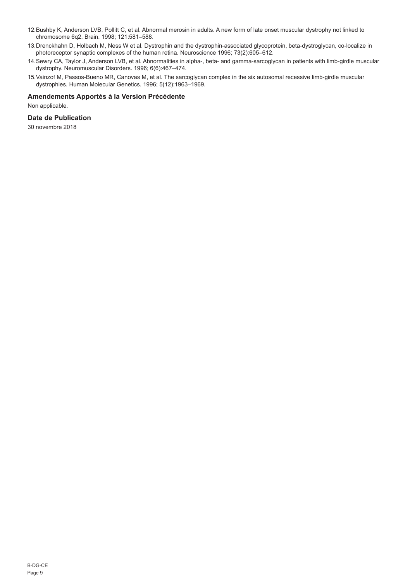- 12.Bushby K, Anderson LVB, Pollitt C, et al. Abnormal merosin in adults. A new form of late onset muscular dystrophy not linked to chromosome 6q2. Brain. 1998; 121:581–588.
- 13.Drenckhahn D, Holbach M, Ness W et al. Dystrophin and the dystrophin-associated glycoprotein, beta-dystroglycan, co-localize in photoreceptor synaptic complexes of the human retina. Neuroscience 1996; 73(2):605–612.
- 14.Sewry CA, Taylor J, Anderson LVB, et al. Abnormalities in alpha-, beta- and gamma-sarcoglycan in patients with limb-girdle muscular dystrophy. Neuromuscular Disorders. 1996; 6(6):467–474.
- 15.Vainzof M, Passos-Bueno MR, Canovas M, et al. The sarcoglycan complex in the six autosomal recessive limb-girdle muscular dystrophies. Human Molecular Genetics. 1996; 5(12):1963–1969.

## **Amendements Apportés à la Version Précédente**

Non applicable.

## **Date de Publication**

30 novembre 2018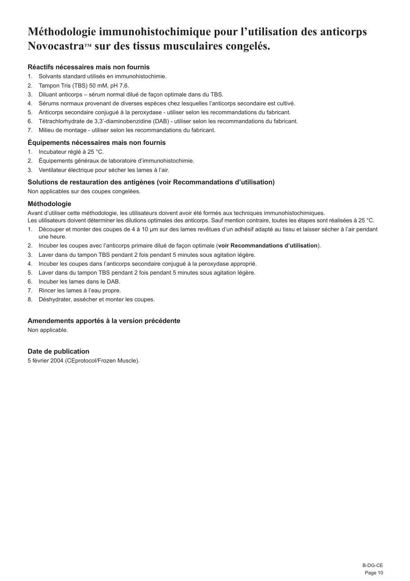## **Méthodologie immunohistochimique pour l'utilisation des anticorps**  Novocastra™ sur des tissus musculaires congelés.

## **Réactifs nécessaires mais non fournis**

- 1. Solvants standard utilisés en immunohistochimie.
- 2. Tampon Tris (TBS) 50 mM, pH 7,6.
- 3. Diluant anticorps sérum normal dilué de façon optimale dans du TBS.
- 4. Sérums normaux provenant de diverses espèces chez lesquelles l'anticorps secondaire est cultivé.
- 5. Anticorps secondaire conjugué à la peroxydase utiliser selon les recommandations du fabricant.
- 6. Tétrachlorhydrate de 3,3'-diaminobenzidine (DAB) utiliser selon les recommandations du fabricant.
- 7. Milieu de montage utiliser selon les recommandations du fabricant.

## **Équipements nécessaires mais non fournis**

- 1. Incubateur réglé à 25 °C.
- 2. Équipements généraux de laboratoire d'immunohistochimie.
- 3. Ventilateur électrique pour sécher les lames à l'air.

## **Solutions de restauration des antigènes (voir Recommandations d'utilisation)**

Non applicables sur des coupes congelées.

## **Méthodologie**

Avant d'utiliser cette méthodologie, les utilisateurs doivent avoir été formés aux techniques immunohistochimiques.

- Les utilisateurs doivent déterminer les dilutions optimales des anticorps. Sauf mention contraire, toutes les étapes sont réalisées à 25 °C. 1. Découper et monter des coupes de 4 à 10 µm sur des lames revêtues d'un adhésif adapté au tissu et laisser sécher à l'air pendant
- une heure. 2. Incuber les coupes avec l'anticorps primaire dilué de façon optimale (**voir Recommandations d'utilisation**).
- 3. Laver dans du tampon TBS pendant 2 fois pendant 5 minutes sous agitation légère.
- 4. Incuber les coupes dans l'anticorps secondaire conjugué à la peroxydase approprié.
- 5. Laver dans du tampon TBS pendant 2 fois pendant 5 minutes sous agitation légère.
- 6. Incuber les lames dans le DAB.
- 7. Rincer les lames à l'eau propre.
- 8. Déshydrater, assécher et monter les coupes.

## **Amendements apportés à la version précédente**

Non applicable.

## **Date de publication**

5 février 2004 (CEprotocol/Frozen Muscle).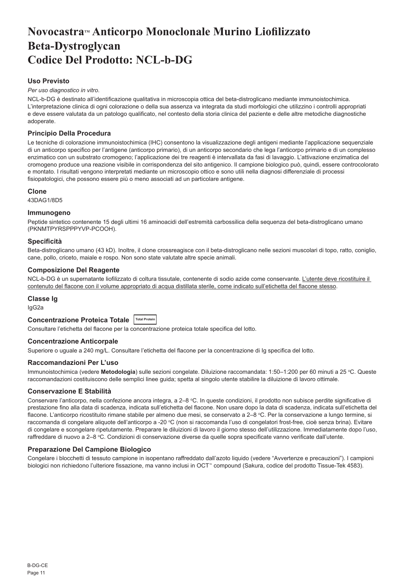## <span id="page-11-0"></span>**NovocastraTM Anticorpo Monoclonale Murino Liofilizzato Beta-Dystroglycan Codice Del Prodotto: NCL-b-DG**

## **Uso Previsto**

*Per uso diagnostico in vitro*.

NCL-b-DG è destinato all'identificazione qualitativa in microscopia ottica del beta-distroglicano mediante immunoistochimica. L'interpretazione clinica di ogni colorazione o della sua assenza va integrata da studi morfologici che utilizzino i controlli appropriati e deve essere valutata da un patologo qualificato, nel contesto della storia clinica del paziente e delle altre metodiche diagnostiche adoperate.

## **Principio Della Procedura**

Le tecniche di colorazione immunoistochimica (IHC) consentono la visualizzazione degli antigeni mediante l'applicazione sequenziale di un anticorpo specifico per l'antigene (anticorpo primario), di un anticorpo secondario che lega l'anticorpo primario e di un complesso enzimatico con un substrato cromogeno; l'applicazione dei tre reagenti è intervallata da fasi di lavaggio. L'attivazione enzimatica del cromogeno produce una reazione visibile in corrispondenza del sito antigenico. Il campione biologico può, quindi, essere controcolorato e montato. I risultati vengono interpretati mediante un microscopio ottico e sono utili nella diagnosi differenziale di processi fisiopatologici, che possono essere più o meno associati ad un particolare antigene.

#### **Clone**

43DAG1/8D5

## **Immunogeno**

Peptide sintetico contenente 15 degli ultimi 16 aminoacidi dell'estremità carbossilica della sequenza del beta-distroglicano umano (PKNMTPYRSPPPYVP-PCOOH).

#### **Specificità**

Beta-distroglicano umano (43 kD). Inoltre, il clone crossreagisce con il beta-distroglicano nelle sezioni muscolari di topo, ratto, coniglio, cane, pollo, criceto, maiale e rospo. Non sono state valutate altre specie animali.

#### **Composizione Del Reagente**

NCL-b-DG è un supernatante liofilizzato di coltura tissutale, contenente di sodio azide come conservante. L'utente deve ricostituire il contenuto del flacone con il volume appropriato di acqua distillata sterile, come indicato sull'etichetta del flacone stesso.

#### **Classe Ig**

IgG2a

## **Concentrazione Proteica Totale Total Protein**

Consultare l'etichetta del flacone per la concentrazione proteica totale specifica del lotto.

#### **Concentrazione Anticorpale**

Superiore o uguale a 240 mg/L. Consultare l'etichetta del flacone per la concentrazione di Ig specifica del lotto.

#### **Raccomandazioni Per L'uso**

Immunoistochimica (vedere **Metodologia**) sulle sezioni congelate. Diluizione raccomandata: 1:50–1:200 per 60 minuti a 25 °C. Queste raccomandazioni costituiscono delle semplici linee guida; spetta al singolo utente stabilire la diluizione di lavoro ottimale.

### **Conservazione E Stabilità**

Conservare l'anticorpo, nella confezione ancora integra, a 2–8 °C. In queste condizioni, il prodotto non subisce perdite significative di prestazione fino alla data di scadenza, indicata sull'etichetta del flacone. Non usare dopo la data di scadenza, indicata sull'etichetta del flacone. L'anticorpo ricostituito rimane stabile per almeno due mesi, se conservato a 2–8 °C. Per la conservazione a lungo termine, si raccomanda di congelare aliquote dell'anticorpo a -20 °C (non si raccomanda l'uso di congelatori frost-free, cioè senza brina). Evitare di congelare e scongelare ripetutamente. Preparare le diluizioni di lavoro il giorno stesso dell'utilizzazione. Immediatamente dopo l'uso, raffreddare di nuovo a 2–8 °C. Condizioni di conservazione diverse da quelle sopra specificate vanno verificate dall'utente.

## **Preparazione Del Campione Biologico**

Congelare i blocchetti di tessuto campione in isopentano raffreddato dall'azoto liquido (vedere "Avvertenze e precauzioni"). I campioni biologici non richiedono l'ulteriore fissazione, ma vanno inclusi in OCT™ compound (Sakura, codice del prodotto Tissue-Tek 4583).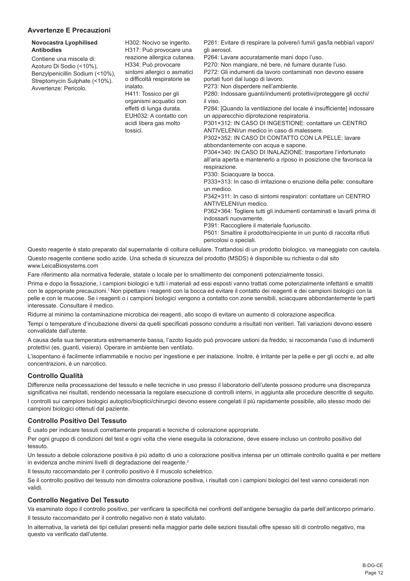#### **Avvertenze E Precauzioni**

#### **Novocastra Lyophilised Antibodies**

Contiene una miscela di: Azoturo Di Sodio (<10%), Benzylpenicillin Sodium (<10%), Streptomycin Sulphate (<10%). Avvertenze: Pericolo.

H302: Nocivo se ingerito. H317: Può provocare una reazione allergica cutanea. H334: Può provocare sintomi allergici o asmatici o difficoltà respiratorie se inalato. H411: Tossico per gli organismi acquatici con effetti di lunga durata. EUH032: A contatto con acidi libera gas molto

tossici.

P261: Evitare di respirare la polvere/i fumi/i gas/la nebbia/i vapori/ gli aerosol.

P264: Lavare accuratamente mani dopo l'uso.

P270: Non mangiare, né bere, né fumare durante l'uso.

P272: Gli indumenti da lavoro contaminati non devono essere portati fuori dal luogo di lavoro.

P273: Non disperdere nell'ambiente.

P280: Indossare guanti/indumenti protettivi/proteggere gli occhi/ il viso.

P284: [Quando la ventilazione del locale è insufficiente] indossare un apparecchio diprotezione respiratoria.

P301+312: IN CASO DI INGESTIONE: contattare un CENTRO ANTIVELENI/un medico in caso di malessere.

P302+352: IN CASO DI CONTATTO CON LA PELLE: lavare abbondantemente con acqua e sapone.

P304+340: IN CASO DI INALAZIONE: trasportare l'infortunato all'aria aperta e mantenerlo a riposo in posizione che favorisca la respirazione.

P330: Sciacquare la bocca.

P333+313: In caso di irritazione o eruzione della pelle: consultare un medico.

P342+311: In caso di sintomi respiratori: contattare un CENTRO ANTIVELENI/un medico.

P362+364: Togliere tutti gli indumenti contaminati e lavarli prima di indossarli nuovamente.

P391: Raccogliere il materiale fuoriuscito.

P501: Smaltire il prodotto/recipiente in un punto di raccolta rifiuti pericolosi o speciali.

Questo reagente è stato preparato dal supernatante di coltura cellulare. Trattandosi di un prodotto biologico, va maneggiato con cautela. Questo reagente contiene sodio azide. Una scheda di sicurezza del prodotto (MSDS) è disponibile su richiesta o dal sito www.LeicaBiosystems.com

Fare riferimento alla normativa federale, statale o locale per lo smaltimento dei componenti potenzialmente tossici.

Prima e dopo la fissazione, i campioni biologici e tutti i materiali ad essi esposti vanno trattati come potenzialmente infettanti e smaltiti con le appropriate precauzioni.<sup>1</sup> Non pipettare i reagenti con la bocca ed evitare il contatto dei reagenti e dei campioni biologici con la pelle e con le mucose. Se i reagenti o i campioni biologici vengono a contatto con zone sensibili, sciacquare abbondantemente le parti interessate. Consultare il medico.

Ridurre al minimo la contaminazione microbica dei reagenti, allo scopo di evitare un aumento di colorazione aspecifica.

Tempi o temperature d'incubazione diversi da quelli specificati possono condurre a risultati non veritieri. Tali variazioni devono essere convalidate dall'utente.

A causa della sua temperatura estremamente bassa, l'azoto liquido può provocare ustioni da freddo; si raccomanda l'uso di indumenti protettivi (es. guanti, visiera). Operare in ambiente ben ventilato.

L'isopentano è facilmente infiammabile e nocivo per ingestione e per inalazione. Inoltre, è irritante per la pelle e per gli occhi e, ad alte concentrazioni, è un narcotico.

## **Controllo Qualità**

Differenze nella processazione del tessuto e nelle tecniche in uso presso il laboratorio dell'utente possono produrre una discrepanza significativa nei risultati, rendendo necessaria la regolare esecuzione di controlli interni, in aggiunta alle procedure descritte di seguito. I controlli sui campioni biologici autoptici/bioptici/chirurgici devono essere congelati il più rapidamente possibile, allo stesso modo dei campioni biologici ottenuti dal paziente.

## **Controllo Positivo Del Tessuto**

È usato per indicare tessuti correttamente preparati e tecniche di colorazione appropriate.

Per ogni gruppo di condizioni del test e ogni volta che viene eseguita la colorazione, deve essere incluso un controllo positivo del tessuto.

Un tessuto a debole colorazione positiva è più adatto di uno a colorazione positiva intensa per un ottimale controllo qualità e per mettere in evidenza anche minimi livelli di degradazione del reagente.<sup>2</sup>

Il tessuto raccomandato per il controllo positivo è il muscolo scheletrico.

Se il controllo positivo del tessuto non dimostra colorazione positiva, i risultati con i campioni biologici del test vanno considerati non validi.

## **Controllo Negativo Del Tessuto**

Va esaminato dopo il controllo positivo, per verificare la specificità nei confronti dell'antigene bersaglio da parte dell'anticorpo primario. Il tessuto raccomandato per il controllo negativo non è stato valutato.

In alternativa, la varietà dei tipi cellulari presenti nella maggior parte delle sezioni tissutali offre spesso siti di controllo negativo, ma questo va verificato dall'utente.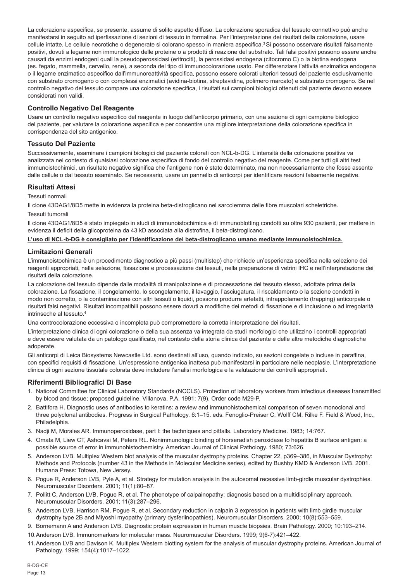La colorazione aspecifica, se presente, assume di solito aspetto diffuso. La colorazione sporadica del tessuto connettivo può anche manifestarsi in seguito ad iperfissazione di sezioni di tessuto in formalina. Per l'interpretazione dei risultati della colorazione, usare cellule intatte. Le cellule necrotiche o degenerate si colorano spesso in maniera aspecifica.<sup>3</sup> Si possono osservare risultati falsamente positivi, dovuti a legame non immunologico delle proteine o a prodotti di reazione del substrato. Tali falsi positivi possono essere anche causati da enzimi endogeni quali la pseudoperossidasi (eritrociti), la perossidasi endogena (citocromo C) o la biotina endogena (es. fegato, mammella, cervello, rene), a seconda del tipo di immunocolorazione usato. Per differenziare l'attività enzimatica endogena o il legame enzimatico aspecifico dall'immunoreattività specifica, possono essere colorati ulteriori tessuti del paziente esclusivamente con substrato cromogeno o con complessi enzimatici (avidina-biotina, streptavidina, polimero marcato) e substrato cromogeno. Se nel controllo negativo del tessuto compare una colorazione specifica, i risultati sui campioni biologici ottenuti dal paziente devono essere considerati non validi.

## **Controllo Negativo Del Reagente**

Usare un controllo negativo aspecifico del reagente in luogo dell'anticorpo primario, con una sezione di ogni campione biologico del paziente, per valutare la colorazione aspecifica e per consentire una migliore interpretazione della colorazione specifica in corrispondenza del sito antigenico.

#### **Tessuto Del Paziente**

Successivamente, esaminare i campioni biologici del paziente colorati con NCL-b-DG. L'intensità della colorazione positiva va analizzata nel contesto di qualsiasi colorazione aspecifica di fondo del controllo negativo del reagente. Come per tutti gli altri test immunoistochimici, un risultato negativo significa che l'antigene non è stato determinato, ma non necessariamente che fosse assente dalle cellule o dal tessuto esaminato. Se necessario, usare un pannello di anticorpi per identificare reazioni falsamente negative.

#### **Risultati Attesi**

Tessuti normali

Il clone 43DAG1/8D5 mette in evidenza la proteina beta-distroglicano nel sarcolemma delle fibre muscolari scheletriche.

## Tessuti tumorali

Il clone 43DAG1/8D5 è stato impiegato in studi di immunoistochimica e di immunoblotting condotti su oltre 930 pazienti, per mettere in evidenza il deficit della glicoproteina da 43 kD associata alla distrofina, il beta-distroglicano.

#### **L'uso di NCL-b-DG è consigliato per l'identificazione del beta-distroglicano umano mediante immunoistochimica.**

#### **Limitazioni Generali**

L'immunoistochimica è un procedimento diagnostico a più passi (multistep) che richiede un'esperienza specifica nella selezione dei reagenti appropriati, nella selezione, fissazione e processazione dei tessuti, nella preparazione di vetrini IHC e nell'interpretazione dei risultati della colorazione.

La colorazione del tessuto dipende dalle modalità di manipolazione e di processazione del tessuto stesso, adottate prima della colorazione. La fissazione, il congelamento, lo scongelamento, il lavaggio, l'asciugatura, il riscaldamento o la sezione condotti in modo non corretto, o la contaminazione con altri tessuti o liquidi, possono produrre artefatti, intrappolamento (trapping) anticorpale o risultati falsi negativi. Risultati incompatibili possono essere dovuti a modifiche dei metodi di fissazione e di inclusione o ad irregolarità intrinseche al tessuto.<sup>4</sup>

Una controcolorazione eccessiva o incompleta può compromettere la corretta interpretazione dei risultati.

L'interpretazione clinica di ogni colorazione o della sua assenza va integrata da studi morfologici che utilizzino i controlli appropriati e deve essere valutata da un patologo qualificato, nel contesto della storia clinica del paziente e delle altre metodiche diagnostiche adoperate.

Gli anticorpi di Leica Biosystems Newcastle Ltd. sono destinati all'uso, quando indicato, su sezioni congelate o incluse in paraffina, con specifici requisiti di fissazione. Un'espressione antigenica inattesa può manifestarsi in particolare nelle neoplasie. L'interpretazione clinica di ogni sezione tissutale colorata deve includere l'analisi morfologica e la valutazione dei controlli appropriati.

## **Riferimenti Bibliografici Di Base**

- 1. National Committee for Clinical Laboratory Standards (NCCLS). Protection of laboratory workers from infectious diseases transmitted by blood and tissue; proposed guideline. Villanova, P.A. 1991; 7(9). Order code M29-P.
- 2. Battifora H. Diagnostic uses of antibodies to keratins: a review and immunohistochemical comparison of seven monoclonal and three polyclonal antibodies. Progress in Surgical Pathology. 6:1–15. eds. Fenoglio-Preiser C, Wolff CM, Rilke F. Field & Wood, Inc., Philadelphia.
- 3. Nadji M, Morales AR. Immunoperoxidase, part I: the techniques and pitfalls. Laboratory Medicine. 1983; 14:767.
- 4. Omata M, Liew CT, Ashcavai M, Peters RL. Nonimmunologic binding of horseradish peroxidase to hepatitis B surface antigen: a possible source of error in immunohistochemistry. American Journal of Clinical Pathology. 1980; 73:626.
- 5. Anderson LVB. Multiplex Western blot analysis of the muscular dystrophy proteins. Chapter 22, p369–386, in Muscular Dystrophy: Methods and Protocols (number 43 in the Methods in Molecular Medicine series), edited by Bushby KMD & Anderson LVB. 2001. Humana Press: Totowa, New Jersey.
- 6. Pogue R, Anderson LVB, Pyle A, et al. Strategy for mutation analysis in the autosomal recessive limb-girdle muscular dystrophies. Neuromuscular Disorders. 2001; 11(1):80–87.
- 7. Pollitt C, Anderson LVB, Pogue R, et al. The phenotype of calpainopathy: diagnosis based on a multidisciplinary approach. Neuromuscular Disorders. 2001; 11(3):287–296.
- 8. Anderson LVB, Harrison RM, Pogue R, et al. Secondary reduction in calpain 3 expression in patients with limb girdle muscular dystrophy type 2B and Miyoshi myopathy (primary dysferlinopathies). Neuromuscular Disorders. 2000; 10(8):553–559.
- 9. Bornemann A and Anderson LVB. Diagnostic protein expression in human muscle biopsies. Brain Pathology. 2000; 10:193–214.
- 10.Anderson LVB. Immunomarkers for molecular mass. Neuromuscular Disorders. 1999; 9(6-7):421–422.
- 11.Anderson LVB and Davison K. Multiplex Western blotting system for the analysis of muscular dystrophy proteins. American Journal of Pathology. 1999; 154(4):1017–1022.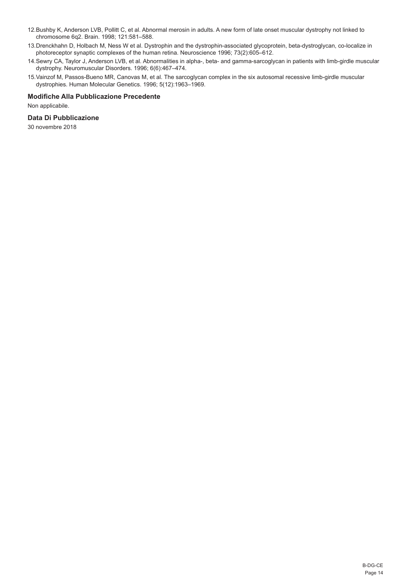- 12.Bushby K, Anderson LVB, Pollitt C, et al. Abnormal merosin in adults. A new form of late onset muscular dystrophy not linked to chromosome 6q2. Brain. 1998; 121:581–588.
- 13.Drenckhahn D, Holbach M, Ness W et al. Dystrophin and the dystrophin-associated glycoprotein, beta-dystroglycan, co-localize in photoreceptor synaptic complexes of the human retina. Neuroscience 1996; 73(2):605–612.
- 14.Sewry CA, Taylor J, Anderson LVB, et al. Abnormalities in alpha-, beta- and gamma-sarcoglycan in patients with limb-girdle muscular dystrophy. Neuromuscular Disorders. 1996; 6(6):467–474.
- 15.Vainzof M, Passos-Bueno MR, Canovas M, et al. The sarcoglycan complex in the six autosomal recessive limb-girdle muscular dystrophies. Human Molecular Genetics. 1996; 5(12):1963–1969.

## **Modifiche Alla Pubblicazione Precedente**

Non applicabile.

## **Data Di Pubblicazione**

30 novembre 2018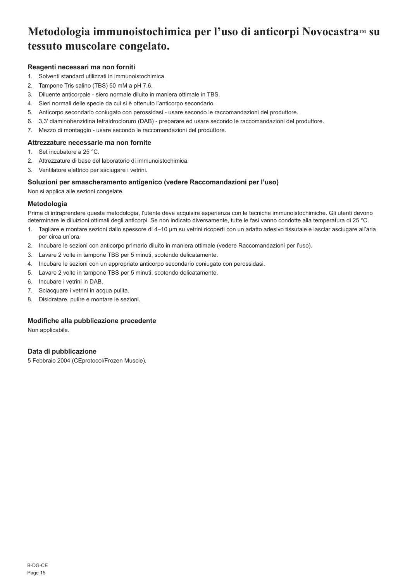## Metodologia immunoistochimica per l'uso di anticorpi Novocastra™ su **tessuto muscolare congelato.**

## **Reagenti necessari ma non forniti**

- 1. Solventi standard utilizzati in immunoistochimica.
- 2. Tampone Tris salino (TBS) 50 mM a pH 7,6.
- 3. Diluente anticorpale siero normale diluito in maniera ottimale in TBS.
- 4. Sieri normali delle specie da cui si è ottenuto l'anticorpo secondario.
- 5. Anticorpo secondario coniugato con perossidasi usare secondo le raccomandazioni del produttore.
- 6. 3,3' diaminobenzidina tetraidrocloruro (DAB) preparare ed usare secondo le raccomandazioni del produttore.
- 7. Mezzo di montaggio usare secondo le raccomandazioni del produttore.

## **Attrezzature necessarie ma non fornite**

- 1. Set incubatore a 25 °C.
- 2. Attrezzature di base del laboratorio di immunoistochimica.
- 3. Ventilatore elettrico per asciugare i vetrini.

## **Soluzioni per smascheramento antigenico (vedere Raccomandazioni per l'uso)**

Non si applica alle sezioni congelate.

## **Metodologia**

Prima di intraprendere questa metodologia, l'utente deve acquisire esperienza con le tecniche immunoistochimiche. Gli utenti devono determinare le diluizioni ottimali degli anticorpi. Se non indicato diversamente, tutte le fasi vanno condotte alla temperatura di 25 °C.

- 1. Tagliare e montare sezioni dallo spessore di 4–10 μm su vetrini ricoperti con un adatto adesivo tissutale e lasciar asciugare all'aria per circa un'ora.
- 2. Incubare le sezioni con anticorpo primario diluito in maniera ottimale (vedere Raccomandazioni per l'uso).
- 3. Lavare 2 volte in tampone TBS per 5 minuti, scotendo delicatamente.
- 4. Incubare le sezioni con un appropriato anticorpo secondario coniugato con perossidasi.
- 5. Lavare 2 volte in tampone TBS per 5 minuti, scotendo delicatamente.
- 6. Incubare i vetrini in DAB.
- 7. Sciacquare i vetrini in acqua pulita.
- 8. Disidratare, pulire e montare le sezioni.

## **Modifiche alla pubblicazione precedente**

Non applicabile.

## **Data di pubblicazione**

5 Febbraio 2004 (CEprotocol/Frozen Muscle).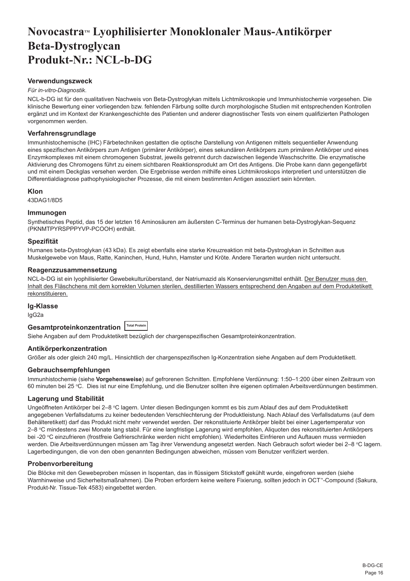## <span id="page-16-0"></span>**NovocastraTM Lyophilisierter Monoklonaler Maus-Antikörper Beta-Dystroglycan Produkt-Nr.: NCL-b-DG**

## **Verwendungszweck**

#### *Für in-vitro-Diagnostik*.

NCL-b-DG ist für den qualitativen Nachweis von Beta-Dystroglykan mittels Lichtmikroskopie und Immunhistochemie vorgesehen. Die klinische Bewertung einer vorliegenden bzw. fehlenden Färbung sollte durch morphologische Studien mit entsprechenden Kontrollen ergänzt und im Kontext der Krankengeschichte des Patienten und anderer diagnostischer Tests von einem qualifizierten Pathologen vorgenommen werden.

## **Verfahrensgrundlage**

Immunhistochemische (IHC) Färbetechniken gestatten die optische Darstellung von Antigenen mittels sequentieller Anwendung eines spezifischen Antikörpers zum Antigen (primärer Antikörper), eines sekundären Antikörpers zum primären Antikörper und eines Enzymkomplexes mit einem chromogenen Substrat, jeweils getrennt durch dazwischen liegende Waschschritte. Die enzymatische Aktivierung des Chromogens führt zu einem sichtbaren Reaktionsprodukt am Ort des Antigens. Die Probe kann dann gegengefärbt und mit einem Deckglas versehen werden. Die Ergebnisse werden mithilfe eines Lichtmikroskops interpretiert und unterstützen die Differentialdiagnose pathophysiologischer Prozesse, die mit einem bestimmten Antigen assoziiert sein könnten.

## **Klon**

43DAG1/8D5

## **Immunogen**

Synthetisches Peptid, das 15 der letzten 16 Aminosäuren am äußersten C-Terminus der humanen beta-Dystroglykan-Sequenz (PKNMTPYRSPPPYVP-PCOOH) enthält.

## **Spezifität**

Humanes beta-Dystroglykan (43 kDa). Es zeigt ebenfalls eine starke Kreuzreaktion mit beta-Dystroglykan in Schnitten aus Muskelgewebe von Maus, Ratte, Kaninchen, Hund, Huhn, Hamster und Kröte. Andere Tierarten wurden nicht untersucht.

## **Reagenzzusammensetzung**

NCL-b-DG ist ein lyophilisierter Gewebekulturüberstand, der Natriumazid als Konservierungsmittel enthält. Der Benutzer muss den Inhalt des Fläschchens mit dem korrekten Volumen sterilen, destillierten Wassers entsprechend den Angaben auf dem Produktetikett rekonstituieren.

## **Ig-Klasse**

IgG2a

**Gesamtproteinkonzentration Total Protein**

Siehe Angaben auf dem Produktetikett bezüglich der chargenspezifischen Gesamtproteinkonzentration.

## **Antikörperkonzentration**

Größer als oder gleich 240 mg/L. Hinsichtlich der chargenspezifischen Ig-Konzentration siehe Angaben auf dem Produktetikett.

## **Gebrauchsempfehlungen**

Immunhistochemie (siehe **Vorgehensweise**) auf gefrorenen Schnitten. Empfohlene Verdünnung: 1:50–1:200 über einen Zeitraum von 60 minuten bei 25 °C. Dies ist nur eine Empfehlung, und die Benutzer sollten ihre eigenen optimalen Arbeitsverdünnungen bestimmen.

## **Lagerung und Stabilität**

Ungeöffneten Antikörper bei 2–8 °C lagern. Unter diesen Bedingungen kommt es bis zum Ablauf des auf dem Produktetikett angegebenen Verfallsdatums zu keiner bedeutenden Verschlechterung der Produktleistung. Nach Ablauf des Verfallsdatums (auf dem Behälteretikett) darf das Produkt nicht mehr verwendet werden. Der rekonstituierte Antikörper bleibt bei einer Lagertemperatur von 2–8 ℃ mindestens zwei Monate lang stabil. Für eine langfristige Lagerung wird empfohlen, Aliquoten des rekonstituierten Antikörpers bei -20 °C einzufrieren (frostfreie Gefrierschränke werden nicht empfohlen). Wiederholtes Einfrieren und Auftauen muss vermieden werden. Die Arbeitsverdünnungen müssen am Tag ihrer Verwendung angesetzt werden. Nach Gebrauch sofort wieder bei 2–8 °C lagern. Lagerbedingungen, die von den oben genannten Bedingungen abweichen, müssen vom Benutzer verifiziert werden.

## **Probenvorbereitung**

Die Blöcke mit den Gewebeproben müssen in Isopentan, das in flüssigem Stickstoff gekühlt wurde, eingefroren werden (siehe Warnhinweise und Sicherheitsmaßnahmen). Die Proben erfordern keine weitere Fixierung, sollten jedoch in OCT™-Compound (Sakura, Produkt-Nr. Tissue-Tek 4583) eingebettet werden.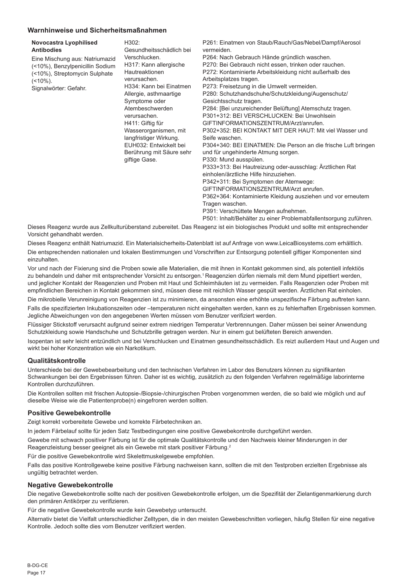## **Warnhinweise und Sicherheitsmaßnahmen**

| Novocastra Lyophilised<br><b>Antibodies</b><br>Eine Mischung aus: Natriumazid<br>(<10%), Benzylpenicillin Sodium<br>(<10%), Streptomycin Sulphate<br>$($ < 10%).<br>Signalwörter: Gefahr. | H302:<br>Gesundheitsschädlich bei<br>Verschlucken.<br>H317: Kann allergische<br>Hautreaktionen<br>verursachen.<br>H334: Kann bei Einatmen<br>Allergie, asthmaartige<br>Symptome oder<br>Atembeschwerden<br>verursachen.<br>H411: Giftig für<br>Wasserorganismen, mit<br>langfristiger Wirkung.<br>EUH032: Entwickelt bei<br>Berührung mit Säure sehr<br>giftige Gase. | P261: Einatmen von Staub/Rauch/Gas/Nebel/Dampf/Aerosol<br>vermeiden.<br>P264: Nach Gebrauch Hände gründlich waschen.<br>P270: Bei Gebrauch nicht essen, trinken oder rauchen.<br>P272: Kontaminierte Arbeitskleidung nicht außerhalb des<br>Arbeitsplatzes tragen.<br>P273: Freisetzung in die Umwelt vermeiden.<br>P280: Schutzhandschuhe/Schutzkleidung/Augenschutz/<br>Gesichtsschutz tragen.<br>P284: [Bei unzureichender Belüftung] Atemschutz tragen.<br>P301+312: BEI VERSCHLUCKEN: Bei Unwohlsein<br>GIFTINFORMATIONSZENTRUM/Arzt/anrufen.<br>P302+352: BEI KONTAKT MIT DER HAUT: Mit viel Wasser und<br>Seife waschen.<br>P304+340: BEI EINATMEN: Die Person an die frische Luft bringen<br>und für ungehinderte Atmung sorgen.<br>P330: Mund ausspülen.<br>P333+313: Bei Hautreizung oder-ausschlag: Ärztlichen Rat<br>einholen/ärztliche Hilfe hinzuziehen.<br>P342+311: Bei Symptomen der Atemwege:<br>GIFTINFORMATIONSZENTRUM/Arzt anrufen.<br>P362+364: Kontaminierte Kleidung ausziehen und vor erneutem<br>Tragen waschen.<br>P391: Verschüttete Mengen aufnehmen. |
|-------------------------------------------------------------------------------------------------------------------------------------------------------------------------------------------|-----------------------------------------------------------------------------------------------------------------------------------------------------------------------------------------------------------------------------------------------------------------------------------------------------------------------------------------------------------------------|------------------------------------------------------------------------------------------------------------------------------------------------------------------------------------------------------------------------------------------------------------------------------------------------------------------------------------------------------------------------------------------------------------------------------------------------------------------------------------------------------------------------------------------------------------------------------------------------------------------------------------------------------------------------------------------------------------------------------------------------------------------------------------------------------------------------------------------------------------------------------------------------------------------------------------------------------------------------------------------------------------------------------------------------------------------------------------|
|-------------------------------------------------------------------------------------------------------------------------------------------------------------------------------------------|-----------------------------------------------------------------------------------------------------------------------------------------------------------------------------------------------------------------------------------------------------------------------------------------------------------------------------------------------------------------------|------------------------------------------------------------------------------------------------------------------------------------------------------------------------------------------------------------------------------------------------------------------------------------------------------------------------------------------------------------------------------------------------------------------------------------------------------------------------------------------------------------------------------------------------------------------------------------------------------------------------------------------------------------------------------------------------------------------------------------------------------------------------------------------------------------------------------------------------------------------------------------------------------------------------------------------------------------------------------------------------------------------------------------------------------------------------------------|

Dieses Reagenz wurde aus Zellkulturüberstand zubereitet. Das Reagenz ist ein biologisches Produkt und sollte mit entsprechender Vorsicht gehandhabt werden.

Dieses Reagenz enthält Natriumazid. Ein Materialsicherheits-Datenblatt ist auf Anfrage von www.LeicaBiosystems.com erhältlich.

Die entsprechenden nationalen und lokalen Bestimmungen und Vorschriften zur Entsorgung potentiell giftiger Komponenten sind einzuhalten.

Vor und nach der Fixierung sind die Proben sowie alle Materialien, die mit ihnen in Kontakt gekommen sind, als potentiell infektiös zu behandeln und daher mit entsprechender Vorsicht zu entsorgen.<sup>1</sup>Reagenzien dürfen niemals mit dem Mund pipettiert werden, und jeglicher Kontakt der Reagenzien und Proben mit Haut und Schleimhäuten ist zu vermeiden. Falls Reagenzien oder Proben mit empfindlichen Bereichen in Kontakt gekommen sind, müssen diese mit reichlich Wasser gespült werden. Ärztlichen Rat einholen.

Die mikrobielle Verunreinigung von Reagenzien ist zu minimieren, da ansonsten eine erhöhte unspezifische Färbung auftreten kann. Falls die spezifizierten Inkubationszeiten oder –temperaturen nicht eingehalten werden, kann es zu fehlerhaften Ergebnissen kommen. Jegliche Abweichungen von den angegebenen Werten müssen vom Benutzer verifiziert werden.

Flüssiger Stickstoff verursacht aufgrund seiner extrem niedrigen Temperatur Verbrennungen. Daher müssen bei seiner Anwendung Schutzkleidung sowie Handschuhe und Schutzbrille getragen werden. Nur in einem gut belüfteten Bereich anwenden.

Isopentan ist sehr leicht entzündlich und bei Verschlucken und Einatmen gesundheitsschädlich. Es reizt außerdem Haut und Augen und wirkt bei hoher Konzentration wie ein Narkotikum.

## **Qualitätskontrolle**

Unterschiede bei der Gewebebearbeitung und den technischen Verfahren im Labor des Benutzers können zu signifikanten Schwankungen bei den Ergebnissen führen. Daher ist es wichtig, zusätzlich zu den folgenden Verfahren regelmäßige laborinterne Kontrollen durchzuführen.

Die Kontrollen sollten mit frischen Autopsie-/Biopsie-/chirurgischen Proben vorgenommen werden, die so bald wie möglich und auf dieselbe Weise wie die Patientenprobe(n) eingefroren werden sollten.

## **Positive Gewebekontrolle**

Zeigt korrekt vorbereitete Gewebe und korrekte Färbetechniken an.

In jedem Färbelauf sollte für jeden Satz Testbedingungen eine positive Gewebekontrolle durchgeführt werden.

Gewebe mit schwach positiver Färbung ist für die optimale Qualitätskontrolle und den Nachweis kleiner Minderungen in der Reagenzleistung besser geeignet als ein Gewebe mit stark positiver Färbung.<sup>2</sup>

Für die positive Gewebekontrolle wird Skelettmuskelgewebe empfohlen.

Falls das positive Kontrollgewebe keine positive Färbung nachweisen kann, sollten die mit den Testproben erzielten Ergebnisse als ungültig betrachtet werden.

#### **Negative Gewebekontrolle**

Die negative Gewebekontrolle sollte nach der positiven Gewebekontrolle erfolgen, um die Spezifität der Zielantigenmarkierung durch den primären Antikörper zu verifizieren.

Für die negative Gewebekontrolle wurde kein Gewebetyp untersucht.

Alternativ bietet die Vielfalt unterschiedlicher Zelltypen, die in den meisten Gewebeschnitten vorliegen, häufig Stellen für eine negative Kontrolle. Jedoch sollte dies vom Benutzer verifiziert werden.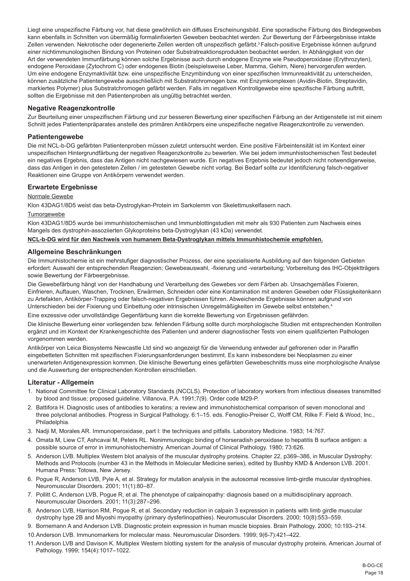Liegt eine unspezifische Färbung vor, hat diese gewöhnlich ein diffuses Erscheinungsbild. Eine sporadische Färbung des Bindegewebes kann ebenfalls in Schnitten von übermäßig formalinfixierten Geweben beobachtet werden. Zur Bewertung der Färbeergebnisse intakte Zellen verwenden. Nekrotische oder degenerierte Zellen werden oft unspezifisch gefärbt.<sup>3</sup>Falsch-positive Ergebnisse können aufgrund einer nichtimmunologischen Bindung von Proteinen oder Substratreaktionsprodukten beobachtet werden. In Abhängigkeit von der Art der verwendeten Immunfärbung können solche Ergebnisse auch durch endogene Enzyme wie Pseudoperoxidase (Erythrozyten), endogene Peroxidase (Zytochrom C) oder endogenes Biotin (beispielsweise Leber, Mamma, Gehirn, Niere) hervorgerufen werden. Um eine endogene Enzymaktivität bzw. eine unspezifische Enzymbindung von einer spezifischen Immunreaktivität zu unterscheiden, können zusätzliche Patientengewebe ausschließlich mit Substratchromogen bzw. mit Enzymkomplexen (Avidin-Biotin, Streptavidin, markiertes Polymer) plus Substratchromogen gefärbt werden. Falls im negativen Kontrollgewebe eine spezifische Färbung auftritt, sollten die Ergebnisse mit den Patientenproben als ungültig betrachtet werden.

### **Negative Reagenzkontrolle**

Zur Beurteilung einer unspezifischen Färbung und zur besseren Bewertung einer spezifischen Färbung an der Antigenstelle ist mit einem Schnitt jedes Patientenpräparates anstelle des primären Antikörpers eine unspezifische negative Reagenzkontrolle zu verwenden.

### **Patientengewebe**

Die mit NCL-b-DG gefärbten Patientenproben müssen zuletzt untersucht werden. Eine positive Färbeintensität ist im Kontext einer unspezifischen Hintergrundfärbung der negativen Reagenzkontrolle zu bewerten. Wie bei jedem immunhistochemischen Test bedeutet ein negatives Ergebnis, dass das Antigen nicht nachgewiesen wurde. Ein negatives Ergebnis bedeutet jedoch nicht notwendigerweise, dass das Antigen in den getesteten Zellen / im getesteten Gewebe nicht vorlag. Bei Bedarf sollte zur Identifizierung falsch-negativer Reaktionen eine Gruppe von Antikörpern verwendet werden.

#### **Erwartete Ergebnisse**

Normale Gewebe

Klon 43DAG1/8D5 weist das beta-Dystroglykan-Protein im Sarkolemm von Skelettmuskelfasern nach.

#### **Tumorgewebe**

Klon 43DAG1/8D5 wurde bei immunhistochemischen und Immunblottingstudien mit mehr als 930 Patienten zum Nachweis eines Mangels des dystrophin-assoziierten Glykoproteins beta-Dystroglykan (43 kDa) verwendet.

#### **NCL-b-DG wird für den Nachweis von humanem Beta-Dystroglykan mittels Immunhistochemie empfohlen.**

#### **Allgemeine Beschränkungen**

Die Immunhistochemie ist ein mehrstufiger diagnostischer Prozess, der eine spezialisierte Ausbildung auf den folgenden Gebieten erfordert: Auswahl der entsprechenden Reagenzien; Gewebeauswahl, -fixierung und -verarbeitung; Vorbereitung des IHC-Objektträgers sowie Bewertung der Färbeergebnisse.

Die Gewebefärbung hängt von der Handhabung und Verarbeitung des Gewebes vor dem Färben ab. Unsachgemäßes Fixieren, Einfrieren, Auftauen, Waschen, Trocknen, Erwärmen, Schneiden oder eine Kontamination mit anderen Geweben oder Flüssigkeitenkann zu Artefakten, Antikörper-Trapping oder falsch-negativen Ergebnissen führen. Abweichende Ergebnisse können aufgrund von Unterschieden bei der Fixierung und Einbettung oder intrinsischen Unregelmäßigkeiten im Gewebe selbst entstehen.<sup>4</sup>

Eine exzessive oder unvollständige Gegenfärbung kann die korrekte Bewertung von Ergebnissen gefährden.

Die klinische Bewertung einer vorliegenden bzw. fehlenden Färbung sollte durch morphologische Studien mit entsprechenden Kontrollen ergänzt und im Kontext der Krankengeschichte des Patienten und anderer diagnostischer Tests von einem qualifizierten Pathologen vorgenommen werden.

Antikörper von Leica Biosystems Newcastle Ltd sind wo angezeigt für die Verwendung entweder auf gefrorenen oder in Paraffin eingebetteten Schnitten mit spezifischen Fixierungsanforderungen bestimmt. Es kann insbesondere bei Neoplasmen zu einer unerwarteten Antigenexpression kommen. Die klinische Bewertung eines gefärbten Gewebeschnitts muss eine morphologische Analyse und die Auswertung der entsprechenden Kontrollen einschließen.

## **Literatur - Allgemein**

- 1. National Committee for Clinical Laboratory Standards (NCCLS). Protection of laboratory workers from infectious diseases transmitted by blood and tissue; proposed guideline. Villanova, P.A. 1991;7(9). Order code M29-P.
- 2. Battifora H. Diagnostic uses of antibodies to keratins: a review and immunohistochemical comparison of seven monoclonal and three polyclonal antibodies. Progress in Surgical Pathology. 6:1–15. eds. Fenoglio-Preiser C, Wolff CM, Rilke F. Field & Wood, Inc., Philadelphia.
- 3. Nadji M, Morales AR. Immunoperoxidase, part I: the techniques and pitfalls. Laboratory Medicine. 1983; 14:767.
- 4. Omata M, Liew CT, Ashcavai M, Peters RL. Nonimmunologic binding of horseradish peroxidase to hepatitis B surface antigen: a possible source of error in immunohistochemistry. American Journal of Clinical Pathology. 1980; 73:626.
- 5. Anderson LVB. Multiplex Western blot analysis of the muscular dystrophy proteins. Chapter 22, p369–386, in Muscular Dystrophy: Methods and Protocols (number 43 in the Methods in Molecular Medicine series), edited by Bushby KMD & Anderson LVB. 2001. Humana Press: Totowa, New Jersey.
- 6. Pogue R, Anderson LVB, Pyle A, et al. Strategy for mutation analysis in the autosomal recessive limb-girdle muscular dystrophies. Neuromuscular Disorders. 2001; 11(1):80–87.
- 7. Pollitt C, Anderson LVB, Pogue R, et al. The phenotype of calpainopathy: diagnosis based on a multidisciplinary approach. Neuromuscular Disorders. 2001; 11(3):287–296.
- 8. Anderson LVB, Harrison RM, Pogue R, et al. Secondary reduction in calpain 3 expression in patients with limb girdle muscular dystrophy type 2B and Miyoshi myopathy (primary dysferlinopathies). Neuromuscular Disorders. 2000; 10(8):553–559.
- 9. Bornemann A and Anderson LVB. Diagnostic protein expression in human muscle biopsies. Brain Pathology. 2000; 10:193–214.
- 10.Anderson LVB. Immunomarkers for molecular mass. Neuromuscular Disorders. 1999; 9(6-7):421–422.
- 11.Anderson LVB and Davison K. Multiplex Western blotting system for the analysis of muscular dystrophy proteins. American Journal of Pathology. 1999; 154(4):1017–1022.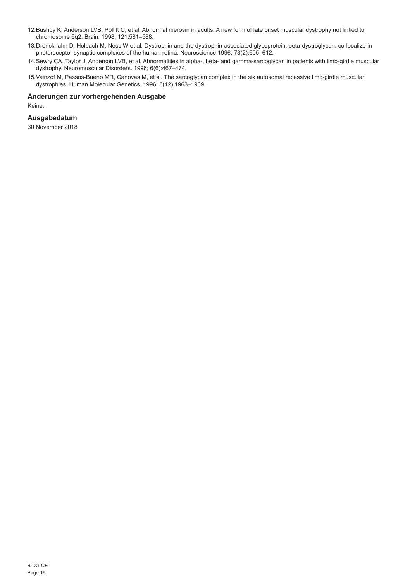- 12.Bushby K, Anderson LVB, Pollitt C, et al. Abnormal merosin in adults. A new form of late onset muscular dystrophy not linked to chromosome 6q2. Brain. 1998; 121:581–588.
- 13.Drenckhahn D, Holbach M, Ness W et al. Dystrophin and the dystrophin-associated glycoprotein, beta-dystroglycan, co-localize in photoreceptor synaptic complexes of the human retina. Neuroscience 1996; 73(2):605–612.
- 14.Sewry CA, Taylor J, Anderson LVB, et al. Abnormalities in alpha-, beta- and gamma-sarcoglycan in patients with limb-girdle muscular dystrophy. Neuromuscular Disorders. 1996; 6(6):467–474.
- 15.Vainzof M, Passos-Bueno MR, Canovas M, et al. The sarcoglycan complex in the six autosomal recessive limb-girdle muscular dystrophies. Human Molecular Genetics. 1996; 5(12):1963–1969.

## **Änderungen zur vorhergehenden Ausgabe**

Keine.

### **Ausgabedatum**

30 November 2018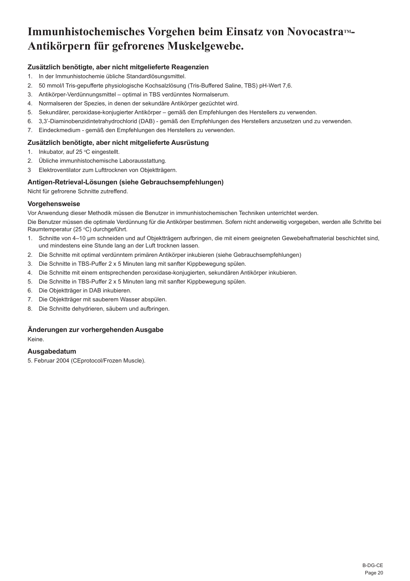## **Immunhistochemisches Vorgehen beim Einsatz von Novocastra™-Antikörpern für gefrorenes Muskelgewebe.**

## **Zusätzlich benötigte, aber nicht mitgelieferte Reagenzien**

- 1. In der Immunhistochemie übliche Standardlösungsmittel.
- 2. 50 mmol/l Tris-gepufferte physiologische Kochsalzlösung (Tris-Buffered Saline, TBS) pH-Wert 7,6.
- 3. Antikörper-Verdünnungsmittel optimal in TBS verdünntes Normalserum.
- 4. Normalseren der Spezies, in denen der sekundäre Antikörper gezüchtet wird.
- 5. Sekundärer, peroxidase-konjugierter Antikörper gemäß den Empfehlungen des Herstellers zu verwenden.
- 6. 3,3'-Diaminobenzidintetrahydrochlorid (DAB) gemäß den Empfehlungen des Herstellers anzusetzen und zu verwenden.
- 7. Eindeckmedium gemäß den Empfehlungen des Herstellers zu verwenden.

## **Zusätzlich benötigte, aber nicht mitgelieferte Ausrüstung**

- 1. Inkubator, auf 25 °C eingestellt.
- 2. Übliche immunhistochemische Laborausstattung.
- 3 Elektroventilator zum Lufttrocknen von Objektträgern.

## **Antigen-Retrieval-Lösungen (siehe Gebrauchsempfehlungen)**

Nicht für gefrorene Schnitte zutreffend.

## **Vorgehensweise**

Vor Anwendung dieser Methodik müssen die Benutzer in immunhistochemischen Techniken unterrichtet werden.

Die Benutzer müssen die optimale Verdünnung für die Antikörper bestimmen. Sofern nicht anderweitig vorgegeben, werden alle Schritte bei Raumtemperatur (25 ℃) durchgeführt.

- 1. Schnitte von 4–10 μm schneiden und auf Objektträgern aufbringen, die mit einem geeigneten Gewebehaftmaterial beschichtet sind, und mindestens eine Stunde lang an der Luft trocknen lassen.
- 2. Die Schnitte mit optimal verdünntem primären Antikörper inkubieren (siehe Gebrauchsempfehlungen)
- 3. Die Schnitte in TBS-Puffer 2 x 5 Minuten lang mit sanfter Kippbewegung spülen.
- 4. Die Schnitte mit einem entsprechenden peroxidase-konjugierten, sekundären Antikörper inkubieren.
- 5. Die Schnitte in TBS-Puffer 2 x 5 Minuten lang mit sanfter Kippbewegung spülen.
- 6. Die Objektträger in DAB inkubieren.
- 7. Die Objektträger mit sauberem Wasser abspülen.
- 8. Die Schnitte dehydrieren, säubern und aufbringen.

## **Änderungen zur vorhergehenden Ausgabe**

Keine.

## **Ausgabedatum**

5. Februar 2004 (CEprotocol/Frozen Muscle).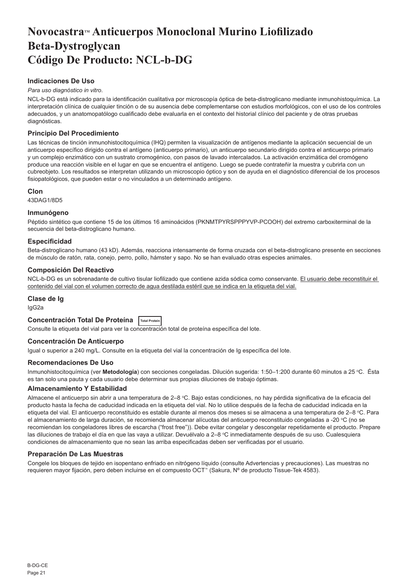## <span id="page-21-0"></span>**NovocastraTM Anticuerpos Monoclonal Murino Liofilizado Beta-Dystroglycan Código De Producto: NCL-b-DG**

## **Indicaciones De Uso**

#### *Para uso diagnóstico in vitro*.

NCL-b-DG está indicado para la identificación cualitativa por microscopía óptica de beta-distroglicano mediante inmunohistoquímica. La interpretación clínica de cualquier tinción o de su ausencia debe complementarse con estudios morfológicos, con el uso de los controles adecuados, y un anatomopatólogo cualificado debe evaluarla en el contexto del historial clínico del paciente y de otras pruebas diagnósticas.

## **Principio Del Procedimiento**

Las técnicas de tinción inmunohistocitoquímica (IHQ) permiten la visualización de antígenos mediante la aplicación secuencial de un anticuerpo específico dirigido contra el antígeno (anticuerpo primario), un anticuerpo secundario dirigido contra el anticuerpo primario y un complejo enzimático con un sustrato cromogénico, con pasos de lavado intercalados. La activación enzimática del cromógeno produce una reacción visible en el lugar en que se encuentra el antígeno. Luego se puede contrateñir la muestra y cubrirla con un cubreobjeto. Los resultados se interpretan utilizando un microscopio óptico y son de ayuda en el diagnóstico diferencial de los procesos fisiopatológicos, que pueden estar o no vinculados a un determinado antígeno.

#### **Clon**

43DAG1/8D5

### **Inmunógeno**

Péptido sintético que contiene 15 de los últimos 16 aminoácidos (PKNMTPYRSPPPYVP-PCOOH) del extremo carboxiterminal de la secuencia del beta-distroglicano humano.

#### **Especificidad**

Beta-distroglicano humano (43 kD). Además, reacciona intensamente de forma cruzada con el beta-distroglicano presente en secciones de músculo de ratón, rata, conejo, perro, pollo, hámster y sapo. No se han evaluado otras especies animales.

#### **Composición Del Reactivo**

NCL-b-DG es un sobrenadante de cultivo tisular liofilizado que contiene azida sódica como conservante. El usuario debe reconstituir el contenido del vial con el volumen correcto de agua destilada estéril que se indica en la etiqueta del vial.

#### **Clase de Ig**

IgG2a

## **Concentración Total De Proteína Total Protein**

Consulte la etiqueta del vial para ver la concentración total de proteína específica del lote.

## **Concentración De Anticuerpo**

Igual o superior a 240 mg/L. Consulte en la etiqueta del vial la concentración de Ig específica del lote.

## **Recomendaciones De Uso**

Inmunohistocitoquímica (ver **Metodología**) con secciones congeladas. Dilución sugerida: 1:50–1:200 durante 60 minutos a 25 °C. Ésta es tan solo una pauta y cada usuario debe determinar sus propias diluciones de trabajo óptimas.

#### **Almacenamiento Y Estabilidad**

Almacene el anticuerpo sin abrir a una temperatura de 2–8 °C. Bajo estas condiciones, no hay pérdida significativa de la eficacia del producto hasta la fecha de caducidad indicada en la etiqueta del vial. No lo utilice después de la fecha de caducidad indicada en la etiqueta del vial. El anticuerpo reconstituido es estable durante al menos dos meses si se almacena a una temperatura de 2–8 °C. Para el almacenamiento de larga duración, se recomienda almacenar alícuotas del anticuerpo reconstituido congeladas a -20 °C (no se recomiendan los congeladores libres de escarcha ("frost free")). Debe evitar congelar y descongelar repetidamente el producto. Prepare las diluciones de trabajo el día en que las vaya a utilizar. Devuélvalo a 2–8 °C inmediatamente después de su uso. Cualesquiera condiciones de almacenamiento que no sean las arriba especificadas deben ser verificadas por el usuario.

## **Preparación De Las Muestras**

Congele los bloques de tejido en isopentano enfriado en nitrógeno líquido (consulte Advertencias y precauciones). Las muestras no requieren mayor fijación, pero deben incluirse en el compuesto OCT™ (Sakura, Nº de producto Tissue-Tek 4583).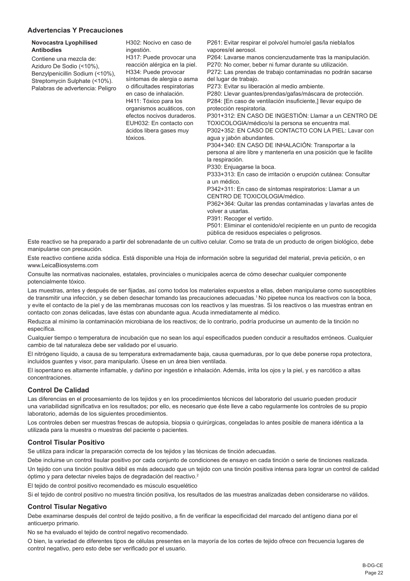## **Advertencias Y Precauciones**

#### **Novocastra Lyophilised Antibodies**

Contiene una mezcla de: Aziduro De Sodio (<10%), Benzylpenicillin Sodium (<10%), Streptomycin Sulphate (<10%). Palabras de advertencia: Peligro

H302: Nocivo en caso de ingestión. H317: Puede provocar una reacción alérgica en la piel. H334: Puede provocar síntomas de alergia o asma o dificultades respiratorias en caso de inhalación. H411: Tóxico para los organismos acuáticos, con efectos nocivos duraderos. EUH032: En contacto con ácidos libera gases muy tóxicos.

P261: Evitar respirar el polvo/el humo/el gas/la niebla/los vapores/el aerosol.

P264: Lavarse manos concienzudamente tras la manipulación.

P270: No comer, beber ni fumar durante su utilización.

P272: Las prendas de trabajo contaminadas no podrán sacarse del lugar de trabajo.

P273: Evitar su liberación al medio ambiente.

P280: Llevar guantes/prendas/gafas/máscara de protección. P284: [En caso de ventilación insuficiente,] llevar equipo de protección respiratoria.

P301+312: EN CASO DE INGESTIÓN: Llamar a un CENTRO DE TOXICOLOGlA/médico/si la persona se encuentra mal. P302+352: EN CASO DE CONTACTO CON LA PIEL: Lavar con agua y jabón abundantes.

P304+340: EN CASO DE INHALACIÓN: Transportar a la persona al aire libre y mantenerla en una posición que le facilite la respiración.

P330: Enjuagarse la boca.

P333+313: En caso de irritación o erupción cutánea: Consultar a un médico.

P342+311: En caso de síntomas respiratorios: Llamar a un CENTRO DE TOXICOLOGlA/médico.

P362+364: Quitar las prendas contaminadas y lavarlas antes de volver a usarlas.

P391: Recoger el vertido.

P501: Eliminar el contenido/el recipiente en un punto de recogida pública de residuos especiales o peligrosos.

Este reactivo se ha preparado a partir del sobrenadante de un cultivo celular. Como se trata de un producto de origen biológico, debe manipularse con precaución.

Este reactivo contiene azida sódica. Está disponible una Hoja de información sobre la seguridad del material, previa petición, o en www.LeicaBiosystems.com

Consulte las normativas nacionales, estatales, provinciales o municipales acerca de cómo desechar cualquier componente potencialmente tóxico.

Las muestras, antes y después de ser fijadas, así como todos los materiales expuestos a ellas, deben manipularse como susceptibles de transmitir una infección, y se deben desechar tomando las precauciones adecuadas.<sup>1</sup>No pipetee nunca los reactivos con la boca, y evite el contacto de la piel y de las membranas mucosas con los reactivos y las muestras. Si los reactivos o las muestras entran en contacto con zonas delicadas, lave éstas con abundante agua. Acuda inmediatamente al médico.

Reduzca al mínimo la contaminación microbiana de los reactivos; de lo contrario, podría producirse un aumento de la tinción no específica.

Cualquier tiempo o temperatura de incubación que no sean los aquí especificados pueden conducir a resultados erróneos. Cualquier cambio de tal naturaleza debe ser validado por el usuario.

El nitrógeno líquido, a causa de su temperatura extremadamente baja, causa quemaduras, por lo que debe ponerse ropa protectora, incluidos guantes y visor, para manipularlo. Úsese en un área bien ventilada.

El isopentano es altamente inflamable, y dañino por ingestión e inhalación. Además, irrita los ojos y la piel, y es narcótico a altas concentraciones.

## **Control De Calidad**

Las diferencias en el procesamiento de los tejidos y en los procedimientos técnicos del laboratorio del usuario pueden producir una variabilidad significativa en los resultados; por ello, es necesario que éste lleve a cabo regularmente los controles de su propio laboratorio, además de los siguientes procedimientos.

Los controles deben ser muestras frescas de autopsia, biopsia o quirúrgicas, congeladas lo antes posible de manera idéntica a la utilizada para la muestra o muestras del paciente o pacientes.

## **Control Tisular Positivo**

Se utiliza para indicar la preparación correcta de los tejidos y las técnicas de tinción adecuadas.

Debe incluirse un control tisular positivo por cada conjunto de condiciones de ensayo en cada tinción o serie de tinciones realizada. Un tejido con una tinción positiva débil es más adecuado que un tejido con una tinción positiva intensa para lograr un control de calidad óptimo y para detectar niveles bajos de degradación del reactivo.<sup>2</sup>

El tejido de control positivo recomendado es músculo esquelético

Si el tejido de control positivo no muestra tinción positiva, los resultados de las muestras analizadas deben considerarse no válidos.

## **Control Tisular Negativo**

Debe examinarse después del control de tejido positivo, a fin de verificar la especificidad del marcado del antígeno diana por el anticuerpo primario.

No se ha evaluado el tejido de control negativo recomendado.

O bien, la variedad de diferentes tipos de células presentes en la mayoría de los cortes de tejido ofrece con frecuencia lugares de control negativo, pero esto debe ser verificado por el usuario.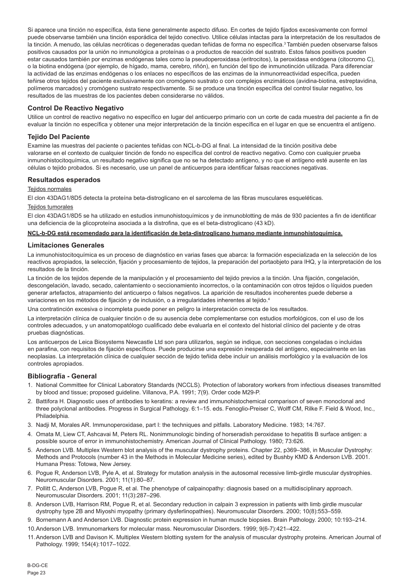Si aparece una tinción no específica, ésta tiene generalmente aspecto difuso. En cortes de tejido fijados excesivamente con formol puede observarse también una tinción esporádica del tejido conectivo. Utilice células intactas para la interpretación de los resultados de la tinción. A menudo, las células necróticas o degeneradas quedan teñidas de forma no específica.<sup>3</sup> También pueden observarse falsos positivos causados por la unión no inmunológica a proteínas o a productos de reacción del sustrato. Estos falsos positivos pueden estar causados también por enzimas endógenas tales como la pseudoperoxidasa (eritrocitos), la peroxidasa endógena (citocromo C), o la biotina endógena (por ejemplo, de hígado, mama, cerebro, riñón), en función del tipo de inmunotinción utilizada. Para diferenciar la actividad de las enzimas endógenas o los enlaces no específicos de las enzimas de la inmunorreactividad específica, pueden teñirse otros tejidos del paciente exclusivamente con cromógeno sustrato o con complejos enzimáticos (avidina-biotina, estreptavidina, polímeros marcados) y cromógeno sustrato respectivamente. Si se produce una tinción específica del control tisular negativo, los resultados de las muestras de los pacientes deben considerarse no válidos.

## **Control De Reactivo Negativo**

Utilice un control de reactivo negativo no específico en lugar del anticuerpo primario con un corte de cada muestra del paciente a fin de evaluar la tinción no específica y obtener una mejor interpretación de la tinción específica en el lugar en que se encuentra el antígeno.

### **Tejido Del Paciente**

Examine las muestras del paciente o pacientes teñidas con NCL-b-DG al final. La intensidad de la tinción positiva debe valorarse en el contexto de cualquier tinción de fondo no específica del control de reactivo negativo. Como con cualquier prueba inmunohistocitoquímica, un resultado negativo significa que no se ha detectado antígeno, y no que el antígeno esté ausente en las células o tejido probados. Si es necesario, use un panel de anticuerpos para identificar falsas reacciones negativas.

#### **Resultados esperados**

#### Tejidos normales

El clon 43DAG1/8D5 detecta la proteína beta-distroglicano en el sarcolema de las fibras musculares esqueléticas.

#### Tejidos tumorales

El clon 43DAG1/8D5 se ha utilizado en estudios inmunohistoquímicos y de inmunoblotting de más de 930 pacientes a fin de identificar una deficiencia de la glicoproteína asociada a la distrofina, que es el beta-distroglicano (43 kD).

#### **NCL-b-DG está recomendado para la identificación de beta-distroglicano humano mediante inmunohistoquímica.**

#### **Limitaciones Generales**

La inmunohistocitoquímica es un proceso de diagnóstico en varias fases que abarca: la formación especializada en la selección de los reactivos apropiados, la selección, fijación y procesamiento de tejidos, la preparación del portaobjeto para IHQ, y la interpretación de los resultados de la tinción.

La tinción de los tejidos depende de la manipulación y el procesamiento del tejido previos a la tinción. Una fijación, congelación, descongelación, lavado, secado, calentamiento o seccionamiento incorrectos, o la contaminación con otros tejidos o líquidos pueden generar artefactos, atrapamiento del anticuerpo o falsos negativos. La aparición de resultados incoherentes puede deberse a variaciones en los métodos de fijación y de inclusión, o a irregularidades inherentes al tejido.<sup>4</sup>

Una contratinción excesiva o incompleta puede poner en peligro la interpretación correcta de los resultados.

La interpretación clínica de cualquier tinción o de su ausencia debe complementarse con estudios morfológicos, con el uso de los controles adecuados, y un anatomopatólogo cualificado debe evaluarla en el contexto del historial clínico del paciente y de otras pruebas diagnósticas.

Los anticuerpos de Leica Biosystems Newcastle Ltd son para utilizarlos, según se indique, con secciones congeladas o incluidas en parafina, con requisitos de fijación específicos. Puede producirse una expresión inesperada del antígeno, especialmente en las neoplasias. La interpretación clínica de cualquier sección de tejido teñida debe incluir un análisis morfológico y la evaluación de los controles apropiados.

#### **Bibliografía - General**

- 1. National Committee for Clinical Laboratory Standards (NCCLS). Protection of laboratory workers from infectious diseases transmitted by blood and tissue; proposed guideline. Villanova, P.A. 1991; 7(9). Order code M29-P.
- 2. Battifora H. Diagnostic uses of antibodies to keratins: a review and immunohistochemical comparison of seven monoclonal and three polyclonal antibodies. Progress in Surgical Pathology. 6:1–15. eds. Fenoglio-Preiser C, Wolff CM, Rilke F. Field & Wood, Inc., Philadelphia.
- 3. Nadji M, Morales AR. Immunoperoxidase, part I: the techniques and pitfalls. Laboratory Medicine. 1983; 14:767.
- 4. Omata M, Liew CT, Ashcavai M, Peters RL. Nonimmunologic binding of horseradish peroxidase to hepatitis B surface antigen: a possible source of error in immunohistochemistry. American Journal of Clinical Pathology. 1980; 73:626.
- 5. Anderson LVB. Multiplex Western blot analysis of the muscular dystrophy proteins. Chapter 22, p369–386, in Muscular Dystrophy: Methods and Protocols (number 43 in the Methods in Molecular Medicine series), edited by Bushby KMD & Anderson LVB. 2001. Humana Press: Totowa, New Jersey.
- 6. Pogue R, Anderson LVB, Pyle A, et al. Strategy for mutation analysis in the autosomal recessive limb-girdle muscular dystrophies. Neuromuscular Disorders. 2001; 11(1):80–87.
- 7. Pollitt C, Anderson LVB, Pogue R, et al. The phenotype of calpainopathy: diagnosis based on a multidisciplinary approach. Neuromuscular Disorders. 2001; 11(3):287–296.
- 8. Anderson LVB, Harrison RM, Pogue R, et al. Secondary reduction in calpain 3 expression in patients with limb girdle muscular dystrophy type 2B and Miyoshi myopathy (primary dysferlinopathies). Neuromuscular Disorders. 2000; 10(8):553–559.
- 9. Bornemann A and Anderson LVB. Diagnostic protein expression in human muscle biopsies. Brain Pathology. 2000; 10:193–214.
- 10.Anderson LVB. Immunomarkers for molecular mass. Neuromuscular Disorders. 1999; 9(6-7):421–422.
- 11.Anderson LVB and Davison K. Multiplex Western blotting system for the analysis of muscular dystrophy proteins. American Journal of Pathology. 1999; 154(4):1017–1022.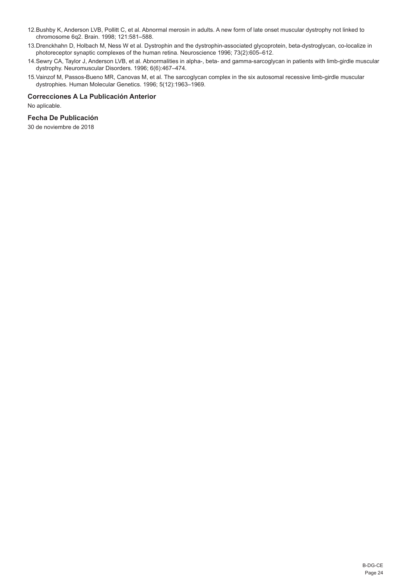- 12.Bushby K, Anderson LVB, Pollitt C, et al. Abnormal merosin in adults. A new form of late onset muscular dystrophy not linked to chromosome 6q2. Brain. 1998; 121:581–588.
- 13.Drenckhahn D, Holbach M, Ness W et al. Dystrophin and the dystrophin-associated glycoprotein, beta-dystroglycan, co-localize in photoreceptor synaptic complexes of the human retina. Neuroscience 1996; 73(2):605–612.
- 14.Sewry CA, Taylor J, Anderson LVB, et al. Abnormalities in alpha-, beta- and gamma-sarcoglycan in patients with limb-girdle muscular dystrophy. Neuromuscular Disorders. 1996; 6(6):467–474.
- 15.Vainzof M, Passos-Bueno MR, Canovas M, et al. The sarcoglycan complex in the six autosomal recessive limb-girdle muscular dystrophies. Human Molecular Genetics. 1996; 5(12):1963–1969.

## **Correcciones A La Publicación Anterior**

No aplicable.

#### **Fecha De Publicación**

30 de noviembre de 2018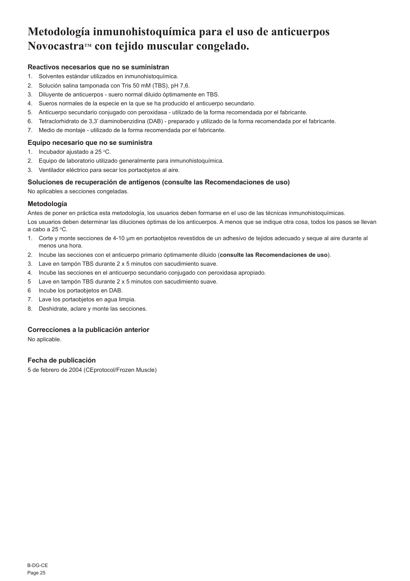## **Metodología inmunohistoquímica para el uso de anticuerpos NovocastraTM con tejido muscular congelado.**

## **Reactivos necesarios que no se suministran**

- 1. Solventes estándar utilizados en inmunohistoquímica.
- 2. Solución salina tamponada con Tris 50 mM (TBS), pH 7,6.
- 3. Diluyente de anticuerpos suero normal diluido óptimamente en TBS.
- 4. Sueros normales de la especie en la que se ha producido el anticuerpo secundario.
- 5. Anticuerpo secundario conjugado con peroxidasa utilizado de la forma recomendada por el fabricante.
- 6. Tetraclorhidrato de 3,3' diaminobenzidina (DAB) preparado y utilizado de la forma recomendada por el fabricante.
- 7. Medio de montaje utilizado de la forma recomendada por el fabricante.

## **Equipo necesario que no se suministra**

- 1. Incubador ajustado a 25 °C.
- 2. Equipo de laboratorio utilizado generalmente para inmunohistoquímica.
- 3. Ventilador eléctrico para secar los portaobjetos al aire.

## **Soluciones de recuperación de antígenos (consulte las Recomendaciones de uso)**

No aplicables a secciones congeladas.

## **Metodología**

Antes de poner en práctica esta metodología, los usuarios deben formarse en el uso de las técnicas inmunohistoquímicas.

Los usuarios deben determinar las diluciones óptimas de los anticuerpos. A menos que se indique otra cosa, todos los pasos se llevan a cabo a 25 °C.

- 1. Corte y monte secciones de 4-10 μm en portaobjetos revestidos de un adhesivo de tejidos adecuado y seque al aire durante al menos una hora.
- 2. Incube las secciones con el anticuerpo primario óptimamente diluido (**consulte las Recomendaciones de uso**).
- 3. Lave en tampón TBS durante 2 x 5 minutos con sacudimiento suave.
- 4. Incube las secciones en el anticuerpo secundario conjugado con peroxidasa apropiado.
- 5 Lave en tampón TBS durante 2 x 5 minutos con sacudimiento suave.
- 6 Incube los portaobjetos en DAB.
- 7. Lave los portaobjetos en agua limpia.
- 8. Deshidrate, aclare y monte las secciones.

## **Correcciones a la publicación anterior**

No aplicable.

## **Fecha de publicación**

5 de febrero de 2004 (CEprotocol/Frozen Muscle)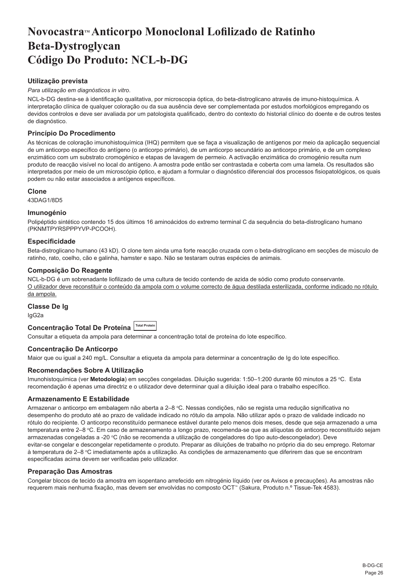## <span id="page-26-0"></span>**NovocastraTM Anticorpo Monoclonal Lofilizado de Ratinho Beta-Dystroglycan Código Do Produto: NCL-b-DG**

## **Utilização prevista**

#### *Para utilização em diagnósticos in vitro*.

NCL-b-DG destina-se à identificação qualitativa, por microscopia óptica, do beta-distroglicano através de imuno-histoquímica. A interpretação clínica de qualquer coloração ou da sua ausência deve ser complementada por estudos morfológicos empregando os devidos controlos e deve ser avaliada por um patologista qualificado, dentro do contexto do historial clínico do doente e de outros testes de diagnóstico.

## **Princípio Do Procedimento**

As técnicas de coloração imunohistoquímica (IHQ) permitem que se faça a visualização de antígenos por meio da aplicação sequencial de um anticorpo específico do antígeno (o anticorpo primário), de um anticorpo secundário ao anticorpo primário, e de um complexo enzimático com um substrato cromogénico e etapas de lavagem de permeio. A activação enzimática do cromogénio resulta num produto de reacção visível no local do antígeno. A amostra pode então ser contrastada e coberta com uma lamela. Os resultados são interpretados por meio de um microscópio óptico, e ajudam a formular o diagnóstico diferencial dos processos fisiopatológicos, os quais podem ou não estar associados a antígenos específicos.

#### **Clone**

43DAG1/8D5

#### **Imunogénio**

Polipéptido sintético contendo 15 dos últimos 16 aminoácidos do extremo terminal C da sequência do beta-distroglicano humano (PKNMTPYRSPPPYVP-PCOOH).

#### **Especificidade**

Beta-distroglicano humano (43 kD). O clone tem ainda uma forte reacção cruzada com o beta-distroglicano em secções de músculo de ratinho, rato, coelho, cão e galinha, hamster e sapo. Não se testaram outras espécies de animais.

#### **Composição Do Reagente**

NCL-b-DG é um sobrenadante liofilizado de uma cultura de tecido contendo de azida de sódio como produto conservante. O utilizador deve reconstituir o conteúdo da ampola com o volume correcto de água destilada esterilizada, conforme indicado no rótulo da ampola.

## **Classe De Ig**

IgG2a

**Concentração Total De Proteína Total Protein**

Consultar a etiqueta da ampola para determinar a concentração total de proteína do lote específico.

#### **Concentração De Anticorpo**

Maior que ou igual a 240 mg/L. Consultar a etiqueta da ampola para determinar a concentração de Ig do lote específico.

## **Recomendações Sobre A Utilização**

Imunohistoquímica (ver **Metodologia**) em secções congeladas. Diluição sugerida: 1:50–1:200 durante 60 minutos a 25 °C. Esta recomendação é apenas uma directriz e o utilizador deve determinar qual a diluição ideal para o trabalho específico.

## **Armazenamento E Estabilidade**

Armazenar o anticorpo em embalagem não aberta a 2–8 °C. Nessas condições, não se regista uma redução significativa no desempenho do produto até ao prazo de validade indicado no rótulo da ampola. Não utilizar após o prazo de validade indicado no rótulo do recipiente. O anticorpo reconstituído permanece estável durante pelo menos dois meses, desde que seja armazenado a uma temperatura entre 2–8 °C. Em caso de armazenamento a longo prazo, recomenda-se que as alíquotas do anticorpo reconstituído sejam armazenadas congeladas a -20 °C (não se recomenda a utilização de congeladores do tipo auto-descongelador). Deve evitar-se congelar e descongelar repetidamente o produto. Preparar as diluições de trabalho no próprio dia do seu emprego. Retornar à temperatura de 2–8 °C imediatamente após a utilização. As condições de armazenamento que diferirem das que se encontram especificadas acima devem ser verificadas pelo utilizador.

#### **Preparação Das Amostras**

Congelar blocos de tecido da amostra em isopentano arrefecido em nitrogénio líquido (ver os Avisos e precauções). As amostras não requerem mais nenhuma fixação, mas devem ser envolvidas no composto OCT™ (Sakura, Produto n.º Tissue-Tek 4583).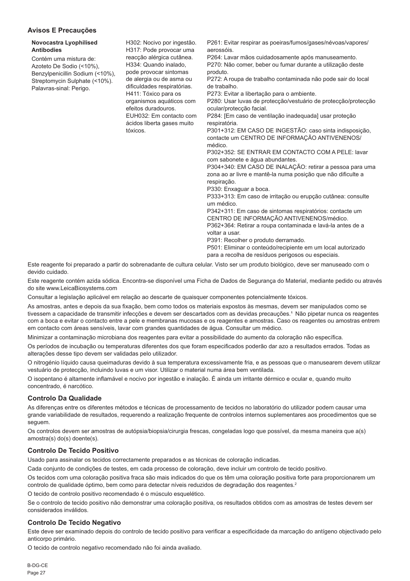## **Avisos E Precauções**

#### **Novocastra Lyophilised Antibodies**

Contém uma mistura de: Azoteto De Sodio (<10%) Benzylpenicillin Sodium (<10%), Streptomycin Sulphate (<10%). Palavras-sinal: Perigo.

H302: Nocivo por ingestão. H317: Pode provocar uma reacção alérgica cutânea. H334: Quando inalado, pode provocar sintomas de alergia ou de asma ou dificuldades respiratórias. H411: Tóxico para os organismos aquáticos com efeitos duradouros. EUH032: Em contacto com ácidos liberta gases muito tóxicos.

P261: Evitar respirar as poeiras/fumos/gases/névoas/vapores/ aerossóis.

P264: Lavar mãos cuidadosamente após manuseamento. P270: Não comer, beber ou fumar durante a utilização deste produto.

P272: A roupa de trabalho contaminada não pode sair do local de trabalho.

P273: Evitar a libertação para o ambiente.

P280: Usar luvas de protecção/vestuário de protecção/protecção ocular/protecção facial.

P284: [Em caso de ventilação inadequada] usar proteção respiratória.

P301+312: EM CASO DE INGESTÃO: caso sinta indisposição, contacte um CENTRO DE INFORMAÇÃO ANTIVENENOS/ médico.

P302+352: SE ENTRAR EM CONTACTO COM A PELE: lavar com sabonete e água abundantes.

P304+340: EM CASO DE INALAÇÃO: retirar a pessoa para uma zona ao ar livre e mantê-la numa posição que não dificulte a respiração.

P330: Enxaguar a boca.

P333+313: Em caso de irritação ou erupção cutânea: consulte um médico.

P342+311: Em caso de sintomas respiratórios: contacte um CENTRO DE INFORMAÇÃO ANTIVENENOS/médico. P362+364: Retirar a roupa contaminada e lavá-la antes de a voltar a usar.

P391: Recolher o produto derramado.

P501: Eliminar o conteúdo/recipiente em um local autorizado para a recolha de resíduos perigosos ou especiais.

Este reagente foi preparado a partir do sobrenadante de cultura celular. Visto ser um produto biológico, deve ser manuseado com o devido cuidado.

Este reagente contém azida sódica. Encontra-se disponível uma Ficha de Dados de Segurança do Material, mediante pedido ou através do site www.LeicaBiosystems.com

Consultar a legislação aplicável em relação ao descarte de quaisquer componentes potencialmente tóxicos.

As amostras, antes e depois da sua fixação, bem como todos os materiais expostos às mesmas, devem ser manipulados como se tivessem a capacidade de transmitir infecções e devem ser descartados com as devidas precauções.<sup>1</sup> Não pipetar nunca os reagentes com a boca e evitar o contacto entre a pele e membranas mucosas e os reagentes e amostras. Caso os reagentes ou amostras entrem em contacto com áreas sensíveis, lavar com grandes quantidades de água. Consultar um médico.

Minimizar a contaminação microbiana dos reagentes para evitar a possibilidade do aumento da coloração não específica.

Os períodos de incubação ou temperaturas diferentes dos que foram especificados poderão dar azo a resultados errados. Todas as alterações desse tipo devem ser validadas pelo utilizador.

O nitrogénio líquido causa queimaduras devido à sua temperatura excessivamente fria, e as pessoas que o manusearem devem utilizar vestuário de protecção, incluindo luvas e um visor. Utilizar o material numa área bem ventilada.

O isopentano é altamente inflamável e nocivo por ingestão e inalação. É ainda um irritante dérmico e ocular e, quando muito concentrado, é narcótico.

#### **Controlo Da Qualidade**

As diferenças entre os diferentes métodos e técnicas de processamento de tecidos no laboratório do utilizador podem causar uma grande variabilidade de resultados, requerendo a realização frequente de controlos internos suplementares aos procedimentos que se seguem.

Os controlos devem ser amostras de autópsia/biopsia/cirurgia frescas, congeladas logo que possível, da mesma maneira que a(s) amostra(s) do(s) doente(s).

#### **Controlo De Tecido Positivo**

Usado para assinalar os tecidos correctamente preparados e as técnicas de coloração indicadas.

Cada conjunto de condições de testes, em cada processo de coloração, deve incluir um controlo de tecido positivo.

Os tecidos com uma coloração positiva fraca são mais indicados do que os têm uma coloração positiva forte para proporcionarem um controlo de qualidade óptimo, bem como para detectar níveis reduzidos de degradação dos reagentes.<sup>2</sup>

O tecido de controlo positivo recomendado é o músculo esquelético.

Se o controlo de tecido positivo não demonstrar uma coloração positiva, os resultados obtidos com as amostras de testes devem ser considerados inválidos.

## **Controlo De Tecido Negativo**

Este deve ser examinado depois do controlo de tecido positivo para verificar a especificidade da marcação do antígeno objectivado pelo anticorpo primário.

O tecido de controlo negativo recomendado não foi ainda avaliado.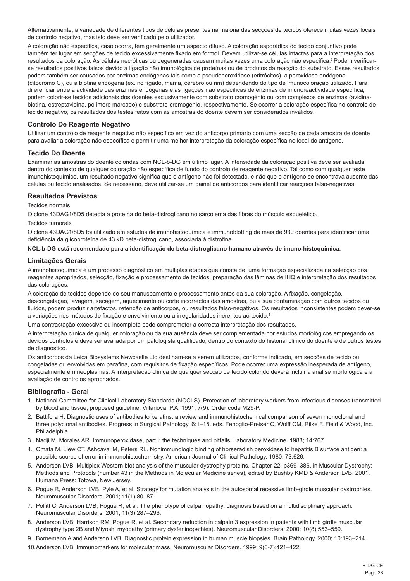Alternativamente, a variedade de diferentes tipos de células presentes na maioria das secções de tecidos oferece muitas vezes locais de controlo negativo, mas isto deve ser verificado pelo utilizador.

A coloração não específica, caso ocorra, tem geralmente um aspecto difuso. A coloração esporádica do tecido conjuntivo pode também ter lugar em secções de tecido excessivamente fixado em formol. Devem utilizar-se células intactas para a interpretação dos resultados da coloração. As células necróticas ou degeneradas causam muitas vezes uma coloração não específica.<sup>3</sup> Podem verificarse resultados positivos falsos devido à ligação não imunológica de proteínas ou de produtos da reacção do substrato. Esses resultados podem também ser causados por enzimas endógenas tais como a pseudoperoxidase (eritrócitos), a peroxidase endógena (citocromo C), ou a biotina endógena (ex. no fígado, mama, cérebro ou rim) dependendo do tipo de imunocoloração utilizado. Para diferenciar entre a actividade das enzimas endógenas e as ligações não específicas de enzimas de imunoreactividade específica, podem colorir-se tecidos adicionais dos doentes exclusivamente com substrato cromogénio ou com complexos de enzimas (avidinabiotina, estreptavidina, polímero marcado) e substrato-cromogénio, respectivamente. Se ocorrer a coloração específica no controlo de tecido negativo, os resultados dos testes feitos com as amostras do doente devem ser considerados inválidos.

#### **Controlo De Reagente Negativo**

Utilizar um controlo de reagente negativo não específico em vez do anticorpo primário com uma secção de cada amostra de doente para avaliar a coloração não específica e permitir uma melhor interpretação da coloração específica no local do antígeno.

#### **Tecido Do Doente**

Examinar as amostras do doente coloridas com NCL-b-DG em último lugar. A intensidade da coloração positiva deve ser avaliada dentro do contexto de qualquer coloração não específica de fundo do controlo de reagente negativo. Tal como com qualquer teste imunohistoquímico, um resultado negativo significa que o antígeno não foi detectado, e não que o antígeno se encontrava ausente das células ou tecido analisados. Se necessário, deve utilizar-se um painel de anticorpos para identificar reacções falso-negativas.

#### **Resultados Previstos**

#### Tecidos normais

O clone 43DAG1/8D5 detecta a proteína do beta-distroglicano no sarcolema das fibras do músculo esquelético.

#### Tecidos tumorais

O clone 43DAG1/8D5 foi utilizado em estudos de imunohistoquímica e immunoblotting de mais de 930 doentes para identificar uma deficiência da glicoproteína de 43 kD beta-distroglicano, associada à distrofina.

## **NCL-b-DG está recomendado para a identificação do beta-distroglicano humano através de imuno-histoquímica.**

#### **Limitações Gerais**

A imunohistoquímica é um processo diagnóstico em múltiplas etapas que consta de: uma formação especializada na selecção dos reagentes apropriados, selecção, fixação e processamento de tecidos, preparação das lâminas de IHQ e interpretação dos resultados das colorações.

A coloração de tecidos depende do seu manuseamento e processamento antes da sua coloração. A fixação, congelação, descongelação, lavagem, secagem, aquecimento ou corte incorrectos das amostras, ou a sua contaminação com outros tecidos ou fluidos, podem produzir artefactos, retenção de anticorpos, ou resultados falso-negativos. Os resultados inconsistentes podem dever-se a variações nos métodos de fixação e envolvimento ou a irregularidades inerentes ao tecido.<sup>4</sup>

Uma contrastação excessiva ou incompleta pode comprometer a correcta interpretação dos resultados.

A interpretação clínica de qualquer coloração ou da sua ausência deve ser complementada por estudos morfológicos empregando os devidos controlos e deve ser avaliada por um patologista qualificado, dentro do contexto do historial clínico do doente e de outros testes de diagnóstico.

Os anticorpos da Leica Biosystems Newcastle Ltd destinam-se a serem utilizados, conforme indicado, em secções de tecido ou congeladas ou envolvidas em parafina, com requisitos de fixação específicos. Pode ocorrer uma expressão inesperada de antígeno, especialmente em neoplasmas. A interpretação clínica de qualquer secção de tecido colorido deverá incluir a análise morfológica e a avaliação de controlos apropriados.

#### **Bibliografia - Geral**

- 1. National Committee for Clinical Laboratory Standards (NCCLS). Protection of laboratory workers from infectious diseases transmitted by blood and tissue; proposed guideline. Villanova, P.A. 1991; 7(9). Order code M29-P.
- 2. Battifora H. Diagnostic uses of antibodies to keratins: a review and immunohistochemical comparison of seven monoclonal and three polyclonal antibodies. Progress in Surgical Pathology. 6:1–15. eds. Fenoglio-Preiser C, Wolff CM, Rilke F. Field & Wood, Inc., Philadelphia.
- 3. Nadji M, Morales AR. Immunoperoxidase, part I: the techniques and pitfalls. Laboratory Medicine. 1983; 14:767.
- 4. Omata M, Liew CT, Ashcavai M, Peters RL. Nonimmunologic binding of horseradish peroxidase to hepatitis B surface antigen: a possible source of error in immunohistochemistry. American Journal of Clinical Pathology. 1980; 73:626.
- 5. Anderson LVB. Multiplex Western blot analysis of the muscular dystrophy proteins. Chapter 22, p369–386, in Muscular Dystrophy: Methods and Protocols (number 43 in the Methods in Molecular Medicine series), edited by Bushby KMD & Anderson LVB. 2001. Humana Press: Totowa, New Jersey.
- 6. Pogue R, Anderson LVB, Pyle A, et al. Strategy for mutation analysis in the autosomal recessive limb-girdle muscular dystrophies. Neuromuscular Disorders. 2001; 11(1):80–87.
- 7. Pollitt C, Anderson LVB, Pogue R, et al. The phenotype of calpainopathy: diagnosis based on a multidisciplinary approach. Neuromuscular Disorders. 2001; 11(3):287–296.
- 8. Anderson LVB, Harrison RM, Pogue R, et al. Secondary reduction in calpain 3 expression in patients with limb girdle muscular dystrophy type 2B and Miyoshi myopathy (primary dysferlinopathies). Neuromuscular Disorders. 2000; 10(8):553–559.
- 9. Bornemann A and Anderson LVB. Diagnostic protein expression in human muscle biopsies. Brain Pathology. 2000; 10:193–214.
- 10.Anderson LVB. Immunomarkers for molecular mass. Neuromuscular Disorders. 1999; 9(6-7):421–422.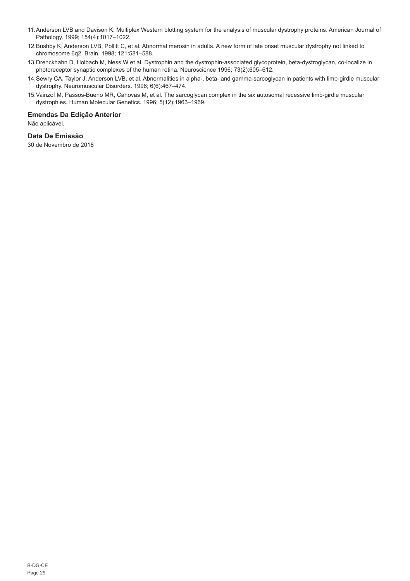- 11.Anderson LVB and Davison K. Multiplex Western blotting system for the analysis of muscular dystrophy proteins. American Journal of Pathology. 1999; 154(4):1017–1022.
- 12.Bushby K, Anderson LVB, Pollitt C, et al. Abnormal merosin in adults. A new form of late onset muscular dystrophy not linked to chromosome 6q2. Brain. 1998; 121:581–588.
- 13.Drenckhahn D, Holbach M, Ness W et al. Dystrophin and the dystrophin-associated glycoprotein, beta-dystroglycan, co-localize in photoreceptor synaptic complexes of the human retina. Neuroscience 1996; 73(2):605–612.
- 14.Sewry CA, Taylor J, Anderson LVB, et al. Abnormalities in alpha-, beta- and gamma-sarcoglycan in patients with limb-girdle muscular dystrophy. Neuromuscular Disorders. 1996; 6(6):467–474.
- 15.Vainzof M, Passos-Bueno MR, Canovas M, et al. The sarcoglycan complex in the six autosomal recessive limb-girdle muscular dystrophies. Human Molecular Genetics. 1996; 5(12):1963–1969.

## **Emendas Da Edição Anterior**

Não aplicável.

## **Data De Emissão**

30 de Novembro de 2018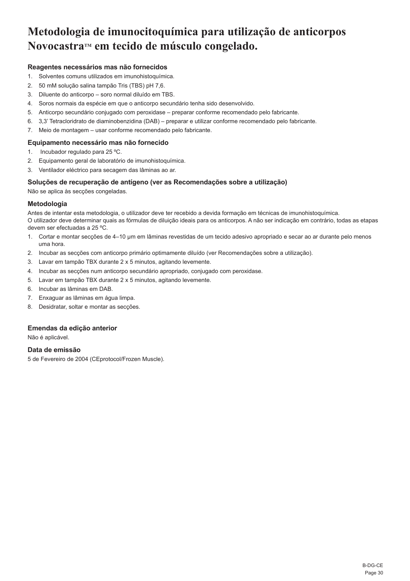## **Metodologia de imunocitoquímica para utilização de anticorpos NovocastraTM em tecido de músculo congelado.**

## **Reagentes necessários mas não fornecidos**

- 1. Solventes comuns utilizados em imunohistoquímica.
- 2. 50 mM solução salina tampão Tris (TBS) pH 7,6.
- 3. Diluente do anticorpo soro normal diluído em TBS.
- 4. Soros normais da espécie em que o anticorpo secundário tenha sido desenvolvido.
- 5. Anticorpo secundário conjugado com peroxidase preparar conforme recomendado pelo fabricante.
- 6. 3,3' Tetracloridrato de diaminobenzidina (DAB) preparar e utilizar conforme recomendado pelo fabricante.
- 7. Meio de montagem usar conforme recomendado pelo fabricante.

## **Equipamento necessário mas não fornecido**

- 1. Incubador regulado para 25 ºC.
- 2. Equipamento geral de laboratório de imunohistoquímica.
- 3. Ventilador eléctrico para secagem das lâminas ao ar.

## **Soluções de recuperação de antígeno (ver as Recomendações sobre a utilização)**

Não se aplica às secções congeladas.

## **Metodologia**

Antes de intentar esta metodologia, o utilizador deve ter recebido a devida formação em técnicas de imunohistoquímica.

O utilizador deve determinar quais as fórmulas de diluição ideais para os anticorpos. A não ser indicação em contrário, todas as etapas devem ser efectuadas a 25 ºC.

- 1. Cortar e montar secções de 4–10 μm em lâminas revestidas de um tecido adesivo apropriado e secar ao ar durante pelo menos uma hora.
- 2. Incubar as secções com anticorpo primário optimamente diluído (ver Recomendações sobre a utilização).
- 3. Lavar em tampão TBX durante 2 x 5 minutos, agitando levemente.
- 4. Incubar as secções num anticorpo secundário apropriado, conjugado com peroxidase.
- 5. Lavar em tampão TBX durante 2 x 5 minutos, agitando levemente.
- 6. Incubar as lâminas em DAB.
- 7. Enxaguar as lâminas em água limpa.
- 8. Desidratar, soltar e montar as secções.

## **Emendas da edição anterior**

Não é aplicável.

## **Data de emissão**

5 de Fevereiro de 2004 (CEprotocol/Frozen Muscle).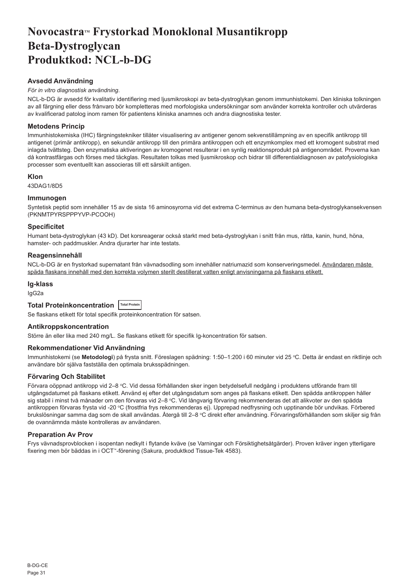## <span id="page-31-0"></span>**NovocastraTM Frystorkad Monoklonal Musantikropp Beta-Dystroglycan Produktkod: NCL-b-DG**

## **Avsedd Användning**

#### *För in vitro diagnostisk användning*.

NCL-b-DG är avsedd för kvalitativ identifiering med ljusmikroskopi av beta-dystroglykan genom immunhistokemi. Den kliniska tolkningen av all färgning eller dess frånvaro bör kompletteras med morfologiska undersökningar som använder korrekta kontroller och utvärderas av kvalificerad patolog inom ramen för patientens kliniska anamnes och andra diagnostiska tester.

## **Metodens Princip**

Immunhistokemiska (IHC) färgningstekniker tillåter visualisering av antigener genom sekvenstillämpning av en specifik antikropp till antigenet (primär antikropp), en sekundär antikropp till den primära antikroppen och ett enzymkomplex med ett kromogent substrat med inlagda tvättsteg. Den enzymatiska aktiveringen av kromogenet resulterar i en synlig reaktionsprodukt på antigenområdet. Proverna kan då kontrastfärgas och förses med täckglas. Resultaten tolkas med ljusmikroskop och bidrar till differentialdiagnosen av patofysiologiska processer som eventuellt kan associeras till ett särskilt antigen.

## **Klon**

43DAG1/8D5

## **Immunogen**

Syntetisk peptid som innehåller 15 av de sista 16 aminosyrorna vid det extrema C-terminus av den humana beta-dystroglykansekvensen (PKNMTPYRSPPPYVP-PCOOH)

#### **Specificitet**

Humant beta-dystroglykan (43 kD). Det korsreagerar också starkt med beta-dystroglykan i snitt från mus, råtta, kanin, hund, höna, hamster- och paddmuskler. Andra djurarter har inte testats.

#### **Reagensinnehåll**

NCL-b-DG är en frystorkad supernatant från vävnadsodling som innehåller natriumazid som konserveringsmedel. Användaren måste späda flaskans innehåll med den korrekta volymen sterilt destillerat vatten enligt anvisningarna på flaskans etikett.

#### **Ig-klass**

IgG2a

## **Total Proteinkoncentration Total Protein**

Se flaskans etikett för total specifik proteinkoncentration för satsen.

#### **Antikroppskoncentration**

Större än eller lika med 240 mg/L. Se flaskans etikett för specifik Ig-koncentration för satsen.

## **Rekommendationer Vid Användning**

Immunhistokemi (se **Metodologi**) på frysta snitt. Föreslagen spädning: 1:50–1:200 i 60 minuter vid 25 °C. Detta är endast en riktlinje och användare bör själva fastställa den optimala bruksspädningen.

## **Förvaring Och Stabilitet**

Förvara oöppnad antikropp vid 2–8 °C. Vid dessa förhållanden sker ingen betydelsefull nedgång i produktens utförande fram till utgångsdatumet på flaskans etikett. Använd ej efter det utgångsdatum som anges på flaskans etikett. Den spädda antikroppen håller sig stabil i minst två månader om den förvaras vid 2–8 °C. Vid långvarig förvaring rekommenderas det att alikvoter av den spädda antikroppen förvaras frysta vid -20 °C (frostfria frys rekommenderas ej). Upprepad nedfrysning och upptinande bör undvikas. Förbered brukslösningar samma dag som de skall användas. Atergå till 2–8 °C direkt efter användning. Förvaringsförhållanden som skiljer sig från de ovannämnda måste kontrolleras av användaren.

#### **Preparation Av Prov**

Frys vävnadsprovblocken i isopentan nedkylt i flytande kväve (se Varningar och Försiktighetsåtgärder). Proven kräver ingen ytterligare fixering men bör bäddas in i OCT™-förening (Sakura, produktkod Tissue-Tek 4583).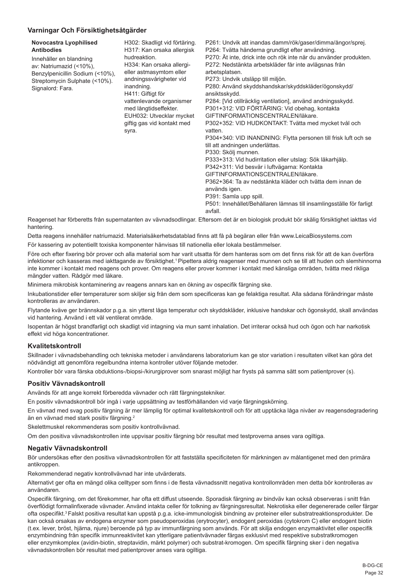## **Varningar Och Försiktighetsåtgärder**

| Novocastra Lyophilised<br><b>Antibodies</b><br>Innehåller en blandning<br>av: Natriumazid (<10%),<br>Benzylpenicillin Sodium (<10%),<br>Streptomycin Sulphate (<10%).<br>Signalord: Fara. | H302: Skadligt vid förtäring.<br>H317: Kan orsaka allergisk<br>hudreaktion.<br>H334: Kan orsaka allergi-<br>eller astmasymtom eller<br>andningssvårigheter vid<br>inandning.<br>H411: Giftigt för<br>vattenlevande organismer<br>med långtidseffekter.<br>EUH032: Utvecklar mycket<br>giftig gas vid kontakt med<br>syra. | P261: Undvik att inandas damm/rök/gaser/dimma/ångor/sprej.<br>P264: Tvätta händerna grundligt efter användning.<br>P270: Ät inte, drick inte och rök inte när du använder produkten.<br>P272: Nedstänkta arbetskläder får inte avlägsnas från<br>arbetsplatsen.<br>P273: Undvik utsläpp till miljön.<br>P280: Använd skyddshandskar/skyddskläder/ögonskydd/<br>ansiktsskydd.<br>P284: [Vid otillräcklig ventilation], använd andningsskydd.<br>P301+312: VID FÖRTÄRING: Vid obehag, kontakta<br>GIFTINFORMATIONSCENTRALEN/läkare.<br>P302+352: VID HUDKONTAKT: Tvätta med mycket tvål och<br>vatten.<br>P304+340: VID INANDNING: Flytta personen till frisk luft och se<br>till att andningen underlättas.<br>P330: Skölj munnen.<br>P333+313: Vid hudirritation eller utslag: Sök läkarhjälp.<br>P342+311: Vid besvär i luftvägarna: Kontakta<br>GIFTINFORMATIONSCENTRALEN/läkare.<br>P362+364: Ta av nedstänkta kläder och tvätta dem innan de<br>används igen.<br>P391: Samla upp spill. |
|-------------------------------------------------------------------------------------------------------------------------------------------------------------------------------------------|---------------------------------------------------------------------------------------------------------------------------------------------------------------------------------------------------------------------------------------------------------------------------------------------------------------------------|---------------------------------------------------------------------------------------------------------------------------------------------------------------------------------------------------------------------------------------------------------------------------------------------------------------------------------------------------------------------------------------------------------------------------------------------------------------------------------------------------------------------------------------------------------------------------------------------------------------------------------------------------------------------------------------------------------------------------------------------------------------------------------------------------------------------------------------------------------------------------------------------------------------------------------------------------------------------------------------------|
|                                                                                                                                                                                           |                                                                                                                                                                                                                                                                                                                           | P501: Innehållet/Behållaren lämnas till insamlingsställe för farligt<br>avfall.                                                                                                                                                                                                                                                                                                                                                                                                                                                                                                                                                                                                                                                                                                                                                                                                                                                                                                             |

Reagenset har förberetts från supernatanten av vävnadsodlingar. Eftersom det är en biologisk produkt bör skälig försiktighet iakttas vid hantering.

Detta reagens innehåller natriumazid. Materialsäkerhetsdatablad finns att få på begäran eller från www.LeicaBiosystems.com

För kassering av potentiellt toxiska komponenter hänvisas till nationella eller lokala bestämmelser.

Före och efter fixering bör prover och alla material som har varit utsatta för dem hanteras som om det finns risk för att de kan överföra infektioner och kasseras med iakttagande av försiktighet.<sup>1</sup> Pipettera aldrig reagenser med munnen och se till att huden och slemhinnorna inte kommer i kontakt med reagens och prover. Om reagens eller prover kommer i kontakt med känsliga områden, tvätta med rikliga mängder vatten. Rådgör med läkare.

Minimera mikrobisk kontaminering av reagens annars kan en ökning av ospecifik färgning ske.

Inkubationstider eller temperaturer som skiljer sig från dem som specificeras kan ge felaktiga resultat. Alla sådana förändringar måste kontrolleras av användaren.

Flytande kväve ger brännskador p.g.a. sin ytterst låga temperatur och skyddskläder, inklusive handskar och ögonskydd, skall användas vid hantering. Använd i ett väl ventilerat område.

Isopentan är högst brandfarligt och skadligt vid intagning via mun samt inhalation. Det irriterar också hud och ögon och har narkotisk effekt vid höga koncentrationer.

## **Kvalitetskontroll**

Skillnader i vävnadsbehandling och tekniska metoder i användarens laboratorium kan ge stor variation i resultaten vilket kan göra det nödvändigt att genomföra regelbundna interna kontroller utöver följande metoder.

Kontroller bör vara färska obduktions-/biopsi-/kirurgiprover som snarast möjligt har frysts på samma sätt som patientprover (s).

## **Positiv Vävnadskontroll**

Används för att ange korrekt förberedda vävnader och rätt färgningstekniker.

En positiv vävnadskontroll bör ingå i varje uppsättning av testförhållanden vid varje färgningskörning.

En vävnad med svag positiv färgning är mer lämplig för optimal kvalitetskontroll och för att upptäcka låga nivåer av reagensdegradering än en vävnad med stark positiv färgning.<sup>2</sup>

Skelettmuskel rekommenderas som positiv kontrollvävnad.

Om den positiva vävnadskontrollen inte uppvisar positiv färgning bör resultat med testproverna anses vara ogiltiga.

#### **Negativ Vävnadskontroll**

Bör undersökas efter den positiva vävnadskontrollen för att fastställa specificiteten för märkningen av målantigenet med den primära antikroppen.

Rekommenderad negativ kontrollvävnad har inte utvärderats.

Alternativt ger ofta en mängd olika celltyper som finns i de flesta vävnadssnitt negativa kontrollområden men detta bör kontrolleras av användaren.

Ospecifik färgning, om det förekommer, har ofta ett diffust utseende. Sporadisk färgning av bindväv kan också observeras i snitt från överflödigt formalinfixerade vävnader. Använd intakta celler för tolkning av färgningsresultat. Nekrotiska eller degenererade celler färgar ofta ospecifikt.<sup>3</sup>Falskt positiva resultat kan uppstå p.g.a. icke-immunologisk bindning av proteiner eller substratreaktionsprodukter. De kan också orsakas av endogena enzymer som pseudoperoxidas (erytrocyter), endogent peroxidas (cytokrom C) eller endogent biotin (t.ex. lever, bröst, hjärna, njure) beroende på typ av immunfärgning som används. För att skilja endogen enzymaktivitet eller ospecifik enzymbindning från specifik immunreaktivitet kan ytterligare patientvävnader färgas exklusivt med respektive substratkromogen eller enzymkomplex (avidin-biotin, streptavidin, märkt polymer) och substrat-kromogen. Om specifik färgning sker i den negativa vävnadskontrollen bör resultat med patientprover anses vara ogiltiga.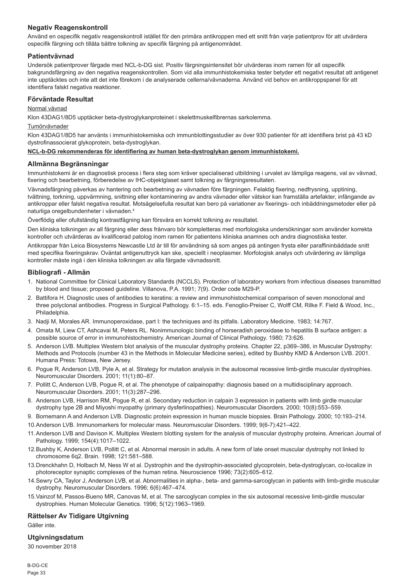## **Negativ Reagenskontroll**

Använd en ospecifik negativ reagenskontroll istället för den primära antikroppen med ett snitt från varje patientprov för att utvärdera ospecifik färgning och tillåta bättre tolkning av specifik färgning på antigenområdet.

## **Patientvävnad**

Undersök patientprover färgade med NCL-b-DG sist. Positiv färgningsintensitet bör utvärderas inom ramen för all ospecifik bakgrundsfärgning av den negativa reagenskontrollen. Som vid alla immunhistokemiska tester betyder ett negativt resultat att antigenet inte upptäcktes och inte att det inte förekom i de analyserade cellerna/vävnaderna. Använd vid behov en antikroppspanel för att identifiera falskt negativa reaktioner.

## **Förväntade Resultat**

#### Normal vävnad

Klon 43DAG1/8D5 upptäcker beta-dystroglykanproteinet i skelettmuskelfibrernas sarkolemma.

#### Tumörvävnader

Klon 43DAG1/8D5 har använts i immunhistokemiska och immunblottingsstudier av över 930 patienter för att identifiera brist på 43 kD dystrofinassocierat glykoprotein, beta-dystroglykan.

#### **NCL-b-DG rekommenderas för identifiering av human beta-dystroglykan genom immunhistokemi.**

#### **Allmänna Begränsningar**

Immunhistokemi är en diagnostisk process i flera steg som kräver specialiserad utbildning i urvalet av lämpliga reagens, val av vävnad, fixering och bearbetning, förberedelse av IHC-objektglaset samt tolkning av färgningsresultaten.

Vävnadsfärgning påverkas av hantering och bearbetning av vävnaden före färgningen. Felaktig fixering, nedfrysning, upptining, tvättning, torkning, uppvärmning, snittning eller kontaminering av andra vävnader eller vätskor kan framställa artefakter, infångande av antikroppar eller falskt negativa resultat. Motsägelsefulla resultat kan bero på variationer av fixerings- och inbäddningsmetoder eller på naturliga oregelbundenheter i vävnaden.<sup>4</sup>

Överflödig eller ofullständig kontrastfägning kan försvåra en korrekt tolkning av resultatet.

Den kliniska tolkningen av all färgning eller dess frånvaro bör kompletteras med morfologiska undersökningar som använder korrekta kontroller och utvärderas av kvalificerad patolog inom ramen för patientens kliniska anamnes och andra diagnostiska tester.

Antikroppar från Leica Biosystems Newcastle Ltd är till för användning så som anges på antingen frysta eller paraffininbäddade snitt med specifika fixeringskrav. Oväntat antigenuttryck kan ske, speciellt i neoplasmer. Morfologisk analys och utvärdering av lämpliga kontroller måste ingå i den kliniska tolkningen av alla färgade vävnadssnitt.

## **Bibliografi - Allmän**

- 1. National Committee for Clinical Laboratory Standards (NCCLS). Protection of laboratory workers from infectious diseases transmitted by blood and tissue; proposed guideline. Villanova, P.A. 1991; 7(9). Order code M29-P.
- 2. Battifora H. Diagnostic uses of antibodies to keratins: a review and immunohistochemical comparison of seven monoclonal and three polyclonal antibodies. Progress in Surgical Pathology. 6:1–15. eds. Fenoglio-Preiser C, Wolff CM, Rilke F. Field & Wood, Inc., Philadelphia.
- 3. Nadji M, Morales AR. Immunoperoxidase, part I: the techniques and its pitfalls. Laboratory Medicine. 1983; 14:767.
- 4. Omata M, Liew CT, Ashcavai M, Peters RL. Nonimmunologic binding of horseradish peroxidase to hepatitis B surface antigen: a possible source of error in immunohistochemistry. American Journal of Clinical Pathology. 1980; 73:626.
- 5. Anderson LVB. Multiplex Western blot analysis of the muscular dystrophy proteins. Chapter 22, p369–386, in Muscular Dystrophy: Methods and Protocols (number 43 in the Methods in Molecular Medicine series), edited by Bushby KMD & Anderson LVB. 2001. Humana Press: Totowa, New Jersey.
- 6. Pogue R, Anderson LVB, Pyle A, et al. Strategy for mutation analysis in the autosomal recessive limb-girdle muscular dystrophies. Neuromuscular Disorders. 2001; 11(1):80–87.
- 7. Pollitt C, Anderson LVB, Pogue R, et al. The phenotype of calpainopathy: diagnosis based on a multidisciplinary approach. Neuromuscular Disorders. 2001; 11(3):287–296.
- 8. Anderson LVB, Harrison RM, Pogue R, et al. Secondary reduction in calpain 3 expression in patients with limb girdle muscular dystrophy type 2B and Miyoshi myopathy (primary dysferlinopathies). Neuromuscular Disorders. 2000; 10(8):553–559.
- 9. Bornemann A and Anderson LVB. Diagnostic protein expression in human muscle biopsies. Brain Pathology. 2000; 10:193–214.
- 10.Anderson LVB. Immunomarkers for molecular mass. Neuromuscular Disorders. 1999; 9(6-7):421–422.
- 11.Anderson LVB and Davison K. Multiplex Western blotting system for the analysis of muscular dystrophy proteins. American Journal of Pathology. 1999; 154(4):1017–1022.
- 12.Bushby K, Anderson LVB, Pollitt C, et al. Abnormal merosin in adults. A new form of late onset muscular dystrophy not linked to chromosome 6q2. Brain. 1998; 121:581–588.
- 13.Drenckhahn D, Holbach M, Ness W et al. Dystrophin and the dystrophin-associated glycoprotein, beta-dystroglycan, co-localize in photoreceptor synaptic complexes of the human retina. Neuroscience 1996; 73(2):605–612.
- 14.Sewry CA, Taylor J, Anderson LVB, et al. Abnormalities in alpha-, beta- and gamma-sarcoglycan in patients with limb-girdle muscular dystrophy. Neuromuscular Disorders. 1996; 6(6):467–474.
- 15.Vainzof M, Passos-Bueno MR, Canovas M, et al. The sarcoglycan complex in the six autosomal recessive limb-girdle muscular dystrophies. Human Molecular Genetics. 1996; 5(12):1963–1969.

## **Rättelser Av Tidigare Utgivning**

Gäller inte.

## **Utgivningsdatum**

30 november 2018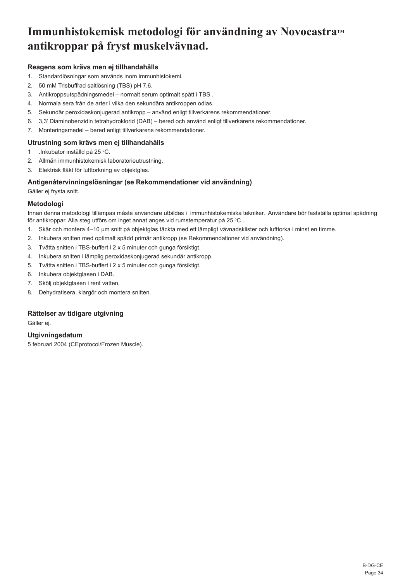## **Immunhistokemisk metodologi för användning av Novocastra™ antikroppar på fryst muskelvävnad.**

## **Reagens som krävs men ej tillhandahålls**

- 1. Standardlösningar som används inom immunhistokemi.
- 2. 50 mM Trisbuffrad saltlösning (TBS) pH 7,6.
- 3. Antikroppsutspädningsmedel normalt serum optimalt spätt i TBS .
- 4. Normala sera från de arter i vilka den sekundära antikroppen odlas.
- 5. Sekundär peroxidaskonjugerad antikropp använd enligt tillverkarens rekommendationer.
- 6. 3,3' Diaminobenzidin tetrahydroklorid (DAB) bered och använd enligt tillverkarens rekommendationer.
- 7. Monteringsmedel bered enligt tillverkarens rekommendationer.

## **Utrustning som krävs men ej tillhandahålls**

- 1 .Inkubator inställd på 25 °C.
- 2. Allmän immunhistokemisk laboratorieutrustning.
- 3. Elektrisk fläkt för lufttorkning av objektglas.

## **Antigenåtervinningslösningar (se Rekommendationer vid användning)**

Gäller ej frysta snitt.

## **Metodologi**

Innan denna metodologi tillämpas måste användare utbildas i immunhistokemiska tekniker. Användare bör fastställa optimal spädning för antikroppar. Alla steg utförs om inget annat anges vid rumstemperatur på 25 °C .

- 1. Skär och montera 4–10 μm snitt på objektglas täckta med ett lämpligt vävnadsklister och lufttorka i minst en timme.
- 2. Inkubera snitten med optimalt spädd primär antikropp (se Rekommendationer vid användning).
- 3. Tvätta snitten i TBS-buffert i 2 x 5 minuter och gunga försiktigt.
- 4. Inkubera snitten i lämplig peroxidaskonjugerad sekundär antikropp.
- 5. Tvätta snitten i TBS-buffert i 2 x 5 minuter och gunga försiktigt.
- 6. Inkubera objektglasen i DAB.
- 7. Skölj objektglasen i rent vatten.
- 8. Dehydratisera, klargör och montera snitten.

## **Rättelser av tidigare utgivning**

Gäller ej.

## **Utgivningsdatum**

5 februari 2004 (CEprotocol/Frozen Muscle).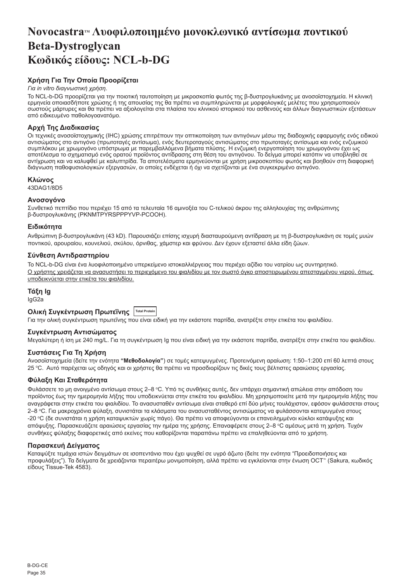## <span id="page-35-0"></span>**NovocastraTM Λυοφιλοποιημένο μονοκλωνικό αντίσωμα ποντικού Beta-Dystroglycan Κωδικός είδους: NCL-b-DG**

## **Χρήση Για Την Οποία Προορίζεται**

### *Για in vitro διαγνωστική χρήση*.

Το NCL-b-DG προορίζεται για την ποιοτική ταυτοποίηση με μικροσκοπία φωτός της β-δυστρογλυκάνης με ανοσοϊστοχημεία. Η κλινική ερμηνεία οποιασδήποτε χρώσης ή της απουσίας της θα πρέπει να συμπληρώνεται με μορφολογικές μελέτες που χρησιμοποιούν σωστούς μάρτυρες και θα πρέπει να αξιολογείται στα πλαίσια του κλινικού ιστορικού του ασθενούς και άλλων διαγνωστικών εξετάσεων από ειδικευμένο παθολογοανατόμο.

## **Αρχή Της Διαδικασίας**

Οι τεχνικές ανοσοϊστοχημικής (IHC) χρώσης επιτρέπουν την οπτικοποίηση των αντιγόνων μέσω της διαδοχικής εφαρμογής ενός ειδικού αντισώματος στο αντιγόνο (πρωτοταγές αντίσωμα), ενός δευτεροταγούς αντισώματος στο πρωτοταγές αντίσωμα και ενός ενζυμικού συμπλόκου με χρωμογόνο υπόστρωμα με παρεμβαλλόμενα βήματα πλύσης. Η ενζυμική ενεργοποίηση του χρωμογόνου έχει ως αποτέλεσμα το σχηματισμό ενός ορατού προϊόντος αντίδρασης στη θέση του αντιγόνου. Το δείγμα μπορεί κατόπιν να υποβληθεί σε αντίχρωση και να καλυφθεί με καλυπτρίδα. Τα αποτελέσματα ερμηνεύονται με χρήση μικροσκοπίου φωτός και βοηθούν στη διαφορική διάγνωση παθοφυσιολογικών εξεργασιών, οι οποίες ενδέχεται ή όχι να σχετίζονται με ένα συγκεκριμένο αντιγόνο.

## **Κλώνος**

43DAG1/8D5

#### **Ανοσογόνο**

Συνθετικό πεπτίδιο που περιέχει 15 από τα τελευταία 16 αμινοξέα του C-τελικού άκρου της αλληλουχίας της ανθρώπινης β-δυστρογλυκάνης (PKNMTPYRSPPPYVP-PCOOH).

#### **Ειδικότητα**

Ανθρώπινη β-δυστρογλυκάνη (43 kD). Παρουσιάζει επίσης ισχυρή διασταυρούμενη αντίδραση με τη β-δυστρογλυκάνη σε τομές μυών ποντικού, αρουραίου, κουνελιού, σκύλου, όρνιθας, χάμστερ και φρύνου. Δεν έχουν εξεταστεί άλλα είδη ζώων.

#### **Σύνθεση Αντιδραστηρίου**

Το NCL-b-DG είναι ένα λυοφιλοποιημένο υπερκείμενο ιστοκαλλιέργειας που περιέχει αζίδιο του νατρίου ως συντηρητικό. Ο χρήστης χρειάζεται να ανασυστήσει το περιεχόμενο του φιαλιδίου με τον σωστό όγκο αποστειρωμένου απεσταγμένου νερού, όπως υποδεικνύεται στην ετικέτα του φιαλιδίου.

**Τάξη Ig** IgG2a

## **Ολική Συγκέντρωση Πρωτεΐνης Total Protein**

Για την ολική συγκέντρωση πρωτεΐνης που είναι ειδική για την εκάστοτε παρτίδα, ανατρέξτε στην ετικέτα του φιαλιδίου.

## **Συγκέντρωση Αντισώματος**

Μεγαλύτερη ή ίση με 240 mg/L. Για τη συγκέντρωση Ig που είναι ειδική για την εκάστοτε παρτίδα, ανατρέξτε στην ετικέτα του φιαλιδίου.

## **Συστάσεις Για Τη Χρήση**

Ανοσοϊστοχημεία (δείτε την ενότητα **"Μεθοδολογία"**) σε τομές κατεψυγμένες. Προτεινόμενη αραίωση: 1:50–1:200 επί 60 λεπτά στους 25 °C. Αυτό παρέχεται ως οδηγός και οι χρήστες θα πρέπει να προσδιορίζουν τις δικές τους βέλτιστες αραιώσεις εργασίας.

## **Φύλαξη Και Σταθερότητα**

Φυλάσσετε το μη ανοιγμένο αντίσωμα στους 2–8 ℃. Υπό τις συνθήκες αυτές, δεν υπάρχει σημαντική απώλεια στην απόδοση του προϊόντος έως την ημερομηνία λήξης που υποδεικνύεται στην ετικέτα του φιαλιδίου. Μη χρησιμοποιείτε μετά την ημερομηνία λήξης που αναγράφεται στην ετικέτα του φιαλιδίου. Το ανασυσταθέν αντίσωμα είναι σταθερό επί δύο μήνες τουλάχιστον, εφόσον φυλάσσεται στους 2–8 °C. Για μακροχρόνια φύλαξη, συνιστάται τα κλάσματα του ανασυσταθέντος αντισώματος να φυλάσσονται κατεψυγμένα στους -20 °C (δε συνιστάται η χρήση καταψυκτών χωρίς πάγο). Θα πρέπει να αποφεύγονται οι επανειλημμένοι κύκλοι κατάψυξης και απόψυξης. Παρασκευάζετε αραιώσεις εργασίας την ημέρα της χρήσης. Επαναφέρετε στους 2–8 °C αμέσως μετά τη χρήση. Τυχόν συνθήκες φύλαξης διαφορετικές από εκείνες που καθορίζονται παραπάνω πρέπει να επαληθεύονται από το χρήστη.

#### **Παρασκευή Δείγματος**

Καταψύξτε τεμάχια ιστών δειγμάτων σε ισοπεντάνιο που έχει ψυχθεί σε υγρό άζωτο (δείτε την ενότητα "Προειδοποιήσεις και προφυλάξεις"). Τα δείγματα δε χρειάζονται περαιτέρω μονιμοποίηση, αλλά πρέπει να εγκλείονται στην ένωση OCT™ (Sakura, κωδικός είδους Tissue-Tek 4583).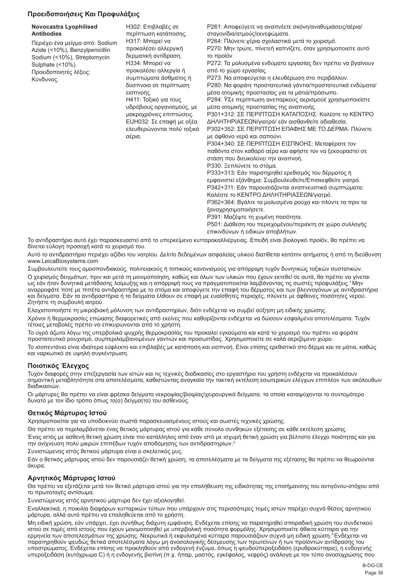## **Προειδοποιήσεις Και Προφυλάξεις**

## **Novocastra Lyophilised Antibodies**

Περιέχει ένα μείγμα από: Sodium Azide (<10%), Benzylpenicillin Sodium (<10%), Streptomycin Sulphate (<10%). Προειδοποιητές λέξεις: Κύνδυνος.

H302: Επιβλαβές σε περίπτωση κατάποσης. H317: Μπορεί να προκαλέσει αλλεργική δερματική αντίδραση. H334: Μπορεί να προκαλέσει αλλεργία ή συμπτώματα άσθματος ή δύσπνοια σε περίπτωση εισπνοής. H411: Τοξικό για τους υδρόβιους οργανισμούς, με μακροχρόνιες επιπτώσεις. EUH032: Σε επαφή με οξέα ελευθερώνονται πολύ τοξικά αέρια.

P261: Αποφεύγετε να αναπνέετε σκόνη/αναθυμιάσεις/αέρια/ σταγονίδια/ατμούς/εκνεφώματα.

P264: Πλύνετε χέρια σχολαστικά μετά το χειρισμό. P270: Μην τρώτε, πίνετεή καπνίζετε, όταν χρησιμοποιείτε αυτό το προϊόν.

P272: Τα μολυσμένα ενδύματα εργασίας δεν πρέπει να βγαίνουν από το χώρο εργασίας.

P273: Να αποφεύγεται η ελευθέρωση στο περιβάλλον. P280: Να φοράτε προστατευτικά γάντια/προστατευτικά ενδύματα/ μέσα ατομικής προστασίας για τα μάτια/πρόσωπο.

P284: ΫΣε περίπτωση ανεπαρκούς αερισμούέ χρησιμοποιείστε μέσα ατομικής προστασίας της αναπνοής.

P301+312: ΣΕ ΠΕΡΙΠΤΩΣΗ ΚΑΤΑΠΟΣΗΣ: Καλέστε το ΚΕΝΤΡΟ ΔΗΛΗΤΗΡΙΑΣΕΩΝ/γιατρό/ εάν αισθανθείτε αδιαθεσία. P302+352: ΣΕ ΠΕΡΙΠΤΩΣΗ ΕΠΑΦΗΣ ΜΕ ΤΟ ΔΕΡΜΑ: Πλύνετε

με άφθονο νερό και σαπούνι. P304+340: ΣΕ ΠΕΡΙΠΤΩΣΗ ΕΙΣΠΝΟΗΣ: Μεταφέρατε τον παθόντα στον καθαρό αέρα και αφήστε τον να ξεκουραστεί σε στάση που διευκολύνει την αναπνοή.

P330: Ξεπλύνετε το στόμα.

P333+313: Εάν παρατηρηθεί ερεθισμός του δέρματος ή εμφανιστεί εξάνθημα: Συμβουλευθείτε/Επισκεφθείτε γιατρό. P342+311: Εάν παρουσιάζονται αναπνευστικά συμπτώματα: Καλέστε το ΚΕΝΤΡΟ ΔΗΛΗΤΗΡΙΑΣΕΩΝ/γιατρό.

P362+364: Βγάλτε τα μολυσμένα ρούχα και πλύντε τα πριν τα ξαναχρησιμοποιήσετε.

P391: Μαζέψτε τη χυμένη ποσότητα.

P501: Διάθεση του περιεχομένου/περιέκτη σε χώρο συλλογής επικινδύνων ή ειδικών αποβλήτων.

Το αντιδραστήριο αυτό έχει παρασκευαστεί από το υπερκείμενο κυτταροκαλλιέργειας. Επειδή είναι βιολογικό προϊόν, θα πρέπει να δίνεται εύλογη προσοχή κατά το χειρισμό του.

Αυτό το αντιδραστήριο περιέχει αζίδιο του νατρίου. Δελτίο δεδομένων ασφαλείας υλικού διατίθεται κατόπιν αιτήματος ή από τη διεύθυνση www.LeicaBiosystems.com

Συμβουλευτείτε τους ομοσπονδιακούς, πολιτειακούς ή τοπικούς κανονισμούς για απόρριψη τυχόν δυνητικώς τοξικών συστατικών.

Ο χειρισμός δειγμάτων, πριν και μετά τη μονιμοποίηση, καθώς και όλων των υλικών που έχουν εκτεθεί σε αυτά, θα πρέπει να γίνεται ως εάν ήταν δυνητικά μετάδοσης λοίμωξης και η απόρριψή τους να πραγματοποιείται λαμβάνοντας τις σωστές προφυλάξεις.<sup>1</sup>Μην αναρροφάτε ποτέ με πιπέτα αντιδραστήρια με το στόμα και αποφύγετε την επαφή του δέρματος και των βλεννογόνων με αντιδραστήρια και δείγματα. Εάν τα αντιδραστήρια ή τα δείγματα έλθουν σε επαφή με ευαίσθητες περιοχές, πλύνετε με άφθονες ποσότητες νερού. Ζητήστε τη συμβουλή ιατρού.

Ελαχιστοποιήστε τη μικροβιακή μόλυνση των αντιδραστηρίων, διότι ενδέχεται να συμβεί αύξηση μη ειδικής χρώσης.

Χρόνοι ή θερμοκρασίες επώασης διαφορετικές από εκείνες που καθορίζονται ενδέχεται να δώσουν εσφαλμένα αποτελέσματα. Τυχόν τέτοιες μεταβολές πρέπει να επικυρώνονται από το χρήστη.

Το υγρό άζωτο λόγω της υπερβολικά ψυχρής θερμοκρασίας του προκαλεί εγκαύματα και κατά το χειρισμό του πρέπει να φοράτε προστατευτικό ρουχισμό, συμπεριλαμβανομένων γαντιών και προσωπίδας. Χρησιμοποιείτε σε καλά αεριζόμενο χώρο.

Το ισοπεντάνιο είναι ιδιαίτερα εύφλεκτο και επιβλαβές με κατάποση και εισπνοή. Είναι επίσης ερεθιστικό στο δέρμα και τα μάτια, καθώς και ναρκωτικό σε υψηλή συγκέντρωση.

## **Ποιοτικός Έλεγχος**

Τυχόν διαφορές στην επεξεργασία των ιστών και τις τεχνικές διαδικασίες στο εργαστήριο του χρήστη ενδέχεται να προκαλέσουν σημαντική μεταβλητότητα στα αποτελέσματα, καθιστώντας αναγκαία την τακτική εκτέλεση εσωτερικών ελέγχων επιπλέον των ακόλουθων διαδικασιών.

Οι μάρτυρες θα πρέπει να είναι φρέσκα δείγματα νεκροψίας/βιοψίας/χειρουργικά δείγματα, τα οποία καταψύχονται το συντομότερο δυνατό με τον ίδιο τρόπο όπως το(α) δείγμα(τα) του ασθενούς.

## **Θετικός Μάρτυρας Ιστού**

Χρησιμοποιείται για να υποδεικνύει σωστά παρασκευασμένους ιστούς και σωστές τεχνικές χρώσης.

Θα πρέπει να περιλαμβάνεται ένας θετικός μάρτυρας ιστού για κάθε σύνολο συνθηκών εξέτασης σε κάθε εκτέλεση χρώσης.

Ένας ιστός με ασθενή θετική χρώση είναι πιο κατάλληλος από έναν ιστό με ισχυρή θετική χρώση για βέλτιστο έλεγχο ποιότητας και για την ανίχνευση πολύ μικρών επιπέδων τυχόν αποδόμησης των αντιδραστηρίων.<sup>2</sup>

Συνιστώμενος ιστός θετικού μάρτυρα είναι ο σκελετικός μυς.

Εάν ο θετικός μάρτυρας ιστού δεν παρουσιάζει θετική χρώση, τα αποτελέσματα με τα δείγματα της εξέτασης θα πρέπει να θεωρούνται άκυρα.

## **Αρνητικός Μάρτυρας Ιστού**

Θα πρέπει να εξετάζεται μετά τον θετικό μάρτυρα ιστού για την επαλήθευση της ειδικότητας της επισήμανσης του αντιγόνου-στόχου από το πρωτοταγές αντίσωμα.

Συνιστώμενος ιστός αρνητικού μάρτυρα δεν έχει αξιολογηθεί.

Εναλλακτικά, η ποικιλία διαφόρων κυτταρικών τύπων που υπάρχουν στις περισσότερες τομές ιστών παρέχει συχνά θέσεις αρνητικού μάρτυρα, αλλά αυτό πρέπει να επαληθεύεται από το χρήστη.

Μη ειδική χρώση, εάν υπάρχει, έχει συνήθως διάχυτη εμφάνιση. Ενδέχεται επίσης να παρατηρηθεί σποραδική χρώση του συνδετικού ιστού σε τομές από ιστούς που έχουν μονιμοποιηθεί με υπερβολική ποσότητα φορμόλης. Χρησιμοποιείτε άθικτα κύτταρα για την ερμηνεία των αποτελεσμάτων της χρώσης. Νεκρωτικά ή εκφυλισμένα κύτταρα παρουσιάζουν συχνά μη ειδική χρώση.<sup>3</sup>Ενδέχεται να παρατηρηθούν ψευδώς θετικά αποτελέσματα λόγω μη ανοσολογικής δέσμευσης των πρωτεϊνών ή των προϊόντων αντίδρασης του υποστρώματος. Ενδέχεται επίσης να προκληθούν από ενδογενή ένζυμα, όπως η ψευδοϋπεροξειδάση (ερυθροκύτταρα), η ενδογενής υπεροξειδάση (κυτόχρωμα C) ή η ενδογενής βιοτίνη (π.χ. ήπαρ, μαστός, εγκέφαλος, νεφρός) ανάλογα με τον τύπο ανοσοχρώσης που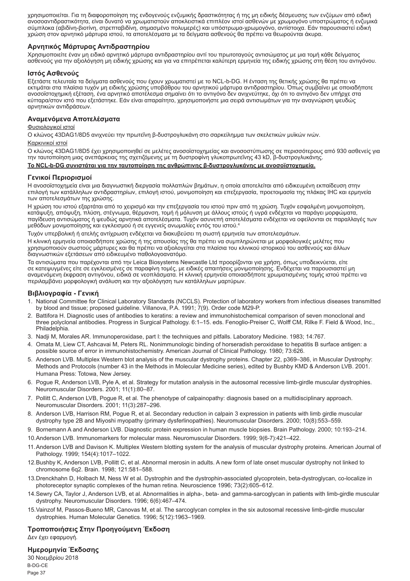χρησιμοποιείται. Για τη διαφοροποίηση της ενδογενούς ενζυμικής δραστικότητας ή της μη ειδικής δέσμευσης των ενζύμων από ειδική ανοσοαντιδραστικότητα, είναι δυνατό να χρωματιστούν αποκλειστικά επιπλέον ιστοί ασθενών με χρωμογόνο υποστρώματος ή ενζυμικά σύμπλοκα (αβιδίνη-βιοτίνη, στρεπταβιδίνη, σημασμένο πολυμερές) και υπόστρωμα-χρωμογόνο, αντίστοιχα. Εάν παρουσιαστεί ειδική χρώση στον αρνητικό μάρτυρα ιστού, τα αποτελέσματα με τα δείγματα ασθενούς θα πρέπει να θεωρούνται άκυρα.

### **Αρνητικός Μάρτυρας Αντιδραστηρίου**

Χρησιμοποιείτε έναν μη ειδικό αρνητικό μάρτυρα αντιδραστηρίου αντί του πρωτοταγούς αντισώματος με μια τομή κάθε δείγματος ασθενούς για την αξιολόγηση μη ειδικής χρώσης και για να επιτρέπεται καλύτερη ερμηνεία της ειδικής χρώσης στη θέση του αντιγόνου.

### **Ιστός Ασθενούς**

Εξετάστε τελευταία τα δείγματα ασθενούς που έχουν χρωματιστεί με το NCL-b-DG. Η ένταση της θετικής χρώσης θα πρέπει να εκτιμάται στα πλαίσια τυχόν μη ειδικής χρώσης υποβάθρου του αρνητικού μάρτυρα αντιδραστηρίου. Όπως συμβαίνει με οποιαδήποτε<br>ανοσοϊστοχημική εξέταση, ένα αρνητικό αποτέλεσμα σημαίνει ότι το αντιγόνο δεν ανιχνεύτηκε, όχι ότ κύτταρα/στον ιστό που εξετάστηκε. Εάν είναι απαραίτητο, χρησιμοποιήστε μια σειρά αντισωμάτων για την αναγνώριση ψευδώς αρνητικών αντιδράσεων.

### **Αναμενόμενα Αποτελέσματα**

#### Φυσιολογικοί ιστοί

Ο κλώνος 43DAG1/8D5 ανιχνεύει την πρωτεΐνη β-δυστρογλυκάνη στο σαρκείλημμα των σκελετικών μυϊκών ινών.

#### Καρκινικοί ιστοί

Ο κλώνος 43DAG1/8D5 έχει χρησιμοποιηθεί σε μελέτες ανοσοϊστοχημείας και ανοσοστύπωσης σε περισσότερους από 930 ασθενείς για την ταυτοποίηση μιας ανεπάρκειας της σχετιζόμενης με τη δυστροφίνη γλυκοπρωτεΐνης 43 kD, β-δυστρογλυκάνης.

### **Το NCL-b-DG συνιστάται για την ταυτοποίηση της ανθρώπινης β-δυστρογλυκάνης με ανοσοϊστοχημεία.**

### **Γενικοί Περιορισμοί**

Η ανοσοϊστοχημεία είναι μια διαγνωστική διεργασία πολλαπλών βημάτων, η οποία αποτελείται από ειδικευμένη εκπαίδευση στην επιλογή των κατάλληλων αντιδραστηρίων, επιλογή ιστού, μονιμοποίηση και επεξεργασία, προετοιμασία της πλάκας IHC και ερμηνεία των αποτελεσμάτων της χρώσης.

Η χρώση του ιστού εξαρτάται από το χειρισμό και την επεξεργασία του ιστού πριν από τη χρώση. Τυχόν εσφαλμένη μονιμοποίηση, κατάψυξη, απόψυξη, πλύση, στέγνωμα, θέρμανση, τομή ή μόλυνση με άλλους ιστούς ή υγρά ενδέχεται να παράγει μορφώματα, παγίδευση αντισώματος ή ψευδώς αρνητικά αποτελέσματα. Τυχόν ασυνεπή αποτελέσματα ενδέχεται να οφείλονται σε παραλλαγές των μεθόδων μονιμοποίησης και εγκλεισμού ή σε εγγενείς ανωμαλίες εντός του ιστού.<sup>4</sup>

Τυχόν υπερβολική ή ατελής αντίχρωση ενδέχεται να διακυβεύσει τη σωστή ερμηνεία των αποτελεσμάτων.

Η κλινική ερμηνεία οποιασδήποτε χρώσης ή της απουσίας της θα πρέπει να συμπληρώνεται με μορφολογικές μελέτες που χρησιμοποιούν σωστούς μάρτυρες και θα πρέπει να αξιολογείται στα πλαίσια του κλινικού ιστορικού του ασθενούς και άλλων διαγνωστικών εξετάσεων από ειδικευμένο παθολογοανατόμο.

Τα αντισώματα που παρέχονται από την Leica Biosystems Newcastle Ltd προορίζονται για χρήση, όπως υποδεικνύεται, είτε σε κατεψυγμένες είτε σε εγκλεισμένες σε παραφίνη τομές, με ειδικές απαιτήσεις μονιμοποίησης. Ενδέχεται να παρουσιαστεί μη<br>αναμενόμενη έκφραση αντιγόνου, ειδικά σε νεοπλάσματα. Η κλινική ερμηνεία οποιασδήποτε χρωματισμένης περιλαμβάνει μορφολογική ανάλυση και την αξιολόγηση των κατάλληλων μαρτύρων.

### **Βιβλιογραφία - Γενική**

- 1. National Committee for Clinical Laboratory Standards (NCCLS). Protection of laboratory workers from infectious diseases transmitted by blood and tissue; proposed guideline. Villanova, P.A. 1991; 7(9). Order code M29-P.
- 2. Battifora H. Diagnostic uses of antibodies to keratins: a review and immunohistochemical comparison of seven monoclonal and three polyclonal antibodies. Progress in Surgical Pathology. 6:1–15. eds. Fenoglio-Preiser C, Wolff CM, Rilke F. Field & Wood, Inc., Philadelphia.
- 3. Nadji M, Morales AR. Immunoperoxidase, part I: the techniques and pitfalls. Laboratory Medicine. 1983; 14:767.
- 4. Omata M, Liew CT, Ashcavai M, Peters RL. Nonimmunologic binding of horseradish peroxidase to hepatitis B surface antigen: a possible source of error in immunohistochemistry. American Journal of Clinical Pathology. 1980; 73:626.
- 5. Anderson LVB. Multiplex Western blot analysis of the muscular dystrophy proteins. Chapter 22, p369–386, in Muscular Dystrophy: Methods and Protocols (number 43 in the Methods in Molecular Medicine series), edited by Bushby KMD & Anderson LVB. 2001. Humana Press: Totowa, New Jersey.
- 6. Pogue R, Anderson LVB, Pyle A, et al. Strategy for mutation analysis in the autosomal recessive limb-girdle muscular dystrophies. Neuromuscular Disorders. 2001; 11(1):80–87.
- 7. Pollitt C, Anderson LVB, Pogue R, et al. The phenotype of calpainopathy: diagnosis based on a multidisciplinary approach. Neuromuscular Disorders. 2001; 11(3):287–296.
- 8. Anderson LVB, Harrison RM, Pogue R, et al. Secondary reduction in calpain 3 expression in patients with limb girdle muscular dystrophy type 2B and Miyoshi myopathy (primary dysferlinopathies). Neuromuscular Disorders. 2000; 10(8):553–559.
- 9. Bornemann A and Anderson LVB. Diagnostic protein expression in human muscle biopsies. Brain Pathology. 2000; 10:193–214.
- 10.Anderson LVB. Immunomarkers for molecular mass. Neuromuscular Disorders. 1999; 9(6-7):421–422.
- 11.Anderson LVB and Davison K. Multiplex Western blotting system for the analysis of muscular dystrophy proteins. American Journal of Pathology. 1999; 154(4):1017–1022.
- 12.Bushby K, Anderson LVB, Pollitt C, et al. Abnormal merosin in adults. A new form of late onset muscular dystrophy not linked to chromosome 6q2. Brain. 1998; 121:581–588.
- 13.Drenckhahn D, Holbach M, Ness W et al. Dystrophin and the dystrophin-associated glycoprotein, beta-dystroglycan, co-localize in photoreceptor synaptic complexes of the human retina. Neuroscience 1996; 73(2):605–612.
- 14.Sewry CA, Taylor J, Anderson LVB, et al. Abnormalities in alpha-, beta- and gamma-sarcoglycan in patients with limb-girdle muscular dystrophy. Neuromuscular Disorders. 1996; 6(6):467–474.
- 15.Vainzof M, Passos-Bueno MR, Canovas M, et al. The sarcoglycan complex in the six autosomal recessive limb-girdle muscular dystrophies. Human Molecular Genetics. 1996; 5(12):1963–1969.

## **Τροποποιήσεις Στην Προηγούμενη Έκδοση**

Δεν έχει εφαρμογή.

## **Ημερομηνία Έκδοσης**

B-DG-CE Page 37 30 Νοεμβρίου 2018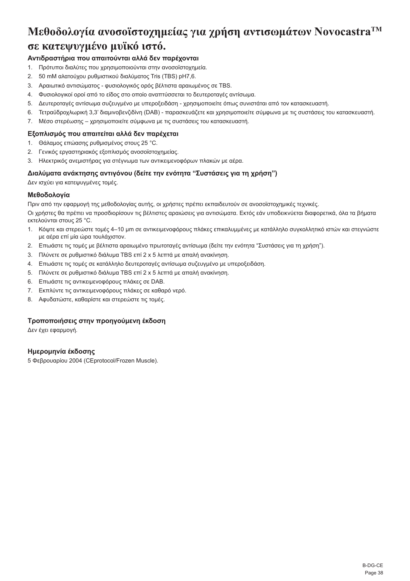# **Μεθοδολογία ανοσοϊστοχημείας για χρήση αντισωμάτων NovocastraTM σε κατεψυγμένο μυϊκό ιστό.**

# **Αντιδραστήρια που απαιτούνται αλλά δεν παρέχονται**

- 1. Πρότυποι διαλύτες που χρησιμοποιούνται στην ανοσοϊστοχημεία.
- 2. 50 mM αλατούχου ρυθμιστικού διαλύματος Tris (TBS) pH7,6.
- 3. Αραιωτικό αντισώματος φυσιολογικός ορός βέλτιστα αραιωμένος σε TBS.
- 4. Φυσιολογικοί οροί από το είδος στο οποίο αναπτύσσεται το δευτεροταγές αντίσωμα.
- 5. Δευτεροταγές αντίσωμα συζευγμένο με υπεροξειδάση χρησιμοποιείτε όπως συνιστάται από τον κατασκευαστή.
- 6. Τετραϋδροχλωρική 3,3' διαμινοβενζιδίνη (DAB) παρασκευάζετε και χρησιμοποιείτε σύμφωνα με τις συστάσεις του κατασκευαστή.
- 7. Μέσο στερέωσης χρησιμοποιείτε σύμφωνα με τις συστάσεις του κατασκευαστή.

## **Εξοπλισμός που απαιτείται αλλά δεν παρέχεται**

- 1. Θάλαμος επώασης ρυθμισμένος στους 25 °C.
- 2. Γενικός εργαστηριακός εξοπλισμός ανοσοϊστοχημείας.
- 3. Ηλεκτρικός ανεμιστήρας για στέγνωμα των αντικειμενοφόρων πλακών με αέρα.

## **Διαλύματα ανάκτησης αντιγόνου (δείτε την ενότητα "Συστάσεις για τη χρήση")**

Δεν ισχύει για κατεψυγμένες τομές.

# **Μεθοδολογία**

Πριν από την εφαρμογή της μεθοδολογίας αυτής, οι χρήστες πρέπει εκπαιδευτούν σε ανοσοϊστοχημικές τεχνικές. Οι χρήστες θα πρέπει να προσδιορίσουν τις βέλτιστες αραιώσεις για αντισώματα. Εκτός εάν υποδεικνύεται διαφορετικά, όλα τα βήματα εκτελούνται στους 25 °C.

- 1. Κόψτε και στερεώστε τομές 4–10 μm σε αντικειμενοφόρους πλάκες επικαλυμμένες με κατάλληλο συγκολλητικό ιστών και στεγνώστε με αέρα επί μία ώρα τουλάχιστον.
- 2. Επωάστε τις τομές με βέλτιστα αραιωμένο πρωτοταγές αντίσωμα (δείτε την ενότητα "Συστάσεις για τη χρήση").
- 3. Πλύνετε σε ρυθμιστικό διάλυμα TBS επί 2 x 5 λεπτά με απαλή ανακίνηση.
- 4. Επωάστε τις τομές σε κατάλληλο δευτεροταγές αντίσωμα συζευγμένο με υπεροξειδάση.
- 5. Πλύνετε σε ρυθμιστικό διάλυμα TBS επί 2 x 5 λεπτά με απαλή ανακίνηση.
- 6. Επωάστε τις αντικειμενοφόρους πλάκες σε DAB.
- 7. Εκπλύντε τις αντικειμενοφόρους πλάκες σε καθαρό νερό.
- 8. Αφυδατώστε, καθαρίστε και στερεώστε τις τομές.

# **Τροποποιήσεις στην προηγούμενη έκδοση**

Δεν έχει εφαρμογή.

## **Ημερομηνία έκδοσης**

5 Φεβρουαρίου 2004 (CEprotocol/Frozen Muscle).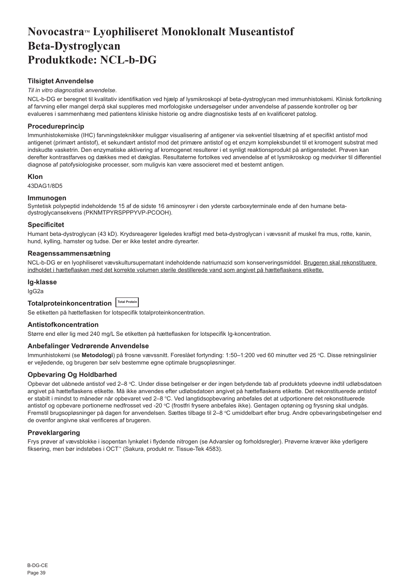# **NovocastraTM Lyophiliseret Monoklonalt Museantistof Beta-Dystroglycan Produktkode: NCL-b-DG**

## **Tilsigtet Anvendelse**

### *Til in vitro diagnostisk anvendelse*.

NCL-b-DG er beregnet til kvalitativ identifikation ved hjælp af lysmikroskopi af beta-dystroglycan med immunhistokemi. Klinisk fortolkning af farvning eller mangel derpå skal suppleres med morfologiske undersøgelser under anvendelse af passende kontroller og bør evalueres i sammenhæng med patientens kliniske historie og andre diagnostiske tests af en kvalificeret patolog.

## **Procedureprincip**

Immunhistokemiske (IHC) farvningsteknikker muliggør visualisering af antigener via sekventiel tilsætning af et specifikt antistof mod antigenet (primært antistof), et sekundært antistof mod det primære antistof og et enzym kompleksbundet til et kromogent substrat med indskudte vasketrin. Den enzymatiske aktivering af kromogenet resulterer i et synligt reaktionsprodukt på antigenstedet. Prøven kan derefter kontrastfarves og dækkes med et dækglas. Resultaterne fortolkes ved anvendelse af et lysmikroskop og medvirker til differentiel diagnose af patofysiologiske processer, som muligvis kan være associeret med et bestemt antigen.

## **Klon**

43DAG1/8D5

## **Immunogen**

Syntetisk polypeptid indeholdende 15 af de sidste 16 aminosyrer i den yderste carboxyterminale ende af den humane betadystroglycansekvens (PKNMTPYRSPPPYVP-PCOOH).

## **Specificitet**

Humant beta-dystroglycan (43 kD). Krydsreagerer ligeledes kraftigt med beta-dystroglycan i vævssnit af muskel fra mus, rotte, kanin, hund, kylling, hamster og tudse. Der er ikke testet andre dyrearter.

### **Reagenssammensætning**

NCL-b-DG er en lyophiliseret vævskultursupernatant indeholdende natriumazid som konserveringsmiddel. Brugeren skal rekonstituere indholdet i hætteflasken med det korrekte volumen sterile destillerede vand som angivet på hætteflaskens etikette.

### **Ig-klasse**

IgG2a

**Totalproteinkoncentration Total Protein**

Se etiketten på hætteflasken for lotspecifik totalproteinkoncentration.

## **Antistofkoncentration**

Større end eller lig med 240 mg/L Se etiketten på hætteflasken for lotspecifik Ig-koncentration.

## **Anbefalinger Vedrørende Anvendelse**

Immunhistokemi (se **Metodologi**) på frosne vævssnitt. Foreslået fortynding: 1:50–1:200 ved 60 minutter ved 25 °C. Disse retningslinier er vejledende, og brugeren bør selv bestemme egne optimale brugsopløsninger.

## **Opbevaring Og Holdbarhed**

Opbevar det uåbnede antistof ved 2–8 °C. Under disse betingelser er der ingen betydende tab af produktets ydeevne indtil udløbsdatoen angivet på hætteflaskens etikette. Må ikke anvendes efter udløbsdatoen angivet på hætteflaskens etikette. Det rekonstituerede antistof er stabilt i mindst to måneder når opbevaret ved 2–8 °C. Ved langtidsopbevaring anbefales det at udportionere det rekonstituerede antistof og opbevare portionerne nedfrosset ved -20 °C (frostfri frysere anbefales ikke). Gentagen optøning og frysning skal undgås. Fremstil brugsopløsninger på dagen for anvendelsen. Sættes tilbage til 2–8 °C umiddelbart efter brug. Andre opbevaringsbetingelser end de ovenfor angivne skal verificeres af brugeren.

## **Prøveklargøring**

Frys prøver af vævsblokke i isopentan lynkølet i flydende nitrogen (se Advarsler og forholdsregler). Prøverne kræver ikke yderligere fiksering, men bør indstøbes i OCT™ (Sakura, produkt nr. Tissue-Tek 4583).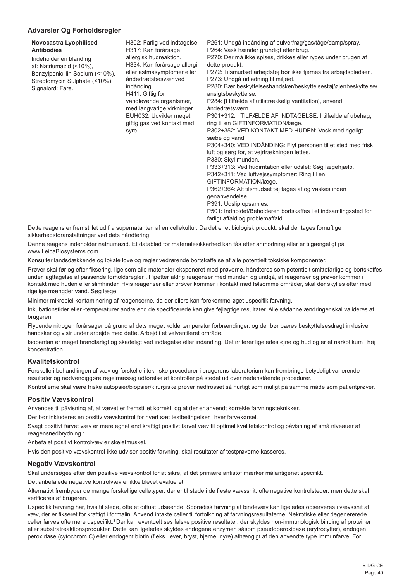## **Advarsler Og Forholdsregler**

### **Novocastra Lyophilised Antibodies**

Indeholder en blanding af: Natriumazid (<10%), Benzylpenicillin Sodium (<10%), Streptomycin Sulphate (<10%). Signalord: Fare.

H302: Farlig ved indtagelse. H317: Kan forårsage allergisk hudreaktion. H334: Kan forårsage allergieller astmasymptomer eller åndedrætsbesvær ved indånding. H411: Giftig for vandlevende organismer, med langvarige virkninger. EUH032: Udvikler meget giftig gas ved kontakt med syre.

P261: Undgå indånding af pulver/røg/gas/tåge/damp/spray. P264: Vask hænder grundigt efter brug. P270: Der må ikke spises, drikkes eller ryges under brugen af dette produkt. P272: Tilsmudset arbejdstøj bør ikke fjernes fra arbejdspladsen. P273: Undgå udledning til miljøet. P280: Bær beskyttelseshandsker/beskyttelsestøj/øjenbeskyttelse/ ansigtsbeskyttelse. P284: [I tilfælde af utilstrækkelig ventilation], anvend åndedrætsværn. P301+312: I TILFÆLDE AF INDTAGELSE: I tilfælde af ubehag, ring til en GIFTINFORMATION/læge. P302+352: VED KONTAKT MED HUDEN: Vask med rigeligt sæbe og vand. P304+340: VED INDÅNDING: Flyt personen til et sted med frisk luft og sørg for, at vejrtrækningen lettes. P330: Skyl munden. P333+313: Ved hudirritation eller udslet: Søg lægehjælp. P342+311: Ved luftvejssymptomer: Ring til en GIFTINFORMATION/læge. P362+364: Alt tilsmudset tøj tages af og vaskes inden genanvendelse. P391: Udslip opsamles. P501: Indholdet/Beholderen bortskaffes i et indsamlingssted for

farligt affald og problemaffald. Dette reagens er fremstillet ud fra supernatanten af en cellekultur. Da det er et biologisk produkt, skal der tages fornuftige

sikkerhedsforanstaltninger ved dets håndtering.

Denne reagens indeholder natriumazid. Et datablad for materialesikkerhed kan fås efter anmodning eller er tilgængeligt på www.LeicaBiosystems.com

Konsulter landsdækkende og lokale love og regler vedrørende bortskaffelse af alle potentielt toksiske komponenter.

Prøver skal før og efter fiksering, lige som alle materialer eksponeret mod prøverne, håndteres som potentielt smittefarlige og bortskaffes under iagttagelse af passende forholdsregler<sup>1</sup>. Pipetter aldrig reagenser med munden og undgå, at reagenser og prøver kommer i kontakt med huden eller slimhinder. Hvis reagenser eller prøver kommer i kontakt med følsomme områder, skal der skylles efter med rigelige mængder vand. Søg læge.

Minimer mikrobiel kontaminering af reagenserne, da der ellers kan forekomme øget uspecifik farvning.

Inkubationstider eller -temperaturer andre end de specificerede kan give fejlagtige resultater. Alle sådanne ændringer skal valideres af brugeren.

Flydende nitrogen forårsager på grund af dets meget kolde temperatur forbrændinger, og der bør bæres beskyttelsesdragt inklusive handsker og visir under arbejde med dette. Arbejd i et velventileret område.

Isopentan er meget brandfarligt og skadeligt ved indtagelse eller indånding. Det irriterer ligeledes øjne og hud og er et narkotikum i høj koncentration.

## **Kvalitetskontrol**

Forskelle i behandlingen af væv og forskelle i tekniske procedurer i brugerens laboratorium kan frembringe betydeligt varierende resultater og nødvendiggøre regelmæssig udførelse af kontroller på stedet ud over nedenstående procedurer.

Kontrollerne skal være friske autopsier/biopsier/kirurgiske prøver nedfrosset så hurtigt som muligt på samme måde som patientprøver.

## **Positiv Vævskontrol**

Anvendes til påvisning af, at vævet er fremstillet korrekt, og at der er anvendt korrekte farvningsteknikker.

Der bør inkluderes en positiv vævskontrol for hvert sæt testbetingelser i hver farvekørsel.

Svagt positivt farvet væv er mere egnet end kraftigt positivt farvet væv til optimal kvalitetskontrol og påvisning af små niveauer af reagensnedbrydning.<sup>2</sup>

Anbefalet positivt kontrolvæv er skeletmuskel.

Hvis den positive vævskontrol ikke udviser positiv farvning, skal resultater af testprøverne kasseres.

## **Negativ Vævskontrol**

Skal undersøges efter den positive vævskontrol for at sikre, at det primære antistof mærker målantigenet specifikt.

Det anbefalede negative kontrolvæv er ikke blevet evalueret.

Alternativt frembyder de mange forskellige celletyper, der er til stede i de fleste vævssnit, ofte negative kontrolsteder, men dette skal verificeres af brugeren.

Uspecifik farvning har, hvis til stede, ofte et diffust udseende. Sporadisk farvning af bindevæv kan ligeledes observeres i vævssnit af væv, der er fikseret for kraftigt i formalin. Anvend intakte celler til fortolkning af farvningsresultaterne. Nekrotiske eller degenererede celler farves ofte mere uspecifikt.<sup>3</sup> Der kan eventuelt ses falske positive resultater, der skyldes non-immunologisk binding af proteiner eller substratreaktionsprodukter. Dette kan ligeledes skyldes endogene enzymer, såsom pseudoperoxidase (erytrocytter), endogen peroxidase (cytochrom C) eller endogent biotin (f.eks. lever, bryst, hjerne, nyre) afhængigt af den anvendte type immunfarve. For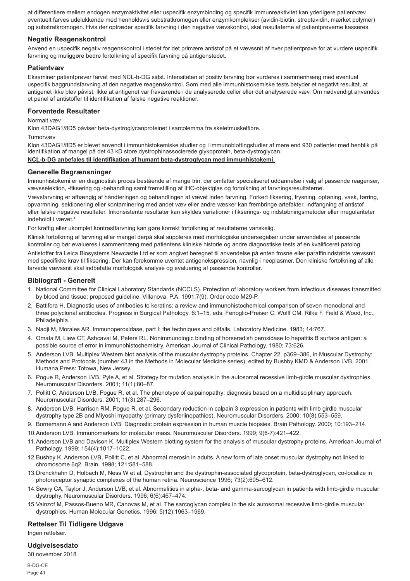at differentiere mellem endogen enzymaktivitet eller uspecifik enzymbinding og specifik immunreaktivitet kan yderligere patientvæv eventuelt farves udelukkende med henholdsvis substratkromogen eller enzymkomplekser (avidin-biotin, streptavidin, mærket polymer) og substratkromogen. Hvis der optræder specifik farvning i den negative vævskontrol, skal resultaterne af patientprøverne kasseres.

## **Negativ Reagenskontrol**

Anvend en uspecifik negativ reagenskontrol i stedet for det primære antistof på et vævssnit af hver patientprøve for at vurdere uspecifik farvning og muliggøre bedre fortolkning af specifik farvning på antigenstedet.

## **Patientvæv**

Eksaminer patientprøver farvet med NCL-b-DG sidst. Intensiteten af positiv farvning bør vurderes i sammenhæng med eventuel uspecifik baggrundsfarvning af den negative reagenskontrol. Som med alle immunhistokemiske tests betyder et negativt resultat, at antigenet ikke blev påvist. Ikke at antigenet var fraværende i de analyserede celler eller det analyserede væv. Om nødvendigt anvendes et panel af antistoffer til identifikation af falske negative reaktioner.

## **Forventede Resultater**

### Normalt væv

Klon 43DAG1/8D5 påviser beta-dystroglycanproteinet i sarcolemma fra skeletmuskelfibre.

### Tumorvæv

Klon 43DAG1/8D5 er blevet anvendt i immunhistokemiske studier og i immunoblottingstudier af mere end 930 patienter med henblik på identifikation af mangel på det 43 kD store dystrophinassocierede glykoprotein, beta-dystroglycan.

### **NCL-b-DG anbefales til identifikation af humant beta-dystroglycan med immunhistokemi.**

### **Generelle Begrænsninger**

Immunhistokemi er en diagnostisk proces bestående af mange trin, der omfatter specialiseret uddannelse i valg af passende reagenser, vævsselektion, -fiksering og -behandling samt fremstilling af IHC-objektglas og fortolkning af farvningsresultaterne.

Vævsfarvning er afhængig af håndteringen og behandlingen af vævet inden farvning. Forkert fiksering, frysning, optøning, vask, tørring, opvarmning, sektionering eller kontaminering med andet væv eller andre væsker kan frembringe artefakter, indfangning af antistof eller falske negative resultater. Inkonsistente resultater kan skyldes variationer i fikserings- og indstøbningsmetoder eller irregulariteter indeholdt i vævet.<sup>4</sup>

For kraftig eller ukomplet kontrastfarvning kan gøre korrekt fortolkning af resultaterne vanskelig.

Klinisk fortolkning af farvning eller mangel derpå skal suppleres med morfologiske undersøgelser under anvendelse af passende kontroller og bør evalueres i sammenhæng med patientens kliniske historie og andre diagnostiske tests af en kvalificeret patolog. Antistoffer fra Leica Biosystems Newcastle Ltd er som angivet beregnet til anvendelse på enten frosne eller paraffinindstøbte vævssnit med specifikke krav til fiksering. Der kan forekomme uventet antigenekspression, navnlig i neoplasmer. Den kliniske fortolkning af alle

farvede vævssnit skal indbefatte morfologisk analyse og evaluering af passende kontroller.

### **Bibliografi - Generelt**

- 1. National Committee for Clinical Laboratory Standards (NCCLS). Protection of laboratory workers from infectious diseases transmitted by blood and tissue; proposed guideline. Villanova, P.A. 1991;7(9). Order code M29-P.
- 2. Battifora H. Diagnostic uses of antibodies to keratins: a review and immunohistochemical comparison of seven monoclonal and three polyclonal antibodies. Progress in Surgical Pathology. 6:1–15. eds. Fenoglio-Preiser C, Wolff CM, Rilke F. Field & Wood, Inc., Philadelphia.
- 3. Nadji M, Morales AR. Immunoperoxidase, part I: the techniques and pitfalls. Laboratory Medicine. 1983; 14:767.
- 4. Omata M, Liew CT, Ashcavai M, Peters RL. Nonimmunologic binding of horseradish peroxidase to hepatitis B surface antigen: a possible source of error in immunohistochemistry. American Journal of Clinical Pathology. 1980; 73:626.
- 5. Anderson LVB. Multiplex Western blot analysis of the muscular dystrophy proteins. Chapter 22, p369–386, in Muscular Dystrophy: Methods and Protocols (number 43 in the Methods in Molecular Medicine series), edited by Bushby KMD & Anderson LVB. 2001. Humana Press: Totowa, New Jersey.
- 6. Pogue R, Anderson LVB, Pyle A, et al. Strategy for mutation analysis in the autosomal recessive limb-girdle muscular dystrophies. Neuromuscular Disorders. 2001; 11(1):80–87.
- 7. Pollitt C, Anderson LVB, Pogue R, et al. The phenotype of calpainopathy: diagnosis based on a multidisciplinary approach. Neuromuscular Disorders. 2001; 11(3):287–296.
- 8. Anderson LVB, Harrison RM, Pogue R, et al. Secondary reduction in calpain 3 expression in patients with limb girdle muscular dystrophy type 2B and Miyoshi myopathy (primary dysferlinopathies). Neuromuscular Disorders. 2000; 10(8):553–559.
- 9. Bornemann A and Anderson LVB. Diagnostic protein expression in human muscle biopsies. Brain Pathology. 2000; 10:193–214.
- 10.Anderson LVB. Immunomarkers for molecular mass. Neuromuscular Disorders. 1999; 9(6-7):421–422.
- 11.Anderson LVB and Davison K. Multiplex Western blotting system for the analysis of muscular dystrophy proteins. American Journal of Pathology. 1999; 154(4):1017–1022.
- 12.Bushby K, Anderson LVB, Pollitt C, et al. Abnormal merosin in adults. A new form of late onset muscular dystrophy not linked to chromosome 6q2. Brain. 1998; 121:581–588.
- 13.Drenckhahn D, Holbach M, Ness W et al. Dystrophin and the dystrophin-associated glycoprotein, beta-dystroglycan, co-localize in photoreceptor synaptic complexes of the human retina. Neuroscience 1996; 73(2):605–612.
- 14.Sewry CA, Taylor J, Anderson LVB, et al. Abnormalities in alpha-, beta- and gamma-sarcoglycan in patients with limb-girdle muscular dystrophy. Neuromuscular Disorders. 1996; 6(6):467–474.
- 15.Vainzof M, Passos-Bueno MR, Canovas M, et al. The sarcoglycan complex in the six autosomal recessive limb-girdle muscular dystrophies. Human Molecular Genetics. 1996; 5(12):1963–1969.

## **Rettelser Til Tidligere Udgave**

Ingen rettelser.

## **Udgivelsesdato**

30 november 2018

B-DG-CE Page 41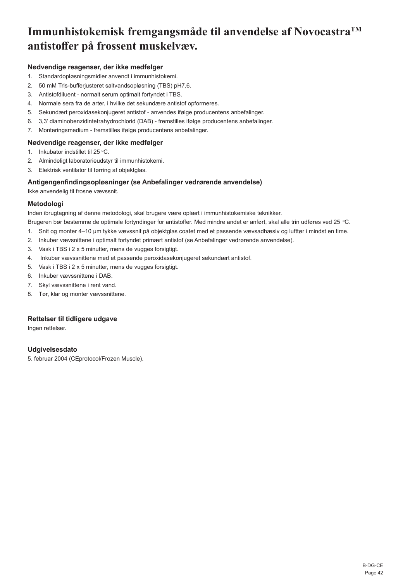# **Immunhistokemisk fremgangsmåde til anvendelse af NovocastraTM antistoffer på frossent muskelvæv.**

# **Nødvendige reagenser, der ikke medfølger**

- 1. Standardopløsningsmidler anvendt i immunhistokemi.
- 2. 50 mM Tris-bufferjusteret saltvandsopløsning (TBS) pH7,6.
- 3. Antistofdiluent normalt serum optimalt fortyndet i TBS.
- 4. Normale sera fra de arter, i hvilke det sekundære antistof opformeres.
- 5. Sekundært peroxidasekonjugeret antistof anvendes ifølge producentens anbefalinger.
- 6. 3,3' diaminobenzidintetrahydrochlorid (DAB) fremstilles ifølge producentens anbefalinger.
- 7. Monteringsmedium fremstilles ifølge producentens anbefalinger.

## **Nødvendige reagenser, der ikke medfølger**

- 1. Inkubator indstillet til 25 °C.
- 2. Almindeligt laboratorieudstyr til immunhistokemi.
- 3. Elektrisk ventilator til tørring af objektglas.

## **Antigengenfindingsopløsninger (se Anbefalinger vedrørende anvendelse)**

Ikke anvendelig til frosne vævssnit.

## **Metodologi**

Inden ibrugtagning af denne metodologi, skal brugere være oplært i immunhistokemiske teknikker.

Brugeren bør bestemme de optimale fortyndinger for antistoffer. Med mindre andet er anført, skal alle trin udføres ved 25 °C.

- 1. Snit og monter 4–10 µm tykke vævssnit på objektglas coatet med et passende vævsadhæsiv og lufttør i mindst en time.
- 2. Inkuber vævsnittene i optimalt fortyndet primært antistof (se Anbefalinger vedrørende anvendelse).
- 3. Vask i TBS i 2 x 5 minutter, mens de vugges forsigtigt.
- 4. Inkuber vævssnittene med et passende peroxidasekonjugeret sekundært antistof.
- 5. Vask i TBS i 2 x 5 minutter, mens de vugges forsigtigt.
- 6. Inkuber vævssnittene i DAB.
- 7. Skyl vævssnittene i rent vand.
- 8. Tør, klar og monter vævssnittene.

## **Rettelser til tidligere udgave**

Ingen rettelser.

## **Udgivelsesdato**

5. februar 2004 (CEprotocol/Frozen Muscle).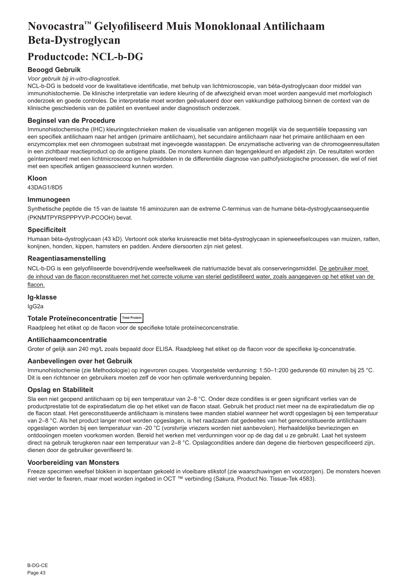# **Novocastra™ Gelyofiliseerd Muis Monoklonaal Antilichaam Beta-Dystroglycan**

# **Productcode: NCL-b-DG**

# **Beoogd Gebruik**

### *Voor gebruik bij in-vitro-diagnostiek.*

NCL-b-DG is bedoeld voor de kwalitatieve identificatie, met behulp van lichtmicroscopie, van bèta-dystroglycaan door middel van immunohistochemie. De klinische interpretatie van iedere kleuring of de afwezigheid ervan moet worden aangevuld met morfologisch onderzoek en goede controles. De interpretatie moet worden geëvalueerd door een vakkundige patholoog binnen de context van de klinische geschiedenis van de patiënt en eventueel ander diagnostisch onderzoek.

## **Beginsel van de Procedure**

Immunohistochemische (IHC) kleuringstechnieken maken de visualisatie van antigenen mogelijk via de sequentiële toepassing van een specifiek antilichaam naar het antigen (primaire antilichaam), het secundaire antilichaam naar het primaire antilichaam en een enzymcomplex met een chromogeen substraat met ingevoegde wasstappen. De enzymatische activering van de chromogeenresultaten in een zichtbaar reactieproduct op de antigene plaats. De monsters kunnen dan tegengekleurd en afgedekt zijn. De resultaten worden geïnterpreteerd met een lichtmicroscoop en hulpmiddelen in de differentiële diagnose van pathofysiologische processen, die wel of niet met een specifiek antigen geassocieerd kunnen worden.

## **Kloon**

43DAG1/8D5

## **Immunogeen**

Synthetische peptide die 15 van de laatste 16 aminozuren aan de extreme C-terminus van de humane bèta-dystroglycaansequentie (PKNMTPYRSPPPYVP-PCOOH) bevat.

## **Specificiteit**

Humaan bèta-dystroglycaan (43 kD). Vertoont ook sterke kruisreactie met bèta-dystroglycaan in spierweefselcoupes van muizen, ratten, konijnen, honden, kippen, hamsters en padden. Andere diersoorten zijn niet getest.

## **Reagentiasamenstelling**

NCL-b-DG is een gelyofiliseerde bovendrijvende weefselkweek die natriumazide bevat als conserveringsmiddel. De gebruiker moet de inhoud van de flacon reconstitueren met het correcte volume van steriel gedistilleerd water, zoals aangegeven op het etiket van de flacon.

## **Ig-klasse**

IgG2a

# **Totale Proteïneconcentratie Total Protein**

Raadpleeg het etiket op de flacon voor de specifieke totale proteïneconcenstratie.

## **Antilichaamconcentratie**

Groter of gelijk aan 240 mg/L zoals bepaald door ELISA. Raadpleeg het etiket op de flacon voor de specifieke lg-concenstratie.

## **Aanbevelingen over het Gebruik**

Immunohistochemie (zie Methodologie) op ingevroren coupes. Voorgestelde verdunning: 1:50–1:200 gedurende 60 minuten bij 25 °C. Dit is een richtsnoer en gebruikers moeten zelf de voor hen optimale werkverdunning bepalen.

## **Opslag en Stabiliteit**

Sla een niet geopend antilichaam op bij een temperatuur van 2–8 °C. Onder deze condities is er geen significant verlies van de productprestatie tot de expiratiedatum die op het etiket van de flacon staat. Gebruik het product niet meer na de expiratiedatum die op de flacon staat. Het gereconstitueerde antilichaam is minstens twee manden stabiel wanneer het wordt opgeslagen bij een temperatuur van 2–8 °C. Als het product langer moet worden opgeslagen, is het raadzaam dat gedeeltes van het gereconstitueerde antilichaam opgeslagen worden bij een temperatuur van -20 °C (vorstvrije vriezers worden niet aanbevolen). Herhaaldelijke bevriezingen en ontdooiingen moeten voorkomen worden. Bereid het werken met verdunningen voor op de dag dat u ze gebruikt. Laat het systeem direct na gebruik terugkeren naar een temperatuur van 2–8 °C. Opslagcondities andere dan degene die hierboven gespecificeerd zijn, dienen door de gebruiker geverifieerd te.

## **Voorbereiding van Monsters**

Freeze specimen weefsel blokken in isopentaan gekoeld in vloeibare stikstof (zie waarschuwingen en voorzorgen). De monsters hoeven niet verder te fixeren, maar moet worden ingebed in OCT ™ verbinding (Sakura, Product No. Tissue-Tek 4583).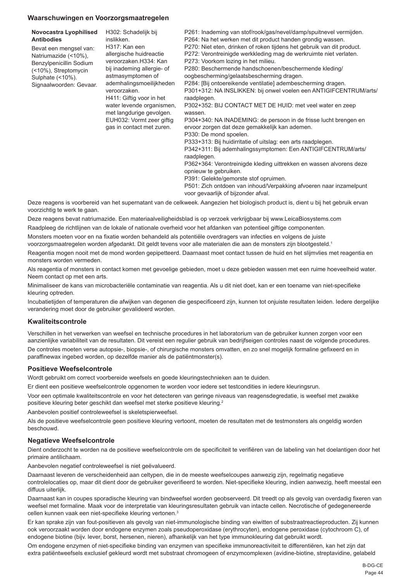### **Waarschuwingen en Voorzorgsmaatregelen**

| Novocastra Lyophilised<br>Antibodies<br>Bevat een mengsel van:<br>Natriumazide (<10%),<br>Benzylpenicillin Sodium<br>(<10%), Streptomycin<br>Sulphate (<10%).<br>Signaalwoorden: Gevaar. | H302: Schadelijk bij<br>inslikken.<br>H317: Kan een<br>allergische huidreactie<br>veroorzaken.H334: Kan<br>bij inademing allergie- of<br>astmasymptomen of<br>ademhalingsmoeilijkheden<br>veroorzaken.<br>H411: Giftig voor in het<br>water levende organismen,<br>met langdurige gevolgen.<br>EUH032: Vormt zeer giftig<br>gas in contact met zuren. | P261: Inademing van stof/rook/gas/nevel/damp/spuitnevel vermijden.<br>P264: Na het werken met dit product handen grondig wassen.<br>P270: Niet eten, drinken of roken tijdens het gebruik van dit product.<br>P272: Verontreinigde werkkleding mag de werkruimte niet verlaten.<br>P273: Voorkom lozing in het milieu.<br>P280: Beschermende handschoenen/beschermende kleding/<br>oogbescherming/gelaatsbescherming dragen.<br>P284: [Bij ontoereikende ventilatie] adembescherming dragen.<br>P301+312: NA INSLIKKEN: bij onwel voelen een ANTIGIFCENTRUM/arts/<br>raadplegen.<br>P302+352: BIJ CONTACT MET DE HUID: met veel water en zeep<br>wassen.<br>P304+340: NA INADEMING: de persoon in de frisse lucht brengen en<br>ervoor zorgen dat deze gemakkelijk kan ademen.<br>P330: De mond spoelen.<br>P333+313: Bij huidirritatie of uitslag: een arts raadplegen.<br>P342+311: Bij ademhalingssymptomen: Een ANTIGIFCENTRUM/arts/<br>raadplegen. |
|------------------------------------------------------------------------------------------------------------------------------------------------------------------------------------------|-------------------------------------------------------------------------------------------------------------------------------------------------------------------------------------------------------------------------------------------------------------------------------------------------------------------------------------------------------|---------------------------------------------------------------------------------------------------------------------------------------------------------------------------------------------------------------------------------------------------------------------------------------------------------------------------------------------------------------------------------------------------------------------------------------------------------------------------------------------------------------------------------------------------------------------------------------------------------------------------------------------------------------------------------------------------------------------------------------------------------------------------------------------------------------------------------------------------------------------------------------------------------------------------------------------------------|
|                                                                                                                                                                                          |                                                                                                                                                                                                                                                                                                                                                       |                                                                                                                                                                                                                                                                                                                                                                                                                                                                                                                                                                                                                                                                                                                                                                                                                                                                                                                                                         |
|                                                                                                                                                                                          |                                                                                                                                                                                                                                                                                                                                                       | P362+364: Verontreinigde kleding uittrekken en wassen alvorens deze<br>opnieuw te gebruiken.<br>P391: Gelekte/gemorste stof opruimen.<br>P501: Zich ontdoen van inhoud/Verpakking afvoeren naar inzamelpunt<br>voor gevaarlijk of bijzonder afval.                                                                                                                                                                                                                                                                                                                                                                                                                                                                                                                                                                                                                                                                                                      |

Deze reagens is voorbereid van het supernatant van de celkweek. Aangezien het biologisch product is, dient u bij het gebruik ervan voorzichtig te werk te gaan.

Deze reagens bevat natriumazide. Een materiaalveiligheidsblad is op verzoek verkrijgbaar bij www.LeicaBiosystems.com

Raadpleeg de richtlijnen van de lokale of nationale overheid voor het afdanken van potentieel giftige componenten.

Monsters moeten voor en na fixatie worden behandeld als potentiële overdragers van infecties en volgens de juiste

voorzorgsmaatregelen worden afgedankt. Dit geldt tevens voor alle materialen die aan de monsters zijn blootgesteld.<sup>1</sup>

Reagentia mogen nooit met de mond worden gepipetteerd. Daarnaast moet contact tussen de huid en het slijmvlies met reagentia en monsters worden vermeden.

Als reagentia of monsters in contact komen met gevoelige gebieden, moet u deze gebieden wassen met een ruime hoeveelheid water. Neem contact op met een arts.

Minimaliseer de kans van microbacteriële contaminatie van reagentia. Als u dit niet doet, kan er een toename van niet-specifieke kleuring optreden.

Incubatietijden of temperaturen die afwijken van degenen die gespecificeerd zijn, kunnen tot onjuiste resultaten leiden. Iedere dergelijke verandering moet door de gebruiker gevalideerd worden.

### **Kwaliteitscontrole**

Verschillen in het verwerken van weefsel en technische procedures in het laboratorium van de gebruiker kunnen zorgen voor een aanzienlijke variabiliteit van de resultaten. Dit vereist een regulier gebruik van bedrijfseigen controles naast de volgende procedures. De controles moeten verse autopsie-, biopsie-, of chirurgische monsters omvatten, en zo snel mogelijk formaline gefixeerd en in paraffinewax ingebed worden, op dezelfde manier als de patiëntmonster(s).

### **Positieve Weefselcontrole**

Wordt gebruikt om correct voorbereide weefsels en goede kleuringstechnieken aan te duiden.

Er dient een positieve weefselcontrole opgenomen te worden voor iedere set testcondities in iedere kleuringsrun.

Voor een optimale kwaliteitscontrole en voor het detecteren van geringe niveaus van reagensdegredatie, is weefsel met zwakke positieve kleuring beter geschikt dan weefsel met sterke positieve kleuring.<sup>2</sup>

Aanbevolen positief controleweefsel is skeletspierweefsel.

Als de positieve weefselcontrole geen positieve kleuring vertoont, moeten de resultaten met de testmonsters als ongeldig worden beschouwd.

#### **Negatieve Weefselcontrole**

Dient onderzocht te worden na de positieve weefselcontrole om de specificiteit te verifiëren van de labeling van het doelantigen door het primaire antilichaam.

Aanbevolen negatief controleweefsel is niet geëvalueerd.

Daarnaast leveren de verscheidenheid aan celtypen, die in de meeste weefselcoupes aanwezig zijn, regelmatig negatieve controlelocaties op, maar dit dient door de gebruiker geverifieerd te worden. Niet-specifieke kleuring, indien aanwezig, heeft meestal een diffuus uiterlijk.

Daarnaast kan in coupes sporadische kleuring van bindweefsel worden geobserveerd. Dit treedt op als gevolg van overdadig fixeren van weefsel met formaline. Maak voor de interpretatie van kleuringsresultaten gebruik van intacte cellen. Necrotische of gedegenereerde cellen kunnen vaak een niet-specifieke kleuring vertonen.<sup>3</sup>

Er kan sprake zijn van fout-positieven als gevolg van niet-immunologische binding van eiwitten of substraatreactieproducten. Zij kunnen ook veroorzaakt worden door endogene enzymen zoals pseudoperoxidase (erythrocyten), endogene peroxidase (cytochroom C), of endogene biotine (bijv. lever, borst, hersenen, nieren), afhankelijk van het type immunokleuring dat gebruikt wordt.

Om endogene enzymen of niet-specifieke binding van enzymen van specifieke immunoreactiviteit te differentiëren, kan het zijn dat extra patiëntweefsels exclusief gekleurd wordt met substraat chromogeen of enzymcomplexen (avidine-biotine, streptavidine, gelabeld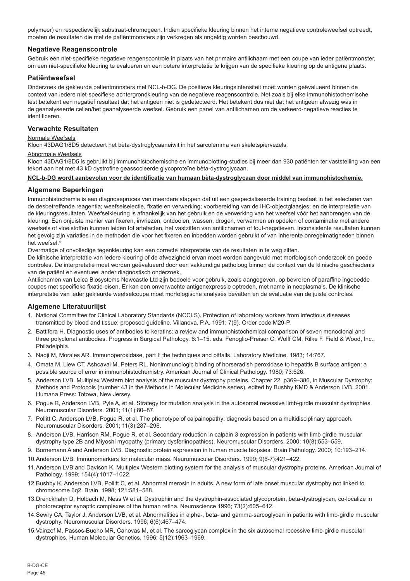polymeer) en respectievelijk substraat-chromogeen. Indien specifieke kleuring binnen het interne negatieve controleweefsel optreedt, moeten de resultaten die met de patiëntmonsters zijn verkregen als ongeldig worden beschouwd.

## **Negatieve Reagenscontrole**

Gebruik een niet-specifieke negatieve reagenscontrole in plaats van het primaire antilichaam met een coupe van ieder patiëntmonster, om een niet-specifieke kleuring te evalueren en een betere interpretatie te krijgen van de specifieke kleuring op de antigene plaats.

### **Patiëntweefsel**

Onderzoek de gekleurde patiëntmonsters met NCL-b-DG. De positieve kleuringsintensiteit moet worden geëvalueerd binnen de context van iedere niet-specifieke achtergrondkleuring van de negatieve reagenscontrole. Net zoals bij elke immunohistochemische test betekent een negatief resultaat dat het antigeen niet is gedetecteerd. Het betekent dus niet dat het antigeen afwezig was in de geanalyseerde cellen/het geanalyseerde weefsel. Gebruik een panel van antilichamen om de verkeerd-negatieve reacties te identificeren.

## **Verwachte Resultaten**

### Normale Weefsels

Kloon 43DAG1/8D5 detecteert het bèta-dystroglycaaneiwit in het sarcolemma van skeletspiervezels.

### Abnormale Weefsels

Kloon 43DAG1/8D5 is gebruikt bij immunohistochemische en immunoblotting-studies bij meer dan 930 patiënten ter vaststelling van een tekort aan het met 43 kD dystrofine geassocieerde glycoproteïne bèta-dystroglycaan.

### **NCL-b-DG wordt aanbevolen voor de identificatie van humaan bèta-dystroglycaan door middel van immunohistochemie.**

### **Algemene Beperkingen**

Immunohistochemie is een diagnoseproces van meerdere stappen dat uit een gespecialiseerde training bestaat in het selecteren van de desbetreffende reagentia; weefselselectie, fixatie en verwerking; voorbereiding van de IHC-objectglaasjes; en de interpretatie van de kleuringsresultaten. Weefselkleuring is afhankelijk van het gebruik en de verwerking van het weefsel vóór het aanbrengen van de kleuring. Een onjuiste manier van fixeren, invriezen, ontdooien, wassen, drogen, verwarmen en opdelen of contaminatie met andere weefsels of vloeistoffen kunnen leiden tot artefacten, het vastzitten van antilichamen of fout-negatieven. Inconsistente resultaten kunnen het gevolg zijn variaties in de methoden die voor het fixeren en inbedden worden gebruikt of van inherente onregelmatigheden binnen het weefsel.<sup>4</sup>

Overmatige of onvolledige tegenkleuring kan een correcte interpretatie van de resultaten in te weg zitten.

De klinische interpretatie van iedere kleuring of de afwezigheid ervan moet worden aangevuld met morfologisch onderzoek en goede controles. De interpretatie moet worden geëvalueerd door een vakkundige patholoog binnen de context van de klinische geschiedenis van de patiënt en eventueel ander diagnostisch onderzoek.

Antilichamen van Leica Biosystems Newcastle Ltd zijn bedoeld voor gebruik, zoals aangegeven, op bevroren of paraffine ingebedde coupes met specifieke fixatie-eisen. Er kan een onverwachte antigenexpressie optreden, met name in neoplasma's. De klinische interpretatie van ieder gekleurde weefselcoupe moet morfologische analyses bevatten en de evaluatie van de juiste controles.

## **Algemene Literatuurlijst**

- 1. National Committee for Clinical Laboratory Standards (NCCLS). Protection of laboratory workers from infectious diseases transmitted by blood and tissue; proposed guideline. Villanova, P.A. 1991; 7(9). Order code M29-P.
- 2. Battifora H. Diagnostic uses of antibodies to keratins: a review and immunohistochemical comparison of seven monoclonal and three polyclonal antibodies. Progress in Surgical Pathology. 6:1–15. eds. Fenoglio-Preiser C, Wolff CM, Rilke F. Field & Wood, Inc., Philadelphia.
- 3. Nadji M, Morales AR. Immunoperoxidase, part I: the techniques and pitfalls. Laboratory Medicine. 1983; 14:767.
- 4. Omata M, Liew CT, Ashcavai M, Peters RL. Nonimmunologic binding of horseradish peroxidase to hepatitis B surface antigen: a possible source of error in immunohistochemistry. American Journal of Clinical Pathology. 1980; 73:626.
- 5. Anderson LVB. Multiplex Western blot analysis of the muscular dystrophy proteins. Chapter 22, p369–386, in Muscular Dystrophy: Methods and Protocols (number 43 in the Methods in Molecular Medicine series), edited by Bushby KMD & Anderson LVB. 2001. Humana Press: Totowa, New Jersey.
- 6. Pogue R, Anderson LVB, Pyle A, et al. Strategy for mutation analysis in the autosomal recessive limb-girdle muscular dystrophies. Neuromuscular Disorders. 2001; 11(1):80–87.
- 7. Pollitt C, Anderson LVB, Pogue R, et al. The phenotype of calpainopathy: diagnosis based on a multidisciplinary approach. Neuromuscular Disorders. 2001; 11(3):287–296.
- 8. Anderson LVB, Harrison RM, Pogue R, et al. Secondary reduction in calpain 3 expression in patients with limb girdle muscular dystrophy type 2B and Miyoshi myopathy (primary dysferlinopathies). Neuromuscular Disorders. 2000; 10(8):553–559.
- 9. Bornemann A and Anderson LVB. Diagnostic protein expression in human muscle biopsies. Brain Pathology. 2000; 10:193–214.
- 10.Anderson LVB. Immunomarkers for molecular mass. Neuromuscular Disorders. 1999; 9(6-7):421–422.
- 11.Anderson LVB and Davison K. Multiplex Western blotting system for the analysis of muscular dystrophy proteins. American Journal of Pathology. 1999; 154(4):1017–1022.
- 12.Bushby K, Anderson LVB, Pollitt C, et al. Abnormal merosin in adults. A new form of late onset muscular dystrophy not linked to chromosome 6q2. Brain. 1998; 121:581–588.
- 13.Drenckhahn D, Holbach M, Ness W et al. Dystrophin and the dystrophin-associated glycoprotein, beta-dystroglycan, co-localize in photoreceptor synaptic complexes of the human retina. Neuroscience 1996; 73(2):605–612.
- 14.Sewry CA, Taylor J, Anderson LVB, et al. Abnormalities in alpha-, beta- and gamma-sarcoglycan in patients with limb-girdle muscular dystrophy. Neuromuscular Disorders. 1996; 6(6):467–474.
- 15.Vainzof M, Passos-Bueno MR, Canovas M, et al. The sarcoglycan complex in the six autosomal recessive limb-girdle muscular dystrophies. Human Molecular Genetics. 1996; 5(12):1963–1969.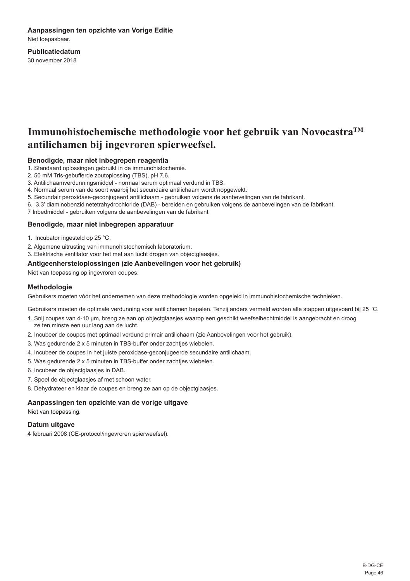## **Aanpassingen ten opzichte van Vorige Editie**

Niet toepasbaar.

# **Publicatiedatum**

30 november 2018

# **Immunohistochemische methodologie voor het gebruik van NovocastraTM antilichamen bij ingevroren spierweefsel.**

## **Benodigde, maar niet inbegrepen reagentia**

- 1. Standaard oplossingen gebruikt in de immunohistochemie.
- 2. 50 mM Tris-gebufferde zoutoplossing (TBS), pH 7,6.
- 3. Antilichaamverdunningsmiddel normaal serum optimaal verdund in TBS.
- 4. Normaal serum van de soort waarbij het secundaire antilichaam wordt nopgewekt.
- 5. Secundair peroxidase-geconjugeerd antilichaam gebruiken volgens de aanbevelingen van de fabrikant.
- 6. 3,3' diaminobenzidinetetrahydrochloride (DAB) bereiden en gebruiken volgens de aanbevelingen van de fabrikant.
- 7 Inbedmiddel gebruiken volgens de aanbevelingen van de fabrikant

## **Benodigde, maar niet inbegrepen apparatuur**

- 1. Incubator ingesteld op 25 °C.
- 2. Algemene uitrusting van immunohistochemisch laboratorium.
- 3. Elektrische ventilator voor het met aan lucht drogen van objectglaasjes.

## **Antigeenhersteloplossingen (zie Aanbevelingen voor het gebruik)**

Niet van toepassing op ingevroren coupes.

## **Methodologie**

Gebruikers moeten vóór het ondernemen van deze methodologie worden opgeleid in immunohistochemische technieken.

Gebruikers moeten de optimale verdunning voor antilichamen bepalen. Tenzij anders vermeld worden alle stappen uitgevoerd bij 25 °C.

- 1. Snij coupes van 4-10 µm, breng ze aan op objectglaasjes waarop een geschikt weefselhechtmiddel is aangebracht en droog ze ten minste een uur lang aan de lucht.
- 2. Incubeer de coupes met optimaal verdund primair antilichaam (zie Aanbevelingen voor het gebruik).
- 3. Was gedurende 2 x 5 minuten in TBS-buffer onder zachties wiebelen.
- 4. Incubeer de coupes in het juiste peroxidase-geconjugeerde secundaire antilichaam.
- 5. Was gedurende 2 x 5 minuten in TBS-buffer onder zachtjes wiebelen.
- 6. Incubeer de objectglaasjes in DAB.
- 7. Spoel de objectglaasjes af met schoon water.
- 8. Dehydrateer en klaar de coupes en breng ze aan op de objectglaasjes.

## **Aanpassingen ten opzichte van de vorige uitgave**

Niet van toepassing.

## **Datum uitgave**

4 februari 2008 (CE-protocol/ingevroren spierweefsel).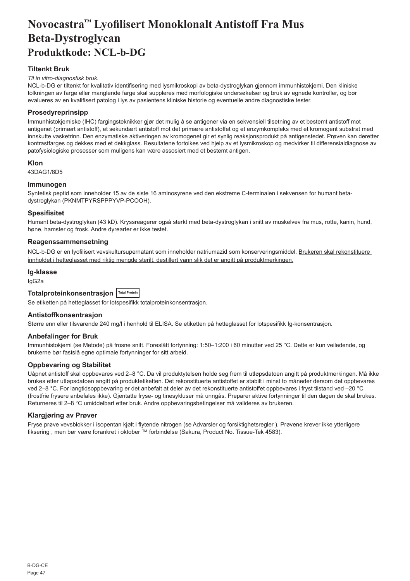# **Novocastra™ Lyofilisert Monoklonalt Antistoff Fra Mus Beta-Dystroglycan Produktkode: NCL-b-DG**

# **Tiltenkt Bruk**

#### *Til in vitro-diagnostisk bruk.*

NCL-b-DG er tiltenkt for kvalitativ identifisering med lysmikroskopi av beta-dystroglykan gjennom immunhistokjemi. Den kliniske tolkningen av farge eller manglende farge skal suppleres med morfologiske undersøkelser og bruk av egnede kontroller, og bør evalueres av en kvalifisert patolog i lys av pasientens kliniske historie og eventuelle andre diagnostiske tester.

## **Prosedyreprinsipp**

Immunhistokjemiske (IHC) fargingsteknikker gjør det mulig å se antigener via en sekvensiell tilsetning av et bestemt antistoff mot antigenet (primært antistoff), et sekundært antistoff mot det primære antistoffet og et enzymkompleks med et kromogent substrat med innskutte vasketrinn. Den enzymatiske aktiveringen av kromogenet gir et synlig reaksjonsprodukt på antigenstedet. Prøven kan deretter kontrastfarges og dekkes med et dekkglass. Resultatene fortolkes ved hjelp av et lysmikroskop og medvirker til differensialdiagnose av patofysiologiske prosesser som muligens kan være assosiert med et bestemt antigen.

### **Klon**

43DAG1/8D5

### **Immunogen**

Syntetisk peptid som inneholder 15 av de siste 16 aminosyrene ved den ekstreme C-terminalen i sekvensen for humant betadystroglykan (PKNMTPYRSPPPYVP-PCOOH).

### **Spesifisitet**

Humant beta-dystroglykan (43 kD). Kryssreagerer også sterkt med beta-dystroglykan i snitt av muskelvev fra mus, rotte, kanin, hund, høne, hamster og frosk. Andre dyrearter er ikke testet.

### **Reagenssammensetning**

NCL-b-DG er en lyofilisert vevskultursupernatant som inneholder natriumazid som konserveringsmiddel. Brukeren skal rekonstituere innholdet i hetteglasset med riktig mengde sterilt, destillert vann slik det er angitt på produktmerkingen.

### **Ig-klasse**

IgG2a

# **Totalproteinkonsentrasjon Total Protein**

Se etiketten på hetteglasset for lotspesifikk totalproteinkonsentrasjon.

### **Antistoffkonsentrasjon**

Større enn eller tilsvarende 240 mg/l i henhold til ELISA. Se etiketten på hetteglasset for lotspesifikk Ig-konsentrasjon.

### **Anbefalinger for Bruk**

Immunhistokjemi (se Metode) på frosne snitt. Foreslått fortynning: 1:50–1:200 i 60 minutter ved 25 °C. Dette er kun veiledende, og brukerne bør fastslå egne optimale fortynninger for sitt arbeid.

## **Oppbevaring og Stabilitet**

Uåpnet antistoff skal oppbevares ved 2–8 °C. Da vil produktytelsen holde seg frem til utløpsdatoen angitt på produktmerkingen. Må ikke brukes etter utløpsdatoen angitt på produktetiketten. Det rekonstituerte antistoffet er stabilt i minst to måneder dersom det oppbevares ved 2–8 °C. For langtidsoppbevaring er det anbefalt at deler av det rekonstituerte antistoffet oppbevares i fryst tilstand ved –20 °C (frostfrie frysere anbefales ikke). Gjentatte fryse- og tinesykluser må unngås. Preparer aktive fortynninger til den dagen de skal brukes. Returneres til 2–8 °C umiddelbart etter bruk. Andre oppbevaringsbetingelser må valideres av brukeren.

## **Klargjøring av Prøver**

Fryse prøve vevsblokker i isopentan kjølt i flytende nitrogen (se Advarsler og forsiktighetsregler ). Prøvene krever ikke ytterligere fiksering , men bør være forankret i oktober ™ forbindelse (Sakura, Product No. Tissue-Tek 4583).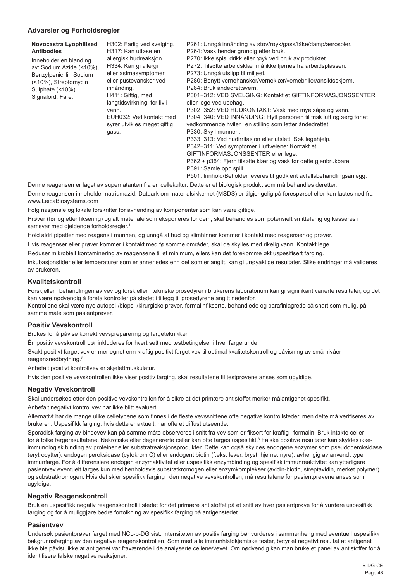## **Advarsler og Forholdsregler**

| Novocastra Lyophilised                                                                                                                        | H302: Farlig ved svelging.                                                                                                                                                                                                                     | P261: Unngå innånding av støv/røyk/gass/tåke/damp/aerosoler.                                                                                                                                                                                                                                                                                                                                                                                                                                                                                                                                                                                                                                                                                                                                                                                                                                             |
|-----------------------------------------------------------------------------------------------------------------------------------------------|------------------------------------------------------------------------------------------------------------------------------------------------------------------------------------------------------------------------------------------------|----------------------------------------------------------------------------------------------------------------------------------------------------------------------------------------------------------------------------------------------------------------------------------------------------------------------------------------------------------------------------------------------------------------------------------------------------------------------------------------------------------------------------------------------------------------------------------------------------------------------------------------------------------------------------------------------------------------------------------------------------------------------------------------------------------------------------------------------------------------------------------------------------------|
| <b>Antibodies</b>                                                                                                                             | H317: Kan utløse en                                                                                                                                                                                                                            | P264: Vask hender grundig etter bruk.                                                                                                                                                                                                                                                                                                                                                                                                                                                                                                                                                                                                                                                                                                                                                                                                                                                                    |
| Inneholder en blanding<br>av: Sodium Azide (<10%),<br>Benzylpenicillin Sodium<br>(<10%), Streptomycin<br>Sulphate (<10%).<br>Signalord: Fare. | allergisk hudreaksjon.<br>H334: Kan gi allergi<br>eller astmasymptomer<br>eller pustevansker ved<br>innånding.<br>H411: Giftig, med<br>langtidsvirkning, for liv i<br>vann.<br>EUH032: Ved kontakt med<br>syrer utvikles meget giftig<br>gass. | P270: Ikke spis, drikk eller røyk ved bruk av produktet.<br>P272: Tilsølte arbeidsklær må ikke fjernes fra arbeidsplassen.<br>P273: Unngå utslipp til miljøet.<br>P280: Benytt vernehansker/verneklær/vernebriller/ansiktsskjerm.<br>P284: Bruk åndedrettsvern.<br>P301+312: VED SVELGING: Kontakt et GIFTINFORMASJONSSENTER<br>eller lege ved ubehag.<br>P302+352: VED HUDKONTAKT: Vask med mye såpe og vann.<br>P304+340: VED INNÅNDING: Flytt personen til frisk luft og sørg for at<br>vedkommende hviler i en stilling som letter åndedrettet.<br>P330: Skyll munnen.<br>P333+313: Ved hudirritasjon eller utslett: Søk legehjelp.<br>P342+311: Ved symptomer i luftveiene: Kontakt et<br>GIFTINFORMASJONSSENTER eller lege.<br>P362 + p364: Fjern tilsølte klær og vask før dette gjenbrukbare.<br>P391: Samle opp spill.<br>P501: Innhold/Beholder leveres til godkjent avfallsbehandlingsanlegg. |
|                                                                                                                                               |                                                                                                                                                                                                                                                |                                                                                                                                                                                                                                                                                                                                                                                                                                                                                                                                                                                                                                                                                                                                                                                                                                                                                                          |

Denne reagensen er laget av supernatanten fra en cellekultur. Dette er et biologisk produkt som må behandles deretter.

Denne reagensen inneholder natriumazid. Dataark om materialsikkerhet (MSDS) er tilgjengelig på forespørsel eller kan lastes ned fra www.LeicaBiosystems.com

Følg nasjonale og lokale forskrifter for avhending av komponenter som kan være giftige.

Prøver (før og etter fiksering) og alt materiale som eksponeres for dem, skal behandles som potensielt smittefarlig og kasseres i samsvar med gjeldende forholdsregler.<sup>1</sup>

Hold aldri pipetter med reagens i munnen, og unngå at hud og slimhinner kommer i kontakt med reagenser og prøver.

Hvis reagenser eller prøver kommer i kontakt med følsomme områder, skal de skylles med rikelig vann. Kontakt lege.

Reduser mikrobiell kontaminering av reagensene til et minimum, ellers kan det forekomme økt uspesifisert farging.

Inkubasjonstider eller temperaturer som er annerledes enn det som er angitt, kan gi unøyaktige resultater. Slike endringer må valideres av brukeren.

### **Kvalitetskontroll**

Forskjeller i behandlingen av vev og forskjeller i tekniske prosedyrer i brukerens laboratorium kan gi signifikant varierte resultater, og det kan være nødvendig å foreta kontroller på stedet i tillegg til prosedyrene angitt nedenfor.

Kontrollene skal være nye autopsi-/biopsi-/kirurgiske prøver, formalinfikserte, behandlede og parafinlagrede så snart som mulig, på samme måte som pasientprøver.

### **Positiv Vevskontroll**

Brukes for å påvise korrekt vevspreparering og fargeteknikker.

Én positiv vevskontroll bør inkluderes for hvert sett med testbetingelser i hver fargerunde.

Svakt positivt farget vev er mer egnet enn kraftig positivt farget vev til optimal kvalitetskontroll og påvisning av små nivåer reagensnedbrytning.<sup>2</sup>

Anbefalt positivt kontrollvev er skjelettmuskulatur.

Hvis den positive vevskontrollen ikke viser positiv farging, skal resultatene til testprøvene anses som ugyldige.

## **Negativ Vevskontroll**

Skal undersøkes etter den positive vevskontrollen for å sikre at det primære antistoffet merker målantigenet spesifikt.

Anbefalt negativt kontrollvev har ikke blitt evaluert.

Alternativt har de mange ulike celletypene som finnes i de fleste vevssnittene ofte negative kontrollsteder, men dette må verifiseres av brukeren. Uspesifikk farging, hvis dette er aktuelt, har ofte et diffust utseende.

Sporadisk farging av bindevev kan på samme måte observeres i snitt fra vev som er fiksert for kraftig i formalin. Bruk intakte celler for å tolke fargeresultatene. Nekrotiske eller degenererte celler kan ofte farges uspesifikt.<sup>3</sup> Falske positive resultater kan skyldes ikkeimmunologisk binding av proteiner eller substratreaksjonsprodukter. Dette kan også skyldes endogene enzymer som pseudoperoksidase (erytrocytter), endogen peroksidase (cytokrom C) eller endogent biotin (f.eks. lever, bryst, hjerne, nyre), avhengig av anvendt type immunfarge. For å differensiere endogen enzymaktivitet eller uspesifikk enzymbinding og spesifikk immunreaktivitet kan ytterligere pasientvev eventuelt farges kun med henholdsvis substratkromogen eller enzymkomplekser (avidin-biotin, streptavidin, merket polymer) og substratkromogen. Hvis det skjer spesifikk farging i den negative vevskontrollen, må resultatene for pasientprøvene anses som ugyldige.

### **Negativ Reagenskontroll**

Bruk en uspesifikk negativ reagenskontroll i stedet for det primære antistoffet på et snitt av hver pasientprøve for å vurdere uspesifikk farging og for å muliggjøre bedre fortolkning av spesifikk farging på antigenstedet.

## **Pasientvev**

Undersøk pasientprøver farget med NCL-b-DG sist. Intensiteten av positiv farging bør vurderes i sammenheng med eventuell uspesifikk bakgrunnsfarging av den negative reagenskontrollen. Som med alle immunhistokjemiske tester, betyr et negativt resultat at antigenet ikke ble påvist, ikke at antigenet var fraværende i de analyserte cellene/vevet. Om nødvendig kan man bruke et panel av antistoffer for å identifisere falske negative reaksjoner.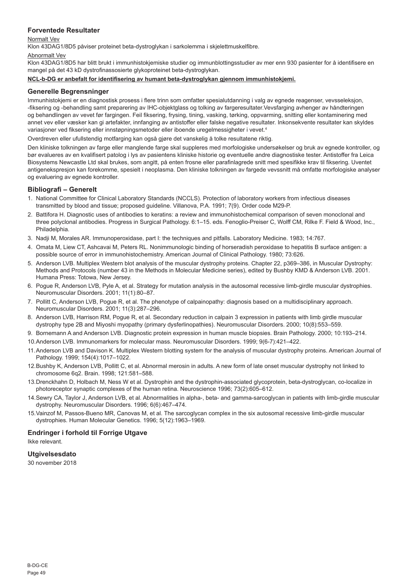## **Forventede Resultater**

## Normalt Vev

Klon 43DAG1/8D5 påviser proteinet beta-dystroglykan i sarkolemma i skjelettmuskelfibre.

### Abnormalt Vev

Klon 43DAG1/8D5 har blitt brukt i immunhistokjemiske studier og immunblottingsstudier av mer enn 930 pasienter for å identifisere en mangel på det 43 kD dystrofinassosierte glykoproteinet beta-dystroglykan.

### **NCL-b-DG er anbefalt for identifisering av humant beta-dystroglykan gjennom immunhistokjemi.**

### **Generelle Begrensninger**

Immunhistokjemi er en diagnostisk prosess i flere trinn som omfatter spesialutdanning i valg av egnede reagenser, vevsseleksjon, -fiksering og -behandling samt preparering av IHC-objektglass og tolking av fargeresultater.Vevsfarging avhenger av håndteringen og behandlingen av vevet før fargingen. Feil fiksering, frysing, tining, vasking, tørking, oppvarming, snitting eller kontaminering med annet vev eller væsker kan gi artefakter, innfanging av antistoffer eller falske negative resultater. Inkonsekvente resultater kan skyldes variasjoner ved fiksering eller innstøpningsmetoder eller iboende uregelmessigheter i vevet.<sup>4</sup>

Overdreven eller ufullstendig motfarging kan også gjøre det vanskelig å tolke resultatene riktig.

Den kliniske tolkningen av farge eller manglende farge skal suppleres med morfologiske undersøkelser og bruk av egnede kontroller, og bør evalueres av en kvalifisert patolog i lys av pasientens kliniske historie og eventuelle andre diagnostiske tester. Antistoffer fra Leica Biosystems Newcastle Ltd skal brukes, som angitt, på enten frosne eller parafinlagrede snitt med spesifikke krav til fiksering. Uventet antigenekspresjon kan forekomme, spesielt i neoplasma. Den kliniske tolkningen av fargede vevssnitt må omfatte morfologiske analyser og evaluering av egnede kontroller.

## **Bibliografi – Generelt**

- 1. National Committee for Clinical Laboratory Standards (NCCLS). Protection of laboratory workers from infectious diseases transmitted by blood and tissue; proposed guideline. Villanova, P.A. 1991; 7(9). Order code M29-P.
- 2. Battifora H. Diagnostic uses of antibodies to keratins: a review and immunohistochemical comparison of seven monoclonal and three polyclonal antibodies. Progress in Surgical Pathology. 6:1–15. eds. Fenoglio-Preiser C, Wolff CM, Rilke F. Field & Wood, Inc., Philadelphia.
- 3. Nadji M, Morales AR. Immunoperoxidase, part I: the techniques and pitfalls. Laboratory Medicine. 1983; 14:767.
- 4. Omata M, Liew CT, Ashcavai M, Peters RL. Nonimmunologic binding of horseradish peroxidase to hepatitis B surface antigen: a possible source of error in immunohistochemistry. American Journal of Clinical Pathology. 1980; 73:626.
- 5. Anderson LVB. Multiplex Western blot analysis of the muscular dystrophy proteins. Chapter 22, p369–386, in Muscular Dystrophy: Methods and Protocols (number 43 in the Methods in Molecular Medicine series), edited by Bushby KMD & Anderson LVB. 2001. Humana Press: Totowa, New Jersey.
- 6. Pogue R, Anderson LVB, Pyle A, et al. Strategy for mutation analysis in the autosomal recessive limb-girdle muscular dystrophies. Neuromuscular Disorders. 2001; 11(1):80–87.
- 7. Pollitt C, Anderson LVB, Pogue R, et al. The phenotype of calpainopathy: diagnosis based on a multidisciplinary approach. Neuromuscular Disorders. 2001; 11(3):287–296.
- 8. Anderson LVB, Harrison RM, Pogue R, et al. Secondary reduction in calpain 3 expression in patients with limb girdle muscular dystrophy type 2B and Miyoshi myopathy (primary dysferlinopathies). Neuromuscular Disorders. 2000; 10(8):553–559.
- 9. Bornemann A and Anderson LVB. Diagnostic protein expression in human muscle biopsies. Brain Pathology. 2000; 10:193–214.
- 10.Anderson LVB. Immunomarkers for molecular mass. Neuromuscular Disorders. 1999; 9(6-7):421–422.
- 11.Anderson LVB and Davison K. Multiplex Western blotting system for the analysis of muscular dystrophy proteins. American Journal of Pathology. 1999; 154(4):1017–1022.
- 12.Bushby K, Anderson LVB, Pollitt C, et al. Abnormal merosin in adults. A new form of late onset muscular dystrophy not linked to chromosome 6q2. Brain. 1998; 121:581–588.
- 13.Drenckhahn D, Holbach M, Ness W et al. Dystrophin and the dystrophin-associated glycoprotein, beta-dystroglycan, co-localize in photoreceptor synaptic complexes of the human retina. Neuroscience 1996; 73(2):605–612.
- 14.Sewry CA, Taylor J, Anderson LVB, et al. Abnormalities in alpha-, beta- and gamma-sarcoglycan in patients with limb-girdle muscular dystrophy. Neuromuscular Disorders. 1996; 6(6):467–474.
- 15.Vainzof M, Passos-Bueno MR, Canovas M, et al. The sarcoglycan complex in the six autosomal recessive limb-girdle muscular dystrophies. Human Molecular Genetics. 1996; 5(12):1963–1969.

## **Endringer i forhold til Forrige Utgave**

Ikke relevant.

## **Utgivelsesdato**

30 november 2018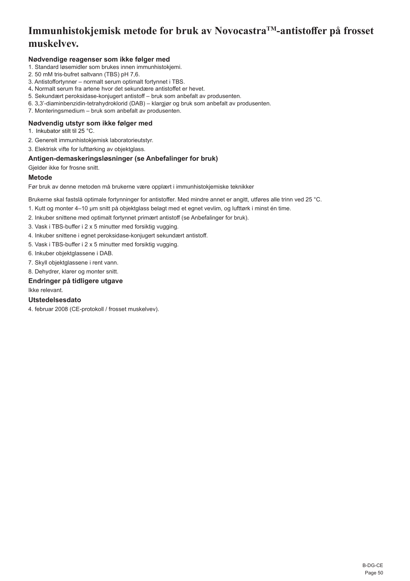# **Immunhistokjemisk metode for bruk av NovocastraTM-antistoffer på frosset muskelvev.**

## **Nødvendige reagenser som ikke følger med**

- 1. Standard løsemidler som brukes innen immunhistokjemi.
- 2. 50 mM tris-bufret saltvann (TBS) pH 7,6.
- 3. Antistoffortynner normalt serum optimalt fortynnet i TBS.
- 4**.** Normalt serum fra artene hvor det sekundære antistoffet er hevet.
- 5. Sekundært peroksidase-konjugert antistoff bruk som anbefalt av produsenten.
- 6. 3,3'-diaminbenzidin-tetrahydroklorid (DAB) klargjør og bruk som anbefalt av produsenten.
- 7. Monteringsmedium bruk som anbefalt av produsenten.

## **Nødvendig utstyr som ikke følger med**

- 1. Inkubator stilt til 25 °C.
- 2. Generelt immunhistokjemisk laboratorieutstyr.
- 3. Elektrisk vifte for lufttørking av objektglass.

## **Antigen-demaskeringsløsninger (se Anbefalinger for bruk)**

Gjelder ikke for frosne snitt.

## **Metode**

Før bruk av denne metoden må brukerne være opplært i immunhistokjemiske teknikker

Brukerne skal fastslå optimale fortynninger for antistoffer. Med mindre annet er angitt, utføres alle trinn ved 25 °C.

- 1. Kutt og monter 4–10 µm snitt på objektglass belagt med et egnet vevlim, og lufttørk i minst én time.
- 2. Inkuber snittene med optimalt fortynnet primært antistoff (se Anbefalinger for bruk).
- 3. Vask i TBS-buffer i 2 x 5 minutter med forsiktig vugging.
- 4. Inkuber snittene i egnet peroksidase-konjugert sekundært antistoff.
- 5. Vask i TBS-buffer i 2 x 5 minutter med forsiktig vugging.
- 6. Inkuber objektglassene i DAB.
- 7. Skyll objektglassene i rent vann.
- 8. Dehydrer, klarer og monter snitt.

# **Endringer på tidligere utgave**

Ikke relevant.

### **Utstedelsesdato**

4. februar 2008 (CE-protokoll / frosset muskelvev).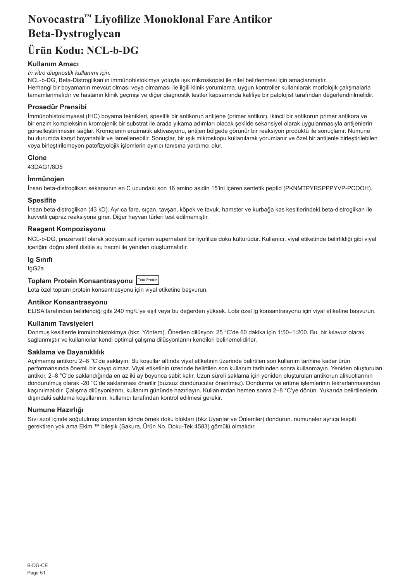# **Novocastra™ Liyofilize Monoklonal Fare Antikor Beta-Dystroglycan**

# **Ürün Kodu: NCL-b-DG**

# **Kullanım Amacı**

### *In vitro diagnostik kullanımı için.*

NCL-b-DG, Beta-Distroglikan'ın immünohistokimya yoluyla ışık mikroskopisi ile nitel belirlenmesi için amaçlanmıştır. Herhangi bir boyamanın mevcut olması veya olmaması ile ilgili klinik yorumlama, uygun kontroller kullanılarak morfolojik çalışmalarla tamamlanmalıdır ve hastanın klinik geçmişi ve diğer diagnostik testler kapsamında kalifiye bir patolojist tarafından değerlendirilmelidir.

## **Prosedür Prensibi**

İmmünohistokimyasal (IHC) boyama teknikleri, spesifik bir antikorun antijene (primer antikor), ikincil bir antikorun primer antikora ve bir enzim kompleksinin kromojenik bir substrat ile arada yıkama adımları olacak şekilde sekansiyel olarak uygulanmasıyla antijenlerin görselleştirilmesini sağlar. Kromojenin enzimatik aktivasyonu, antijen bölgede görünür bir reaksiyon prodüktü ile sonuçlanır. Numune bu durumda karşıt boyanabilir ve lamellenebilir. Sonuçlar, bir ışık mikroskopu kullanılarak yorumlanır ve özel bir antijenle birleştirilebilen veya birleştirilemeyen patofizyolojik işlemlerin ayırıcı tanısına yardımcı olur.

## **Clone**

43DAG1/8D5

## **İmmünojen**

İnsan beta-distroglikan sekansının en C ucundaki son 16 amino asidin 15'ini içeren sentetik peptid (PKNMTPYRSPPPYVP-PCOOH).

## **Spesifite**

İnsan beta-distroglikan (43 kD). Ayrıca fare, sıçan, tavşan, köpek ve tavuk, hamster ve kurbağa kas kesitlerindeki beta-distroglikan ile kuvvetli çapraz reaksiyona girer. Diğer hayvan türleri test edilmemiştir.

## **Reagent Kompozisyonu**

NCL-b-DG, prezervatif olarak sodyum azit içeren supernatant bir liyofilize doku kültürüdür. Kullanıcı, viyal etiketinde belirtildiği gibi viyal içeriğini doğru steril distile su hacmi ile yeniden oluşturmalıdır.

## **Ig Sınıfı**

IgG2a

# **Toplam Protein Konsantrasyonu Total Protein**

Lota özel toplam protein konsantrasyonu için viyal etiketine başvurun.

## **Antikor Konsantrasyonu**

ELISA tarafından belirlendiği gibi 240 mg/L'ye eşit veya bu değerden yüksek. Lota özel lg konsantrasyonu için viyal etiketine başvurun.

## **Kullanım Tavsiyeleri**

Donmuş kesitlerde immünohistokimya (bkz. Yöntem). Önerilen dilüsyon: 25 °C'de 60 dakika için 1:50–1:200. Bu, bir kılavuz olarak sağlanmıştır ve kullanıcılar kendi optimal çalışma dilüsyonlarını kendileri belirlemelidirler.

## **Saklama ve Dayanıklılık**

Açılmamış antikoru 2–8 °C'de saklayın. Bu koşullar altında viyal etiketinin üzerinde belirtilen son kullanım tarihine kadar ürün performansında önemli bir kayıp olmaz. Viyal etiketinin üzerinde belirtilen son kullanım tarihinden sonra kullanmayın. Yeniden oluşturulan antikor, 2–8 °C'de saklandığında en az iki ay boyunca sabit kalır. Uzun süreli saklama için yeniden oluşturulan antikorun alikuotlarının dondurulmuş olarak -20 °C'de saklanması önerilir (buzsuz dondurucular önerilmez). Dondurma ve eritme işlemlerinin tekrarlanmasından kaçınılmalıdır. Çalışma dilüsyonlarını, kullanım gününde hazırlayın. Kullanımdan hemen sonra 2–8 °C'ye dönün. Yukarıda belirtilenlerin dışındaki saklama koşullarının, kullanıcı tarafından kontrol edilmesi gerekir.

## **Numune Hazırlığı**

Sıvı azot içinde soğutulmuş izopentan içinde örnek doku blokları (bkz Uyarılar ve Önlemler) dondurun. numuneler ayrıca tespiti gerektiren yok ama Ekim ™ bileşik (Sakura, Ürün No. Doku-Tek 4583) gömülü olmalıdır.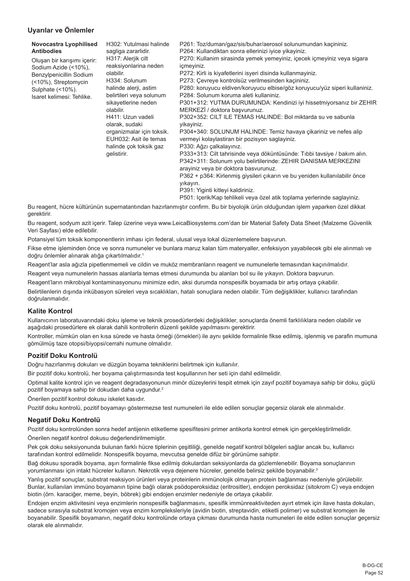## **Uyarılar ve Önlemler**

### **Novocastra Lyophilised Antibodies**

Oluşan bir karışımı içerir: Sodium Azide (<10%), Benzylpenicillin Sodium (<10%), Streptomycin Sulphate (<10%). Isaret kelimesi: Tehlike.

H302: Yutulmasi halinde sagliga zararlidir. H317: Alerjik cilt reaksiyonlarina neden olabilir. H334: Solunum halinde alerii, astim belirtileri veya solunum sikayetlerine neden olabilir. H411: Uzun vadeli olarak, sudaki organizmalar için toksik. EUH032: Asit ile temas halinde çok toksik gaz gelistirir. P261: Toz/duman/gaz/sis/buhar/aerosol solunumundan kaçininiz. P264: Kullandiktan sonra ellerinizi iyice yikayiniz. P270: Kullanim sirasinda yemek yemeyiniz, içecek içmeyiniz veya sigara içmeyiniz. P272: Kirli is kiyafetlerini isyeri disinda kullanmayiniz. P273: Çevreye kontrolsüz verilmesinden kaçininiz. P280: koruyucu eldiven/koruyucu elbise/göz koruyucu/yüz siperi kullaniniz. P284: Solunum koruma aleti kullaniniz. P301+312: YUTMA DURUMUNDA: Kendinizi iyi hissetmiyorsanız bir ZEHIR MERKEZİ / doktora başvurunuz. P302+352: CILT ILE TEMAS HALINDE: Bol miktarda su ve sabunla yikayiniz. P304+340: SOLUNUM HALINDE: Temiz havaya çikariniz ve nefes alip vermeyi kolaylastiran bir pozisyon saglayiniz. P330: Ağzı çalkalayınız. P333+313: Cilt tahrisinde veya döküntüsünde: Tıbbi tavsiye / bakım alın. P342+311: Solunum yolu belirtilerinde: ZEHIR DANISMA MERKEZINI arayiniz veya bir doktora basvurunuz. P362 + p364: Kirlenmiş giysileri çıkarın ve bu yeniden kullanılabilir önce yıkayın. P391: Yiginti kitleyi kaldiriniz. P501: Icerik/Kap tehlikeli veva özel atik toplama verlerinde saglayiniz.

Bu reagent, hücre kültürünün supernatantından hazırlanmıştır confirm. Bu bir biyolojik ürün olduğundan işlem yaparken özel dikkat gerektirir.

Bu reagent, sodyum azit içerir. Talep üzerine veya www.LeicaBiosystems.com'dan bir Material Safety Data Sheet (Malzeme Güvenlik Veri Sayfası) elde edilebilir.

Potansiyel tüm toksik komponentlerin imhası için federal, ulusal veya lokal düzenlemelere başvurun.

Fikse etme işleminden önce ve sonra numuneler ve bunlara maruz kalan tüm materyaller, enfeksiyon yayabilecek gibi ele alınmalı ve doğru önlemler alınarak atığa çıkartılmalıdır.<sup>1</sup>

Reagent'lar asla ağızla pipetlenmemeli ve cildin ve muköz membranların reagent ve numunelerle temasından kaçınılmalıdır.

Reagent veya numunelerin hassas alanlarla temas etmesi durumunda bu alanları bol su ile yıkayın. Doktora başvurun.

Reagent'ların mikrobiyal kontaminasyonunu minimize edin, aksi durumda nonspesifik boyamada bir artış ortaya çıkabilir.

Belirtilenlerin dışında inkübasyon süreleri veya sıcaklıkları, hatalı sonuçlara neden olabilir. Tüm değişiklikler, kullanıcı tarafından doğrulanmalıdır.

### **Kalite Kontrol**

Kullanıcının laboratuvarındaki doku işleme ve teknik prosedürlerdeki değişiklikler, sonuçlarda önemli farklılıklara neden olabilir ve aşağıdaki prosedürlere ek olarak dahili kontrollerin düzenli şekilde yapılmasını gerektirir.

Kontroller, mümkün olan en kısa sürede ve hasta örneği (örnekleri) ile aynı şekilde formalinle fikse edilmiş, işlenmiş ve parafin mumuna gömülmüş taze otopsi/biyopsi/cerrahi numune olmalıdır.

### **Pozitif Doku Kontrolü**

Doğru hazırlanmış dokuları ve düzgün boyama tekniklerini belirtmek için kullanılır.

Bir pozitif doku kontrolü, her boyama çalıştırmasında test koşullarının her seti için dahil edilmelidir.

Optimal kalite kontrol için ve reagent degradasyonunun minör düzeylerini tespit etmek için zayıf pozitif boyamaya sahip bir doku, güçlü pozitif boyamaya sahip bir dokudan daha uygundur.<sup>2</sup>

Önerilen pozitif kontrol dokusu iskelet kasıdır.

Pozitif doku kontrolü, pozitif boyamayı göstermezse test numuneleri ile elde edilen sonuçlar geçersiz olarak ele alınmalıdır.

### **Negatif Doku Kontrolü**

Pozitif doku kontrolünden sonra hedef antijenin etiketleme spesifitesini primer antikorla kontrol etmek için gerçekleştirilmelidir.

Önerilen negatif kontrol dokusu değerlendirilmemiştir.

Pek çok doku seksiyonunda bulunan farklı hücre tiplerinin çeşitliliği, genelde negatif kontrol bölgeleri sağlar ancak bu, kullanıcı tarafından kontrol edilmelidir. Nonspesifik boyama, mevcutsa genelde difüz bir görünüme sahiptir.

Bağ dokusu sporadik boyama, aşırı formalinle fikse edilmiş dokulardan seksiyonlarda da gözlemlenebilir. Boyama sonuçlarının yorumlanması için intakt hücreler kullanın. Nekrotik veya dejenere hücreler, genelde belirsiz şekilde boyanabilir.<sup>3</sup>

Yanlış pozitif sonuçlar, substrat reaksiyon ürünleri veya proteinlerin immünolojik olmayan protein bağlanması nedeniyle görülebilir. Bunlar, kullanılan immüno boyamanın tipine bağlı olarak psödoperoksidaz (eritrositler), endojen peroksidaz (sitokrom C) veya endojen biotin (örn. karaciğer, meme, beyin, böbrek) gibi endojen enzimler nedeniyle de ortaya çıkabilir.

Endojen enzim aktivitesini veya enzimlerin nonspesifik bağlanmasını, spesifik immünreaktiviteden ayırt etmek için ilave hasta dokuları, sadece sırasıyla substrat kromojen veya enzim kompleksleriyle (avidin biotin, streptavidin, etiketli polimer) ve substrat kromojen ile boyanabilir. Spesifik boyamanın, negatif doku kontrolünde ortaya çıkması durumunda hasta numuneleri ile elde edilen sonuçlar geçersiz olarak ele alınmalıdır.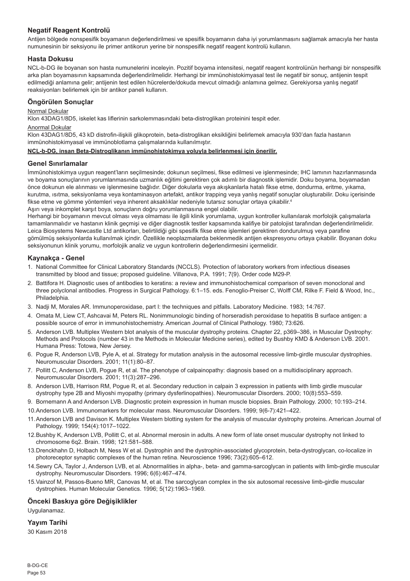## **Negatif Reagent Kontrolü**

Antijen bölgede nonspesifik boyamanın değerlendirilmesi ve spesifik boyamanın daha iyi yorumlanmasını sağlamak amacıyla her hasta numunesinin bir seksiyonu ile primer antikorun yerine bir nonspesifik negatif reagent kontrolü kullanın.

### **Hasta Dokusu**

NCL-b-DG ile boyanan son hasta numunelerini inceleyin. Pozitif boyama intensitesi, negatif reagent kontrolünün herhangi bir nonspesifik arka plan boyamasının kapsamında değerlendirilmelidir. Herhangi bir immünohistokimyasal test ile negatif bir sonuç, antijenin tespit edilmediği anlamına gelir; antijenin test edilen hücrelerde/dokuda mevcut olmadığı anlamına gelmez. Gerekiyorsa yanlış negatif reaksiyonları belirlemek için bir antikor paneli kullanın.

## **Öngörülen Sonuçlar**

#### Normal Dokular

Klon 43DAG1/8D5, iskelet kas liflerinin sarkolemmasındaki beta-distroglikan proteinini tespit eder.

#### Anormal Dokular

Klon 43DAG1/8D5, 43 kD distrofin-ilişkili glikoprotein, beta-distroglikan eksikliğini belirlemek amacıyla 930'dan fazla hastanın immünohistokimyasal ve immünoblotlama çalışmalarında kullanılmıştır.

### **NCL-b-DG, insan Beta-Distroglikanın immünohistokimya yoluyla belirlenmesi için önerilir.**

### **Genel Sınırlamalar**

İmmünohistokimya uygun reagent'ların seçilmesinde; dokunun seçilmesi, fikse edilmesi ve işlenmesinde; IHC lamının hazırlanmasında ve boyama sonuçlarının yorumlanmasında uzmanlık eğitimi gerektiren çok adımlı bir diagnostik işlemidir. Doku boyama, boyamadan önce dokunun ele alınması ve işlenmesine bağlıdır. Diğer dokularla veya akışkanlarla hatalı fikse etme, dondurma, eritme, yıkama, kurutma, ısıtma, seksiyonlama veya kontaminasyon artefakt, antikor trapping veya yanlış negatif sonuçlar oluşturabilir. Doku içerisinde fikse etme ve gömme yöntemleri veya inherent aksaklıklar nedeniyle tutarsız sonuçlar ortaya çıkabilir. 4 Aşırı veya inkomplet karşıt boya, sonuçların doğru yorumlanmasına engel olabilir.

Herhangi bir boyamanın mevcut olması veya olmaması ile ilgili klinik yorumlama, uygun kontroller kullanılarak morfolojik çalışmalarla tamamlanmalıdır ve hastanın klinik geçmişi ve diğer diagnostik testler kapsamında kalifiye bir patolojist tarafından değerlendirilmelidir. Leica Biosystems Newcastle Ltd antikorları, belirtildiği gibi spesifik fikse etme işlemleri gerektiren dondurulmuş veya parafine gömülmüş seksiyonlarda kullanılmak içindir. Özellikle neoplazmalarda beklenmedik antijen ekspresyonu ortaya çıkabilir. Boyanan doku seksiyonunun klinik yorumu, morfolojik analiz ve uygun kontrollerin değerlendirmesini içermelidir.

### **Kaynakça - Genel**

- 1. National Committee for Clinical Laboratory Standards (NCCLS). Protection of laboratory workers from infectious diseases transmitted by blood and tissue; proposed guideline. Villanova, P.A. 1991; 7(9). Order code M29-P.
- 2. Battifora H. Diagnostic uses of antibodies to keratins: a review and immunohistochemical comparison of seven monoclonal and three polyclonal antibodies. Progress in Surgical Pathology. 6:1–15. eds. Fenoglio-Preiser C, Wolff CM, Rilke F. Field & Wood, Inc., Philadelphia.
- 3. Nadji M, Morales AR. Immunoperoxidase, part I: the techniques and pitfalls. Laboratory Medicine. 1983; 14:767.
- 4. Omata M, Liew CT, Ashcavai M, Peters RL. Nonimmunologic binding of horseradish peroxidase to hepatitis B surface antigen: a possible source of error in immunohistochemistry. American Journal of Clinical Pathology. 1980; 73:626.
- 5. Anderson LVB. Multiplex Western blot analysis of the muscular dystrophy proteins. Chapter 22, p369–386, in Muscular Dystrophy: Methods and Protocols (number 43 in the Methods in Molecular Medicine series), edited by Bushby KMD & Anderson LVB. 2001. Humana Press: Totowa, New Jersey.
- 6. Pogue R, Anderson LVB, Pyle A, et al. Strategy for mutation analysis in the autosomal recessive limb-girdle muscular dystrophies. Neuromuscular Disorders. 2001; 11(1):80–87.
- 7. Pollitt C, Anderson LVB, Pogue R, et al. The phenotype of calpainopathy: diagnosis based on a multidisciplinary approach. Neuromuscular Disorders. 2001; 11(3):287–296.
- 8. Anderson LVB, Harrison RM, Pogue R, et al. Secondary reduction in calpain 3 expression in patients with limb girdle muscular dystrophy type 2B and Miyoshi myopathy (primary dysferlinopathies). Neuromuscular Disorders. 2000; 10(8):553–559.
- 9. Bornemann A and Anderson LVB. Diagnostic protein expression in human muscle biopsies. Brain Pathology. 2000; 10:193–214.
- 10.Anderson LVB. Immunomarkers for molecular mass. Neuromuscular Disorders. 1999; 9(6-7):421–422.
- 11.Anderson LVB and Davison K. Multiplex Western blotting system for the analysis of muscular dystrophy proteins. American Journal of Pathology. 1999; 154(4):1017–1022.
- 12.Bushby K, Anderson LVB, Pollitt C, et al. Abnormal merosin in adults. A new form of late onset muscular dystrophy not linked to chromosome 6q2. Brain. 1998; 121:581–588.
- 13.Drenckhahn D, Holbach M, Ness W et al. Dystrophin and the dystrophin-associated glycoprotein, beta-dystroglycan, co-localize in photoreceptor synaptic complexes of the human retina. Neuroscience 1996; 73(2):605–612.
- 14.Sewry CA, Taylor J, Anderson LVB, et al. Abnormalities in alpha-, beta- and gamma-sarcoglycan in patients with limb-girdle muscular dystrophy. Neuromuscular Disorders. 1996; 6(6):467–474.
- 15.Vainzof M, Passos-Bueno MR, Canovas M, et al. The sarcoglycan complex in the six autosomal recessive limb-girdle muscular dystrophies. Human Molecular Genetics. 1996; 5(12):1963–1969.

### **Önceki Baskıya göre Değişiklikler**

Uygulanamaz.

**Yayım Tarihi** 30 Kasım 2018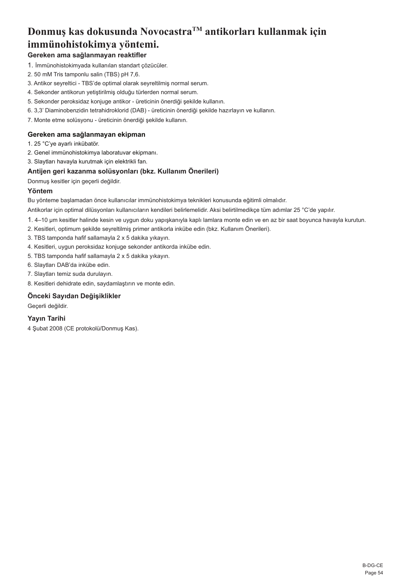# **Donmuş kas dokusunda NovocastraTM antikorları kullanmak için immünohistokimya yöntemi.**

# **Gereken ama sağlanmayan reaktifler**

- 1. İmmünohistokimyada kullanılan standart çözücüler.
- 2. 50 mM Tris tamponlu salin (TBS) pH 7,6.
- 3. Antikor seyreltici TBS'de optimal olarak seyreltilmiş normal serum.
- 4. Sekonder antikorun yetiştirilmiş olduğu türlerden normal serum.
- 5. Sekonder peroksidaz konjuge antikor üreticinin önerdiği şekilde kullanın.
- 6. 3,3' Diaminobenzidin tetrahidroklorid (DAB) üreticinin önerdiği şekilde hazırlayın ve kullanın.
- 7. Monte etme solüsyonu üreticinin önerdiği şekilde kullanın.

# **Gereken ama sağlanmayan ekipman**

- 1. 25 °C'ye ayarlı inkübatör.
- 2. Genel immünohistokimya laboratuvar ekipmanı.
- 3. Slaytları havayla kurutmak için elektrikli fan.

# **Antijen geri kazanma solüsyonları (bkz. Kullanım Önerileri)**

Donmuş kesitler için geçerli değildir.

## **Yöntem**

Bu yönteme başlamadan önce kullanıcılar immünohistokimya teknikleri konusunda eğitimli olmalıdır.

Antikorlar için optimal dilüsyonları kullanıcıların kendileri belirlemelidir. Aksi belirtilmedikçe tüm adımlar 25 °C'de yapılır.

- 1. 4–10 µm kesitler halinde kesin ve uygun doku yapışkanıyla kaplı lamlara monte edin ve en az bir saat boyunca havayla kurutun.
- 2. Kesitleri, optimum şekilde seyreltilmiş primer antikorla inkübe edin (bkz. Kullanım Önerileri).
- 3. TBS tamponda hafif sallamayla 2 x 5 dakika yıkayın.
- 4. Kesitleri, uygun peroksidaz konjuge sekonder antikorda inkübe edin.
- 5. TBS tamponda hafif sallamayla 2 x 5 dakika yıkayın.
- 6. Slaytları DAB'da inkübe edin.
- 7. Slaytları temiz suda durulayın.
- 8. Kesitleri dehidrate edin, saydamlaştırın ve monte edin.

## **Önceki Sayıdan Değişiklikler**

Gecerli değildir.

## **Yayın Tarihi**

4 Şubat 2008 (CE protokolü/Donmuş Kas).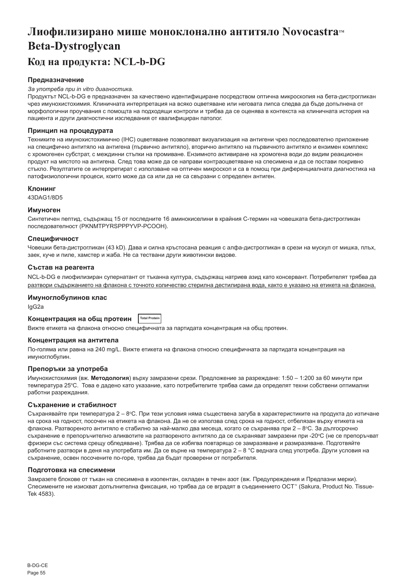# Лиофилизирано мише моноклонално антитяло Novocastra<sup>™</sup> **Beta-Dystroglycan Код на продукта: NCL-b-DG**

## **Предназначение**

### *За употреба при in vitro диагностика.*

Продуктът NCL-b-DG е предназначен за качествено идентифициране посредством оптична микроскопия на бета-дистрогликан чрез имунохистохимия. Клиничната интерпретация на всяко оцветяване или неговата липса следва да бъде допълнена от морфологични проучвания с помощта на подходящи контроли и трябва да се оценява в контекста на клиничната история на пациента и други диагностични изследвания от квалифициран патолог.

### **Принцип на процедурата**

Техниките на имунохистохимично (IHC) оцветяване позволяват визуализация на антигени чрез последователно приложение на специфично антитяло на антигена (първично антитяло), вторично антитяло на първичното антитяло и ензимен комплекс с хромогенен субстрат, с междинни стъпки на промиване. Ензимното активиране на хромогена води до видим реакционен продукт на мястото на антигена. След това може да се направи контраоцветяване на спесимена и да се постави покривно стъкло. Резултатите се интерпретират с използване на оптичен микроскоп и са в помощ при диференциалната диагностика на патофизиологични процеси, които може да са или да не са свързани с определен антиген.

### **Клонинг**

43DAG1/8D5

### **Имуноген**

Синтетичен пептид, съдържащ 15 от последните 16 аминокиселини в крайния C-термин на човешката бета-дистрогликан последователност (PKNMTPYRSPPPYVP-PCOOH).

### **Специфичност**

Човешки бета-дистрогликан (43 kD). Дава и силна кръстосана реакция с алфа-дистрогликан в срези на мускул от мишка, плъх, заек, куче и пиле, хамстер и жаба. Не са тествани други животински видове.

### **Състав на реагента**

NCL-b-DG е лиофилизиран супернатант от тъканна култура, съдържащ натриев азид като консервант. Потребителят трябва да разтвори съдържанието на флакона с точното количество стерилна дестилирана вода, както е указано на етикета на флакона.

### **Имуноглобулинов клас**

IgG2a

## **Концентрация на общ протеин Total Protein**

Вижте етикета на флакона относно специфичната за партидата концентрация на общ протеин.

### **Концентрация на антитела**

По-голяма или равна на 240 mg/L. Вижте етикета на флакона относно специфичната за партидата концентрация на имуноглобулин.

## **Препоръки за употреба**

Имунохистохимия (вж. **Методология**) върху замразени срези. Предложение за разреждане: 1:50 – 1:200 за 60 минути при температура 25°С. Това е дадено като указание, като потребителите трябва сами да определят техни собствени оптимални работни разреждания.

### **Съхранение и стабилност**

Съхранявайте при температура 2 – 8ºС. При тези условия няма съществена загуба в характеристиките на продукта до изтичане на срока на годност, посочен на етикета на флакона. Да не се използва след срока на годност, отбелязан върху етикета на флакона. Разтвореното антитяло е стабилно за най-малко два месеца, когато се съхранява при 2 – 8℃. За дългосрочно съхранение е препоръчително аликвотите на разтвореното антитяло да се съхраняват замразени при -20°С (не се препоръчват фризери със система срещу обледяване). Трябва да се избягва повтарящо се замразяване и размразяване. Подготвяйте работните разтвори в деня на употребата им. Да се върне на температура 2 – 8 °C веднага след употреба. Други условия на съхранение, освен посочените по-горе, трябва да бъдат проверени от потребителя.

### **Подготовка на спесимени**

Замразете блокове от тъкан на спесимена в изопентан, охладен в течен азот (вж. Предупреждения и Предпазни мерки). Спесимените не изискват допълнителна фиксация, но трябва да се вградят в съединението OCT™ (Sakura, Product No. Tissue-Tek 4583).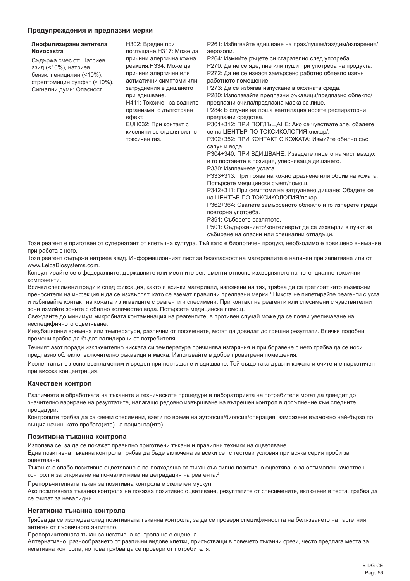#### **Предупреждения и предпазни мерки**

#### **Лиофилизирани антитела Novocastra**

Съдържа смес от: Натриев азид (<10%), натриев бензилпеницилин (<10%), стрептомицин сулфат (<10%). Сигнални думи: Опасност.

H302: Вреден при поглъщане.H317: Може да причини алергична кожна реакция.H334: Може да причини алергични или астматични симптоми или затруднения в дишането при вдишване. H411: Токсичен за водните организми, с дълготраен ефект.

EUH032: При контакт с киселини се отделя силно токсичен газ.

P261: Избягвайте вдишване на прах/пушек/газ/дим/изпарения/ аерозоли.

P264: Измийте ръцете си старателно след употреба.

P270: Да не се яде, пие или пуши при употреба на продукта. P272: Да не се изнася замърсено работно облекло извън работното помещение.

P273: Да се избягва изпускане в околната среда.

P280: Използвайте предпазни ръкавици/предпазно облекло/ предпазни очила/предпазна маска за лице.

P284: В случай на лоша вентилация носете респираторни предпазни средства.

P301+312: ПРИ ПОГЛЪЩАНЕ: Ако се чувствате зле, обадете се на ЦЕНТЪР ПО ТОКСИКОЛОГИЯ /лекар/.

P302+352: ПРИ КОНТАКТ С КОЖАТА: Измийте обилно със сапун и вода.

P304+340: ПРИ ВДИШВАНЕ: Изведете лицето на чист въздух и го поставете в позиция, улесняваща дишането.

P330: Изплакнете устата.

P333+313: При поява на кожно дразнене или обрив на кожата: Потърсете медицински съвет/помощ.

P342+311: При симптоми на затруднено дишане: Обадете се на ЦЕНТЪР ПО ТОКСИКОЛОГИЯ/лекар.

P362+364: Свалете замърсеното облекло и го изперете преди повторна употреба.

P391: Съберете разлятото.

P501: Съдържанието/контейнерът да се изхвърли в пункт за събиране на опасни или специални отпадъци.

Този реагент е приготвен от супернатант от клетъчна култура. Тъй като е биологичен продукт, необходимо е повишено внимание при работа с него.

Този реагент съдържа натриев азид. Информационният лист за безопасност на материалите е наличен при запитване или от www.LeicaBiosystems.com.

Консултирайте се с федералните, държавните или местните регламенти относно изхвърлянето на потенциално токсични компоненти.

Всички спесимени преди и след фиксация, както и всички материали, изложени на тях, трябва да се третират като възможни преносители на инфекция и да се изхвърлят, като се вземат правилни предпазни мерки.<sup>1</sup> Никога не пипетирайте реагенти с уста и избягвайте контакт на кожата и лигавиците с реагенти и спесимени. При контакт на реагенти или спесимени с чувствителни зони измийте зоните с обилно количество вода. Потърсете медицинска помощ.

Свеждайте до минимум микробната контаминация на реагентите, в противен случай може да се появи увеличаване на неспецифичното оцветяване.

Инкубационни времена или температури, различни от посочените, могат да доведат до грешни резултати. Всички подобни промени трябва да бъдат валидирани от потребителя.

Течният азот поради изключително ниската си температура причинява изгаряния и при боравене с него трябва да се носи предпазно облекло, включително ръкавици и маска. Използвайте в добре проветрени помещения.

Изопентанът е лесно възпламеним и вреден при поглъщане и вдишване. Той също така дразни кожата и очите и е наркотичен при висока концентрация.

### **Качествен контрол**

Различията в обработката на тъканите и техническите процедури в лабораторията на потребителя могат да доведат до значително вариране на резултатите, налагащо редовно извършване на вътрешен контрол в допълнение към следните процедури.

Контролите трябва да са свежи спесимени, взети по време на аутопсия/биопсия/операция, замразени възможно най-бързо по същия начин, като пробата(ите) на пациента(ите).

#### **Позитивна тъканна контрола**

Използва се, за да се покажат правилно приготвени тъкани и правилни техники на оцветяване.

Една позитивна тъканна контрола трябва да бъде включена за всеки сет с тестови условия при всяка серия проби за оцветяване.

Тъкан със слабо позитивно оцветяване е по-подходяща от тъкан със силно позитивно оцветяване за оптимален качествен контрол и за откриване на по-малки нива на деградация на реагента.<sup>2</sup>

Препоръчителната тъкан за позитивна контрола е скелетен мускул.

Ако позитивната тъканна контрола не показва позитивно оцветяване, резултатите от спесимените, включени в теста, трябва да се считат за невалидни.

### **Негативна тъканна контрола**

Трябва да се изследва след позитивната тъканна контрола, за да се провери специфичността на белязването на таргетния антиген от първичното антитяло.

Препоръчителната тъкан за негативна контрола не е оценена.

Алтернативно, разнообразието от различни видове клетки, присъстващи в повечето тъканни срези, често предлага места за негативна контрола, но това трябва да се провери от потребителя.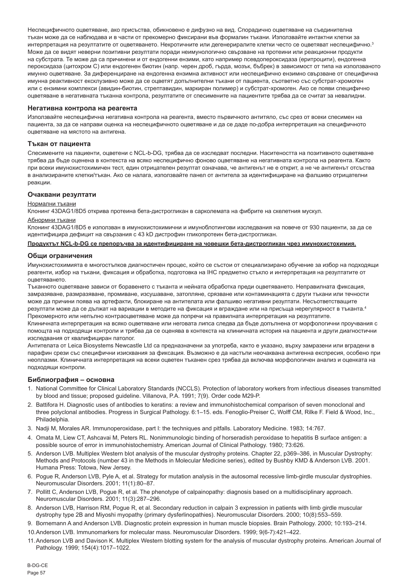Неспецифичното оцветяване, ако присъства, обикновено е дифузно на вид. Спорадично оцветяване на съединителна тъкан може да се наблюдава и в части от прекомерно фиксирани във формалин тъкани. Използвайте интактни клетки за интерпретация на резултатите от оцветяването. Некротичните или дегенериралите клетки често се оцветяват неспецифично.<sup>3</sup> Може да се видят неверни позитивни резултати поради неимунологично свързване на протеини или реакционни продукти на субстрата. Те може да са причинени и от ендогенни ензими, като например псевдопероксидаза (еритроцити), ендогенна пероксидаза (цитохром C) или ендогенен биотин (напр. черен дроб, гърда, мозък, бъбрек) в зависимост от типа на използваното имунно оцветяване. За диференциране на ендогенна ензимна активност или неспецифично ензимно свързване от специфична имунна реактивност ексклузивно може да се оцветят допълнителни тъкани от пациента, съответно със субстрат-хромоген или с ензимни комплекси (авидин-биотин, стрептавидин, маркиран полимер) и субстрат-хромоген. Ако се появи специфично оцветяване в негативната тъканна контрола, резултатите от спесимените на пациентите трябва да се считат за невалидни.

#### **Негативна контрола на реагента**

Използвайте неспецифична негативна контрола на реагента, вместо първичното антитяло, със срез от всеки спесимен на пациента, за да се направи оценка на неспецифичното оцветяване и да се даде по-добра интерпретация на специфичното оцветяване на мястото на антигена.

### **Тъкан от пациента**

Спесимените на пациенти, оцветени с NCL-b-DG, трябва да се изследват последни. Наситеността на позитивното оцветяване трябва да бъде оценена в контекста на всяко неспецифично фоново оцветяване на негативната контрола на реагента. Както при всеки имунохистохимичен тест, един отрицателен резултат означава, че антигенът не е открит, а не че антигенът отсъства в анализираните клетки/тъкан. Ако се налага, използвайте панел от антитела за идентифициране на фалшиво отрицателни реакции.

#### **Очаквани резултати**

#### Нормални тъкани

Клонинг 43DAG1/8D5 открива протеина бета-дистрогликан в сарколемата на фибрите на скелетния мускул.

#### Абнормни тъкани

Клонинг 43DAG1/8D5 е използван в имунохистохимични и имуноблотингови изследвания на повече от 930 пациенти, за да се идентифицира дефицит на свързания с 43 kD дистрофин гликопротеин бета-дистрогликан.

### **Продуктът NCL-b-DG се препоръчва за идентифициране на човешки бета-дистрогликан чрез имунохистохимия.**

#### **Общи ограничения**

Имунохистохимията е многостъпков диагностичен процес, който се състои от специализирано обучение за избор на подходящи реагенти, избор на тъкани, фиксация и обработка, подготовка на IHC предметно стъкло и интерпретация на резултатите от оцветяването.

Тъканното оцветяване зависи от боравенето с тъканта и нейната обработка преди оцветяването. Неправилната фиксация, замразяване, размразяване, промиване, изсушаване, затопляне, срязване или контаминацията с други тъкани или течности може да причини поява на артефакти, блокиране на антителата или фалшиво негативни резултати. Несъответстващите резултати може да се дължат на вариации в методите на фиксация и вграждане или на присъща нерегулярност в тъканта.<sup>4</sup> Прекомерното или непълно контраоцветяване може да попречи на правилната интерпретация на резултатите.

Клиничната интерпретация на всяко оцветяване или неговата липса следва да бъде допълнена от морфологични проучвания с помощта на подходящи контроли и трябва да се оценява в контекста на клиничната история на пациента и други диагностични изследвания от квалифициран патолог.

Антителата от Leica Biosystems Newcastle Ltd са предназначени за употреба, както е указано, върху замразени или вградени в парафин срези със специфични изисквания за фиксация. Възможно е да настъпи неочаквана антигенна експресия, особено при неоплазми. Клиничната интерпретация на всеки оцветен тъканен срез трябва да включва морфологичен анализ и оценката на подходящи контроли.

### **Библиография – основна**

- 1. National Committee for Clinical Laboratory Standards (NCCLS). Protection of laboratory workers from infectious diseases transmitted by blood and tissue; proposed guideline. Villanova, P.A. 1991; 7(9). Order code M29-P.
- 2. Battifora H. Diagnostic uses of antibodies to keratins: a review and immunohistochemical comparison of seven monoclonal and three polyclonal antibodies. Progress in Surgical Pathology. 6:1–15. eds. Fenoglio-Preiser C, Wolff CM, Rilke F. Field & Wood, Inc., Philadelphia
- 3. Nadji M, Morales AR. Immunoperoxidase, part I: the techniques and pitfalls. Laboratory Medicine. 1983; 14:767.
- 4. Omata M, Liew CT, Ashcavai M, Peters RL. Nonimmunologic binding of horseradish peroxidase to hepatitis B surface antigen: a possible source of error in immunohistochemistry. American Journal of Clinical Pathology. 1980; 73:626.
- 5. Anderson LVB. Multiplex Western blot analysis of the muscular dystrophy proteins. Chapter 22, p369–386, in Muscular Dystrophy: Methods and Protocols (number 43 in the Methods in Molecular Medicine series), edited by Bushby KMD & Anderson LVB. 2001. Humana Press: Totowa, New Jersey.
- 6. Pogue R, Anderson LVB, Pyle A, et al. Strategy for mutation analysis in the autosomal recessive limb-girdle muscular dystrophies. Neuromuscular Disorders. 2001; 11(1):80–87.
- 7. Pollitt C, Anderson LVB, Pogue R, et al. The phenotype of calpainopathy: diagnosis based on a multidisciplinary approach. Neuromuscular Disorders. 2001; 11(3):287–296.
- 8. Anderson LVB, Harrison RM, Pogue R, et al. Secondary reduction in calpain 3 expression in patients with limb girdle muscular dystrophy type 2B and Miyoshi myopathy (primary dysferlinopathies). Neuromuscular Disorders. 2000; 10(8):553–559.
- 9. Bornemann A and Anderson LVB. Diagnostic protein expression in human muscle biopsies. Brain Pathology. 2000; 10:193–214.
- 10.Anderson LVB. Immunomarkers for molecular mass. Neuromuscular Disorders. 1999; 9(6-7):421–422.
- 11.Anderson LVB and Davison K. Multiplex Western blotting system for the analysis of muscular dystrophy proteins. American Journal of Pathology. 1999; 154(4):1017–1022.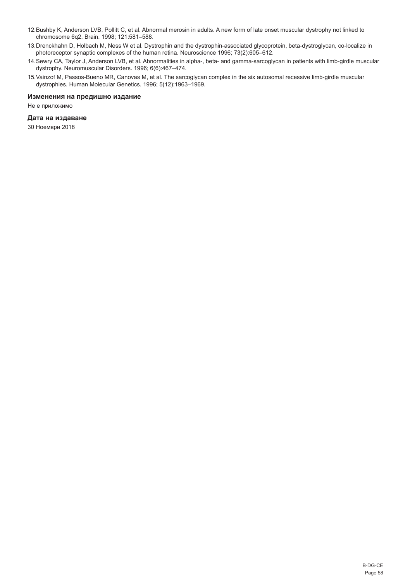- 12.Bushby K, Anderson LVB, Pollitt C, et al. Abnormal merosin in adults. A new form of late onset muscular dystrophy not linked to chromosome 6q2. Brain. 1998; 121:581–588.
- 13.Drenckhahn D, Holbach M, Ness W et al. Dystrophin and the dystrophin-associated glycoprotein, beta-dystroglycan, co-localize in photoreceptor synaptic complexes of the human retina. Neuroscience 1996; 73(2):605–612.
- 14.Sewry CA, Taylor J, Anderson LVB, et al. Abnormalities in alpha-, beta- and gamma-sarcoglycan in patients with limb-girdle muscular dystrophy. Neuromuscular Disorders. 1996; 6(6):467–474.
- 15.Vainzof M, Passos-Bueno MR, Canovas M, et al. The sarcoglycan complex in the six autosomal recessive limb-girdle muscular dystrophies. Human Molecular Genetics. 1996; 5(12):1963–1969.

### **Изменения на предишно издание**

Не е приложимо

### **Дата на издаване**

30 Ноември 2018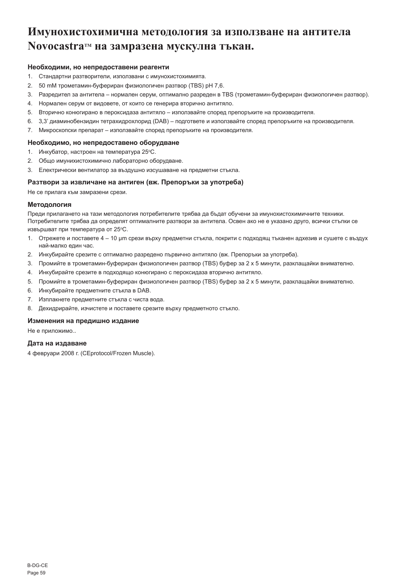# **Имунохистохимична методология за използване на антитела NovocastraTM на замразена мускулна тъкан.**

## **Необходими, но непредоставени реагенти**

- 1. Стандартни разтворители, използвани с имунохистохимията.
- 2. 50 mM трометамин-буфериран физиологичен разтвор (TBS) pH 7,6.
- 3. Разредител за антитела нормален серум, оптимално разреден в TBS (трометамин-буфериран физиологичен разтвор).
- 4. Нормален серум от видовете, от които се генерира вторично антитяло.
- 5. Вторично конюгирано в пероксидаза антитяло използвайте според препоръките на производителя.
- 6. 3,3' диаминобензидин тетрахидрохлорид (DAB) подгответе и използвайте според препоръките на производителя.
- 7. Микроскопски препарат използвайте според препоръките на производителя.

### **Необходимо, но непредоставено оборудване**

- 1. Инкубатор, настроен на температура 25°C.
- 2. Общо имунихистохимично лабораторно оборудване.
- 3. Електрически вентилатор за въздушно изсушаване на предметни стъкла.

## **Разтвори за извличане на антиген (вж. Препоръки за употреба)**

Не се прилага към замразени срези.

### **Методология**

Преди прилагането на тази методология потребителите трябва да бъдат обучени за имунохистохимичните техники. Потребителите трябва да определят оптималните разтвори за антитела. Освен ако не е указано друго, всички стъпки се извършват при температура от 25ºC.

- 1. Отрежете и поставете 4 10 µm срези върху предметни стъкла, покрити с подходящ тъканен адхезив и сушете с въздух най-малко един час.
- 2. Инкубирайте срезите с оптимално разредено първично антитяло (вж. Препоръки за употреба).
- 3. Промийте в трометамин-буфериран физиологичен разтвор (TBS) буфер за 2 x 5 минути, разклащайки внимателно.
- 4. Инкубирайте срезите в подходящо конюгирано с пероксидаза вторично антитяло.
- 5. Промийте в трометамин-буфериран физиологичен разтвор (TBS) буфер за 2 x 5 минути, разклащайки внимателно.
- 6. Инкубирайте предметните стъкла в DAB.
- 7. Изплакнете предметните стъкла с чиста вода.
- 8. Дехидрирайте, изчистете и поставете срезите върху предметното стъкло.

### **Изменения на предишно издание**

Не е приложимо..

## **Дата на издаване**

4 февруари 2008 г. (CEprotocol/Frozen Muscle).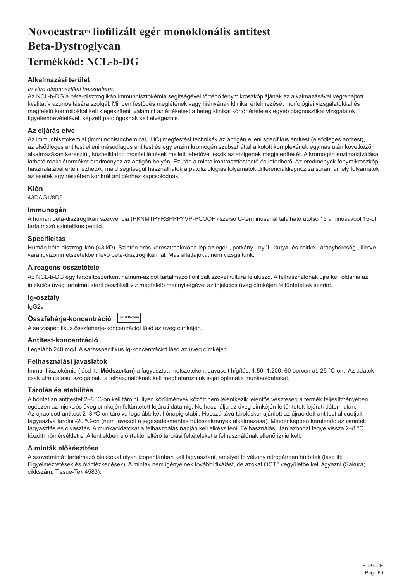# **NovocastraTM liofilizált egér monoklonális antitest Beta-Dystroglycan Termékkód: NCL-b-DG**

## **Alkalmazási terület**

### *In vitro diagnosztikai használatra.*

Az NCL-b-DG a béta-disztroglikán immunhisztokémia segítségével történő fénymikroszkópiájának az alkalmazásával végrehajtott kvalitatív azonosítására szolgál. Minden festődés meglétének vagy hiányának klinikai értelmezését morfológiai vizsgálatokkal és megfelelő kontrollokkal kell kiegészíteni, valamint az értékelést a beteg klinikai kórtörténete és egyéb diagnosztikai vizsgálatok figyelembevételével, képzett patológusnak kell elvégeznie.

## **Az eljárás elve**

Az immunhisztokémiai (immunohistochemical, IHC) megfestési technikák az antigén elleni specifikus antitest (elsődleges antitest), az elsődleges antitest elleni másodlagos antitest és egy enzim kromogén szubsztráttal alkotott komplexének egymás után következő alkalmazásán keresztül, közbeiktatott mosási lépések mellett lehetővé teszik az antigének megjelenítését. A kromogén enzimaktiválása látható reakcióterméket eredményez az antigén helyén. Ezután a minta kontrasztfesthető és lefedhető. Az eredmények fénymikroszkóp használatával értelmezhetők, majd segítségül használhatók a patofiziológiás folyamatok differenciáldiagnózisa során, amely folyamatok az esetek egy részében konkrét antigénhez kapcsolódnak.

## **Klón**

43DAG1/8D5

### **Immunogén**

A humán béta-disztroglikán szekvencia (PKNMTPYRSPPPYVP-PCOOH) szélső C-terminusánál található utolsó 16 aminosavból 15-öt tartalmazó szintetikus peptid.

## **Specificitás**

Humán béta-disztroglikán (43 kD). Szintén erős keresztreakcióba lép az egér-, patkány-, nyúl-, kutya- és csirke-, aranyhörcsög-, illetve varangyizommetszetekben lévő béta-disztroglikánnal. Más állatfajokat nem vizsgáltunk.

### **A reagens összetétele**

Az NCL-b-DG egy tartósítószerként nátrium-azidot tartalmazó liofilizált szövetkultúra felülúszó. A felhasználónak újra kell oldania az injekciós üveg tartalmát steril desztillált víz megfelelő mennyiségével az injekciós üveg címkéjén feltüntetettek szerint.

## **Ig-osztály**

IgG2a

# **Összfehérje-koncentráció Total Protein**

A sarzsspecifikus összfehérje-koncentrációt lásd az üveg címkéjén.

### **Antitest-koncentráció**

Legalább 240 mg/l. A sarzsspecifikus Ig-koncentrációt lásd az üveg címkéjén.

### **Felhasználási javaslatok**

Immunhisztokémia (lásd itt: **Módszertan**) a fagyasztott metszeteken. Javasolt hígítás: 1:50–1:200, 60 percen át, 25 °C-on. Az adatok csak útmutatásul szolgálnak, a felhasználóknak kell meghatározniuk saját optimális munkaoldataikat.

### **Tárolás és stabilitás**

A bontatlan antitestet 2–8 ℃-on kell tárolni. Ilyen körülmények között nem jelentkezik jelentős veszteség a termék teljesítményében, egészen az injekciós üveg címkéjén feltüntetett lejárati dátumig. Ne használja az üveg címkéjén feltüntetett lejárati dátum után. Az újraoldott antitest 2–8 °C-on tárolva legalább két hónapig stabil. Hosszú távú tároláskor ajánlott az újraoldott antitest aliquotjait fagyasztva tárolni -20 °C-on (nem javasolt a jegesedésmentes hűtőszekrények alkalmazása). Mindenképpen kerülendő az ismételt fagyasztás és olvasztás. A munkaoldatokat a felhasználás napján kell elkészíteni. Felhasználás után azonnal tegye vissza 2–8 °C közötti hőmérsékletre. A fentiekben előírtaktól eltérő tárolási feltételeket a felhasználónak ellenőriznie kell.

## **A minták előkészítése**

A szövetmintát tartalmazó blokkokat olyan izopentánban kell fagyasztani, amelyet folyékony nitrogénben hűtöttek (lásd itt: Figyelmeztetések és óvintézkedések). A minták nem igényelnek további fixálást, de azokat OCT™ vegyületbe kell ágyazni (Sakura; cikkszám: Tissue-Tek 4583).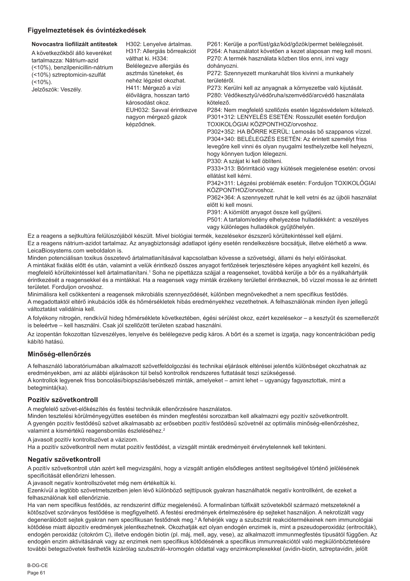### **Figyelmeztetések és óvintézkedések**

## **Novocastra liofilizált antitestek**

A következőkből álló keveréket tartalmazza: Nátrium-azid (<10%), benzilpenicillin-nátrium (<10%) sztreptomicin-szulfát  $($  < 10%). Jelzőszók: Veszély.

H302: Lenyelve ártalmas. H317: Allergiás bőrreakciót válthat ki. H334: Belélegezve allergiás és asztmás tüneteket, és nehéz légzést okozhat. H411: Mérgező a vízi élővilágra, hosszan tartó károsodást okoz. EUH032: Savval érintkezve nagyon mérgező gázok képződnek.

P261: Kerülje a por/füst/gáz/köd/gőzök/permet belélegzését. P264: A használatot követően a kezet alaposan meg kell mosni. P270: A termék használata közben tilos enni, inni vagy dohányozni.

P272: Szennyezett munkaruhát tilos kivinni a munkahely területéről.

P273: Kerülni kell az anyagnak a környezetbe való kijutását. P280: Védőkesztyű/védőruha/szemvédő/arcvédő használata kötelező.

P284: Nem megfelelő szellőzés esetén légzésvédelem kötelező. P301+312: LENYELÉS ESETÉN: Rosszullét esetén forduljon TOXIKOLÓGIAI KÖZPONTHOZ/orvoshoz.

P302+352: HA BŐRRE KERÜL: Lemosás bő szappanos vízzel. P304+340: BELÉLEGZÉS ESETÉN: Az érintett személyt friss levegőre kell vinni és olyan nyugalmi testhelyzetbe kell helyezni, hogy könnyen tudjon lélegezni.

P330: A szájat ki kell öblíteni.

P333+313: Bőrirritáció vagy kiütések megjelenése esetén: orvosi ellátást kell kérni.

P342+311: Légzési problémák esetén: Forduljon TOXIKOLÓGIAI KÖZPONTHOZ/orvoshoz.

P362+364: A szennyezett ruhát le kell vetni és az újbóli használat előtt ki kell mosni.

P391: A kiömlött anyagot össze kell gyűjteni.

P501: A tartalom/edény elhelyezése hulladékként: a veszélyes vagy különleges hulladékok gyűjtőhelyén.

Ez a reagens a sejtkultúra felülúszójából készült. Mivel biológiai termék, kezelésekor észszerű körültekintéssel kell eljárni. Ez a reagens nátrium-azidot tartalmaz. Az anyagbiztonsági adatlapot igény esetén rendelkezésre bocsátjuk, illetve elérhető a www. LeicaBiosystems.com weboldalon is.

Minden potenciálisan toxikus összetevő ártalmatlanításával kapcsolatban kövesse a szövetségi, állami és helyi előírásokat. A mintákat fixálás előtt és után, valamint a velük érintkező összes anyagot fertőzések terjesztésére képes anyagként kell kezelni, és megfelelő körültekintéssel kell ártalmatlanítani.' Soha ne pipettázza szájjal a reagenseket, továbbá kerülje a bőr és a nyálkahártyák érintkezését a reagensekkel és a mintákkal. Ha a reagensek vagy minták érzékeny területtel érintkeznek, bő vízzel mossa le az érintett területet. Forduljon orvoshoz.

Minimálisra kell csökkenteni a reagensek mikrobiális szennyeződését, különben megnövekedhet a nem specifikus festődés. A megadottaktól eltérő inkubációs idők és hőmérsékletek hibás eredményekhez vezethetnek. A felhasználónak minden ilyen jellegű változtatást validálnia kell.

A folyékony nitrogén, rendkívül hideg hőmérséklete következtében, égési sérülést okoz, ezért kezelésekor – a kesztyűt és szemellenzőt is beleértve – kell használni. Csak jól szellőzött területen szabad használni.

Az izopentán fokozottan tűzveszélyes, lenyelve és belélegezve pedig káros. A bőrt és a szemet is izgatja, nagy koncentrációban pedig kábító hatású.

## **Minőség-ellenőrzés**

A felhasználó laboratóriumában alkalmazott szövetfeldolgozási és technikai eljárások eltérései jelentős különbséget okozhatnak az eredményekben, ami az alábbi eljárásokon túl belső kontrollok rendszeres futtatását teszi szükségessé.

A kontrollok legyenek friss boncolási/biopsziás/sebészeti minták, amelyeket – amint lehet – ugyanúgy fagyasztottak, mint a betegmintá(ka).

## **Pozitív szövetkontroll**

A megfelelő szövet-előkészítés és festési technikák ellenőrzésére használatos.

Minden tesztelési körülményegyüttes esetében és minden megfestési sorozatban kell alkalmazni egy pozitív szövetkontrollt. A gyengén pozitív festődésű szövet alkalmasabb az erősebben pozitív festődésű szövetnél az optimális minőség-ellenőrzéshez, valamint a kismértékű reagensbomlás észleléséhez.<sup>2</sup>

A javasolt pozitív kontrollszövet a vázizom.

Ha a pozitív szövetkontroll nem mutat pozitív festődést, a vizsgált minták eredményeit érvénytelennek kell tekinteni.

## **Negatív szövetkontroll**

A pozitív szövetkontroll után azért kell megvizsgálni, hogy a vizsgált antigén elsődleges antitest segítségével történő jelölésének specificitását ellenőrizni lehessen.

A javasolt negatív kontrollszövetet még nem értékeltük ki.

Ezenkívül a legtöbb szövetmetszetben jelen lévő különböző sejttípusok gyakran használhatók negatív kontrollként, de ezeket a felhasználónak kell ellenőriznie.

Ha van nem specifikus festődés, az rendszerint diffúz megjelenésű. A formalinban túlfixált szövetekből származó metszeteknél a kötőszövet szórványos festődése is megfigyelhető. A festési eredmények értelmezésére ép sejteket használjon. A nekrotizált vagy degenerálódott sejtek gyakran nem specifikusan festődnek meg.<sup>3</sup> A fehérjék vagy a szubsztrát reakciótermékeinek nem immunológiai kötődése miatt álpozitív eredmények jelentkezhetnek. Okozhatják ezt olyan endogén enzimek is, mint a pszeudoperoxidáz (eritrociták), endogén peroxidáz (citokróm C), illetve endogén biotin (pl. máj, mell, agy, vese), az alkalmazott immunmegfestés típusától függően. Az endogén enzim aktivitásának vagy az enzimek nem specifikus kötődésének a specifikus immunreakciótól való megkülönböztetésére további betegszövetek festhetők kizárólag szubsztrát–kromogén oldattal vagy enzimkomplexekkel (avidin-biotin, sztreptavidin, jelölt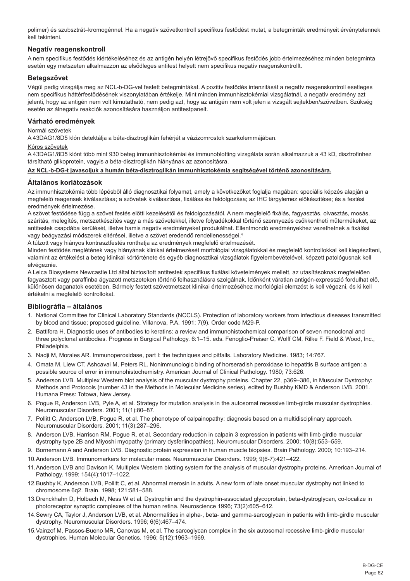polimer) és szubsztrát–kromogénnel. Ha a negatív szövetkontroll specifikus festődést mutat, a betegminták eredményeit érvénytelennek kell tekinteni.

## **Negatív reagenskontroll**

A nem specifikus festődés kiértékeléséhez és az antigén helyén létrejövő specifikus festődés jobb értelmezéséhez minden betegminta esetén egy metszeten alkalmazzon az elsődleges antitest helyett nem specifikus negatív reagenskontrollt.

## **Betegszövet**

Végül pedig vizsgálja meg az NCL-b-DG-vel festett betegmintákat. A pozitív festődés intenzitását a negatív reagenskontroll esetleges nem specifikus háttérfestődésének viszonylatában értékelje. Mint minden immunhisztokémiai vizsgálatnál, a negatív eredmény azt jelenti, hogy az antigén nem volt kimutatható, nem pedig azt, hogy az antigén nem volt jelen a vizsgált sejtekben/szövetben. Szükség esetén az álnegatív reakciók azonosítására használjon antitestpanelt.

### **Várható eredmények**

### Normál szövetek

A 43DAG1/8D5 klón detektálja a béta-disztroglikán fehérjét a vázizomrostok szarkolemmájában.

### Kóros szövetek

A 43DAG1/8D5 klónt több mint 930 beteg immunhisztokémiai és immunoblotting vizsgálata során alkalmazzuk a 43 kD, disztrofinhez társítható glikoprotein, vagyis a béta-disztroglikán hiányának az azonosításra.

### **Az NCL-b-DG-t javasoljuk a humán béta-disztroglikán immunhisztokémia segítségével történő azonosítására.**

## **Általános korlátozások**

Az immunhisztokémia több lépésből álló diagnosztikai folyamat, amely a következőket foglalja magában: speciális képzés alapján a megfelelő reagensek kiválasztása; a szövetek kiválasztása, fixálása és feldolgozása; az IHC tárgylemez előkészítése; és a festési eredmények értelmezése.

A szövet festődése függ a szövet festés előtti kezelésétől és feldolgozásától. A nem megfelelő fixálás, fagyasztás, olvasztás, mosás, szárítás, melegítés, metszetkészítés vagy a más szövetekkel, illetve folyadékokkal történő szennyezés csökkentheti műtermékeket, az antitestek csapdába kerülését, illetve hamis negatív eredményeket produkálhat. Ellentmondó eredményekhez vezethetnek a fixálási vagy beágyazási módszerek eltérései, illetve a szövet eredendő rendellenességei.<sup>4</sup>

A túlzott vagy hiányos kontrasztfestés ronthatja az eredmények megfelelő értelmezését.

Minden festődés meglétének vagy hiányának klinikai értelmezését morfológiai vizsgálatokkal és megfelelő kontrollokkal kell kiegészíteni, valamint az értékelést a beteg klinikai kórtörténete és egyéb diagnosztikai vizsgálatok figyelembevételével, képzett patológusnak kell elvégeznie.

A Leica Biosystems Newcastle Ltd által biztosított antitestek specifikus fixálási követelmények mellett, az utasításoknak megfelelően fagyasztott vagy paraffinba ágyazott metszeteken történő felhasználásra szolgálnak. Időnként váratlan antigén-expresszió fordulhat elő, különösen daganatok esetében. Bármely festett szövetmetszet klinikai értelmezéséhez morfológiai elemzést is kell végezni, és ki kell értékelni a megfelelő kontrollokat.

## **Bibliográfia – általános**

- 1. National Committee for Clinical Laboratory Standards (NCCLS). Protection of laboratory workers from infectious diseases transmitted by blood and tissue; proposed guideline. Villanova, P.A. 1991; 7(9). Order code M29-P.
- 2. Battifora H. Diagnostic uses of antibodies to keratins: a review and immunohistochemical comparison of seven monoclonal and three polyclonal antibodies. Progress in Surgical Pathology. 6:1–15. eds. Fenoglio-Preiser C, Wolff CM, Rilke F. Field & Wood, Inc., Philadelphia.
- 3. Nadji M, Morales AR. Immunoperoxidase, part I: the techniques and pitfalls. Laboratory Medicine. 1983; 14:767.
- 4. Omata M, Liew CT, Ashcavai M, Peters RL. Nonimmunologic binding of horseradish peroxidase to hepatitis B surface antigen: a possible source of error in immunohistochemistry. American Journal of Clinical Pathology. 1980; 73:626.
- 5. Anderson LVB. Multiplex Western blot analysis of the muscular dystrophy proteins. Chapter 22, p369–386, in Muscular Dystrophy: Methods and Protocols (number 43 in the Methods in Molecular Medicine series), edited by Bushby KMD & Anderson LVB. 2001. Humana Press: Totowa, New Jersey.
- 6. Pogue R, Anderson LVB, Pyle A, et al. Strategy for mutation analysis in the autosomal recessive limb-girdle muscular dystrophies. Neuromuscular Disorders. 2001; 11(1):80–87.
- 7. Pollitt C, Anderson LVB, Pogue R, et al. The phenotype of calpainopathy: diagnosis based on a multidisciplinary approach. Neuromuscular Disorders. 2001; 11(3):287–296.
- 8. Anderson LVB, Harrison RM, Pogue R, et al. Secondary reduction in calpain 3 expression in patients with limb girdle muscular dystrophy type 2B and Miyoshi myopathy (primary dysferlinopathies). Neuromuscular Disorders. 2000; 10(8):553–559.
- 9. Bornemann A and Anderson LVB. Diagnostic protein expression in human muscle biopsies. Brain Pathology. 2000; 10:193–214.
- 10.Anderson LVB. Immunomarkers for molecular mass. Neuromuscular Disorders. 1999; 9(6-7):421–422.
- 11.Anderson LVB and Davison K. Multiplex Western blotting system for the analysis of muscular dystrophy proteins. American Journal of Pathology. 1999; 154(4):1017–1022.
- 12.Bushby K, Anderson LVB, Pollitt C, et al. Abnormal merosin in adults. A new form of late onset muscular dystrophy not linked to chromosome 6q2. Brain. 1998; 121:581–588.
- 13.Drenckhahn D, Holbach M, Ness W et al. Dystrophin and the dystrophin-associated glycoprotein, beta-dystroglycan, co-localize in photoreceptor synaptic complexes of the human retina. Neuroscience 1996; 73(2):605–612.
- 14.Sewry CA, Taylor J, Anderson LVB, et al. Abnormalities in alpha-, beta- and gamma-sarcoglycan in patients with limb-girdle muscular dystrophy. Neuromuscular Disorders. 1996; 6(6):467–474.
- 15.Vainzof M, Passos-Bueno MR, Canovas M, et al. The sarcoglycan complex in the six autosomal recessive limb-girdle muscular dystrophies. Human Molecular Genetics. 1996; 5(12):1963–1969.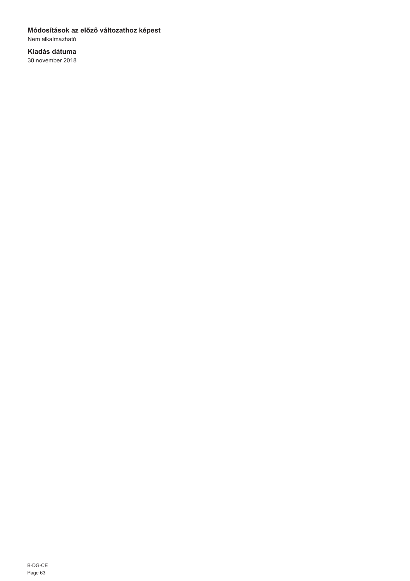# **Módosítások az előző változathoz képest**

Nem alkalmazható

# **Kiadás dátuma**

30 november 2018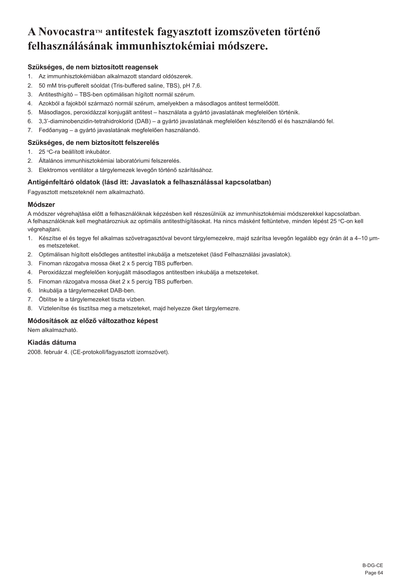# **A NovocastraTM antitestek fagyasztott izomszöveten történő felhasználásának immunhisztokémiai módszere.**

# **Szükséges, de nem biztosított reagensek**

- 1. Az immunhisztokémiában alkalmazott standard oldószerek.
- 2. 50 mM tris-pufferelt sóoldat (Tris-buffered saline, TBS), pH 7,6.
- 3. Antitesthígító TBS-ben optimálisan hígított normál szérum.
- 4. Azokból a fajokból származó normál szérum, amelyekben a másodlagos antitest termelődött.
- 5. Másodlagos, peroxidázzal konjugált antitest használata a gyártó javaslatának megfelelően történik.
- 6. 3,3'-diaminobenzidin-tetrahidroklorid (DAB) a gyártó javaslatának megfelelően készítendő el és használandó fel.
- 7. Fedőanyag a gyártó javaslatának megfelelően használandó.

## **Szükséges, de nem biztosított felszerelés**

- 1. 25 °C-ra beállított inkubátor.
- 2. Általános immunhisztokémiai laboratóriumi felszerelés.
- 3. Elektromos ventilátor a tárgylemezek levegőn történő szárításához.

## **Antigénfeltáró oldatok (lásd itt: Javaslatok a felhasználással kapcsolatban)**

Fagyasztott metszeteknél nem alkalmazható.

## **Módszer**

A módszer végrehajtása előtt a felhasználóknak képzésben kell részesülniük az immunhisztokémiai módszerekkel kapcsolatban. A felhasználóknak kell meghatározniuk az optimális antitesthígításokat. Ha nincs másként feltüntetve, minden lépést 25 °C-on kell végrehajtani.

- 1. Készítse el és tegye fel alkalmas szövetragasztóval bevont tárgylemezekre, majd szárítsa levegőn legalább egy órán át a 4–10 µmes metszeteket.
- 2. Optimálisan hígított elsődleges antitesttel inkubálja a metszeteket (lásd Felhasználási javaslatok).
- 3. Finoman rázogatva mossa őket 2 x 5 percig TBS pufferben.
- 4. Peroxidázzal megfelelően konjugált másodlagos antitestben inkubálja a metszeteket.
- 5. Finoman rázogatva mossa őket 2 x 5 percig TBS pufferben.
- 6. Inkubálja a tárgylemezeket DAB-ben.
- 7. Öblítse le a tárgylemezeket tiszta vízben.
- 8. Víztelenítse és tisztítsa meg a metszeteket, majd helyezze őket tárgylemezre.

## **Módosítások az előző változathoz képest**

Nem alkalmazható.

## **Kiadás dátuma**

2008. február 4. (CE-protokoll/fagyasztott izomszövet).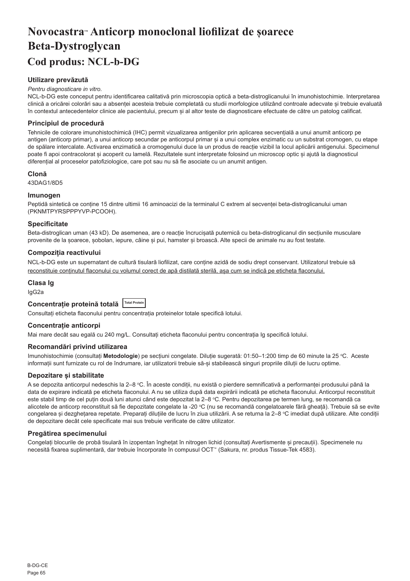# **Novocastra™ Anticorp monoclonal liofilizat de șoarece Beta-Dystroglycan Cod produs: NCL-b-DG**

## **Utilizare prevăzută**

#### *Pentru diagnosticare in vitro.*

NCL-b-DG este conceput pentru identificarea calitativă prin microscopia optică a beta-distroglicanului în imunohistochimie. Interpretarea clinică a oricărei colorări sau a absenței acesteia trebuie completată cu studii morfologice utilizând controale adecvate și trebuie evaluată în contextul antecedentelor clinice ale pacientului, precum și al altor teste de diagnosticare efectuate de către un patolog calificat.

### **Principiul de procedură**

Tehnicile de colorare imunohistochimică (IHC) permit vizualizarea antigenilor prin aplicarea secvențială a unui anumit anticorp pe antigen (anticorp primar), a unui anticorp secundar pe anticorpul primar și a unui complex enzimatic cu un substrat cromogen, cu etape de spălare intercalate. Activarea enzimatică a cromogenului duce la un produs de reacție vizibil la locul aplicării antigenului. Specimenul poate fi apoi contracolorat și acoperit cu lamelă. Rezultatele sunt interpretate folosind un microscop optic și ajută la diagnosticul diferențial al proceselor patofiziologice, care pot sau nu să fie asociate cu un anumit antigen.

### **Clonă**

43DAG1/8D5

### **Imunogen**

Peptidă sintetică ce conține 15 dintre ultimii 16 aminoacizi de la terminalul C extrem al secvenței beta-distroglicanului uman (PKNMTPYRSPPPYVP-PCOOH).

### **Specificitate**

Beta-distroglican uman (43 kD). De asemenea, are o reacție încrucisată puternică cu beta-distroglicanul din secțiunile musculare provenite de la șoarece, șobolan, iepure, câine și pui, hamster și broască. Alte specii de animale nu au fost testate.

## **Compoziția reactivului**

NCL-b-DG este un supernatant de cultură tisulară liofilizat, care conține azidă de sodiu drept conservant. Utilizatorul trebuie să reconstituie conținutul flaconului cu volumul corect de apă distilată sterilă, așa cum se indică pe eticheta flaconului.

### **Clasa Ig**

IgG2a

**Concentrație proteină totală Total Protein**

Consultați eticheta flaconului pentru concentrația proteinelor totale specifică lotului.

### **Concentrație anticorpi**

Mai mare decât sau egală cu 240 mg/L. Consultați eticheta flaconului pentru concentrația Ig specifică lotului.

## **Recomandări privind utilizarea**

Imunohistochimie (consultați **Metodologie**) pe secțiuni congelate. Diluție sugerată: 01:50–1:200 timp de 60 minute la 25 °C. Aceste informații sunt furnizate cu rol de îndrumare, iar utilizatorii trebuie să-și stabilească singuri propriile diluții de lucru optime.

### **Depozitare și stabilitate**

A se depozita anticorpul nedeschis la 2–8 °C. In aceste condiții, nu există o pierdere semnificativă a performanței produsului până la data de expirare indicată pe eticheta flaconului. A nu se utiliza după data expirării indicată pe eticheta flaconului. Anticorpul reconstituit este stabil timp de cel puțin două luni atunci când este depozitat la 2–8 °C. Pentru depozitarea pe termen lung, se recomandă ca alicotele de anticorp reconstituit să fie depozitate congelate la -20 °C (nu se recomandă congelatoarele fără gheață). Trebuie să se evite congelarea și dezghețarea repetate. Preparați diluțiile de lucru în ziua utilizării. A se returna la 2–8 °C imediat după utilizare. Alte condiții de depozitare decât cele specificate mai sus trebuie verificate de către utilizator.

### **Pregătirea specimenului**

Congelați blocurile de probă tisulară în izopentan înghețat în nitrogen lichid (consultați Avertismente și precauții). Specimenele nu necesită fixarea suplimentară, dar trebuie încorporate în compusul OCT™ (Sakura, nr. produs Tissue-Tek 4583).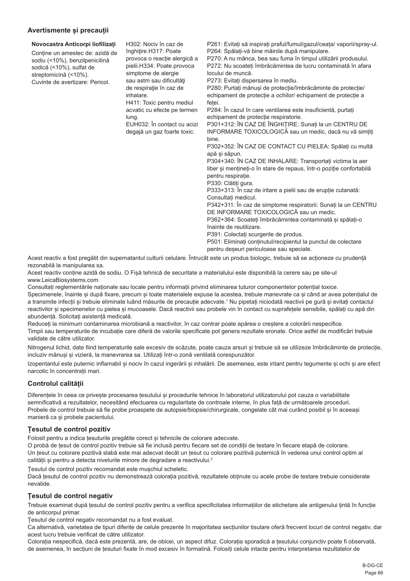## **Avertismente și precauții**

### **Novocastra Anticorpi liofilizați**

Conține un amestec de: azidă de sodiu (<10%), benzilpenicilină sodică (<10%), sulfat de streptomicină (<10%). Cuvinte de avertizare: Pericol.

H302: Nociv în caz de înghițire.H317: Poate provoca o reacție alergică a pielii.H334: Poate provoca simptome de alergie sau astm sau dificultăți de respirație în caz de inhalare. H411: Toxic pentru mediul acvatic cu efecte pe termen lung.

EUH032: În contact cu acizi degajă un gaz foarte toxic.

P261: Evitati să inspirati praful/fumul/gazul/ceata/ vaporii/spray-ul. P264: Spălați-vă bine mâinile după manipulare.

P270: A nu mânca, bea sau fuma în timpul utilizării produsului.

P272: Nu scoateți îmbrăcămintea de lucru contaminată în afara locului de muncă.

P273: Evitați dispersarea în mediu.

P280: Purtați mănuși de protecție/îmbrăcăminte de protecție/ echipament de protecție a ochilor/ echipament de protecție a feței.

P284: În cazul în care ventilarea este insuficientă, purtați echipament de protectie respiratorie.

P301+312: ÎN CAZ DE ÎNGHIȚIRE: Sunați la un CENTRU DE INFORMARE TOXICOLOGICĂ sau un medic, dacă nu vă simțiți bine.

P302+352: ÎN CAZ DE CONTACT CU PIELEA: Spălați cu multă apă și săpun.

P304+340: ÎN CAZ DE INHALARE: Transportați victima la aer liber și mențineți-o în stare de repaus, într-o poziție confortabilă pentru respirație.

P330: Clătiti gura.

P333+313: În caz de iritare a pielii sau de erupție cutanată: Consultați medicul.

P342+311: În caz de simptome respiratorii: Sunați la un CENTRU DE INFORMARE TOXICOLOGICĂ sau un medic.

P362+364: Scoateți îmbrăcămintea contaminată și spălați-o înainte de reutilizare.

P391: Colectați scurgerile de produs.

P501: Eliminați conținutul/recipientul la punctul de colectare

pentru deșeuri periculoase sau speciale.

Acest reactiv a fost pregătit din supernatantul culturii celulare. Întrucât este un produs biologic, trebuie să se acționeze cu prudență rezonabilă la manipularea sa.

Acest reactiv conține azidă de sodiu. O Fișă tehnică de securitate a materialului este disponibilă la cerere sau pe site-ul www.LeicaBiosystems.com

Consultați reglementările naționale sau locale pentru informații privind eliminarea tuturor componentelor potențial toxice. Specimenele, înainte și după fixare, precum și toate materialele expuse la acestea, trebuie manevrate ca și când ar avea potențialul de a transmite infecții și trebuie eliminate luând măsurile de precauție adecvate.' Nu pipetați niciodată reactivii pe gură și evitați contactul reactivilor și specimenelor cu pielea și mucoasele. Dacă reactivii sau probele vin în contact cu suprafețele sensibile, spălați cu apă din abundență. Solicitați asistență medicală.

Reduceți la minimum contaminarea microbiană a reactivilor, în caz contrar poate apărea o creștere a colorării nespecifice. Timpii sau temperaturile de incubație care diferă de valorile specificate pot genera rezultate eronate. Orice astfel de modificări trebuie validate de către utilizator.

Nitrogenul lichid, date fiind temperaturile sale excesiv de scăzute, poate cauza arsuri și trebuie să se utilizeze îmbrăcăminte de protecție, incluziv mănuși și vizieră, la manevrarea sa. Utilizați într-o zonă ventilată corespunzător.

Izopentantul este puternic inflamabil și nociv în cazul ingerării și inhalării. De asemenea, este iritant pentru tegumente și ochi și are efect narcotic în concentrații mari.

## **Controlul calității**

Diferențele în ceea ce privește procesarea țesutului și procedurile tehnice în laboratorul utilizatorului pot cauza o variabilitate semnificativă a rezultatelor, necesitând efectuarea cu regularitate de controale interne, în plus față de următoarele proceduri. Probele de control trebuie să fie probe proaspete de autopsie/biopsie/chirurgicale, congelate cât mai curând posibil și în aceeași manieră ca și probele pacientului.

## **Țesutul de control pozitiv**

Folosit pentru a indica țesuturile pregătite corect și tehnicile de colorare adecvate.

O probă de țesut de control pozitiv trebuie să fie inclusă pentru fiecare set de condiții de testare în fiecare etapă de colorare. Un țesut cu colorare pozitivă slabă este mai adecvat decât un țesut cu colorare pozitivă puternică în vederea unui control optim al calității și pentru a detecta nivelurile minore de degradare a reactivului.<sup>2</sup>

Țesutul de control pozitiv recomandat este mușchiul scheletic.

Dacă țesutul de control pozitiv nu demonstrează colorația pozitivă, rezultatele obținute cu acele probe de testare trebuie considerate nevalide.

## **Țesutul de control negativ**

Trebuie examinat după țesutul de control pozitiv pentru a verifica specificitatea informațiilor de etichetare ale antigenului țintă în funcție de anticorpul primar.

Țesutul de control negativ recomandat nu a fost evaluat.

Ca alternativă, varietatea de tipuri diferite de celule prezente în majoritatea secțiunilor tisulare oferă frecvent locuri de control negativ, dar acest lucru trebuie verificat de către utilizator.

Colorația nespecifică, dacă este prezentă, are, de obicei, un aspect difuz. Colorația sporadică a țesutului conjunctiv poate fi observată, de asemenea, în secțiuni de țesuturi fixate în mod excesiv în formalină. Folosiți celule intacte pentru interpretarea rezultatelor de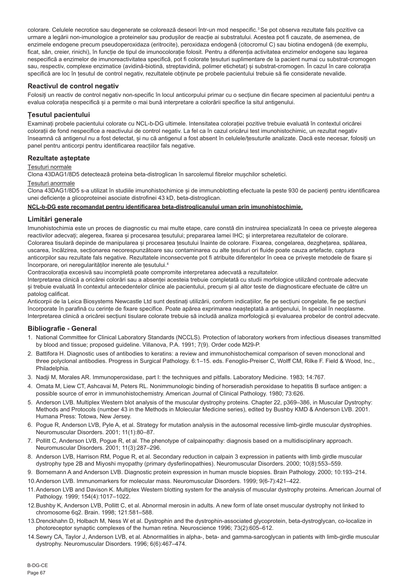colorare. Celulele necrotice sau degenerate se colorează deseori într-un mod nespecific.<sup>3</sup> Se pot observa rezultate fals pozitive ca urmare a legării non-imunologice a proteinelor sau produșilor de reacție ai substratului. Acestea pot fi cauzate, de asemenea, de enzimele endogene precum pseudoperoxidaza (eritrocite), peroxidaza endogenă (citocromul C) sau biotina endogenă (de exemplu, ficat, sân, creier, rinichi), în funcție de tipul de imunocolorație folosit. Pentru a diferenția activitatea enzimelor endogene sau legarea nespecifică a enzimelor de imunoreactivitatea specifică, pot fi colorate țesuturi suplimentare de la pacient numai cu substrat-cromogen sau, respectiv, complexe enzimatice (avidină-biotină, streptavidină, polimer etichetat) și substrat-cromogen. În cazul în care colorația specifică are loc în țesutul de control negativ, rezultatele obținute pe probele pacientului trebuie să fie considerate nevalide.

## **Reactivul de control negativ**

Folosiți un reactiv de control negativ non-specific în locul anticorpului primar cu o secțiune din fiecare specimen al pacientului pentru a evalua colorația nespecifică și a permite o mai bună interpretare a colorării specifice la situl antigenului.

## **Țesutul pacientului**

Examinați probele pacientului colorate cu NCL-b-DG ultimele. Intensitatea colorației pozitive trebuie evaluată în contextul oricărei colorații de fond nespecifice a reactivului de control negativ. La fel ca în cazul oricărui test imunohistochimic, un rezultat negativ înseamnă că antigenul nu a fost detectat, și nu că antigenul a fost absent în celulele/țesuturile analizate. Dacă este necesar, folosiți un panel pentru anticorpi pentru identificarea reacțiilor fals negative.

## **Rezultate așteptate**

## Țesuturi normale

Clona 43DAG1/8D5 detectează proteina beta-distroglican în sarcolemul fibrelor mușchilor scheletici.

### Țesuturi anormale

Clona 43DAG1/8D5 s-a utilizat în studiile imunohistochimice și de immunoblotting efectuate la peste 930 de pacienți pentru identificarea unei deficiențe a glicoproteinei asociate distrofinei 43 kD, beta-distroglican.

### **NCL-b-DG este recomandat pentru identificarea beta-distroglicanului uman prin imunohistochimie.**

## **Limitări generale**

Imunohistochimia este un proces de diagnostic cu mai multe etape, care constă din instruirea specializată în ceea ce privește alegerea reactivilor adecvati; alegerea, fixarea și procesarea tesutului; prepararea lamei IHC; și interpretarea rezultatelor de colorare. Colorarea tisulară depinde de manipularea și procesarea tesutului înainte de colorare. Fixarea, congelarea, dezghetarea, spălarea, uscarea, încălzirea, secționarea necorespunzătoare sau contaminarea cu alte țesuturi ori fluide poate cauza artefacte, captura anticorpilor sau rezultate fals negative. Rezultatele inconsecvente pot fi atribuite diferențelor în ceea ce privește metodele de fixare și încorporare, ori neregularităților inerente ale tesutului.<sup>4</sup>

Contracolorația excesivă sau incompletă poate compromite interpretarea adecvată a rezultatelor.

Interpretarea clinică a oricărei colorări sau a absenței acesteia trebuie completată cu studii morfologice utilizând controale adecvate și trebuie evaluată în contextul antecedentelor clinice ale pacientului, precum și al altor teste de diagnosticare efectuate de către un patolog calificat.

Anticorpii de la Leica Biosystems Newcastle Ltd sunt destinați utilizării, conform indicațiilor, fie pe secțiuni congelate, fie pe secțiuni încorporate în parafină cu cerințe de fixare specifice. Poate apărea exprimarea neașteptată a antigenului, în special în neoplasme. Interpretarea clinică a oricărei secțiuni tisulare colorate trebuie să includă analiza morfologică și evaluarea probelor de control adecvate.

## **Bibliografie - General**

- 1. National Committee for Clinical Laboratory Standards (NCCLS). Protection of laboratory workers from infectious diseases transmitted by blood and tissue; proposed guideline. Villanova, P.A. 1991; 7(9). Order code M29-P.
- 2. Battifora H. Diagnostic uses of antibodies to keratins: a review and immunohistochemical comparison of seven monoclonal and three polyclonal antibodies. Progress in Surgical Pathology. 6:1–15. eds. Fenoglio-Preiser C, Wolff CM, Rilke F. Field & Wood, Inc., Philadelphia.
- 3. Nadji M, Morales AR. Immunoperoxidase, part I: the techniques and pitfalls. Laboratory Medicine. 1983; 14:767.
- 4. Omata M, Liew CT, Ashcavai M, Peters RL. Nonimmunologic binding of horseradish peroxidase to hepatitis B surface antigen: a possible source of error in immunohistochemistry. American Journal of Clinical Pathology. 1980; 73:626.
- 5. Anderson LVB. Multiplex Western blot analysis of the muscular dystrophy proteins. Chapter 22, p369–386, in Muscular Dystrophy: Methods and Protocols (number 43 in the Methods in Molecular Medicine series), edited by Bushby KMD & Anderson LVB. 2001. Humana Press: Totowa, New Jersey.
- 6. Pogue R, Anderson LVB, Pyle A, et al. Strategy for mutation analysis in the autosomal recessive limb-girdle muscular dystrophies. Neuromuscular Disorders. 2001; 11(1):80–87.
- 7. Pollitt C, Anderson LVB, Pogue R, et al. The phenotype of calpainopathy: diagnosis based on a multidisciplinary approach. Neuromuscular Disorders. 2001; 11(3):287–296.
- 8. Anderson LVB, Harrison RM, Pogue R, et al. Secondary reduction in calpain 3 expression in patients with limb girdle muscular dystrophy type 2B and Miyoshi myopathy (primary dysferlinopathies). Neuromuscular Disorders. 2000; 10(8):553–559.
- 9. Bornemann A and Anderson LVB. Diagnostic protein expression in human muscle biopsies. Brain Pathology. 2000; 10:193–214.
- 10.Anderson LVB. Immunomarkers for molecular mass. Neuromuscular Disorders. 1999; 9(6-7):421–422.
- 11.Anderson LVB and Davison K. Multiplex Western blotting system for the analysis of muscular dystrophy proteins. American Journal of Pathology. 1999; 154(4):1017–1022.
- 12.Bushby K, Anderson LVB, Pollitt C, et al. Abnormal merosin in adults. A new form of late onset muscular dystrophy not linked to chromosome 6q2. Brain. 1998; 121:581–588.
- 13.Drenckhahn D, Holbach M, Ness W et al. Dystrophin and the dystrophin-associated glycoprotein, beta-dystroglycan, co-localize in photoreceptor synaptic complexes of the human retina. Neuroscience 1996; 73(2):605–612.
- 14.Sewry CA, Taylor J, Anderson LVB, et al. Abnormalities in alpha-, beta- and gamma-sarcoglycan in patients with limb-girdle muscular dystrophy. Neuromuscular Disorders. 1996; 6(6):467–474.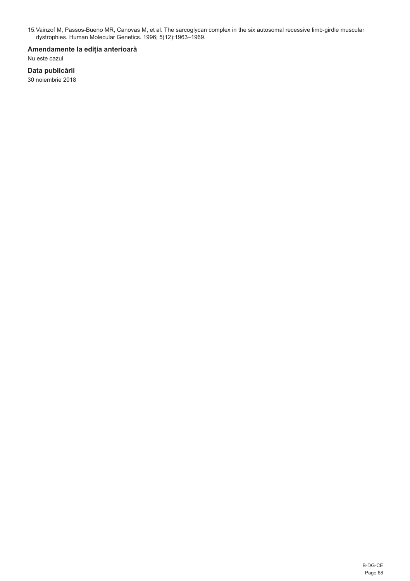15.Vainzof M, Passos-Bueno MR, Canovas M, et al. The sarcoglycan complex in the six autosomal recessive limb-girdle muscular dystrophies. Human Molecular Genetics. 1996; 5(12):1963–1969.

# **Amendamente la ediția anterioară**

Nu este cazul

# **Data publicării**

30 noiembrie 2018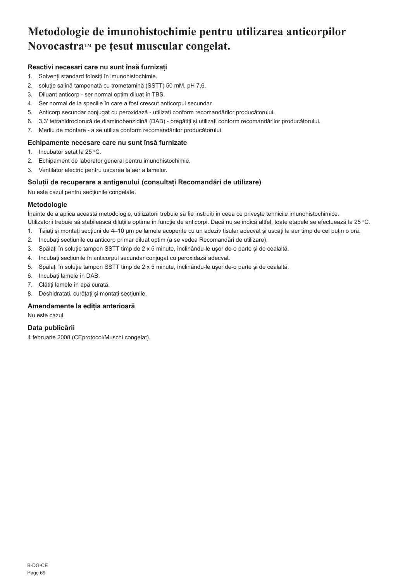# **Metodologie de imunohistochimie pentru utilizarea anticorpilor**  Novocastra™ pe țesut muscular congelat.

# **Reactivi necesari care nu sunt însă furnizați**

- 1. Solvenți standard folosiți în imunohistochimie.
- 2. soluție salină tamponată cu trometamină (SSTT) 50 mM, pH 7,6.
- 3. Diluant anticorp ser normal optim diluat în TBS.
- 4. Ser normal de la speciile în care a fost crescut anticorpul secundar.
- 5. Anticorp secundar conjugat cu peroxidază utilizați conform recomandărilor producătorului.
- 6. 3,3' tetrahidroclorură de diaminobenzidină (DAB) pregătiți și utilizați conform recomandărilor producătorului.
- 7. Mediu de montare a se utiliza conform recomandărilor producătorului.

## **Echipamente necesare care nu sunt însă furnizate**

- 1. Incubator setat la 25 °C.
- 2. Echipament de laborator general pentru imunohistochimie.
- 3. Ventilator electric pentru uscarea la aer a lamelor.

## **Soluții de recuperare a antigenului (consultați Recomandări de utilizare)**

Nu este cazul pentru secțiunile congelate.

## **Metodologie**

Înainte de a aplica această metodologie, utilizatorii trebuie să fie instruiti în ceea ce priveste tehnicile imunohistochimice.

Utilizatorii trebuie să stabilească diluțiile optime în funcție de anticorpi. Dacă nu se indică altfel, toate etapele se efectuează la 25 °C.

- 1. Tăiați și montați secțiuni de 4–10 µm pe lamele acoperite cu un adeziv tisular adecvat și uscați la aer timp de cel puțin o oră.
- 2. Incubați secțiunile cu anticorp primar diluat optim (a se vedea Recomandări de utilizare).
- 3. Spălați în soluție tampon SSTT timp de 2 x 5 minute, înclinându-le usor de-o parte și de cealaltă.
- 4. Incubați secțiunile în anticorpul secundar conjugat cu peroxidază adecvat.
- 5. Spălați în soluție tampon SSTT timp de 2 x 5 minute, înclinându-le ușor de-o parte și de cealaltă.
- 6. Incubați lamele în DAB.
- 7. Clătiți lamele în apă curată.
- 8. Deshidratați, curătați și montați secțiunile.

# **Amendamente la ediția anterioară**

Nu este cazul.

## **Data publicării**

4 februarie 2008 (CEprotocol/Mușchi congelat).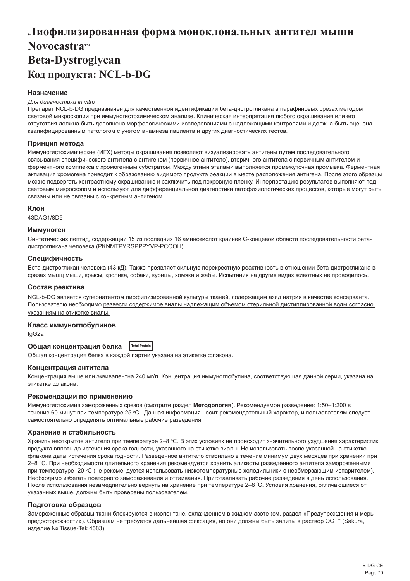# **Лиофилизированная форма моноклональных антител мыши Novocastra™ Beta-Dystroglycan Код продукта: NCL-b-DG**

## **Назначение**

## *Для диагностики in vitro*

Препарат NCL-b-DG предназначен для качественной идентификации бета-дистрогликана в парафиновых срезах методом световой микроскопии при иммуногистохимическом анализе. Клиническая интерпретация любого окрашивания или его отсутствия должна быть дополнена морфологическими исследованиями с надлежащими контролями и должна быть оценена квалифицированным патологом с учетом анамнеза пациента и других диагностических тестов.

## **Принцип метода**

Иммуногистохимические (ИГХ) методы окрашивания позволяют визуализировать антигены путем последовательного связывания специфического антитела с антигеном (первичное антитело), вторичного антитела с первичным антителом и ферментного комплекса с хромогенным субстратом. Между этими этапами выполняется промежуточная промывка. Ферментная активация хромогена приводит к образованию видимого продукта реакции в месте расположения антигена. После этого образцы можно подвергать контрастному окрашиванию и заключить под покровную пленку. Интерпретацию результатов выполняют под световым микроскопом и используют для дифференциальной диагностики патофизиологических процессов, которые могут быть связаны или не связаны с конкретным антигеном.

#### **Клон**

43DAG1/8D5

### **Иммуноген**

Синтетических пептид, содержащий 15 из последних 16 аминокислот крайней C-концевой области последовательности бетадистрогликана человека (PKNMTPYRSPPPYVP-PCOOH).

### **Специфичность**

Бета-дистрогликан человека (43 кД). Также проявляет сильную перекрестную реактивность в отношении бета-дистрогликана в срезах мышц мыши, крысы, кролика, собаки, курицы, хомяка и жабы. Испытания на других видах животных не проводилось.

### **Состав реактива**

NCL-b-DG является супернатантом лиофилизированной культуры тканей, содержащим азид натрия в качестве консерванта. Пользователю необходимо развести содержимое виалы надлежащим объемом стерильной дистиллированной воды согласно указаниям на этикетке виалы.

### **Класс иммуноглобулинов**

IgG2a

| Общая концентрация белка | <b>Total Protein</b> |
|--------------------------|----------------------|
|--------------------------|----------------------|

Общая концентрация белка в каждой партии указана на этикетке флакона.

### **Концентрация антитела**

Концентрация выше или эквивалентна 240 мг/л. Концентрация иммуноглобулина, соответствующая данной серии, указана на этикетке флакона.

### **Рекомендации по применению**

Иммуногистохимия замороженных срезов (смотрите раздел **Методология**). Рекомендуемое разведение: 1:50–1:200 в течение 60 минут при температуре 25 °C. Данная информация носит рекомендательный характер, и пользователям следует самостоятельно определять оптимальные рабочие разведения.

### **Хранение и стабильность**

Хранить неоткрытое антитело при температуре 2–8 °C. В этих условиях не происходит значительного ухудшения характеристик продукта вплоть до истечения срока годности, указанного на этикетке виалы. Не использовать после указанной на этикетке флакона даты истечения срока годности. Разведенное антитело стабильно в течение минимум двух месяцев при хранении при 2–8 °C. При необходимости длительного хранения рекомендуется хранить аликвоты разведенного антитела замороженными при температуре -20 °C (не рекомендуется использовать низкотемпературные холодильники с необмерзающим испарителем). Необходимо избегать повторного замораживания и оттаивания. Приготавливать рабочие разведения в день использования. После использования незамедлительно вернуть на хранение при температуре 2–8 ° C. Условия хранения, отличающиеся от указанных выше, должны быть проверены пользователем.

### **Подготовка образцов**

Замороженные образцы ткани блокируются в изопентане, охлажденном в жидком азоте (см. раздел «Предупреждения и меры предосторожности»). Образцам не требуется дальнейшая фиксация, но они должны быть залиты в раствор OCT™ (Sakura, изделие № Tissue-Tek 4583).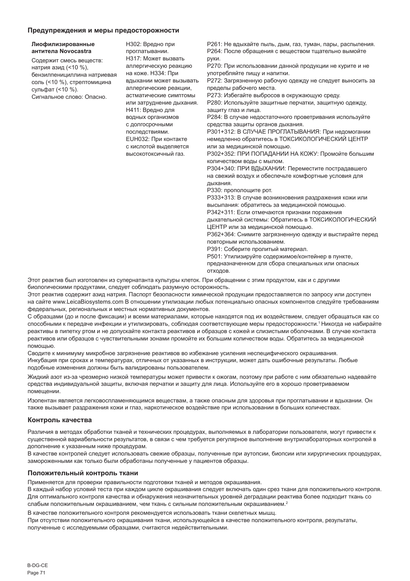#### **Предупреждения и меры предосторожности**

| Лиофилизированные                                                                                                                                              | Н302: Вредно при                                                                                                                                                                                                                                                                                                                            | Р261: Не вдыхайте пыль, дым, газ, туман, пары, распыления.                                                                                                                                                                                                                                                                                                                                                                                                                                                                                                                                                                                                                                                                                                                                                                                                                                                                                                                                                                                                                                                           |
|----------------------------------------------------------------------------------------------------------------------------------------------------------------|---------------------------------------------------------------------------------------------------------------------------------------------------------------------------------------------------------------------------------------------------------------------------------------------------------------------------------------------|----------------------------------------------------------------------------------------------------------------------------------------------------------------------------------------------------------------------------------------------------------------------------------------------------------------------------------------------------------------------------------------------------------------------------------------------------------------------------------------------------------------------------------------------------------------------------------------------------------------------------------------------------------------------------------------------------------------------------------------------------------------------------------------------------------------------------------------------------------------------------------------------------------------------------------------------------------------------------------------------------------------------------------------------------------------------------------------------------------------------|
| антитела Novocastra                                                                                                                                            | проглатывании.                                                                                                                                                                                                                                                                                                                              | Р264: После обращения с веществом тщательно вымойте                                                                                                                                                                                                                                                                                                                                                                                                                                                                                                                                                                                                                                                                                                                                                                                                                                                                                                                                                                                                                                                                  |
| Содержит смесь веществ:<br>натрия азид (<10 %),<br>бензилпенициллина натриевая<br>соль (<10 %), стрептомицина<br>сульфат (<10 %).<br>Сигнальное слово: Опасно. | НЗ17: Может вызвать<br>аллергическую реакцию<br>на коже. Н334: При<br>вдыхании может вызывать<br>аллергические реакции,<br>астматические симптомы<br>или затруднение дыхания.<br>Н411: Вредно для<br>водных организмов<br>с долгосрочными<br>последствиями.<br><b>EUH032: При контакте</b><br>с кислотой выделяется<br>высокотоксичный газ. | руки.<br>Р270: При использовании данной продукции не курите и не<br>употребляйте пищу и напитки.<br>Р272: Загрязненную рабочую одежду не следует выносить за<br>пределы рабочего места.<br>Р273: Избегайте выбросов в окружающую среду.<br>Р280: Используйте защитные перчатки, защитную одежду,<br>защиту глаз и лица.<br>Р284: В случае недостаточного проветривания используйте<br>средства защиты органов дыхания.<br>РЗ01+312: В СЛУЧАЕ ПРОГЛАТЫВАНИЯ: При недомогании<br>немедленно обратитесь в ТОКСИКОЛОГИЧЕСКИЙ ЦЕНТР<br>или за медицинской помощью.<br>РЗ02+352: ПРИ ПОПАДАНИИ НА КОЖУ: Промойте большим<br>количеством воды с мылом.<br>РЗ04+340: ПРИ ВДЫХАНИИ: Переместите пострадавшего<br>на свежий воздух и обеспечьте комфортные условия для<br>дыхания.<br>РЗЗО: прополощите рот.<br>РЗЗЗ+313: В случае возникновения раздражения кожи или<br>высыпания: обратитесь за медицинской помощью.<br>РЗ42+311: Если отмечаются признаки поражения<br>дыхательной системы: Обратитесь в ТОКСИКОЛОГИЧЕСКИЙ<br>ЦЕНТР или за медицинской помощью.<br>РЗ62+364: Снимите загрязненную одежду и выстирайте перед |
|                                                                                                                                                                |                                                                                                                                                                                                                                                                                                                                             | повторным использованием.                                                                                                                                                                                                                                                                                                                                                                                                                                                                                                                                                                                                                                                                                                                                                                                                                                                                                                                                                                                                                                                                                            |
|                                                                                                                                                                |                                                                                                                                                                                                                                                                                                                                             | РЗ91: Соберите пролитый материал.                                                                                                                                                                                                                                                                                                                                                                                                                                                                                                                                                                                                                                                                                                                                                                                                                                                                                                                                                                                                                                                                                    |

P501: Утилизируйте содержимое/контейнер в пункте, предназначенном для сбора специальных или опасных

отходов.

Этот реактив был изготовлен из супернатанта культуры клеток. При обращении с этим продуктом, как и с другими биологическими продуктами, следует соблюдать разумную осторожность.

Этот реактив содержит азид натрия. Паспорт безопасности химической продукции предоставляется по запросу или доступен на сайте www.LeicaBiosystems.com В отношении утилизации любых потенциально опасных компонентов следуйте требованиям федеральных, региональных и местных нормативных документов.

С образцами (до и после фиксации) и всеми материалами, которые находятся под их воздействием, следует обращаться как со способными к передаче инфекции и утилизировать, соблюдая соответствующие меры предосторожности.<sup>1</sup>Никогда не набирайте реактивы в пипетку ртом и не допускайте контакта реактивов и образцов с кожей и слизистыми оболочками. В случае контакта реактивов или образцов с чувствительными зонами промойте их большим количеством воды. Обратитесь за медицинской помощью.

Сводите к минимуму микробное загрязнение реактивов во избежание усиления неспецифического окрашивания. Инкубация при сроках и температурах, отличных от указанных в инструкции, может дать ошибочные результаты. Любые подобные изменения должны быть валидированы пользователем.

Жидкий азот из-за чрезмерно низкой температуры может привести к ожогам, поэтому при работе с ним обязательно надевайте средства индивидуальной защиты, включая перчатки и защиту для лица. Используйте его в хорошо проветриваемом помещении.

Изопентан является легковоспламеняющимся веществам, а также опасным для здоровья при проглатывании и вдыхании. Он также вызывает раздражения кожи и глаз, наркотическое воздействие при использовании в больших количествах.

### **Контроль качества**

Различия в методах обработки тканей и технических процедурах, выполняемых в лаборатории пользователя, могут привести к существенной вариабельности результатов, в связи с чем требуется регулярное выполнение внутрилабораторных контролей в дополнение к указанным ниже процедурам.

В качестве контролей следует использовать свежие образцы, полученные при аутопсии, биопсии или хирургических процедурах, замороженными как только были обработаны полученные у пациентов образцы.

### **Положительный контроль ткани**

Применяется для проверки правильности подготовки тканей и методов окрашивания.

В каждый набор условий теста при каждом цикле окрашивания следует включать один срез ткани для положительного контроля. Для оптимального контроля качества и обнаружения незначительных уровней деградации реактива более подходит ткань со слабым положительным окрашиванием, чем ткань с сильным положительным окрашиванием.<sup>2</sup>

В качестве положительного контроля рекомендуется использовать ткани скелетных мышц.

При отсутствии положительного окрашивания ткани, использующейся в качестве положительного контроля, результаты, полученные с исследуемыми образцами, считаются недействительными.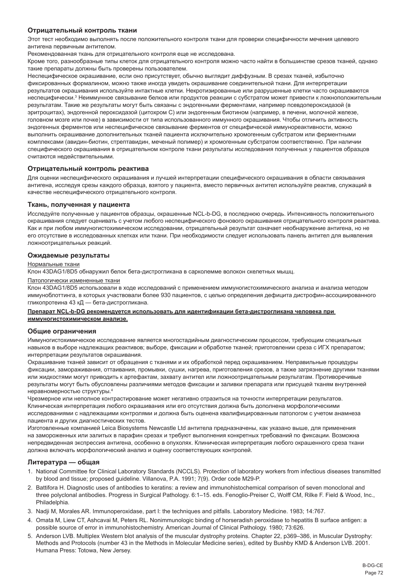## **Отрицательный контроль ткани**

Этот тест необходимо выполнять после положительного контроля ткани для проверки специфичности мечения целевого антигена первичным антителом.

Рекомендованная ткань для отрицательного контроля еще не исследована.

Кроме того, разнообразные типы клеток для отрицательного контроля можно часто найти в большинстве срезов тканей, однако такие препараты должны быть проверены пользователем.

Неспецифическое окрашивание, если оно присутствует, обычно выглядит диффузным. В срезах тканей, избыточно фиксированных формалином, можно также иногда увидеть окрашивание соединительной ткани. Для интерпретации результатов окрашивания используйте интактные клетки. Некротизированные или разрушенные клетки часто окрашиваются неспецифически.<sup>з</sup> Неиммунное связывание белков или продуктов реакции с субстратом может привести к ложноположительным результатам. Такие же результаты могут быть связаны с эндогенными ферментами, например псевдопероксидазой (в эритроцитах), эндогенной пероксидазой (цитохром C) или эндогенным биотином (например, в печени, молочной железе, головном мозге или почке) в зависимости от типа использованного иммунного окрашивания. Чтобы отличить активность эндогенных ферментов или неспецифическое связывание ферментов от специфической иммунореактивности, можно выполнить окрашивание дополнительных тканей пациента исключительно хромогенным субстратом или ферментными комплексами (авидин-биотин, стрептавидин, меченый полимер) и хромогенным субстратом соответственно. При наличии специфического окрашивания в отрицательном контроле ткани результаты исследования полученных у пациентов образцов считаются недействительными.

#### **Отрицательный контроль реактива**

Для оценки неспецифического окрашивания и лучшей интерпретации специфического окрашивания в области связывания антигена, исследуя срезы каждого образца, взятого у пациента, вместо первичных антител используйте реактив, служащий в качестве неспецифического отрицательного контроля.

#### **Ткань, полученная у пациента**

Исследуйте полученные у пациентов образцы, окрашенные NCL-b-DG, в последнюю очередь. Интенсивность положительного окрашивания следует оценивать с учетом любого неспецифического фонового окрашивания отрицательного контроля реактива. Как и при любом иммуногистохимическом исследовании, отрицательный результат означает необнаружение антигена, но не его отсутствие в исследованных клетках или ткани. При необходимости следует использовать панель антител для выявления ложноотрицательных реакций.

#### **Ожидаемые результаты**

#### Нормальные ткани

Клон 43DAG1/8D5 обнаружил белок бета-дистрогликана в сарколемме волокон скелетных мышц.

#### Патологически измененные ткани

Клон 43DAG1/8D5 использовали в ходе исследований с применением иммуногистохимического анализа и анализа методом иммуноблоттинга, в которых участвовали более 930 пациентов, с целью определения дефицита дистрофин-ассоциированного гликопротеина 43 кД — бета-дистрогликана.

#### **Препарат NCL-b-DG рекомендуется использовать для идентификации бета-дистрогликана человека при иммуногистохимическом анализе.**

#### **Общие ограничения**

Иммуногистохимическое исследование является многостадийным диагностическим процессом, требующим специальных навыков в выборе надлежащих реактивов; выборе, фиксации и обработке тканей; приготовлении среза с ИГХ препаратом; интерпретации результатов окрашивания.

Окрашивание тканей зависит от обращения с тканями и их обработкой перед окрашиванием. Неправильные процедуры фиксации, замораживания, оттаивания, промывки, сушки, нагрева, приготовления срезов, а также загрязнение другими тканями или жидкостями могут приводить к артефактам, захвату антител или ложноотрицательным результатам. Противоречивые результаты могут быть обусловлены различиями методов фиксации и заливки препарата или присущей тканям внутренней неравномерностью структуры.<sup>4</sup>

Чрезмерное или неполное контрастирование может негативно отразиться на точности интерпретации результатов. Клиническая интерпретация любого окрашивания или его отсутствия должна быть дополнена морфологическими исследованиями с надлежащими контролями и должна быть оценена квалифицированным патологом с учетом анамнеза пациента и других диагностических тестов.

Изготовленные компанией Leica Biosystems Newcastle Ltd антитела предназначены, как указано выше, для применения на замороженных или залитых в парафин срезах и требуют выполнения конкретных требований по фиксации. Возможна непредвиденная экспрессия антигена, особенно в опухолях. Клиническая интерпретация любого окрашенного среза ткани должна включать морфологический анализ и оценку соответствующих контролей.

#### **Литература — общая**

- 1. National Committee for Clinical Laboratory Standards (NCCLS). Protection of laboratory workers from infectious diseases transmitted by blood and tissue; proposed guideline. Villanova, P.A. 1991; 7(9). Order code M29-P.
- 2. Battifora H. Diagnostic uses of antibodies to keratins: a review and immunohistochemical comparison of seven monoclonal and three polyclonal antibodies. Progress in Surgical Pathology. 6:1–15. eds. Fenoglio-Preiser C, Wolff CM, Rilke F. Field & Wood, Inc., **Philadelphia**
- 3. Nadji M, Morales AR. Immunoperoxidase, part I: the techniques and pitfalls. Laboratory Medicine. 1983; 14:767.
- 4. Omata M, Liew CT, Ashcavai M, Peters RL. Nonimmunologic binding of horseradish peroxidase to hepatitis B surface antigen: a possible source of error in immunohistochemistry. American Journal of Clinical Pathology. 1980; 73:626.
- 5. Anderson LVB. Multiplex Western blot analysis of the muscular dystrophy proteins. Chapter 22, p369–386, in Muscular Dystrophy: Methods and Protocols (number 43 in the Methods in Molecular Medicine series), edited by Bushby KMD & Anderson LVB. 2001. Humana Press: Totowa, New Jersey.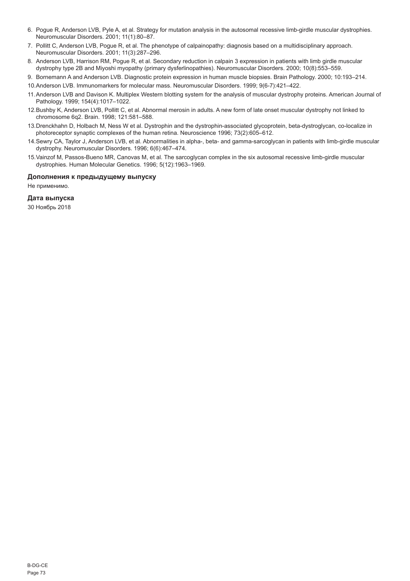- 6. Pogue R, Anderson LVB, Pyle A, et al. Strategy for mutation analysis in the autosomal recessive limb-girdle muscular dystrophies. Neuromuscular Disorders. 2001; 11(1):80–87.
- 7. Pollitt C, Anderson LVB, Pogue R, et al. The phenotype of calpainopathy: diagnosis based on a multidisciplinary approach. Neuromuscular Disorders. 2001; 11(3):287–296.
- 8. Anderson LVB, Harrison RM, Pogue R, et al. Secondary reduction in calpain 3 expression in patients with limb girdle muscular dystrophy type 2B and Miyoshi myopathy (primary dysferlinopathies). Neuromuscular Disorders. 2000; 10(8):553–559.
- 9. Bornemann A and Anderson LVB. Diagnostic protein expression in human muscle biopsies. Brain Pathology. 2000; 10:193–214.
- 10.Anderson LVB. Immunomarkers for molecular mass. Neuromuscular Disorders. 1999; 9(6-7):421–422.
- 11.Anderson LVB and Davison K. Multiplex Western blotting system for the analysis of muscular dystrophy proteins. American Journal of Pathology. 1999; 154(4):1017–1022.
- 12.Bushby K, Anderson LVB, Pollitt C, et al. Abnormal merosin in adults. A new form of late onset muscular dystrophy not linked to chromosome 6q2. Brain. 1998; 121:581–588.
- 13.Drenckhahn D, Holbach M, Ness W et al. Dystrophin and the dystrophin-associated glycoprotein, beta-dystroglycan, co-localize in photoreceptor synaptic complexes of the human retina. Neuroscience 1996; 73(2):605–612.
- 14.Sewry CA, Taylor J, Anderson LVB, et al. Abnormalities in alpha-, beta- and gamma-sarcoglycan in patients with limb-girdle muscular dystrophy. Neuromuscular Disorders. 1996; 6(6):467–474.
- 15.Vainzof M, Passos-Bueno MR, Canovas M, et al. The sarcoglycan complex in the six autosomal recessive limb-girdle muscular dystrophies. Human Molecular Genetics. 1996; 5(12):1963–1969.

#### **Дополнения к предыдущему выпуску**

Не применимо.

# **Дата выпуска**

30 Ноябрь 2018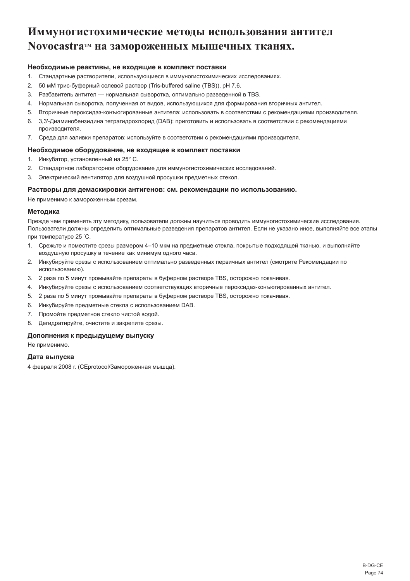# **Иммуногистохимические методы использования антител NovocastraTM на замороженных мышечных тканях.**

## **Необходимые реактивы, не входящие в комплект поставки**

- 1. Стандартные растворители, использующиеся в иммуногистохимических исследованиях.
- 2. 50 мМ трис-буферный солевой раствор (Tris-buffered saline (TBS)), pH 7,6.
- 3. Разбавитель антител нормальная сыворотка, оптимально разведенной в TBS.
- 4. Нормальная сыворотка, полученная от видов, использующихся для формирования вторичных антител.
- 5. Вторичные пероксидаз-конъюгированные антитела: использовать в соответствии с рекомендациями производителя.
- 6. 3,3'-Диаминобензидина тетрагидрохлорид (DAB): приготовить и использовать в соответствии с рекомендациями производителя.
- 7. Среда для заливки препаратов: используйте в соответствии с рекомендациями производителя.

## **Необходимое оборудование, не входящее в комплект поставки**

- 1. Инкубатор, установленный на 25° C.
- 2. Стандартное лабораторное оборудование для иммуногистохимических исследований.
- 3. Электрический вентилятор для воздушной просушки предметных стекол.

## **Растворы для демаскировки антигенов: см. рекомендации по использованию.**

Не применимо к замороженным срезам.

## **Методика**

Прежде чем применять эту методику, пользователи должны научиться проводить иммуногистохимические исследования. Пользователи должны определить оптимальные разведения препаратов антител. Если не указано иное, выполняйте все этапы при температуре 25 ° C.

- 1. Срежьте и поместите срезы размером 4–10 мкм на предметные стекла, покрытые подходящей тканью, и выполняйте воздушную просушку в течение как минимум одного часа.
- 2. Инкубируйте срезы с использованием оптимально разведенных первичных антител (смотрите Рекомендации по использованию).
- 3. 2 раза по 5 минут промывайте препараты в буферном растворе TBS, осторожно покачивая.
- 4. Инкубируйте срезы с использованием соответствующих вторичные пероксидаз-конъюгированных антител.
- 5. 2 раза по 5 минут промывайте препараты в буферном растворе TBS, осторожно покачивая.
- 6. Инкубируйте предметные стекла с использованием DAB.
- 7. Промойте предметное стекло чистой водой.
- 8. Дегидратируйте, очистите и закрепите срезы.

## **Дополнения к предыдущему выпуску**

Не применимо.

# **Дата выпуска**

4 февраля 2008 г. (CEprotocol/Замороженная мышца).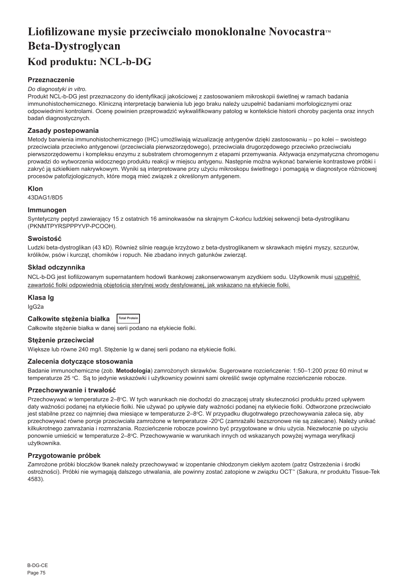# Liofilizowane mysie przeciwciało monoklonalne Novocastra<sup>M</sup> **Beta-Dystroglycan Kod produktu: NCL-b-DG**

# **Przeznaczenie**

#### *Do diagnostyki in vitro.*

Produkt NCL-b-DG jest przeznaczony do identyfikacji jakościowej z zastosowaniem mikroskopii świetlnej w ramach badania immunohistochemicznego. Kliniczną interpretację barwienia lub jego braku należy uzupełnić badaniami morfologicznymi oraz odpowiednimi kontrolami. Ocenę powinien przeprowadzić wykwalifikowany patolog w kontekście historii choroby pacjenta oraz innych badań diagnostycznych.

## **Zasady postepowania**

Metody barwienia immunohistochemicznego (IHC) umożliwiają wizualizację antygenów dzięki zastosowaniu – po kolei – swoistego przeciwciała przeciwko antygenowi (przeciwciała pierwszorzędowego), przeciwciała drugorzędowego przeciwko przeciwciału pierwszorzędowemu i kompleksu enzymu z substratem chromogennym z etapami przemywania. Aktywacja enzymatyczna chromogenu prowadzi do wytworzenia widocznego produktu reakcji w miejscu antygenu. Następnie można wykonać barwienie kontrastowe próbki i zakryć ją szkiełkiem nakrywkowym. Wyniki są interpretowane przy użyciu mikroskopu świetlnego i pomagają w diagnostyce różnicowej procesów patofizjologicznych, które mogą mieć związek z określonym antygenem.

# **Klon**

43DAG1/8D5

## **Immunogen**

Syntetyczny peptyd zawierający 15 z ostatnich 16 aminokwasów na skrajnym C-końcu ludzkiej sekwencji beta-dystroglikanu (PKNMTPYRSPPPYVP-PCOOH).

## **Swoistość**

Ludzki beta-dystroglikan (43 kD). Również silnie reaguje krzyżowo z beta-dystroglikanem w skrawkach mięśni myszy, szczurów, królików, psów i kurcząt, chomików i ropuch. Nie zbadano innych gatunków zwierząt.

## **Skład odczynnika**

NCL-b-DG jest liofilizowanym supernatantem hodowli tkankowej zakonserwowanym azydkiem sodu. Użytkownik musi uzupełnić zawartość fiolki odpowiednią objętością sterylnej wody destylowanej, jak wskazano na etykiecie fiolki.

## **Klasa Ig**

IgG2a

**Całkowite stężenia białka Total Protein**

Całkowite stężenie białka w danej serii podano na etykiecie fiolki.

## **Stężenie przeciwciał**

Większe lub równe 240 mg/l. Stężenie Ig w danej serii podano na etykiecie fiolki.

## **Zalecenia dotyczące stosowania**

Badanie immunochemiczne (zob. **Metodologia**) zamrożonych skrawków. Sugerowane rozcieńczenie: 1:50–1:200 przez 60 minut w temperaturze 25 °C. Są to jedynie wskazówki i użytkownicy powinni sami określić swoje optymalne rozcieńczenie robocze.

## **Przechowywanie i trwałość**

Przechowywać w temperaturze 2–8ºC. W tych warunkach nie dochodzi do znaczącej utraty skuteczności produktu przed upływem daty ważności podanej na etykiecie fiolki. Nie używać po upływie daty ważności podanej na etykiecie fiolki. Odtworzone przeciwciało jest stabilne przez co najmniej dwa miesiące w temperaturze 2–8°C. W przypadku długotrwałego przechowywania zaleca się, aby przechowywać równe porcje przeciwciała zamrożone w temperaturze -20ºC (zamrażalki bezszronowe nie są zalecane). Należy unikać kilkukrotnego zamrażania i rozmrażania. Rozcieńczenie robocze powinno być przygotowane w dniu użycia. Niezwłocznie po użyciu ponownie umieścić w temperaturze 2–8°C. Przechowywanie w warunkach innych od wskazanych powyżej wymaga weryfikacji użytkownika.

## **Przygotowanie próbek**

Zamrożone próbki bloczków tkanek należy przechowywać w izopentanie chłodzonym ciekłym azotem (patrz Ostrzeżenia i środki ostrożności). Próbki nie wymagają dalszego utrwalania, ale powinny zostać zatopione w związku OCT™ (Sakura, nr produktu Tissue-Tek 4583).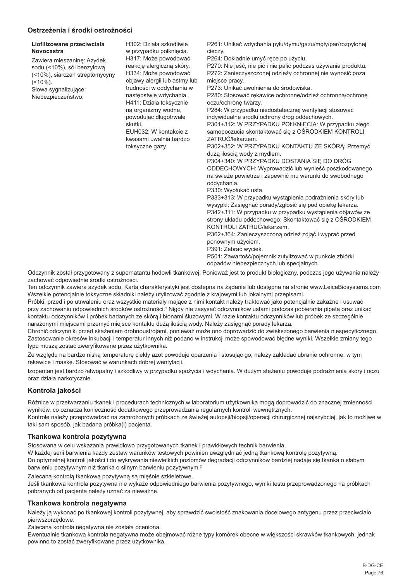## **Ostrzeżenia i środki ostrożności**

#### **Liofilizowane przeciwciała Novocastra**

Zawiera mieszaninę: Azydek sodu (<10%), sól benzylową (<10%), siarczan streptomycyny  $(510\%)$ Słowa sygnalizujące: Niebezpieczeństwo.

H302: Działa szkodliwie w przypadku połknięcia. H317: Może powodować reakcję alergiczną skóry. H334: Może powodować objawy alergii lub astmy lub trudności w oddychaniu w następstwie wdychania. H411: Działa toksycznie na organizmy wodne, powodując długotrwałe skutki.

EUH032: W kontakcie z kwasami uwalnia bardzo toksyczne gazy.

P261: Unikać wdychania pyłu/dymu/gazu/mgły/par/rozpylonej cieczy.

P264: Dokładnie umyć ręce po użyciu.

P270: Nie jeść, nie pić i nie palić podczas używania produktu. P272: Zanieczyszczonej odzieży ochronnej nie wynosić poza miejsce pracy.

P273: Unikać uwolnienia do środowiska.

P280: Stosować rękawice ochronne/odzież ochronną/ochronę oczu/ochronę twarzy.

P284: W przypadku niedostatecznej wentylacji stosować indywidualne środki ochrony dróg oddechowych.

P301+312: W PRZYPADKU POŁKNIĘCIA: W przypadku złego samopoczucia skontaktować się z OŚRODKIEM KONTROLI ZATRUĆ/lekarzem.

P302+352: W PRZYPADKU KONTAKTU ZE SKÓRĄ: Przemyć dużą ilością wody z mydłem.

P304+340: W PRZYPADKU DOSTANIA SIĘ DO DRÓG ODDECHOWYCH: Wyprowadzić lub wynieść poszkodowanego na świeże powietrze i zapewnić mu warunki do swobodnego oddychania.

P330: Wypłukać usta.

P333+313: W przypadku wystąpienia podrażnienia skóry lub wysypki: Zasięgnąć porady/zgłosić się pod opiekę lekarza. P342+311: W przypadku w przypadku wystąpienia objawów ze strony układu oddechowego: Skontaktować się z OŚRODKIEM KONTROLI ZATRUĆ/lekarzem.

P362+364: Zanieczyszczoną odzież zdjąć i wyprać przed ponownym użyciem.

P391: Zebrać wyciek.

P501: Zawartość/pojemnik zutylizować w punkcie zbiórki odpadów niebezpiecznych lub specjalnych.

Odczynnik został przygotowany z supernatantu hodowli tkankowej. Ponieważ jest to produkt biologiczny, podczas jego używania należy zachować odpowiednie środki ostrożności.

Ten odczynnik zawiera azydek sodu. Karta charakterystyki jest dostępna na żądanie lub dostępna na stronie www.LeicaBiosystems.com Wszelkie potencjalnie toksyczne składniki należy utylizować zgodnie z krajowymi lub lokalnymi przepisami.

Próbki, przed i po utrwaleniu oraz wszystkie materiały mające z nimi kontakt należy traktować jako potencjalnie zakaźne i usuwać przy zachowaniu odpowiednich środków ostrożności.' Nigdy nie zasysać odczynników ustami podczas pobierania pipetą oraz unikać kontaktu odczynników i próbek badanych ze skórą i błonami śluzowymi. W razie kontaktu odczynników lub próbek ze szczególnie narażonymi miejscami przemyć miejsce kontaktu dużą ilością wody. Należy zasięgnąć porady lekarza.

Chronić odczynniki przed skażeniem drobnoustrojami, ponieważ może ono doprowadzić do zwiększonego barwienia niespecyficznego. Zastosowanie okresów inkubacji i temperatur innych niż podano w instrukcji może spowodować błędne wyniki. Wszelkie zmiany tego typu muszą zostać zweryfikowane przez użytkownika.

Ze względu na bardzo niską temperaturę ciekły azot powoduje oparzenia i stosując go, należy zakładać ubranie ochronne, w tym rękawice i maskę. Stosować w warunkach dobrej wentylacji.

Izopentan jest bardzo łatwopalny i szkodliwy w przypadku spożycia i wdychania. W dużym stężeniu powoduje podrażnienia skóry i oczu oraz działa narkotycznie.

# **Kontrola jakości**

Różnice w przetwarzaniu tkanek i procedurach technicznych w laboratorium użytkownika mogą doprowadzić do znacznej zmienności wyników, co oznacza konieczność dodatkowego przeprowadzania regularnych kontroli wewnętrznych.

Kontrole należy przeprowadzać na zamrożonych próbkach ze świeżej autopsji/biopsji/operacji chirurgicznej najszybciej, jak to możliwe w taki sam sposób, jak badana próbka(i) pacjenta.

#### **Tkankowa kontrola pozytywna**

Stosowana w celu wskazania prawidłowo przygotowanych tkanek i prawidłowych technik barwienia.

W każdej serii barwienia każdy zestaw warunków testowych powinien uwzględniać jedną tkankową kontrolę pozytywną.

Do optymalnej kontroli jakości i do wykrywania niewielkich poziomów degradacji odczynników bardziej nadaje się tkanka o słabym barwieniu pozytywnym niż tkanka o silnym barwieniu pozytywnym.<sup>2</sup>

Zalecaną kontrolą tkankową pozytywną są mięśnie szkieletowe.

Jeśli tkankowa kontrola pozytywna nie wykaże odpowiedniego barwienia pozytywnego, wyniki testu przeprowadzonego na próbkach pobranych od pacjenta należy uznać za nieważne.

## **Tkankowa kontrola negatywna**

Należy ją wykonać po tkankowej kontroli pozytywnej, aby sprawdzić swoistość znakowania docelowego antygenu przez przeciwciało pierwszorzędowe.

Zalecana kontrola negatywna nie została oceniona.

Ewentualnie tkankowa kontrola negatywna może obejmować różne typy komórek obecne w większości skrawków tkankowych, jednak powinno to zostać zweryfikowane przez użytkownika.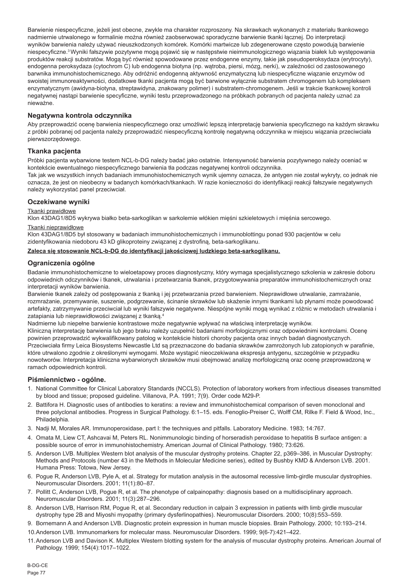Barwienie niespecyficzne, jeżeli jest obecne, zwykle ma charakter rozproszony. Na skrawkach wykonanych z materiału tkankowego nadmiernie utrwalonego w formalinie można również zaobserwować sporadyczne barwienie tkanki łącznej. Do interpretacji wyników barwienia należy używać nieuszkodzonych komórek. Komórki martwicze lub zdegenerowane często powodują barwienie niespecyficzne.<sup>3</sup>Wyniki fałszywie pozytywne mogą pojawić się w następstwie nieimmunologicznego wiązania białek lub występowania produktów reakcji substratów. Mogą być również spowodowane przez endogenne enzymy, takie jak pseudoperoksydaza (erytrocyty), endogenna peroksydaza (cytochrom C) lub endogenna biotyna (np. wątroba, piersi, mózg, nerki), w zależności od zastosowanego barwnika immunohistochemicznego. Aby odróżnić endogenną aktywność enzymatyczną lub niespecyficzne wiązanie enzymów od swoistej immunoreaktywności, dodatkowe tkanki pacjenta mogą być barwione wyłącznie substratem chromogenem lub kompleksem enzymatycznym (awidyna-biotyna, streptawidyna, znakowany polimer) i substratem-chromogenem. Jeśli w trakcie tkankowej kontroli negatywnej nastąpi barwienie specyficzne, wyniki testu przeprowadzonego na próbkach pobranych od pacjenta należy uznać za nieważne.

## **Negatywna kontrola odczynnika**

Aby przeprowadzić ocenę barwienia niespecyficznego oraz umożliwić lepszą interpretację barwienia specyficznego na każdym skrawku z próbki pobranej od pacjenta należy przeprowadzić niespecyficzną kontrolę negatywną odczynnika w miejscu wiązania przeciwciała pierwszorzędowego.

## **Tkanka pacjenta**

Próbki pacjenta wybarwione testem NCL-b-DG należy badać jako ostatnie. Intensywność barwienia pozytywnego należy oceniać w kontekście ewentualnego niespecyficznego barwienia tła podczas negatywnej kontroli odczynnika.

Tak jak we wszystkich innych badaniach immunohistochemicznych wynik ujemny oznacza, że antygen nie został wykryty, co jednak nie oznacza, że jest on nieobecny w badanych komórkach/tkankach. W razie konieczności do identyfikacji reakcji fałszywie negatywnych należy wykorzystać panel przeciwciał.

## **Oczekiwane wyniki**

Tkanki prawidłowe

Klon 43DAG1/8D5 wykrywa białko beta-sarkoglikan w sarkolemie włókien mięśni szkieletowych i mięśnia sercowego.

#### Tkanki nieprawidłowe

Klon 43DAG1/8D5 był stosowany w badaniach immunohistochemicznych i immunoblottingu ponad 930 pacjentów w celu zidentyfikowania niedoboru 43 kD glikoproteiny związanej z dystrofiną, beta-sarkoglikanu.

#### **Zaleca się stosowanie NCL-b-DG do identyfikacji jakościowej ludzkiego beta-sarkoglikanu.**

## **Ograniczenia ogólne**

Badanie immunohistochemiczne to wieloetapowy proces diagnostyczny, który wymaga specjalistycznego szkolenia w zakresie doboru odpowiednich odczynników i tkanek, utrwalania i przetwarzania tkanek, przygotowywania preparatów immunohistochemicznych oraz interpretacji wyników barwienia.

Barwienie tkanek zależy od postępowania z tkanką i jej przetwarzania przed barwieniem. Nieprawidłowe utrwalanie, zamrażanie, rozmrażanie, przemywanie, suszenie, podgrzewanie, ścinanie skrawków lub skażenie innymi tkankami lub płynami może powodować artefakty, zatrzymywanie przeciwciał lub wyniki fałszywie negatywne. Niespójne wyniki mogą wynikać z różnic w metodach utrwalania i zatapiania lub nieprawidłowości związanej z tkanką.<sup>4</sup>

Nadmierne lub niepełne barwienie kontrastowe może negatywnie wpływać na właściwa interpretacje wyników. Kliniczną interpretację barwienia lub jego braku należy uzupełnić badaniami morfologicznymi oraz odpowiednimi kontrolami. Ocenę powinien przeprowadzić wykwalifikowany patolog w kontekście historii choroby pacjenta oraz innych badań diagnostycznych. Przeciwciała firmy Leica Biosystems Newcastle Ltd są przeznaczone do badania skrawków zamrożonych lub zatopionych w parafinie, które utrwalono zgodnie z określonymi wymogami. Może wystąpić nieoczekiwana ekspresja antygenu, szczególnie w przypadku nowotworów. Interpretacja kliniczna wybarwionych skrawków musi obejmować analizę morfologiczną oraz ocenę przeprowadzoną w ramach odpowiednich kontroli.

#### **Piśmiennictwo - ogólne.**

- 1. National Committee for Clinical Laboratory Standards (NCCLS). Protection of laboratory workers from infectious diseases transmitted by blood and tissue; proposed guideline. Villanova, P.A. 1991; 7(9). Order code M29-P.
- 2. Battifora H. Diagnostic uses of antibodies to keratins: a review and immunohistochemical comparison of seven monoclonal and three polyclonal antibodies. Progress in Surgical Pathology. 6:1–15. eds. Fenoglio-Preiser C, Wolff CM, Rilke F. Field & Wood, Inc., Philadelphia.
- 3. Nadji M, Morales AR. Immunoperoxidase, part I: the techniques and pitfalls. Laboratory Medicine. 1983; 14:767.
- 4. Omata M, Liew CT, Ashcavai M, Peters RL. Nonimmunologic binding of horseradish peroxidase to hepatitis B surface antigen: a possible source of error in immunohistochemistry. American Journal of Clinical Pathology. 1980; 73:626.
- 5. Anderson LVB. Multiplex Western blot analysis of the muscular dystrophy proteins. Chapter 22, p369–386, in Muscular Dystrophy: Methods and Protocols (number 43 in the Methods in Molecular Medicine series), edited by Bushby KMD & Anderson LVB. 2001. Humana Press: Totowa, New Jersey.
- 6. Pogue R, Anderson LVB, Pyle A, et al. Strategy for mutation analysis in the autosomal recessive limb-girdle muscular dystrophies. Neuromuscular Disorders. 2001; 11(1):80–87.
- 7. Pollitt C, Anderson LVB, Pogue R, et al. The phenotype of calpainopathy: diagnosis based on a multidisciplinary approach. Neuromuscular Disorders. 2001; 11(3):287–296.
- 8. Anderson LVB, Harrison RM, Pogue R, et al. Secondary reduction in calpain 3 expression in patients with limb girdle muscular dystrophy type 2B and Miyoshi myopathy (primary dysferlinopathies). Neuromuscular Disorders. 2000; 10(8):553–559.
- 9. Bornemann A and Anderson LVB. Diagnostic protein expression in human muscle biopsies. Brain Pathology. 2000; 10:193–214.
- 10.Anderson LVB. Immunomarkers for molecular mass. Neuromuscular Disorders. 1999; 9(6-7):421–422.
- 11.Anderson LVB and Davison K. Multiplex Western blotting system for the analysis of muscular dystrophy proteins. American Journal of Pathology. 1999; 154(4):1017–1022.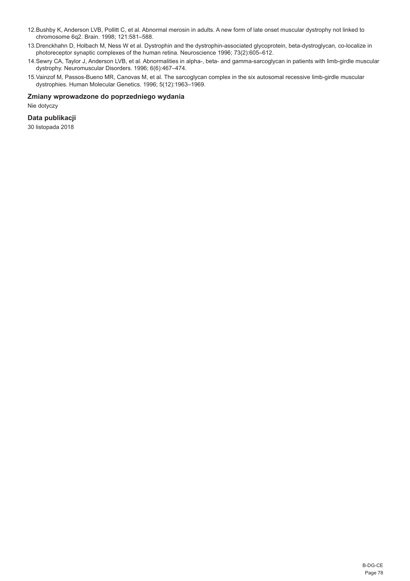- 12.Bushby K, Anderson LVB, Pollitt C, et al. Abnormal merosin in adults. A new form of late onset muscular dystrophy not linked to chromosome 6q2. Brain. 1998; 121:581–588.
- 13.Drenckhahn D, Holbach M, Ness W et al. Dystrophin and the dystrophin-associated glycoprotein, beta-dystroglycan, co-localize in photoreceptor synaptic complexes of the human retina. Neuroscience 1996; 73(2):605–612.
- 14.Sewry CA, Taylor J, Anderson LVB, et al. Abnormalities in alpha-, beta- and gamma-sarcoglycan in patients with limb-girdle muscular dystrophy. Neuromuscular Disorders. 1996; 6(6):467–474.
- 15.Vainzof M, Passos-Bueno MR, Canovas M, et al. The sarcoglycan complex in the six autosomal recessive limb-girdle muscular dystrophies. Human Molecular Genetics. 1996; 5(12):1963–1969.

## **Zmiany wprowadzone do poprzedniego wydania**

Nie dotyczy

## **Data publikacji**

30 listopada 2018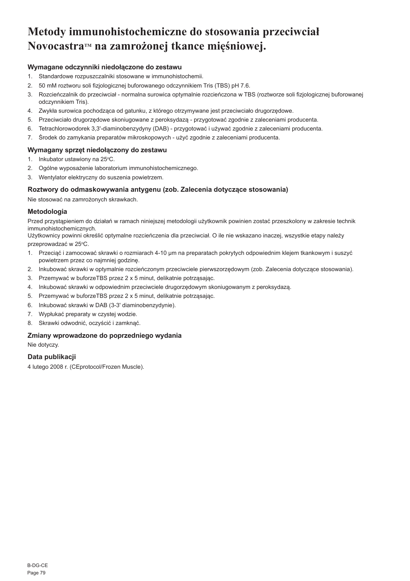# **Metody immunohistochemiczne do stosowania przeciwciał NovocastraTM na zamrożonej tkance mięśniowej.**

# **Wymagane odczynniki niedołączone do zestawu**

- 1. Standardowe rozpuszczalniki stosowane w immunohistochemii.
- 2. 50 mM roztworu soli fizjologicznej buforowanego odczynnikiem Tris (TBS) pH 7.6.
- 3. Rozcieńczalnik do przeciwciał normalna surowica optymalnie rozcieńczona w TBS (roztworze soli fizjologicznej buforowanej odczynnikiem Tris).
- 4. Zwykła surowica pochodząca od gatunku, z którego otrzymywane jest przeciwciało drugorzędowe.
- 5. Przeciwciało drugorzędowe skoniugowane z peroksydazą przygotować zgodnie z zaleceniami producenta.
- 6. Tetrachlorowodorek 3,3'-diaminobenzydyny (DAB) przygotować i używać zgodnie z zaleceniami producenta.
- 7. Środek do zamykania preparatów mikroskopowych użyć zgodnie z zaleceniami producenta.

# **Wymagany sprzęt niedołączony do zestawu**

- 1. Inkubator ustawiony na 25 $\degree$ C.
- 2. Ogólne wyposażenie laboratorium immunohistochemicznego.
- 3. Wentylator elektryczny do suszenia powietrzem.

# **Roztwory do odmaskowywania antygenu (zob. Zalecenia dotyczące stosowania)**

Nie stosować na zamrożonych skrawkach.

# **Metodologia**

Przed przystąpieniem do działań w ramach niniejszej metodologii użytkownik powinien zostać przeszkolony w zakresie technik immunohistochemicznych.

Użytkownicy powinni określić optymalne rozcieńczenia dla przeciwciał. O ile nie wskazano inaczej, wszystkie etapy należy przeprowadzać w 25°C.

- 1. Przeciąć i zamocować skrawki o rozmiarach 4-10 μm na preparatach pokrytych odpowiednim klejem tkankowym i suszyć powietrzem przez co najmniej godzinę.
- 2. Inkubować skrawki w optymalnie rozcieńczonym przeciwciele pierwszorzędowym (zob. Zalecenia dotyczące stosowania).
- 3. Przemywać w buforzeTBS przez 2 x 5 minut, delikatnie potrząsając.
- 4. Inkubować skrawki w odpowiednim przeciwciele drugorzędowym skoniugowanym z peroksydazą.
- 5. Przemywać w buforzeTBS przez 2 x 5 minut, delikatnie potrząsając.
- 6. Inkubować skrawki w DAB (3-3' diaminobenzydynie).
- 7. Wypłukać preparaty w czystej wodzie.
- 8. Skrawki odwodnić, oczyścić i zamknąć.

# **Zmiany wprowadzone do poprzedniego wydania**

Nie dotyczy.

# **Data publikacji**

4 lutego 2008 r. (CEprotocol/Frozen Muscle).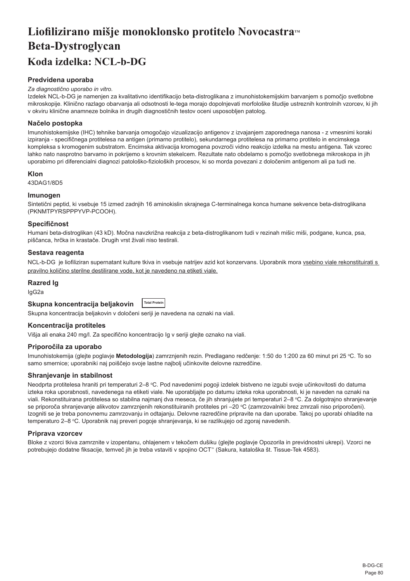# Liofilizirano mišje monoklonsko protitelo Novocastra<sup>m</sup> **Beta-Dystroglycan Koda izdelka: NCL-b-DG**

# **Predvidena uporaba**

#### *Za diagnostično uporabo in vitro.*

Izdelek NCL-b-DG je namenjen za kvalitativno identifikacijo beta-distroglikana z imunohistokemijskim barvanjem s pomočjo svetlobne mikroskopije. Klinično razlago obarvanja ali odsotnosti le-tega morajo dopolnjevati morfološke študije ustreznih kontrolnih vzorcev, ki jih v okviru klinične anamneze bolnika in drugih diagnostičnih testov oceni usposobljen patolog.

## **Načelo postopka**

Imunohistokemijske (IHC) tehnike barvanja omogočajo vizualizacijo antigenov z izvajanjem zaporednega nanosa - z vmesnimi koraki izpiranja - specifičnega protitelesa na antigen (primarno protitelo), sekundarnega protitelesa na primarno protitelo in encimskega kompleksa s kromogenim substratom. Encimska aktivacija kromogena povzroči vidno reakcijo izdelka na mestu antigena. Tak vzorec lahko nato nasprotno barvamo in pokrijemo s krovnim stekelcem. Rezultate nato obdelamo s pomočjo svetlobnega mikroskopa in jih uporabimo pri diferencialni diagnozi patološko-fizioloških procesov, ki so morda povezani z določenim antigenom ali pa tudi ne.

## **Klon**

43DAG1/8D5

## **Imunogen**

Sintetični peptid, ki vsebuje 15 izmed zadnjih 16 aminokislin skrajnega C-terminalnega konca humane sekvence beta-distroglikana (PKNMTPYRSPPPYVP-PCOOH).

## **Specifičnost**

Humani beta-distroglikan (43 kD). Močna navzkrižna reakcija z beta-distroglikanom tudi v rezinah mišic miši, podgane, kunca, psa, piščanca, hrčka in krastače. Drugih vrst živali niso testirali.

## **Sestava reagenta**

NCL-b-DG je liofiliziran supernatant kulture tkiva in vsebuje natrijev azid kot konzervans. Uporabnik mora vsebino viale rekonstituirati s pravilno količino sterilne destilirane vode, kot je navedeno na etiketi viale.

## **Razred Ig**

IgG2a

#### **Skupna koncentracija beljakovin Total Protein**

Skupna koncentracija beljakovin v določeni seriji je navedena na oznaki na viali.

## **Koncentracija protiteles**

Višja ali enaka 240 mg/l. Za specifično koncentracijo Ig v seriji glejte oznako na viali.

#### **Priporočila za uporabo**

Imunohistokemija (glejte poglavje **Metodologija**) zamrznjenih rezin. Predlagano redčenje: 1:50 do 1:200 za 60 minut pri 25 °C. To so samo smernice; uporabniki naj poiščejo svoje lastne najbolj učinkovite delovne razredčine.

#### **Shranjevanje in stabilnost**

Neodprta protitelesa hraniti pri temperaturi 2–8 °C. Pod navedenimi pogoji izdelek bistveno ne izgubi svoje učinkovitosti do datuma izteka roka uporabnosti, navedenega na etiketi viale. Ne uporabljajte po datumu izteka roka uporabnosti, ki je naveden na oznaki na viali. Rekonstituirana protitelesa so stabilna najmanj dva meseca, če jih shranjujete pri temperaturi 2–8 °C. Za dolgotrajno shranjevanje se priporoča shranjevanje alikvotov zamrznjenih rekonstituiranih protiteles pri –20 °C (zamrzovalniki brez zmrzali niso priporočeni). Izogniti se je treba ponovnemu zamrzovanju in odtajanju. Delovne razredčine pripravite na dan uporabe. Takoj po uporabi ohladite na temperaturo 2–8 °C. Uporabnik naj preveri pogoje shranjevanja, ki se razlikujejo od zgoraj navedenih.

#### **Priprava vzorcev**

Bloke z vzorci tkiva zamrznite v izopentanu, ohlajenem v tekočem dušiku (glejte poglavje Opozorila in previdnostni ukrepi). Vzorci ne potrebujejo dodatne fiksacije, temveč jih je treba vstaviti v spojino OCT™ (Sakura, kataloška št. Tissue-Tek 4583).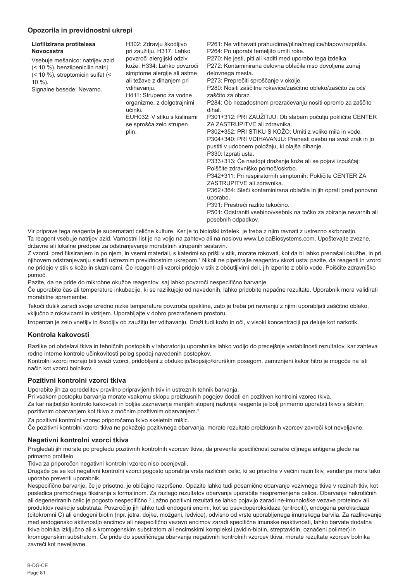# **Opozorila in previdnostni ukrepi**

| povzroči alergijski odziv<br>P270: Ne jesti, piti ali kaditi med uporabo tega izdelka.<br>Vsebuje mešanico: natrijev azid<br>kože. H334: Lahko povzroči<br>P272: Kontaminirana delovna oblačila niso dovoljena zunaj<br>(< 10 %), benzilpenicilin natrij<br>simptome alergije ali astme<br>(< 10 %), streptomicin sulfat (<<br>ali težave z dihanjem pri<br>$10\%$ ).<br>vdihavanju.<br>Signalne besede: Nevarno.<br>H411: Strupeno za vodne<br>organizme, z dolgotrajnimi<br>učinki.<br>dihal.<br>EUH032: V stiku s kislinami<br>se sprošča zelo strupen<br>plin.<br>uporabo. | delovnega mesta.<br>P273: Preprečiti sproščanje v okolje.<br>P280: Nositi zaščitne rokavice/zaščitno obleko/zaščito za oči/<br>zaščito za obraz.<br>P284: Ob nezadostnem prezračevanju nositi opremo za zaščito<br>P301+312: PRI ZAUŽITJU: Ob slabem počutju pokličite CENTER<br>ZA ZASTRUPITVE ali zdravnika.<br>P302+352: PRI STIKU S KOŽO: Umiti z veliko mila in vode.<br>P304+340: PRI VDIHAVANJU: Prenesti osebo na svež zrak in jo<br>pustiti v udobnem položaju, ki olajša dihanje.<br>P330: Izprati usta.<br>P333+313: Če nastopi draženje kože ali se pojavi izpuščaj:<br>Poiščite zdravniško pomoč/oskrbo.<br>P342+311: Pri respiratornih simptomih: Pokličite CENTER ZA<br>ZASTRUPITVE ali zdravnika.<br>P362+364: Sleči kontaminirana oblačila in jih oprati pred ponovno<br>P391: Prestreči razlito tekočino.<br>P501: Odstraniti vsebino/vsebnik na točko za zbiranje nevarnih ali<br>posebnih odpadkov. |
|--------------------------------------------------------------------------------------------------------------------------------------------------------------------------------------------------------------------------------------------------------------------------------------------------------------------------------------------------------------------------------------------------------------------------------------------------------------------------------------------------------------------------------------------------------------------------------|-------------------------------------------------------------------------------------------------------------------------------------------------------------------------------------------------------------------------------------------------------------------------------------------------------------------------------------------------------------------------------------------------------------------------------------------------------------------------------------------------------------------------------------------------------------------------------------------------------------------------------------------------------------------------------------------------------------------------------------------------------------------------------------------------------------------------------------------------------------------------------------------------------------------------|
|--------------------------------------------------------------------------------------------------------------------------------------------------------------------------------------------------------------------------------------------------------------------------------------------------------------------------------------------------------------------------------------------------------------------------------------------------------------------------------------------------------------------------------------------------------------------------------|-------------------------------------------------------------------------------------------------------------------------------------------------------------------------------------------------------------------------------------------------------------------------------------------------------------------------------------------------------------------------------------------------------------------------------------------------------------------------------------------------------------------------------------------------------------------------------------------------------------------------------------------------------------------------------------------------------------------------------------------------------------------------------------------------------------------------------------------------------------------------------------------------------------------------|

Vir priprave tega reagenta je supernatant celične kulture. Ker je to biološki izdelek, je treba z njim ravnati z ustrezno skrbnostjo. Ta reagent vsebuje natrijev azid. Varnostni list je na voljo na zahtevo ali na naslovu www.LeicaBiosystems.com. Upoštevajte zvezne, državne ali lokalne predpise za odstranjevanje morebitnih strupenih sestavin.

Z vzorci, pred fiksiranjem in po njem, in vsemi materiali, s katerimi so prišli v stik, morate rokovati, kot da bi lahko prenašali okužbe, in pri njihovem odstranjevanju slediti ustreznim previdnostnim ukrepom.<sup>1</sup> Nikoli ne pipetirajte reagentov skozi usta; pazite, da reagenti in vzorci ne pridejo v stik s kožo in sluznicami. Če reagenti ali vzorci pridejo v stik z občutljivimi deli, jih izperite z obilo vode. Poiščite zdravniško pomoč.

Pazite, da ne pride do mikrobne okužbe reagentov, saj lahko povzroči nespecifično barvanje.

Če uporabite čas ali temperature inkubacije, ki se razlikujejo od navedenih, lahko pridobite napačne rezultate. Uporabnik mora validirati morebitne spremembe.

Tekoči dušik zaradi svoje izredno nizke temperature povzroča opekline, zato je treba pri ravnanju z njimi uporabljati zaščitno obleko, vključno z rokavicami in vizirjem. Uporabljajte v dobro prezračenem prostoru.

Izopentan je zelo vnetljiv in škodljiv ob zaužitju ter vdihavanju. Draži tudi kožo in oči, v visoki koncentraciji pa deluje kot narkotik.

# **Kontrola kakovosti**

Razlike pri obdelavi tkiva in tehničnih postopkih v laboratoriju uporabnika lahko vodijo do precejšnje variabilnosti rezultatov, kar zahteva redne interne kontrole učinkovitosti poleg spodaj navedenih postopkov.

Kontrolni vzorci morajo biti sveži vzorci, pridobljeni z obdukcijo/biopsijo/kirurškim posegom, zamrznjeni kakor hitro je mogoče na isti način kot vzorci bolnikov.

## **Pozitivni kontrolni vzorci tkiva**

Uporabite jih za opredelitev pravilno pripravljenih tkiv in ustreznih tehnik barvanja.

Pri vsakem postopku barvanja morate vsakemu sklopu preizkusnih pogojev dodati en pozitiven kontrolni vzorec tkiva.

Za kar najboljšo kontrolo kakovosti in boljše zaznavanje manjših stopenj razkroja reagenta je bolj primerno uporabiti tkivo s šibkim pozitivnim obarvanjem kot tkivo z močnim pozitivnim obarvanjem.<sup>2</sup>

Za pozitivni kontrolni vzorec priporočamo tkivo skeletnih mišic.

Če pozitivni kontrolni vzorci tkiva ne pokažejo pozitivnega obarvanja, morate rezultate preizkusnih vzorcev zavreči kot neveljavne.

## **Negativni kontrolni vzorci tkiva**

Pregledati jih morate po pregledu pozitivnih kontrolnih vzorcev tkiva, da preverite specifičnost oznake ciljnega antigena glede na primarno protitelo.

Tkiva za priporočen negativni kontrolni vzorec niso ocenjevali.

Drugače pa se kot negativni kontrolni vzorci pogosto uporablja vrsta različnih celic, ki so prisotne v večini rezin tkiv, vendar pa mora tako uporabo preveriti uporabnik.

Nespecifično barvanje, če je prisotno, je običajno razpršeno. Opazite lahko tudi posamično obarvanje vezivnega tkiva v rezinah tkiv, kot posledica premočnega fiksiranja s formalinom. Za razlago rezultatov obarvanja uporabite nespremenjene celice. Obarvanje nekrotičnih ali degeneriranih celic je pogosto nespecifično.<sup>3</sup> Lažno pozitivni rezultati se lahko pojavijo zaradi ne-imunološke vezave proteinov ali produktov reakcije substrata. Povzročijo jih lahko tudi endogeni encimi, kot so psevdoperoksidaza (eritrociti), endogena peroksidaza (citokromni C) ali endogeni biotin (npr. jetra, dojke, možgani, ledvice), odvisno od vrste uporabljenega imunskega barvila. Za razlikovanje med endogensko aktivnostjo encimov ali nespecifično vezavo encimov zaradi specifične imunske reaktivnosti, lahko barvate dodatna tkiva bolnika izključno ali s kromogenskim substratom ali encimskimi kompleksi (avidin-biotin, streptavidin, označeni polimer) in kromogenskim substratom. Če pride do specifičnega obarvanja negativnih kontrolnih vzorcev tkiva, morate rezultate vzorcev bolnika zavreči kot neveljavne.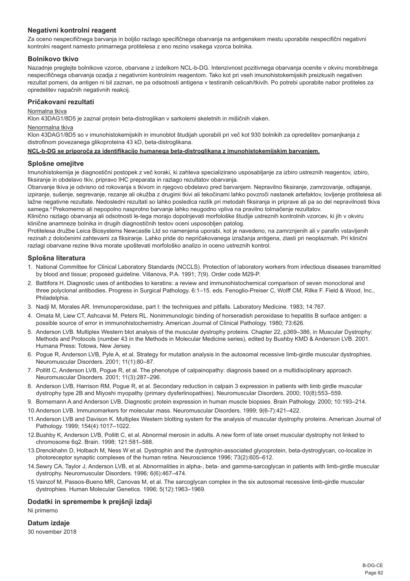# **Negativni kontrolni reagent**

Za oceno nespecifičnega barvanja in boljšo razlago specifičnega obarvanja na antigenskem mestu uporabite nespecifični negativni kontrolni reagent namesto primarnega protitelesa z eno rezino vsakega vzorca bolnika.

## **Bolnikovo tkivo**

Nazadnje preglejte bolnikove vzorce, obarvane z izdelkom NCL-b-DG. Intenzivnost pozitivnega obarvanja ocenite v okviru morebitnega nespecifičnega obarvanja ozadja z negativnim kontrolnim reagentom. Tako kot pri vseh imunohistokemijskih preizkusih negativen rezultat pomeni, da antigen ni bil zaznan, ne pa odsotnosti antigena v testiranih celicah/tkivih. Po potrebi uporabite nabor protiteles za opredelitev napačnih negativnih reakcij.

## **Pričakovani rezultati**

#### Normalna tkiva

Klon 43DAG1/8D5 je zaznal protein beta-distroglikan v sarkolemi skeletnih in mišičnih vlaken.

#### Nenormalna tkiva

Klon 43DAG1/8D5 so v imunohistokemijskih in imunoblot študijah uporabili pri več kot 930 bolnikih za opredelitev pomanjkanja z distrofinom povezanega glikoproteina 43 kD, beta-distroglikana.

#### **NCL-b-DG se priporoča za identifikacijo humanega beta-distroglikana z imunohistokemijskim barvanjem.**

## **Splošne omejitve**

Imunohistokemija je diagnostični postopek z več koraki, ki zahteva specializirano usposabljanje za izbiro ustreznih reagentov, izbiro, fiksiranje in obdelavo tkiv, pripravo IHC preparata in razlago rezultatov obarvanja.

Obarvanje tkiva je odvisno od rokovanja s tkivom in njegovo obdelavo pred barvanjem. Nepravilno fiksiranje, zamrzovanje, odtajanje, izpiranje, sušenje, segrevanje, rezanje ali okužba z drugimi tkivi ali tekočinami lahko povzroči nastanek artefaktov, lovljenje protitelesa ali lažne negativne rezultate. Nedosledni rezultati so lahko posledica razlik pri metodah fiksiranja in priprave ali pa so del nepravilnosti tkiva samega.<sup>4</sup>Prekomerno ali nepopolno nasprotno barvanje lahko neugodno vpliva na pravilno tolmačenje rezultatov.

Klinično razlago obarvanja ali odsotnosti le-tega morajo dopolnjevati morfološke študije ustreznih kontrolnih vzorcev, ki jih v okviru klinične anamneze bolnika in drugih diagnostičnih testov oceni usposobljen patolog.

Protitelesa družbe Leica Biosystems Newcastle Ltd so namenjena uporabi, kot je navedeno, na zamrznjenih ali v parafin vstavljenih rezinah z določenimi zahtevami za fiksiranje. Lahko pride do nepričakovanega izražanja antigena, zlasti pri neoplazmah. Pri klinični razlagi obarvane rezine tkiva morate upoštevati morfološko analizo in oceno ustreznih kontrol.

## **Splošna literatura**

- 1. National Committee for Clinical Laboratory Standards (NCCLS). Protection of laboratory workers from infectious diseases transmitted by blood and tissue; proposed guideline. Villanova, P.A. 1991; 7(9). Order code M29-P.
- 2. Battifora H. Diagnostic uses of antibodies to keratins: a review and immunohistochemical comparison of seven monoclonal and three polyclonal antibodies. Progress in Surgical Pathology. 6:1–15. eds. Fenoglio-Preiser C, Wolff CM, Rilke F. Field & Wood, Inc., Philadelphia.
- 3. Nadji M, Morales AR. Immunoperoxidase, part I: the techniques and pitfalls. Laboratory Medicine. 1983; 14:767.
- 4. Omata M, Liew CT, Ashcavai M, Peters RL. Nonimmunologic binding of horseradish peroxidase to hepatitis B surface antigen: a possible source of error in immunohistochemistry. American Journal of Clinical Pathology. 1980; 73:626.
- 5. Anderson LVB. Multiplex Western blot analysis of the muscular dystrophy proteins. Chapter 22, p369–386, in Muscular Dystrophy: Methods and Protocols (number 43 in the Methods in Molecular Medicine series), edited by Bushby KMD & Anderson LVB. 2001. Humana Press: Totowa, New Jersey.
- 6. Pogue R, Anderson LVB, Pyle A, et al. Strategy for mutation analysis in the autosomal recessive limb-girdle muscular dystrophies. Neuromuscular Disorders. 2001; 11(1):80–87.
- 7. Pollitt C, Anderson LVB, Pogue R, et al. The phenotype of calpainopathy: diagnosis based on a multidisciplinary approach. Neuromuscular Disorders. 2001; 11(3):287–296.
- 8. Anderson LVB, Harrison RM, Pogue R, et al. Secondary reduction in calpain 3 expression in patients with limb girdle muscular dystrophy type 2B and Miyoshi myopathy (primary dysferlinopathies). Neuromuscular Disorders. 2000; 10(8):553–559.
- 9. Bornemann A and Anderson LVB. Diagnostic protein expression in human muscle biopsies. Brain Pathology. 2000; 10:193–214.
- 10.Anderson LVB. Immunomarkers for molecular mass. Neuromuscular Disorders. 1999; 9(6-7):421–422.
- 11.Anderson LVB and Davison K. Multiplex Western blotting system for the analysis of muscular dystrophy proteins. American Journal of Pathology. 1999; 154(4):1017–1022.
- 12.Bushby K, Anderson LVB, Pollitt C, et al. Abnormal merosin in adults. A new form of late onset muscular dystrophy not linked to chromosome 6q2. Brain. 1998; 121:581–588.
- 13.Drenckhahn D, Holbach M, Ness W et al. Dystrophin and the dystrophin-associated glycoprotein, beta-dystroglycan, co-localize in photoreceptor synaptic complexes of the human retina. Neuroscience 1996; 73(2):605–612.
- 14.Sewry CA, Taylor J, Anderson LVB, et al. Abnormalities in alpha-, beta- and gamma-sarcoglycan in patients with limb-girdle muscular dystrophy. Neuromuscular Disorders. 1996; 6(6):467–474.
- 15.Vainzof M, Passos-Bueno MR, Canovas M, et al. The sarcoglycan complex in the six autosomal recessive limb-girdle muscular dystrophies. Human Molecular Genetics. 1996; 5(12):1963–1969.

## **Dodatki in spremembe k prejšnji izdaji**

Ni primerno

## **Datum izdaje**

30 november 2018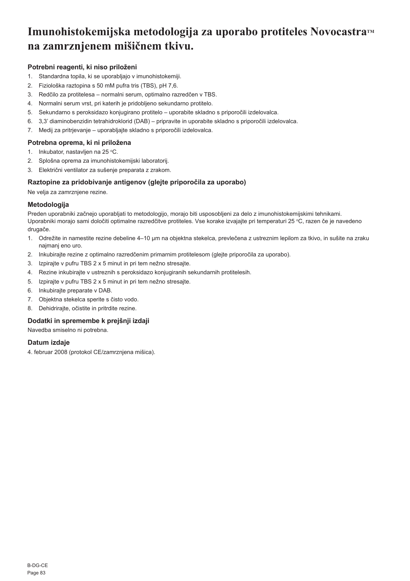# **Imunohistokemijska metodologija za uporabo protiteles NovocastraTM na zamrznjenem mišičnem tkivu.**

# **Potrebni reagenti, ki niso priloženi**

- 1. Standardna topila, ki se uporabljajo v imunohistokemiji.
- 2. Fiziološka raztopina s 50 mM pufra tris (TBS), pH 7,6.
- 3. Redčilo za protitelesa normalni serum, optimalno razredčen v TBS.
- 4. Normalni serum vrst, pri katerih je pridobljeno sekundarno protitelo.
- 5. Sekundarno s peroksidazo konjugirano protitelo uporabite skladno s priporočili izdelovalca.
- 6. 3,3' diaminobenzidin tetrahidroklorid (DAB) pripravite in uporabite skladno s priporočili izdelovalca.
- 7. Medij za pritrjevanje uporabljajte skladno s priporočili izdelovalca.

# **Potrebna oprema, ki ni priložena**

- 1. Inkubator, nastavljen na 25 °C.
- 2. Splošna oprema za imunohistokemijski laboratorij.
- 3. Električni ventilator za sušenje preparata z zrakom.

# **Raztopine za pridobivanje antigenov (glejte priporočila za uporabo)**

Ne velja za zamrznjene rezine.

# **Metodologija**

Preden uporabniki začnejo uporabljati to metodologijo, morajo biti usposobljeni za delo z imunohistokemijskimi tehnikami. Uporabniki morajo sami določiti optimalne razredčitve protiteles. Vse korake izvajajte pri temperaturi 25 °C, razen če je navedeno drugače.

- 1. Odrežite in namestite rezine debeline 4–10 µm na objektna stekelca, prevlečena z ustreznim lepilom za tkivo, in sušite na zraku najmanj eno uro.
- 2. Inkubirajte rezine z optimalno razredčenim primarnim protitelesom (glejte priporočila za uporabo).
- 3. Izpirajte v pufru TBS 2 x 5 minut in pri tem nežno stresajte.
- 4. Rezine inkubirajte v ustreznih s peroksidazo konjugiranih sekundarnih protitelesih.
- 5. Izpirajte v pufru TBS 2 x 5 minut in pri tem nežno stresajte.
- 6. Inkubirajte preparate v DAB.
- 7. Objektna stekelca sperite s čisto vodo.
- 8. Dehidrirajte, očistite in pritrdite rezine.

# **Dodatki in spremembe k prejšnji izdaji**

Navedba smiselno ni potrebna.

# **Datum izdaje**

4. februar 2008 (protokol CE/zamrznjena mišica).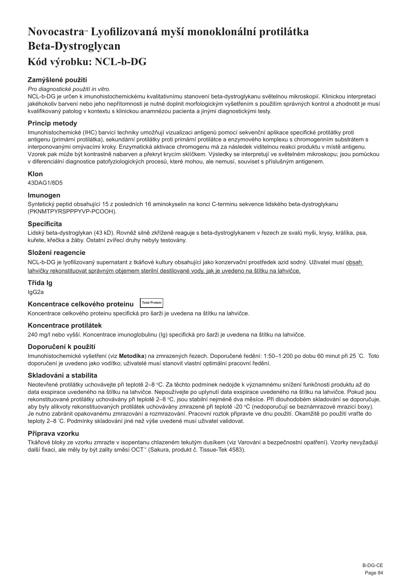# **Novocastra™ Lyofilizovaná myší monoklonální protilátka Beta-Dystroglycan Kód výrobku: NCL-b-DG**

# **Zamýšlené použití**

## *Pro diagnostické použití in vitro.*

NCL-b-DG je určen k imunohistochemickému kvalitativnímu stanovení beta-dystroglykanu světelnou mikroskopií. Klinickou interpretaci jakéhokoliv barvení nebo jeho nepřítomnosti je nutné doplnit morfologickým vyšetřením s použitím správných kontrol a zhodnotit je musí kvalifikovaný patolog v kontextu s klinickou anamnézou pacienta a jinými diagnostickými testy.

## **Princip metody**

Imunohistochemické (IHC) barvicí techniky umožňují vizualizaci antigenů pomocí sekvenční aplikace specifické protilátky proti antigenu (primární protilátka), sekundární protilátky proti primární protilátce a enzymového komplexu s chromogenním substrátem s interponovanými omývacími kroky. Enzymatická aktivace chromogenu má za následek viditelnou reakci produktu v místě antigenu. Vzorek pak může být kontrastně nabarven a překryt krycím sklíčkem. Výsledky se interpretují ve světelném mikroskopu; jsou pomůckou v diferenciální diagnostice patofyziologických procesů, které mohou, ale nemusí, souviset s příslušným antigenem.

## **Klon**

43DAG1/8D5

## **Imunogen**

Syntetický peptid obsahující 15 z posledních 16 aminokyselin na konci C-terminu sekvence lidského beta-dystroglykanu (PKNMTPYRSPPPYVP-PCOOH).

## **Specificita**

Lidský beta-dystroglykan (43 kD). Rovněž silně zkříženě reaguje s beta-dystroglykanem v řezech ze svalů myši, krysy, králíka, psa, kuřete, křečka a žáby. Ostatní zvířecí druhy nebyly testovány.

# **Složení reagencie**

NCL-b-DG je lyofilizovaný supernatant z tkáňové kultury obsahující jako konzervační prostředek azid sodný. Uživatel musí obsah lahvičky rekonstituovat správným objemem sterilní destilované vody, jak je uvedeno na štítku na lahvičce.

## **Třída Ig**

IgG2a

# **Koncentrace celkového proteinu Total Protein**

Koncentrace celkového proteinu specifická pro šarži je uvedena na štítku na lahvičce.

## **Koncentrace protilátek**

240 mg/l nebo vyšší. Koncentrace imunoglobulinu (Ig) specifická pro šarži je uvedena na štítku na lahvičce.

## **Doporučení k použití**

Imunohistochemické vyšetření (viz **Metodika**) na zmrazených řezech. Doporučené ředění: 1:50–1:200 po dobu 60 minut při 25 ° C. Toto doporučení je uvedeno jako vodítko; uživatelé musí stanovit vlastní optimální pracovní ředění.

## **Skladování a stabilita**

Neotevřené protilátky uchovávejte při teplotě 2–8 °C. Za těchto podmínek nedojde k významnému snížení funkčnosti produktu až do data exspirace uvedeného na štítku na lahvičce. Nepoužívejte po uplynutí data exspirace uvedeného na štítku na lahvičce. Pokud jsou rekonstituované protilátky uchovávány při teplotě 2–8 °C, jsou stabilní nejméně dva měsíce. Při dlouhodobém skladování se doporučuje, aby byly alikvoty rekonstituovaných protilátek uchovávány zmrazené při teplotě -20 °C (nedoporučují se beznámrazové mrazicí boxy). Je nutno zabránit opakovanému zmrazování a rozmrazování. Pracovní roztok připravte ve dnu použití. Okamžitě po použití vraťte do teploty 2–8 ° C. Podmínky skladování jiné než výše uvedené musí uživatel validovat.

## **Příprava vzorku**

Tkáňové bloky ze vzorku zmrazte v isopentanu chlazeném tekutým dusíkem (viz Varování a bezpečnostní opatření). Vzorky nevyžadují další fixaci, ale měly by být zality směsí OCT™ (Sakura, produkt č. Tissue-Tek 4583).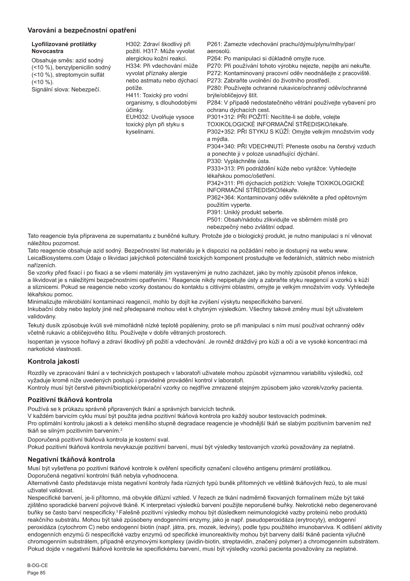## **Varování a bezpečnostní opatření**

| Lyofilizované protilátky<br>Novocastra<br>Obsahuje směs: azid sodný<br>(<10 %), benzylpenicilin sodný<br>(<10 %), streptomycin sulfát<br>$($ < 10 %).<br>Signální slova: Nebezpečí. | H302: Zdraví škodlivý při<br>požití. H317: Může vyvolat<br>alergickou kožní reakci.<br>H334: Při vdechování může<br>vyvolat příznaky alergie<br>nebo astmatu nebo dýchací<br>potíže.<br>H411: Toxický pro vodní<br>organismy, s dlouhodobými<br>účinky.<br>EUH032: Uvolňuje vysoce<br>toxický plyn při styku s<br>kyselinami. | P261: Zamezte vdechování prachu/dýmu/plynu/mlhy/par/<br>aerosolů.<br>P264: Po manipulaci si důkladně omyjte ruce.<br>P270: Při používání tohoto výrobku nejezte, nepijte ani nekuřte.<br>P272: Kontaminovaný pracovní oděv neodnášejte z pracoviště.<br>P273: Zabraňte uvolnění do životního prostředí.<br>P280: Používejte ochranné rukavice/ochranný oděv/ochranné<br>brýle/obličejový štít.<br>P284: V případě nedostatečného větrání používejte vybavení pro<br>ochranu dýchacích cest.<br>P301+312: PŘI POŽITÍ: Necítíte-li se dobře, volejte<br>TOXIKOLOGICKÉ INFORMAČNÍ STŘEDISKO/lékaře.<br>P302+352: PŘI STYKU S KŮŽÍ: Omyjte velkým množstvím vody<br>a mýdla.<br>P304+340: PŘI VDECHNUTÍ: Přeneste osobu na čerstvý vzduch<br>a ponechte ji v poloze usnadňující dýchání.<br>P330: Vypláchněte ústa.<br>P333+313: Při podráždění kůže nebo vyrážce: Vyhledejte<br>lékařskou pomoc/ošetření.<br>P342+311: Při dýchacích potížích: Volejte TOXIKOLOGICKÉ<br>INFORMAČNÍ STŘEDISKO/lékaře.<br>P362+364: Kontaminovaný oděv svlékněte a před opětovným<br>použitím vyperte.<br>P391: Uniklý produkt seberte. |
|-------------------------------------------------------------------------------------------------------------------------------------------------------------------------------------|-------------------------------------------------------------------------------------------------------------------------------------------------------------------------------------------------------------------------------------------------------------------------------------------------------------------------------|--------------------------------------------------------------------------------------------------------------------------------------------------------------------------------------------------------------------------------------------------------------------------------------------------------------------------------------------------------------------------------------------------------------------------------------------------------------------------------------------------------------------------------------------------------------------------------------------------------------------------------------------------------------------------------------------------------------------------------------------------------------------------------------------------------------------------------------------------------------------------------------------------------------------------------------------------------------------------------------------------------------------------------------------------------------------------------------------------------------------|
|                                                                                                                                                                                     |                                                                                                                                                                                                                                                                                                                               | P501: Obsah/nádobu zlikvidujte ve sběrném místě pro<br>nebezpečný nebo zvláštní odpad.                                                                                                                                                                                                                                                                                                                                                                                                                                                                                                                                                                                                                                                                                                                                                                                                                                                                                                                                                                                                                             |

Tato reagencie byla připravena ze supernatantu z buněčné kultury. Protože jde o biologický produkt, je nutno manipulaci s ní věnovat náležitou pozornost.

Tato reagencie obsahuje azid sodný. Bezpečnostní list materiálu je k dispozici na požádání nebo je dostupný na webu www. LeicaBiosystems.com Údaje o likvidaci jakýchkoli potenciálně toxických komponent prostudujte ve federálních, státních nebo místních nařízeních.

Se vzorky před fixací i po fixaci a se všemi materiály jim vystavenými je nutno zacházet, jako by mohly způsobit přenos infekce,

a likvidovat je s náležitými bezpečnostními opatřeními.<sup>1</sup> Reagencie nikdy nepipetujte ústy a zabraňte styku reagencií a vzorků s kůží a sliznicemi. Pokud se reagencie nebo vzorky dostanou do kontaktu s citlivými oblastmi, omyjte je velkým množstvím vody. Vyhledejte lékařskou pomoc.

Minimalizujte mikrobiální kontaminaci reagencií, mohlo by dojít ke zvýšení výskytu nespecifického barvení. Inkubační doby nebo teploty jiné než předepsané mohou vést k chybným výsledkům. Všechny takové změny musí být uživatelem validovány.

Tekutý dusík způsobuje kvůli své mimořádně nízké teplotě popáleniny, proto se při manipulaci s ním musí používat ochranný oděv včetně rukavic a obličejového štítu. Používejte v dobře větraných prostorech.

Isopentan je vysoce hořlavý a zdraví škodlivý při požití a vdechování. Je rovněž dráždivý pro kůži a oči a ve vysoké koncentraci má narkotické vlastnosti.

# **Kontrola jakosti**

Rozdíly ve zpracování tkání a v technických postupech v laboratoři uživatele mohou způsobit významnou variabilitu výsledků, což vyžaduje kromě níže uvedených postupů i pravidelné provádění kontrol v laboratoři.

Kontroly musí být čerstvé pitevní/bioptické/operační vzorky co nejdříve zmrazené stejným způsobem jako vzorek/vzorky pacienta.

## **Pozitivní tkáňová kontrola**

Používá se k průkazu správně připravených tkání a správných barvicích technik.

V každém barvicím cyklu musí být použita jedna pozitivní tkáňová kontrola pro každý soubor testovacích podmínek. Pro optimální kontrolu jakosti a k detekci menšího stupně degradace reagencie je vhodnější tkáň se slabým pozitivním barvením než tkáň se silným pozitivním barvením.<sup>2</sup>

Doporučená pozitivní tkáňová kontrola je kosterní sval.

Pokud pozitivní tkáňová kontrola nevykazuje pozitivní barvení, musí být výsledky testovaných vzorků považovány za neplatné.

## **Negativní tkáňová kontrola**

Musí být vyšetřena po pozitivní tkáňové kontrole k ověření specificity označení cílového antigenu primární protilátkou.

Doporučená negativní kontrolní tkáň nebyla vyhodnocena.

Alternativně často představuje místa negativní kontroly řada různých typů buněk přítomných ve většině tkáňových řezů, to ale musí uživatel validovat.

Nespecifické barvení, je-li přítomno, má obvykle difúzní vzhled. V řezech ze tkání nadměrně fixovaných formalínem může být také zjištěno sporadické barvení pojivové tkáně. K interpretaci výsledků barvení použijte neporušené buňky. Nekrotické nebo degenerované buňky se často barví nespecificky.<sup>3</sup>Falešně pozitivní výsledky mohou být důsledkem neimunologické vazby proteinů nebo produktů reakčního substrátu. Mohou být také způsobeny endogenními enzymy, jako je např. pseudoperoxidáza (erytrocyty), endogenní peroxidáza (cytochrom C) nebo endogenní biotin (např. játra, prs, mozek, ledviny), podle typu použitého imunobarviva. K odlišení aktivity endogenních enzymů či nespecifické vazby enzymů od specifické imunoreaktivity mohou být barveny další tkáně pacienta výlučně chromogenním substrátem, případně enzymovými komplexy (avidin-biotin, streptavidin, značený polymer) a chromogenním substrátem. Pokud dojde v negativní tkáňové kontrole ke specifickému barvení, musí být výsledky vzorků pacienta považovány za neplatné.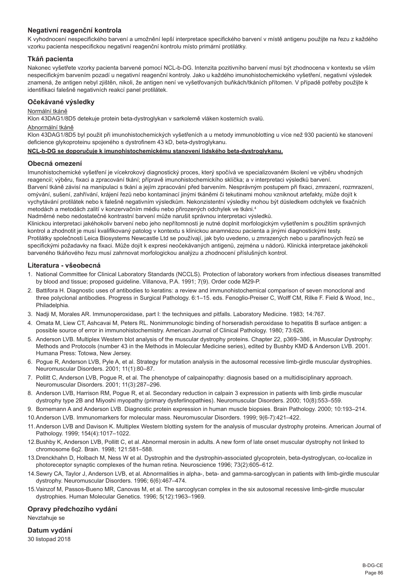# **Negativní reagenční kontrola**

K vyhodnocení nespecifického barvení a umožnění lepší interpretace specifického barvení v místě antigenu použijte na řezu z každého vzorku pacienta nespecifickou negativní reagenční kontrolu místo primární protilátky.

## **Tkáň pacienta**

Nakonec vyšetřete vzorky pacienta barvené pomocí NCL-b-DG. Intenzita pozitivního barvení musí být zhodnocena v kontextu se vším nespecifickým barvením pozadí u negativní reagenční kontroly. Jako u každého imunohistochemického vyšetření, negativní výsledek znamená, že antigen nebyl zjištěn, nikoli, že antigen není ve vyšetřovaných buňkách/tkáních přítomen. V případě potřeby použijte k identifikaci falešně negativních reakcí panel protilátek.

## **Očekávané výsledky**

# Normální tkáně

Klon 43DAG1/8D5 detekuje protein beta-dystroglykan v sarkolemě vláken kosterních svalů.

#### Abnormální tkáně

Klon 43DAG1/8D5 byl použit při imunohistochemických vyšetřeních a u metody immunoblotting u více než 930 pacientů ke stanovení deficience glykoproteinu spojeného s dystrofinem 43 kD, beta-dystroglykanu.

## **NCL-b-DG se doporučuje k imunohistochemickému stanovení lidského beta-dystroglykanu.**

## **Obecná omezení**

Imunohistochemické vyšetření je vícekrokový diagnostický proces, který spočívá ve specializovaném školení ve výběru vhodných reagencií; výběru, fixaci a zpracování tkání; přípravě imunohistochemickího sklíčka; a v interpretaci výsledků barvení. Barvení tkáně závisí na manipulaci s tkání a jejím zpracování před barvením. Nesprávným postupem při fixaci, zmrazení, rozmrazení, omývání, sušení, zahřívání, krájení řezů nebo kontaminací jinými tkáněmi či tekutinami mohou vzniknout artefakty, může dojít k vychytávání protilátek nebo k falešně negativním výsledkům. Nekonzistentní výsledky mohou být důsledkem odchylek ve fixačních

metodách a metodách zalití v konzervačním médiu nebo přirozených odchylek ve tkáni.<sup>4</sup>

Nadměrné nebo nedostatečné kontrastní barvení může narušit správnou interpretaci výsledků.

Klinickou interpretaci jakéhokoliv barvení nebo jeho nepřítomnosti je nutné doplnit morfologickým vyšetřením s použitím správných kontrol a zhodnotit je musí kvalifikovaný patolog v kontextu s klinickou anamnézou pacienta a jinými diagnostickými testy. Protilátky společnosti Leica Biosystems Newcastle Ltd se používají, jak bylo uvedeno, u zmrazených nebo u parafínových řezů se specifickými požadavky na fixaci. Může dojít k expresi neočekávaných antigenů, zejména u nádorů. Klinická interpretace jakéhokoli barveného tkáňového řezu musí zahrnovat morfologickou analýzu a zhodnocení příslušných kontrol.

## **Literatura - všeobecná**

- 1. National Committee for Clinical Laboratory Standards (NCCLS). Protection of laboratory workers from infectious diseases transmitted by blood and tissue; proposed guideline. Villanova, P.A. 1991; 7(9). Order code M29-P.
- 2. Battifora H. Diagnostic uses of antibodies to keratins: a review and immunohistochemical comparison of seven monoclonal and three polyclonal antibodies. Progress in Surgical Pathology. 6:1–15. eds. Fenoglio-Preiser C, Wolff CM, Rilke F. Field & Wood, Inc., Philadelphia.
- 3. Nadji M, Morales AR. Immunoperoxidase, part I: the techniques and pitfalls. Laboratory Medicine. 1983; 14:767.
- 4. Omata M, Liew CT, Ashcavai M, Peters RL. Nonimmunologic binding of horseradish peroxidase to hepatitis B surface antigen: a possible source of error in immunohistochemistry. American Journal of Clinical Pathology. 1980; 73:626.
- 5. Anderson LVB. Multiplex Western blot analysis of the muscular dystrophy proteins. Chapter 22, p369–386, in Muscular Dystrophy: Methods and Protocols (number 43 in the Methods in Molecular Medicine series), edited by Bushby KMD & Anderson LVB. 2001. Humana Press: Totowa, New Jersey.
- 6. Pogue R, Anderson LVB, Pyle A, et al. Strategy for mutation analysis in the autosomal recessive limb-girdle muscular dystrophies. Neuromuscular Disorders. 2001; 11(1):80–87.
- 7. Pollitt C, Anderson LVB, Pogue R, et al. The phenotype of calpainopathy: diagnosis based on a multidisciplinary approach. Neuromuscular Disorders. 2001; 11(3):287–296.
- 8. Anderson LVB, Harrison RM, Pogue R, et al. Secondary reduction in calpain 3 expression in patients with limb girdle muscular dystrophy type 2B and Miyoshi myopathy (primary dysferlinopathies). Neuromuscular Disorders. 2000; 10(8):553–559.
- 9. Bornemann A and Anderson LVB. Diagnostic protein expression in human muscle biopsies. Brain Pathology. 2000; 10:193–214.
- 10.Anderson LVB. Immunomarkers for molecular mass. Neuromuscular Disorders. 1999; 9(6-7):421–422.
- 11.Anderson LVB and Davison K. Multiplex Western blotting system for the analysis of muscular dystrophy proteins. American Journal of Pathology. 1999; 154(4):1017–1022.
- 12.Bushby K, Anderson LVB, Pollitt C, et al. Abnormal merosin in adults. A new form of late onset muscular dystrophy not linked to chromosome 6q2. Brain. 1998; 121:581–588.
- 13.Drenckhahn D, Holbach M, Ness W et al. Dystrophin and the dystrophin-associated glycoprotein, beta-dystroglycan, co-localize in photoreceptor synaptic complexes of the human retina. Neuroscience 1996; 73(2):605–612.
- 14.Sewry CA, Taylor J, Anderson LVB, et al. Abnormalities in alpha-, beta- and gamma-sarcoglycan in patients with limb-girdle muscular dystrophy. Neuromuscular Disorders. 1996; 6(6):467–474.
- 15.Vainzof M, Passos-Bueno MR, Canovas M, et al. The sarcoglycan complex in the six autosomal recessive limb-girdle muscular dystrophies. Human Molecular Genetics. 1996; 5(12):1963–1969.

# **Opravy předchozího vydání**

Nevztahuje se

## **Datum vydání**

30 listopad 2018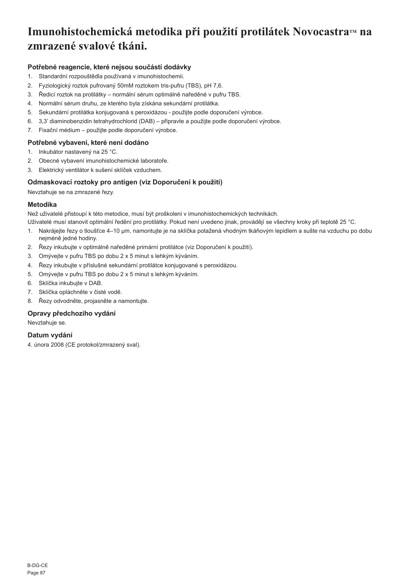# **Imunohistochemická metodika při použití protilátek** Novocastra™ na **zmrazené svalové tkáni.**

# **Potřebné reagencie, které nejsou součástí dodávky**

- 1. Standardní rozpouštědla používaná v imunohistochemii.
- 2. Fyziologický roztok pufrovaný 50mM roztokem tris-pufru (TBS), pH 7,6.
- 3. Ředicí roztok na protilátky normální sérum optimálně naředěné v pufru TBS.
- 4. Normální sérum druhu, ze kterého byla získána sekundární protilátka.
- 5. Sekundární protilátka konjugovaná s peroxidázou použijte podle doporučení výrobce.
- 6. 3,3' diaminobenzidin tetrahydrochlorid (DAB) připravte a použijte podle doporučení výrobce.
- 7. Fixační médium použijte podle doporučení výrobce.

# **Potřebné vybavení, které není dodáno**

- 1. Inkubátor nastavený na 25 °C.
- 2. Obecné vybavení imunohistochemické laboratoře.
- 3. Elektrický ventilátor k sušení sklíček vzduchem.

# **Odmaskovací roztoky pro antigen (viz Doporučení k použití)**

Nevztahuje se na zmrazené řezy.

# **Metodika**

Než uživatelé přistoupí k této metodice, musí být proškoleni v imunohistochemických technikách.

Uživatelé musí stanovit optimální ředění pro protilátky. Pokud není uvedeno jinak, provádějí se všechny kroky při teplotě 25 °C.

- 1. Nakrájejte řezy o tloušťce 4–10 µm, namontujte je na sklíčka potažená vhodným tkáňovým lepidlem a sušte na vzduchu po dobu nejméně jedné hodiny.
- 2. Řezy inkubujte v optimálně naředěné primární protilátce (viz Doporučení k použití).
- 3. Omývejte v pufru TBS po dobu 2 x 5 minut s lehkým kýváním.
- 4. Řezy inkubujte v příslušné sekundární protilátce konjugované s peroxidázou.
- 5. Omývejte v pufru TBS po dobu 2 x 5 minut s lehkým kýváním.
- 6. Sklíčka inkubujte v DAB.
- 7. Sklíčka opláchněte v čisté vodě.
- 8. Řezy odvodněte, projasněte a namontujte.

# **Opravy předchozího vydání**

Nevztahuje se.

# **Datum vydání**

4. února 2008 (CE protokol/zmrazený sval).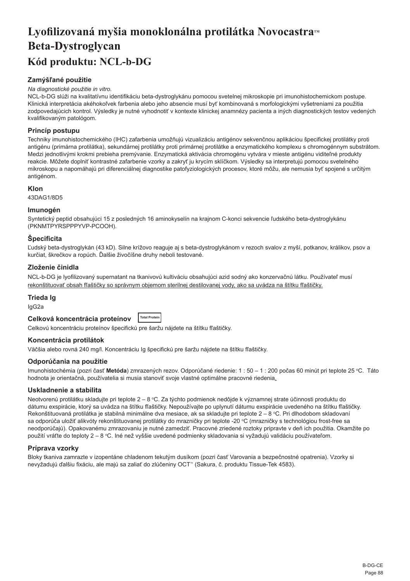# Lyofilizovaná myšia monoklonálna protilátka Novocastra<sup>*M*</sup> **Beta-Dystroglycan Kód produktu: NCL-b-DG**

# **Zamýšľané použitie**

## *Na diagnostické použitie in vitro.*

NCL-b-DG slúži na kvalitatívnu identifikáciu beta-dystroglykánu pomocou svetelnej mikroskopie pri imunohistochemickom postupe. Klinická interpretácia akéhokoľvek farbenia alebo jeho absencie musí byť kombinovaná s morfologickými vyšetreniami za použitia zodpovedajúcich kontrol. Výsledky je nutné vyhodnotiť v kontexte klinickej anamnézy pacienta a iných diagnostických testov vedených kvalifikovaným patológom.

## **Princíp postupu**

Techniky imunohistochemického (IHC) zafarbenia umožňujú vizualizáciu antigénov sekvenčnou aplikáciou špecifickej protilátky proti antigénu (primárna protilátka), sekundárnej protilátky proti primárnej protilátke a enzymatického komplexu s chromogénnym substrátom. Medzi jednotlivými krokmi prebieha premývanie. Enzymatická aktivácia chromogénu vytvára v mieste antigénu viditeľné produkty reakcie. Môžete doplniť kontrastné zafarbenie vzorky a zakryť ju krycím sklíčkom. Výsledky sa interpretujú pomocou svetelného mikroskopu a napomáhajú pri diferenciálnej diagnostike patofyziologických procesov, ktoré môžu, ale nemusia byť spojené s určitým antigénom.

# **Klon**

43DAG1/8D5

## **Imunogén**

Syntetický peptid obsahujúci 15 z posledných 16 aminokyselín na krajnom C-konci sekvencie ľudského beta-dystroglykánu (PKNMTPYRSPPPYVP-PCOOH).

# **Špecificita**

Ľudský beta-dystroglykán (43 kD). Silne krížovo reaguje aj s beta-dystroglykánom v rezoch svalov z myší, potkanov, králikov, psov a kurčiat, škrečkov a ropúch. Ďalšie živočíšne druhy neboli testované.

# **Zloženie činidla**

NCL-b-DG je lyofilizovaný supernatant na tkanivovú kultiváciu obsahujúci azid sodný ako konzervačnú látku. Používateľ musí rekonštituovať obsah fľaštičky so správnym objemom sterilnej destilovanej vody, ako sa uvádza na štítku fľaštičky.

## **Trieda Ig**

IgG2a

#### **Celková koncentrácia proteínov Total Protein**

Celkovú koncentráciu proteínov špecifickú pre šaržu nájdete na štítku fľaštičky.

## **Koncentrácia protilátok**

Väčšia alebo rovná 240 mg/l. Koncentráciu Ig špecifickú pre šaržu nájdete na štítku fľaštičky.

## **Odporúčania na použitie**

Imunohistochémia (pozri časť **Metóda)** zmrazených rezov. Odporúčané riedenie: 1 : 50 – 1 : 200 počas 60 minút pri teplote 25 °C. Táto hodnota je orientačná, používatelia si musia stanoviť svoje vlastné optimálne pracovné riedenia.

## **Uskladnenie a stabilita**

Neotvorenú protilátku skladujte pri teplote 2 – 8 °C. Za týchto podmienok nedôjde k významnej strate účinnosti produktu do dátumu exspirácie, ktorý sa uvádza na štítku fľaštičky. Nepoužívajte po uplynutí dátumu exspirácie uvedeného na štítku fľaštičky. Rekonštituovaná protilátka je stabilná minimálne dva mesiace, ak sa skladujte pri teplote 2 – 8 °C. Pri dlhodobom skladovaní sa odporúča uložiť alikvóty rekonštituovanej protilátky do mrazničky pri teplote -20 °C (mrazničky s technológiou frost-free sa neodporúčajú). Opakovanému zmrazovaniu je nutné zamedziť. Pracovné zriedené roztoky pripravte v deň ich použitia. Okamžite po použití vráťte do teploty 2 – 8 °C. Iné než vyššie uvedené podmienky skladovania si vyžadujú validáciu používateľom.

## **Príprava vzorky**

Bloky tkaniva zamrazte v izopentáne chladenom tekutým dusíkom (pozri časť Varovania a bezpečnostné opatrenia). Vzorky si nevyžadujú ďalšiu fixáciu, ale majú sa zaliať do zlúčeniny OCT™ (Sakura, č. produktu Tissue-Tek 4583).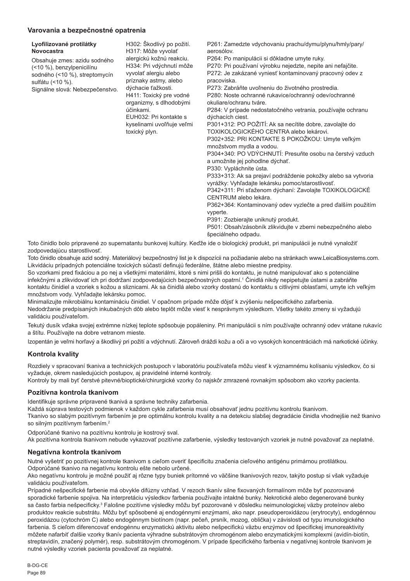## **Varovania a bezpečnostné opatrenia**

| Lyofilizované protilátky<br>Novocastra<br>Obsahuje zmes: azidu sodného<br>(<10 %), benzylpenicilínu<br>sodného (<10 %), streptomycín<br>sulfátu (<10 %).<br>Signálne slová: Nebezpečenstvo. | H302: Škodlivý po požití.<br>H317: Môže vyvolať<br>alergickú kožnú reakciu.<br>H334: Pri vdýchnutí môže<br>vyvolať alergiu alebo<br>príznaky astmy, alebo<br>dýchacie ťažkosti.<br>H411: Toxický pre vodné<br>organizmy, s dlhodobými<br>účinkami.<br>EUH032: Pri kontakte s<br>kyselinami uvoľňuje veľmi<br>toxický plyn. | P261: Zamedzte vdychovaniu prachu/dymu/plynu/hmly/pary/<br>aerosólov.<br>P264: Po manipulácii si dôkladne umyte ruky.<br>P270: Pri používaní výrobku nejedzte, nepite ani nefajčite.<br>P272: Je zakázané vyniesť kontaminovaný pracovný odev z<br>pracoviska.<br>P273: Zabráňte uvoľneniu do životného prostredia.<br>P280: Noste ochranné rukavice/ochranný odev/ochranné<br>okuliare/ochranu tváre.<br>P284: V prípade nedostatočného vetrania, používajte ochranu<br>dýchacích ciest.<br>P301+312: PO POŽITÍ: Ak sa necítite dobre, zavolajte do<br>TOXIKOLOGICKÉHO CENTRA alebo lekárovi.<br>P302+352: PRI KONTAKTE S POKOŽKOU: Umyte veľkým<br>množstvom mydla a vodou.<br>P304+340: PO VDÝCHNUTÍ: Presuňte osobu na čerstvý vzduch<br>a umožnite jej pohodlne dýchať.<br>P330: Vypláchnite ústa.<br>P333+313: Ak sa prejaví podráždenie pokožky alebo sa vytvoria<br>vyrážky: Vyhľadajte lekársku pomoc/starostlivosť.<br>P342+311: Pri sťaženom dýchaní: Zavolajte TOXIKOLOGICKÉ<br>CENTRUM alebo lekára.<br>P362+364: Kontaminovaný odev vyzlečte a pred ďalším použitím<br>vyperte.<br>P391: Zozbierajte uniknutý produkt.<br>P501: Obsah/zásobník zlikvidujte v zberni nebezpečného alebo |
|---------------------------------------------------------------------------------------------------------------------------------------------------------------------------------------------|----------------------------------------------------------------------------------------------------------------------------------------------------------------------------------------------------------------------------------------------------------------------------------------------------------------------------|------------------------------------------------------------------------------------------------------------------------------------------------------------------------------------------------------------------------------------------------------------------------------------------------------------------------------------------------------------------------------------------------------------------------------------------------------------------------------------------------------------------------------------------------------------------------------------------------------------------------------------------------------------------------------------------------------------------------------------------------------------------------------------------------------------------------------------------------------------------------------------------------------------------------------------------------------------------------------------------------------------------------------------------------------------------------------------------------------------------------------------------------------------------------------------------------------|

Toto činidlo bolo pripravené zo supernatantu bunkovej kultúry. Keďže ide o biologický produkt, pri manipulácii je nutné vynaložiť zodpovedajúcu starostlivosť.

Toto činidlo obsahuje azid sodný. Materiálový bezpečnostný list je k dispozícii na požiadanie alebo na stránkach www.LeicaBiosystems.com. Likvidáciu prípadných potenciálne toxických súčastí definujú federálne, štátne alebo miestne predpisy.

špeciálneho odpadu.

So vzorkami pred fixáciou a po nej a všetkými materiálmi, ktoré s nimi prišli do kontaktu, je nutné manipulovať ako s potenciálne infekčnými a zlikvidovať ich pri dodržaní zodpovedajúcich bezpečnostných opatrní.<sup>1</sup> Cinidlá nikdy nepipetujte ústami a zabráňte kontaktu činidiel a vzoriek s kožou a sliznicami. Ak sa činidlá alebo vzorky dostanú do kontaktu s citlivými oblasťami, umyte ich veľkým množstvom vody. Vyhľadajte lekársku pomoc.

Minimalizujte mikrobiálnu kontamináciu činidiel. V opačnom prípade môže dôjsť k zvýšeniu nešpecifického zafarbenia. Nedodržanie predpísaných inkubačných dôb alebo teplôt môže viesť k nesprávnym výsledkom. Všetky takéto zmeny si vyžadujú validáciu používateľom.

Tekutý dusík vďaka svojej extrémne nízkej teplote spôsobuje popáleniny. Pri manipulácii s ním používajte ochranný odev vrátane rukavíc a štítu. Používajte na dobre vetranom mieste.

Izopentán je veľmi horľavý a škodlivý pri požití a vdýchnutí. Zároveň dráždi kožu a oči a vo vysokých koncentráciách má narkotické účinky.

## **Kontrola kvality**

Rozdiely v spracovaní tkaniva a technických postupoch v laboratóriu používateľa môžu viesť k významnému kolísaniu výsledkov, čo si vyžaduje, okrem nasledujúcich postupov, aj pravidelné interné kontroly.

Kontroly by mali byť čerstvé pitevné/bioptické/chirurgické vzorky čo najskôr zmrazené rovnakým spôsobom ako vzorky pacienta.

#### **Pozitívna kontrola tkanivom**

Identifikuje správne pripravené tkanivá a správne techniky zafarbenia.

Každá súprava testových podmienok v každom cykle zafarbenia musí obsahovať jednu pozitívnu kontrolu tkanivom.

Tkanivo so slabým pozitívnym farbením je pre optimálnu kontrolu kvality a na detekciu slabšej degradácie činidla vhodnejšie než tkanivo so silným pozitívnym farbením.<sup>2</sup>

Odporúčané tkanivo na pozitívnu kontrolu je kostrový sval.

Ak pozitívna kontrola tkanivom nebude vykazovať pozitívne zafarbenie, výsledky testovaných vzoriek je nutné považovať za neplatné.

## **Negatívna kontrola tkanivom**

Nutné vyšetriť po pozitívnej kontrole tkanivom s cieľom overiť špecificitu značenia cieľového antigénu primárnou protilátkou. Odporúčané tkanivo na negatívnu kontrolu ešte nebolo určené.

Ako negatívnu kontrolu je možné použiť aj rôzne typy buniek prítomné vo väčšine tkanivových rezov, takýto postup si však vyžaduje validáciu používateľom.

Prípadné nešpecifické farbenie má obvykle difúzny vzhľad. V rezoch tkanív silne fixovaných formalínom môže byť pozorované sporadické farbenie spojiva. Na interpretáciu výsledkov farbenia používajte intaktné bunky. Nekrotické alebo degenerované bunky sa často farbia nešpecificky.<sup>3</sup> Falošne pozitívne výsledky môžu byť pozorované v dôsledku neimunologickej väzby proteínov alebo produktov reakcie substrátu. Môžu byť spôsobené aj endogénnymi enzýmami, ako napr. pseudoperoxidázou (erytrocyty), endogénnou peroxidázou (cytochróm C) alebo endogénnym biotínom (napr. pečeň, prsník, mozog, oblička) v závislosti od typu imunologického farbenia. S cieľom diferencovať endogénnu enzymatickú aktivitu alebo nešpecifickú väzbu enzýmov od špecifickej imunoreaktivity môžete nafarbiť ďalšie vzorky tkanív pacienta výhradne substrátovým chromogénom alebo enzymatickými komplexmi (avidín-biotín, streptavidín, značený polymér), resp. substrátovým chromogénom. V prípade špecifického farbenia v negatívnej kontrole tkanivom je nutné výsledky vzoriek pacienta považovať za neplatné.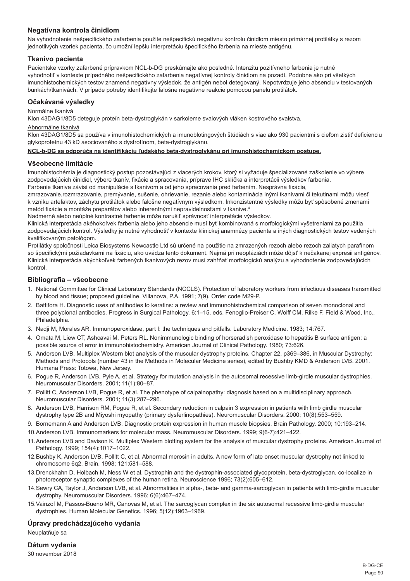# **Negatívna kontrola činidlom**

Na vyhodnotenie nešpecifického zafarbenia použite nešpecifickú negatívnu kontrolu činidlom miesto primárnej protilátky s rezom jednotlivých vzoriek pacienta, čo umožní lepšiu interpretáciu špecifického farbenia na mieste antigénu.

## **Tkanivo pacienta**

Pacientske vzorky zafarbené prípravkom NCL-b-DG preskúmajte ako posledné. Intenzitu pozitívneho farbenia je nutné vyhodnotiť v kontexte prípadného nešpecifického zafarbenia negatívnej kontroly činidlom na pozadí. Podobne ako pri všetkých imunohistochemických testov znamená negatívny výsledok, že antigén nebol detegovaný. Nepotvrdzuje jeho absenciu v testovaných bunkách/tkanivách. V prípade potreby identifikujte falošne negatívne reakcie pomocou panelu protilátok.

## **Očakávané výsledky**

#### Normálne tkanivá

Klon 43DAG1/8D5 deteguje proteín beta-dystroglykán v sarkoleme svalových vláken kostrového svalstva.

#### Abnormálne tkanivá

Klon 43DAG1/8D5 sa používa v imunohistochemických a imunoblotingových štúdiách s viac ako 930 pacientmi s cieľom zistiť deficienciu glykoproteínu 43 kD asociovaného s dystrofínom, beta-dystroglykánu.

#### **NCL-b-DG sa odporúča na identifikáciu ľudského beta-dystroglykánu pri imunohistochemickom postupe.**

## **Všeobecné limitácie**

Imunohistochémia je diagnostický postup pozostávajúci z viacerých krokov, ktorý si vyžaduje špecializované zaškolenie vo výbere zodpovedajúcich činidiel, výbere tkanív, fixácie a spracovania, príprave IHC sklíčka a interpretácii výsledkov farbenia.

Farbenie tkaniva závisí od manipulácie s tkanivom a od jeho spracovania pred farbením. Nesprávna fixácia,

zmrazovanie,rozmrazovanie, premývanie, sušenie, ohrievanie, rezanie alebo kontaminácia inými tkanivami či tekutinami môžu viesť k vzniku artefaktov, záchytu protilátok alebo falošne negatívnym výsledkom. Inkonzistentné výsledky môžu byť spôsobené zmenami metód fixácie a montáže preparátov alebo inherentnými nepravidelnosťami v tkanive.<sup>4</sup>

Nadmerné alebo neúplné kontrastné farbenie môže narušiť správnosť interpretácie výsledkov.

Klinická interpretácia akéhokoľvek farbenia alebo jeho absencie musí byť kombinovaná s morfologickými vyšetreniami za použitia zodpovedajúcich kontrol. Výsledky je nutné vyhodnotiť v kontexte klinickej anamnézy pacienta a iných diagnostických testov vedených kvalifikovaným patológom.

Protilátky spoločnosti Leica Biosystems Newcastle Ltd sú určené na použitie na zmrazených rezoch alebo rezoch zaliatych parafínom so špecifickými požiadavkami na fixáciu, ako uvádza tento dokument. Najmä pri neopláziách môže dôjsť k nečakanej expresii antigénov. Klinická interpretácia akýchkoľvek farbených tkanivových rezov musí zahŕňať morfologickú analýzu a vyhodnotenie zodpovedajúcich kontrol.

## **Bibliografia – všeobecne**

- 1. National Committee for Clinical Laboratory Standards (NCCLS). Protection of laboratory workers from infectious diseases transmitted by blood and tissue; proposed guideline. Villanova, P.A. 1991; 7(9). Order code M29-P.
- 2. Battifora H. Diagnostic uses of antibodies to keratins: a review and immunohistochemical comparison of seven monoclonal and three polyclonal antibodies. Progress in Surgical Pathology. 6:1–15. eds. Fenoglio-Preiser C, Wolff CM, Rilke F. Field & Wood, Inc., Philadelphia.
- 3. Nadji M, Morales AR. Immunoperoxidase, part I: the techniques and pitfalls. Laboratory Medicine. 1983; 14:767.
- 4. Omata M, Liew CT, Ashcavai M, Peters RL. Nonimmunologic binding of horseradish peroxidase to hepatitis B surface antigen: a possible source of error in immunohistochemistry. American Journal of Clinical Pathology. 1980; 73:626.
- 5. Anderson LVB. Multiplex Western blot analysis of the muscular dystrophy proteins. Chapter 22, p369–386, in Muscular Dystrophy: Methods and Protocols (number 43 in the Methods in Molecular Medicine series), edited by Bushby KMD & Anderson LVB. 2001. Humana Press: Totowa, New Jersey.
- 6. Pogue R, Anderson LVB, Pyle A, et al. Strategy for mutation analysis in the autosomal recessive limb-girdle muscular dystrophies. Neuromuscular Disorders. 2001; 11(1):80–87.
- 7. Pollitt C, Anderson LVB, Pogue R, et al. The phenotype of calpainopathy: diagnosis based on a multidisciplinary approach. Neuromuscular Disorders. 2001; 11(3):287–296.
- 8. Anderson LVB, Harrison RM, Pogue R, et al. Secondary reduction in calpain 3 expression in patients with limb girdle muscular dystrophy type 2B and Miyoshi myopathy (primary dysferlinopathies). Neuromuscular Disorders. 2000; 10(8):553–559.
- 9. Bornemann A and Anderson LVB. Diagnostic protein expression in human muscle biopsies. Brain Pathology. 2000; 10:193–214.
- 10.Anderson LVB. Immunomarkers for molecular mass. Neuromuscular Disorders. 1999; 9(6-7):421–422.
- 11.Anderson LVB and Davison K. Multiplex Western blotting system for the analysis of muscular dystrophy proteins. American Journal of Pathology. 1999; 154(4):1017–1022.
- 12.Bushby K, Anderson LVB, Pollitt C, et al. Abnormal merosin in adults. A new form of late onset muscular dystrophy not linked to chromosome 6q2. Brain. 1998; 121:581–588.
- 13.Drenckhahn D, Holbach M, Ness W et al. Dystrophin and the dystrophin-associated glycoprotein, beta-dystroglycan, co-localize in photoreceptor synaptic complexes of the human retina. Neuroscience 1996; 73(2):605–612.
- 14.Sewry CA, Taylor J, Anderson LVB, et al. Abnormalities in alpha-, beta- and gamma-sarcoglycan in patients with limb-girdle muscular dystrophy. Neuromuscular Disorders. 1996; 6(6):467–474.
- 15.Vainzof M, Passos-Bueno MR, Canovas M, et al. The sarcoglycan complex in the six autosomal recessive limb-girdle muscular dystrophies. Human Molecular Genetics. 1996; 5(12):1963–1969.

## **Úpravy predchádzajúceho vydania**

Neuplatňuje sa

**Dátum vydania**

30 november 2018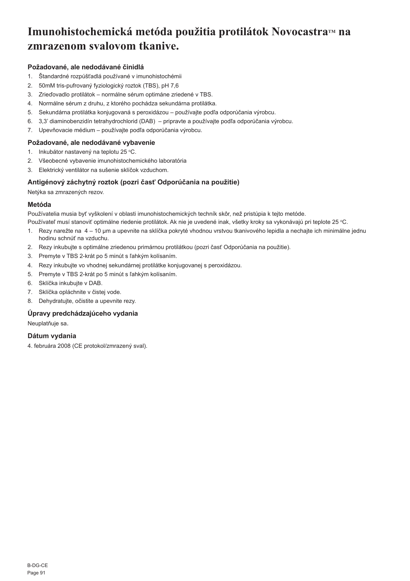# **Imunohistochemická metóda použitia protilátok Novocastra™ na zmrazenom svalovom tkanive.**

# **Požadované, ale nedodávané činidlá**

- 1. Štandardné rozpúšťadlá používané v imunohistochémii
- 2. 50mM tris-pufrovaný fyziologický roztok (TBS), pH 7,6
- 3. Zrieďovadlo protilátok normálne sérum optimáne zriedené v TBS.
- 4. Normálne sérum z druhu, z ktorého pochádza sekundárna protilátka.
- 5. Sekundárna protilátka konjugovaná s peroxidázou používajte podľa odporúčania výrobcu.
- 6. 3,3' diaminobenzidín tetrahydrochlorid (DAB) pripravte a používajte podľa odporúčania výrobcu.
- 7. Upevňovacie médium používajte podľa odporúčania výrobcu.

## **Požadované, ale nedodávané vybavenie**

- 1. Inkubátor nastavený na teplotu 25 °C.
- 2. Všeobecné vybavenie imunohistochemického laboratória
- 3. Elektrický ventilátor na sušenie sklíčok vzduchom.

# **Antigénový záchytný roztok (pozri časť Odporúčania na použitie)**

Netýka sa zmrazených rezov.

# **Metóda**

Používatelia musia byť vyškolení v oblasti imunohistochemických techník skôr, než pristúpia k tejto metóde.

Používateľ musí stanoviť optimálne riedenie protilátok. Ak nie je uvedené inak, všetky kroky sa vykonávajú pri teplote 25 °C.

- 1. Rezy narežte na 4 10 µm a upevnite na sklíčka pokryté vhodnou vrstvou tkanivového lepidla a nechajte ich minimálne jednu hodinu schnúť na vzduchu.
- 2. Rezy inkubujte s optimálne zriedenou primárnou protilátkou (pozri časť Odporúčania na použitie).
- 3. Premyte v TBS 2-krát po 5 minút s ľahkým kolísaním.
- 4. Rezy inkubujte vo vhodnej sekundárnej protilátke konjugovanej s peroxidázou.
- 5. Premyte v TBS 2-krát po 5 minút s ľahkým kolísaním.
- 6. Sklíčka inkubujte v DAB.
- 7. Sklíčka opláchnite v čistej vode.
- 8. Dehydratujte, očistite a upevnite rezy.

# **Úpravy predchádzajúceho vydania**

Neuplatňuje sa.

# **Dátum vydania**

4. februára 2008 (CE protokol/zmrazený sval).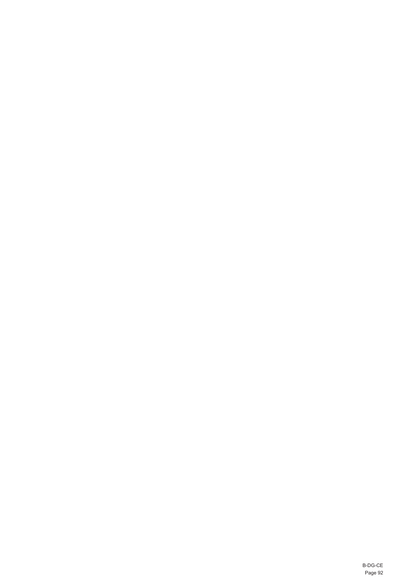B-DG-CE Page 92